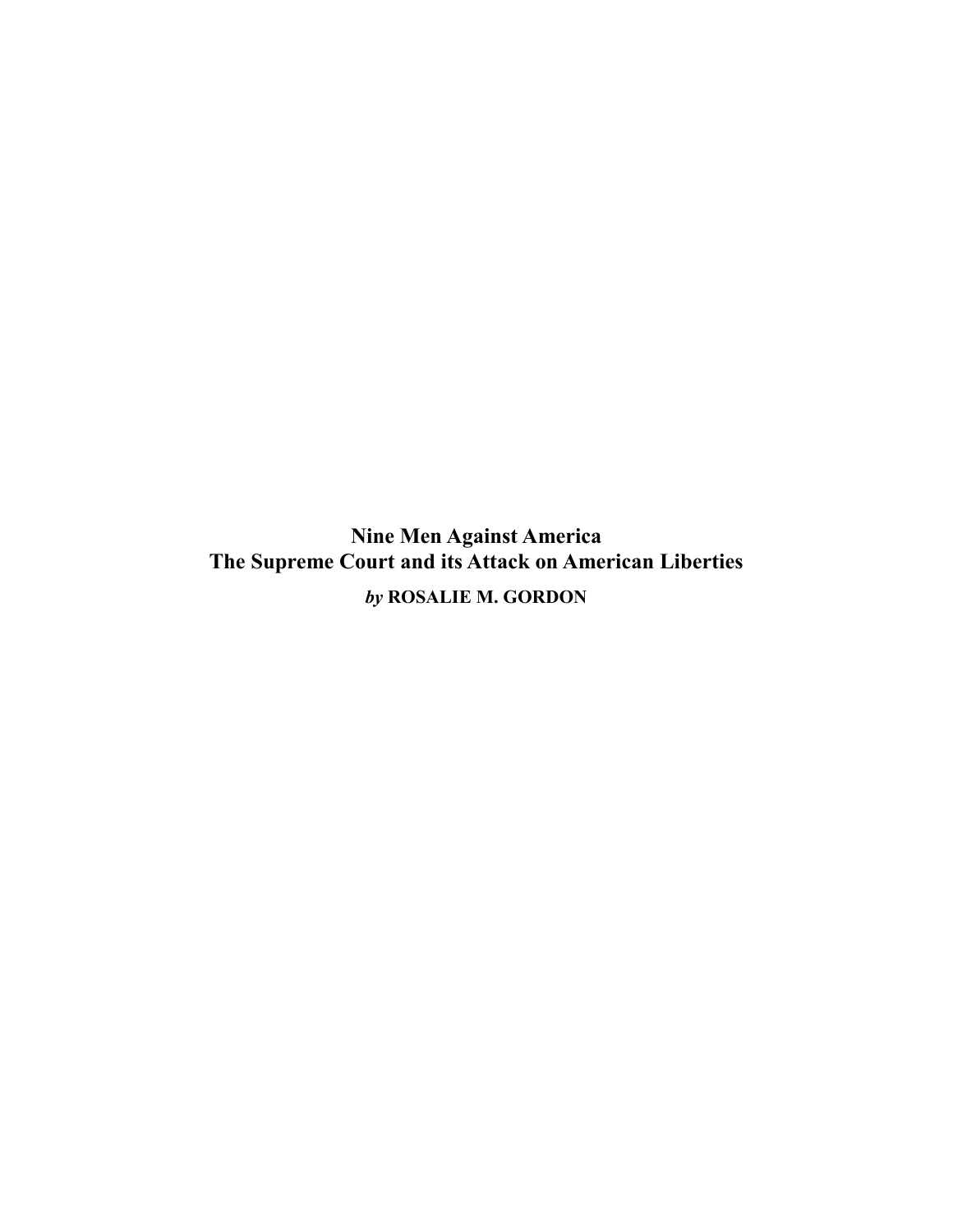**Nine Men Against America The Supreme Court and its Attack on American Liberties**

*by* **ROSALIE M. GORDON**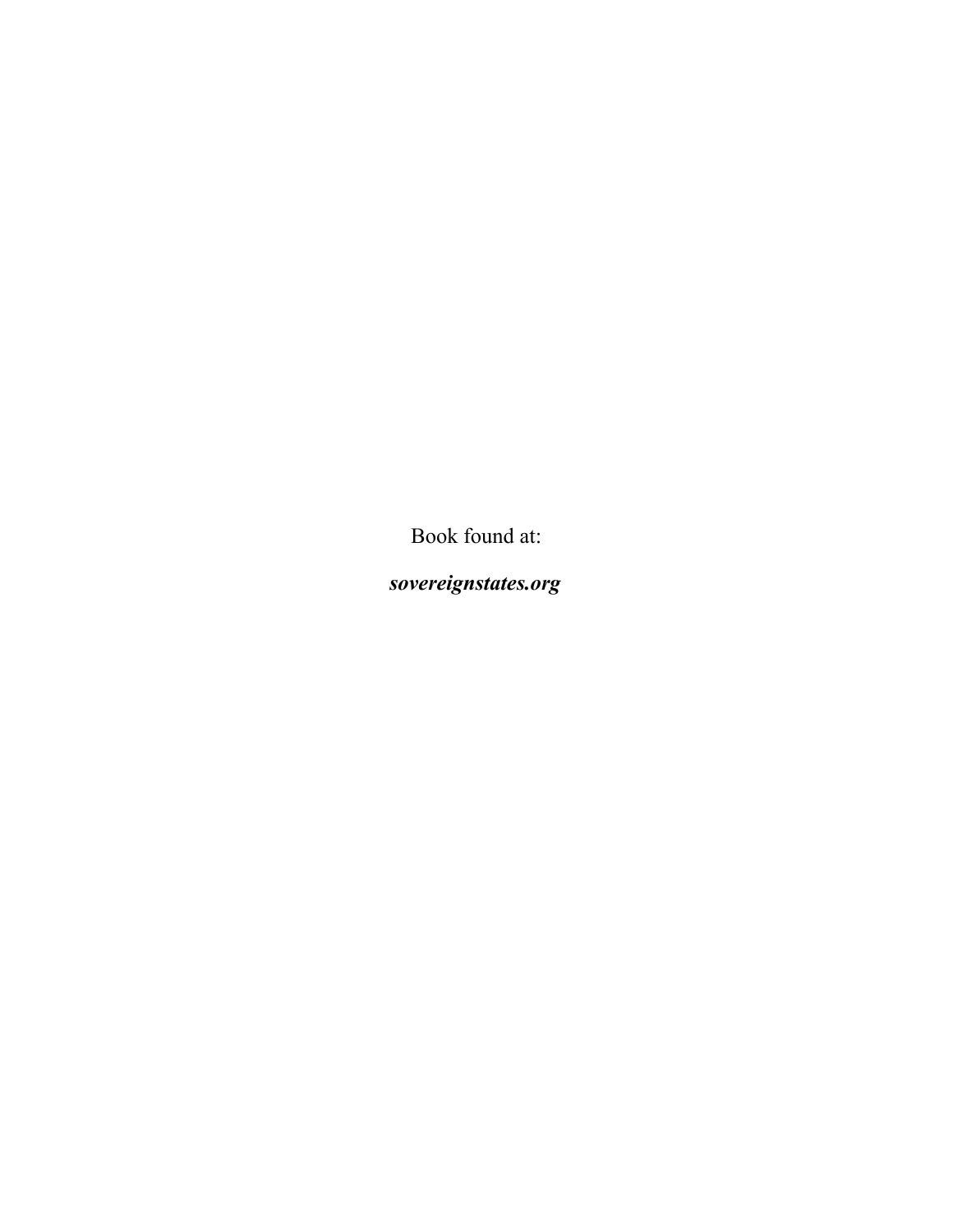Book found at:

*sovereignstates.org*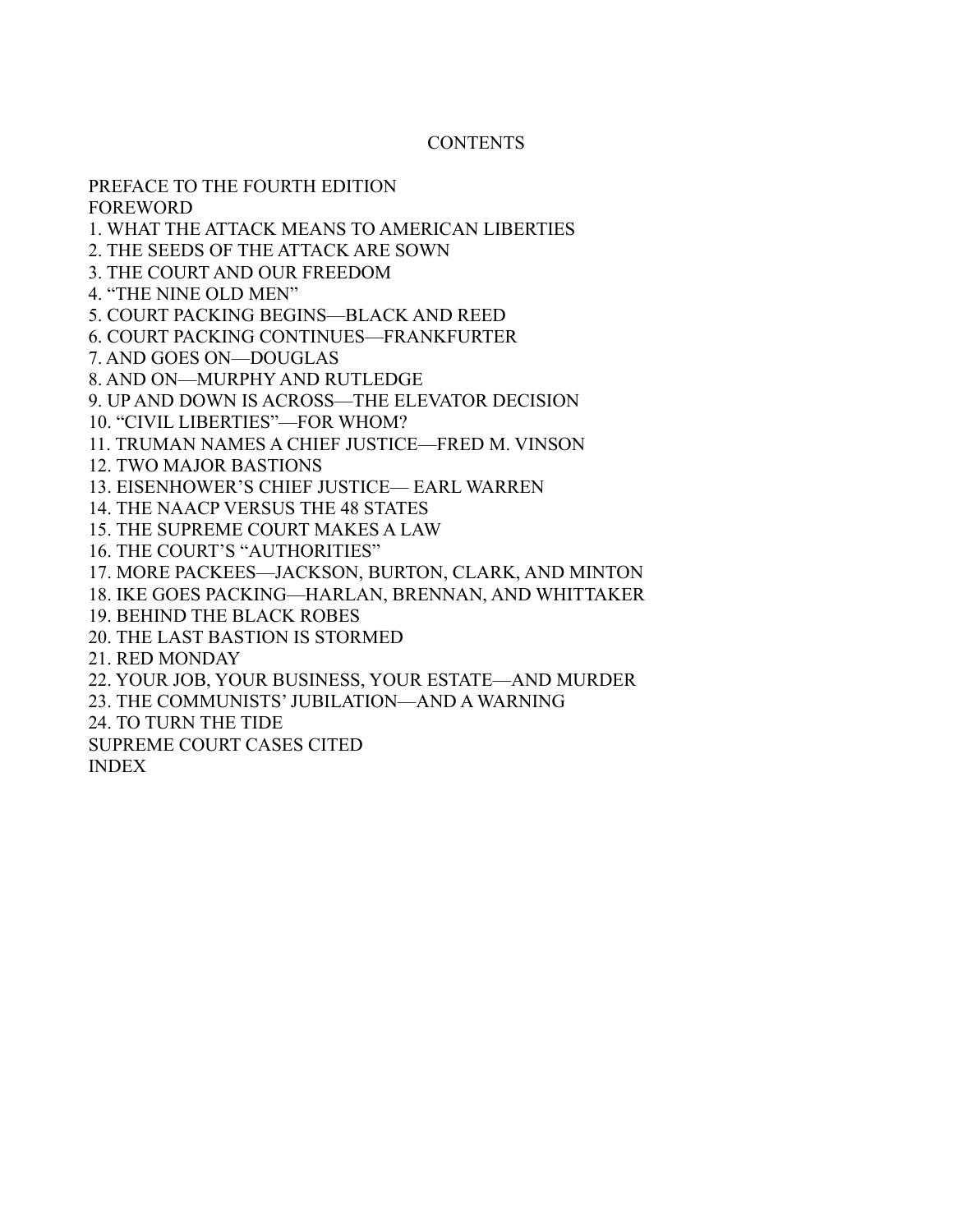# **CONTENTS**

PREFACE TO THE FOURTH EDITION FOREWORD 1. WHAT THE ATTACK MEANS TO AMERICAN LIBERTIES 2. THE SEEDS OF THE ATTACK ARE SOWN 3. THE COURT AND OUR FREEDOM 4. "THE NINE OLD MEN" 5. COURT PACKING BEGINS—BLACK AND REED 6. COURT PACKING CONTINUES—FRANKFURTER 7. AND GOES ON—DOUGLAS 8. AND ON—MURPHY AND RUTLEDGE 9. UP AND DOWN IS ACROSS—THE ELEVATOR DECISION 10. "CIVIL LIBERTIES"—FOR WHOM? 11. TRUMAN NAMES A CHIEF JUSTICE—FRED M. VINSON 12. TWO MAJOR BASTIONS 13. EISENHOWER'S CHIEF JUSTICE— EARL WARREN 14. THE NAACP VERSUS THE 48 STATES 15. THE SUPREME COURT MAKES A LAW 16. THE COURT'S "AUTHORITIES" 17. MORE PACKEES—JACKSON, BURTON, CLARK, AND MINTON 18. IKE GOES PACKING—HARLAN, BRENNAN, AND WHITTAKER 19. BEHIND THE BLACK ROBES 20. THE LAST BASTION IS STORMED 21. RED MONDAY 22. YOUR JOB, YOUR BUSINESS, YOUR ESTATE—AND MURDER 23. THE COMMUNISTS' JUBILATION—AND A WARNING 24. TO TURN THE TIDE SUPREME COURT CASES CITED INDEX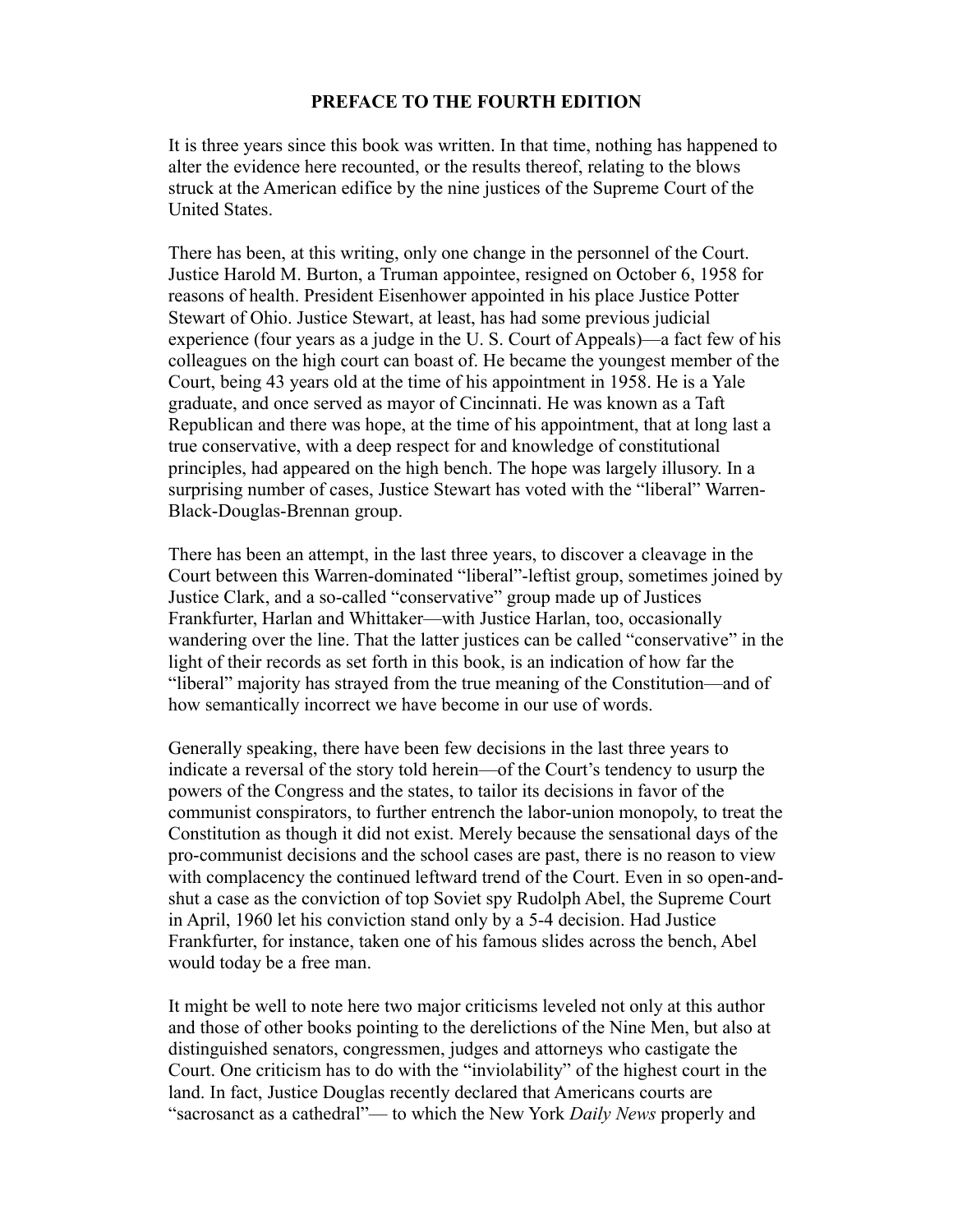# **PREFACE TO THE FOURTH EDITION**

It is three years since this book was written. In that time, nothing has happened to alter the evidence here recounted, or the results thereof, relating to the blows struck at the American edifice by the nine justices of the Supreme Court of the United States.

There has been, at this writing, only one change in the personnel of the Court. Justice Harold M. Burton, a Truman appointee, resigned on October 6, 1958 for reasons of health. President Eisenhower appointed in his place Justice Potter Stewart of Ohio. Justice Stewart, at least, has had some previous judicial experience (four years as a judge in the U. S. Court of Appeals)—a fact few of his colleagues on the high court can boast of. He became the youngest member of the Court, being 43 years old at the time of his appointment in 1958. He is a Yale graduate, and once served as mayor of Cincinnati. He was known as a Taft Republican and there was hope, at the time of his appointment, that at long last a true conservative, with a deep respect for and knowledge of constitutional principles, had appeared on the high bench. The hope was largely illusory. In a surprising number of cases, Justice Stewart has voted with the "liberal" Warren-Black-Douglas-Brennan group.

There has been an attempt, in the last three years, to discover a cleavage in the Court between this Warren-dominated "liberal"-leftist group, sometimes joined by Justice Clark, and a so-called "conservative" group made up of Justices Frankfurter, Harlan and Whittaker—with Justice Harlan, too, occasionally wandering over the line. That the latter justices can be called "conservative" in the light of their records as set forth in this book, is an indication of how far the "liberal" majority has strayed from the true meaning of the Constitution—and of how semantically incorrect we have become in our use of words.

Generally speaking, there have been few decisions in the last three years to indicate a reversal of the story told herein—of the Court's tendency to usurp the powers of the Congress and the states, to tailor its decisions in favor of the communist conspirators, to further entrench the labor-union monopoly, to treat the Constitution as though it did not exist. Merely because the sensational days of the pro-communist decisions and the school cases are past, there is no reason to view with complacency the continued leftward trend of the Court. Even in so open-andshut a case as the conviction of top Soviet spy Rudolph Abel, the Supreme Court in April, 1960 let his conviction stand only by a 5-4 decision. Had Justice Frankfurter, for instance, taken one of his famous slides across the bench, Abel would today be a free man.

It might be well to note here two major criticisms leveled not only at this author and those of other books pointing to the derelictions of the Nine Men, but also at distinguished senators, congressmen, judges and attorneys who castigate the Court. One criticism has to do with the "inviolability" of the highest court in the land. In fact, Justice Douglas recently declared that Americans courts are "sacrosanct as a cathedral"— to which the New York *Daily News* properly and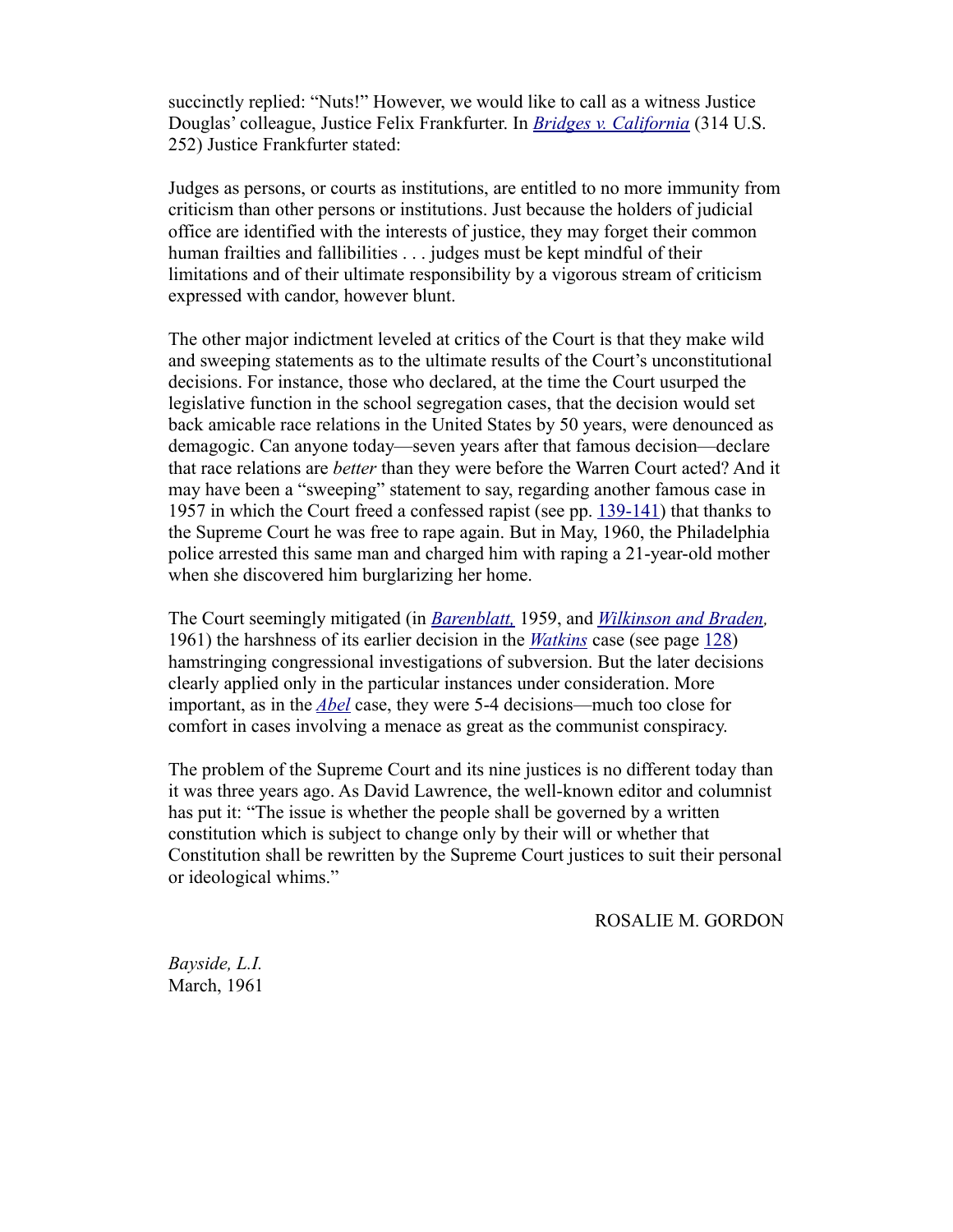succinctly replied: "Nuts!" However, we would like to call as a witness Justice Douglas' colleague, Justice Felix Frankfurter. In *[Bridges v. California](http://laws.findlaw.com/us/314/252.html)* (314 U.S. 252) Justice Frankfurter stated:

Judges as persons, or courts as institutions, are entitled to no more immunity from criticism than other persons or institutions. Just because the holders of judicial office are identified with the interests of justice, they may forget their common human frailties and fallibilities . . . judges must be kept mindful of their limitations and of their ultimate responsibility by a vigorous stream of criticism expressed with candor, however blunt.

The other major indictment leveled at critics of the Court is that they make wild and sweeping statements as to the ultimate results of the Court's unconstitutional decisions. For instance, those who declared, at the time the Court usurped the legislative function in the school segregation cases, that the decision would set back amicable race relations in the United States by 50 years, were denounced as demagogic. Can anyone today—seven years after that famous decision—declare that race relations are *better* than they were before the Warren Court acted? And it may have been a "sweeping" statement to say, regarding another famous case in 1957 in which the Court freed a confessed rapist (see pp. [139-141\)](http://sovereignstates.org/books/NMAA/NineMen_22.html#p139) that thanks to the Supreme Court he was free to rape again. But in May, 1960, the Philadelphia police arrested this same man and charged him with raping a 21-year-old mother when she discovered him burglarizing her home.

The Court seemingly mitigated (in *[Barenblatt,](http://laws.findlaw.com/us/360/109.html)* 1959, and *[Wilkinson and Braden,](http://laws.findlaw.com/us/365/431.html)* 1961) the harshness of its earlier decision in the *[Watkins](http://laws.findlaw.com/us/354/178.html)* case (see page [128\)](http://sovereignstates.org/books/NMAA/NineMen_21.html#p128) hamstringing congressional investigations of subversion. But the later decisions clearly applied only in the particular instances under consideration. More important, as in the *[Abel](http://laws.findlaw.com/us/362/217.html)* case, they were 5-4 decisions—much too close for comfort in cases involving a menace as great as the communist conspiracy.

The problem of the Supreme Court and its nine justices is no different today than it was three years ago. As David Lawrence, the well-known editor and columnist has put it: "The issue is whether the people shall be governed by a written constitution which is subject to change only by their will or whether that Constitution shall be rewritten by the Supreme Court justices to suit their personal or ideological whims."

ROSALIE M. GORDON

*Bayside, L.I.* March, 1961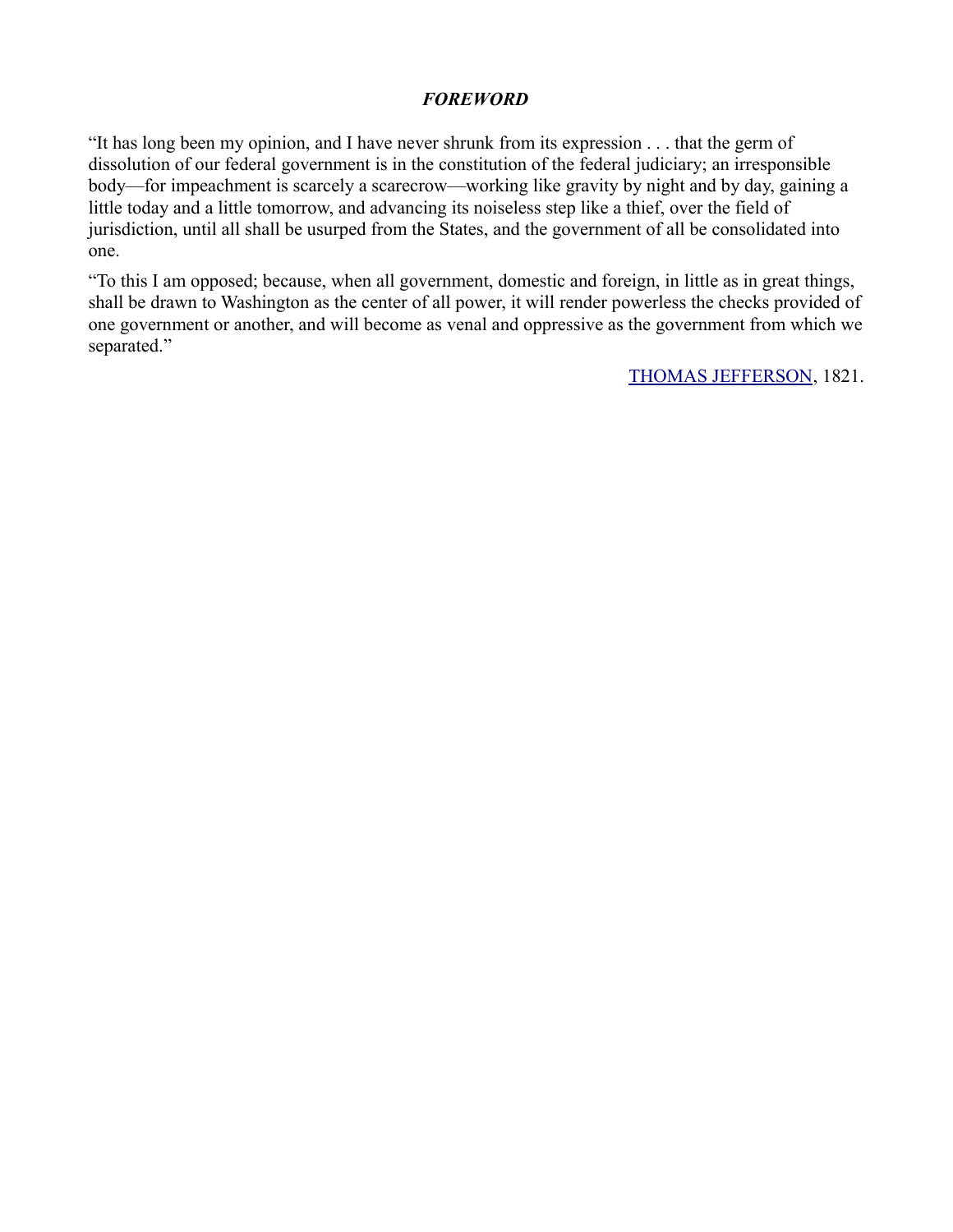# *FOREWORD*

"It has long been my opinion, and I have never shrunk from its expression . . . that the germ of dissolution of our federal government is in the constitution of the federal judiciary; an irresponsible body—for impeachment is scarcely a scarecrow—working like gravity by night and by day, gaining a little today and a little tomorrow, and advancing its noiseless step like a thief, over the field of jurisdiction, until all shall be usurped from the States, and the government of all be consolidated into one.

"To this I am opposed; because, when all government, domestic and foreign, in little as in great things, shall be drawn to Washington as the center of all power, it will render powerless the checks provided of one government or another, and will become as venal and oppressive as the government from which we separated."

[THOMAS JEFFERSON,](http://etext.virginia.edu/jefferson/quotations/jeff1270.htm) 1821.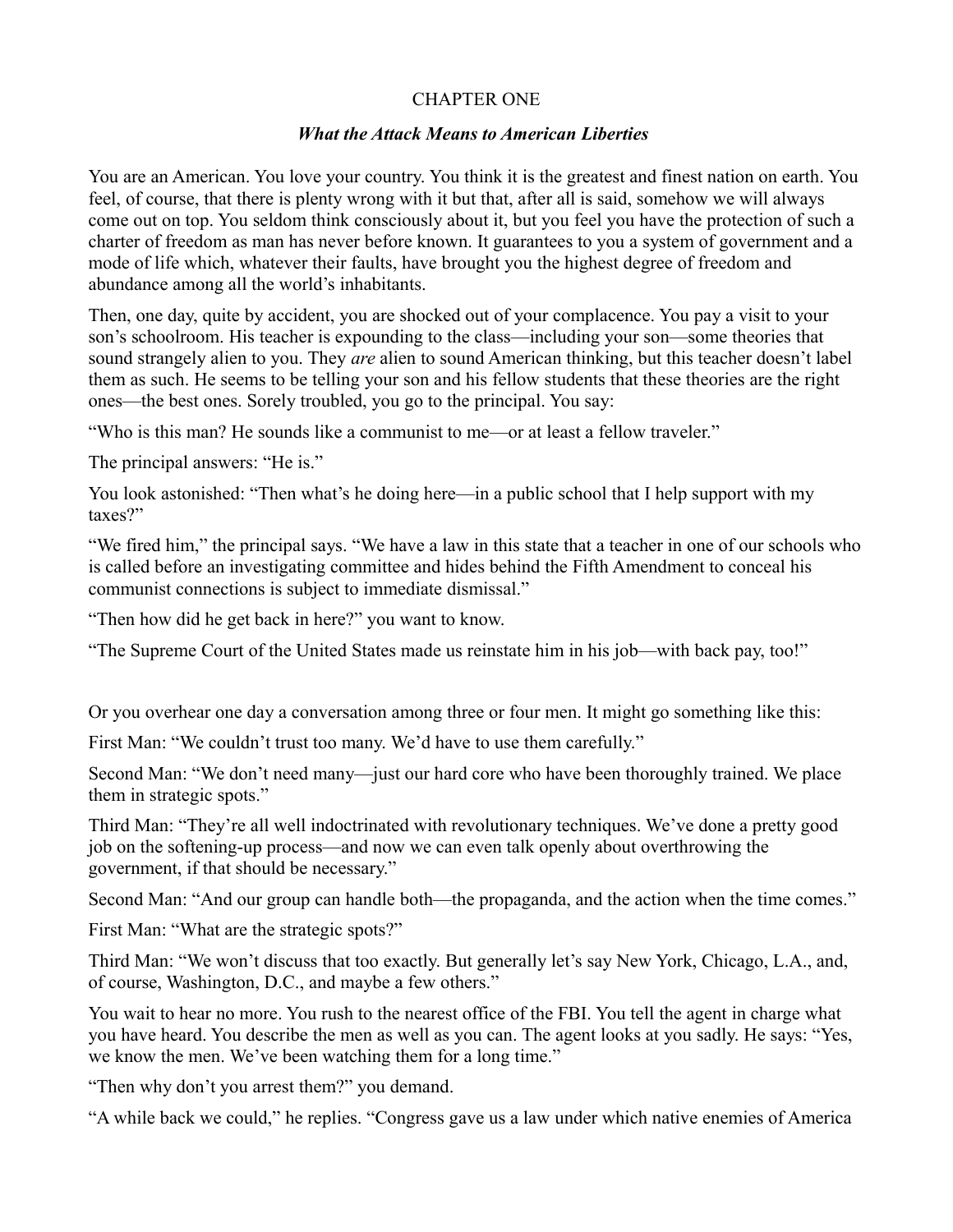# CHAPTER ONE

# *What the Attack Means to American Liberties*

You are an American. You love your country. You think it is the greatest and finest nation on earth. You feel, of course, that there is plenty wrong with it but that, after all is said, somehow we will always come out on top. You seldom think consciously about it, but you feel you have the protection of such a charter of freedom as man has never before known. It guarantees to you a system of government and a mode of life which, whatever their faults, have brought you the highest degree of freedom and abundance among all the world's inhabitants.

Then, one day, quite by accident, you are shocked out of your complacence. You pay a visit to your son's schoolroom. His teacher is expounding to the class—including your son—some theories that sound strangely alien to you. They *are* alien to sound American thinking, but this teacher doesn't label them as such. He seems to be telling your son and his fellow students that these theories are the right ones—the best ones. Sorely troubled, you go to the principal. You say:

"Who is this man? He sounds like a communist to me—or at least a fellow traveler."

The principal answers: "He is."

You look astonished: "Then what's he doing here—in a public school that I help support with my taxes?"

"We fired him," the principal says. "We have a law in this state that a teacher in one of our schools who is called before an investigating committee and hides behind the Fifth Amendment to conceal his communist connections is subject to immediate dismissal."

"Then how did he get back in here?" you want to know.

"The Supreme Court of the United States made us reinstate him in his job—with back pay, too!"

Or you overhear one day a conversation among three or four men. It might go something like this:

First Man: "We couldn't trust too many. We'd have to use them carefully."

Second Man: "We don't need many—just our hard core who have been thoroughly trained. We place them in strategic spots."

Third Man: "They're all well indoctrinated with revolutionary techniques. We've done a pretty good job on the softening-up process—and now we can even talk openly about overthrowing the government, if that should be necessary."

Second Man: "And our group can handle both—the propaganda, and the action when the time comes."

First Man: "What are the strategic spots?"

Third Man: "We won't discuss that too exactly. But generally let's say New York, Chicago, L.A., and, of course, Washington, D.C., and maybe a few others."

You wait to hear no more. You rush to the nearest office of the FBI. You tell the agent in charge what you have heard. You describe the men as well as you can. The agent looks at you sadly. He says: "Yes, we know the men. We've been watching them for a long time."

"Then why don't you arrest them?" you demand.

"A while back we could," he replies. "Congress gave us a law under which native enemies of America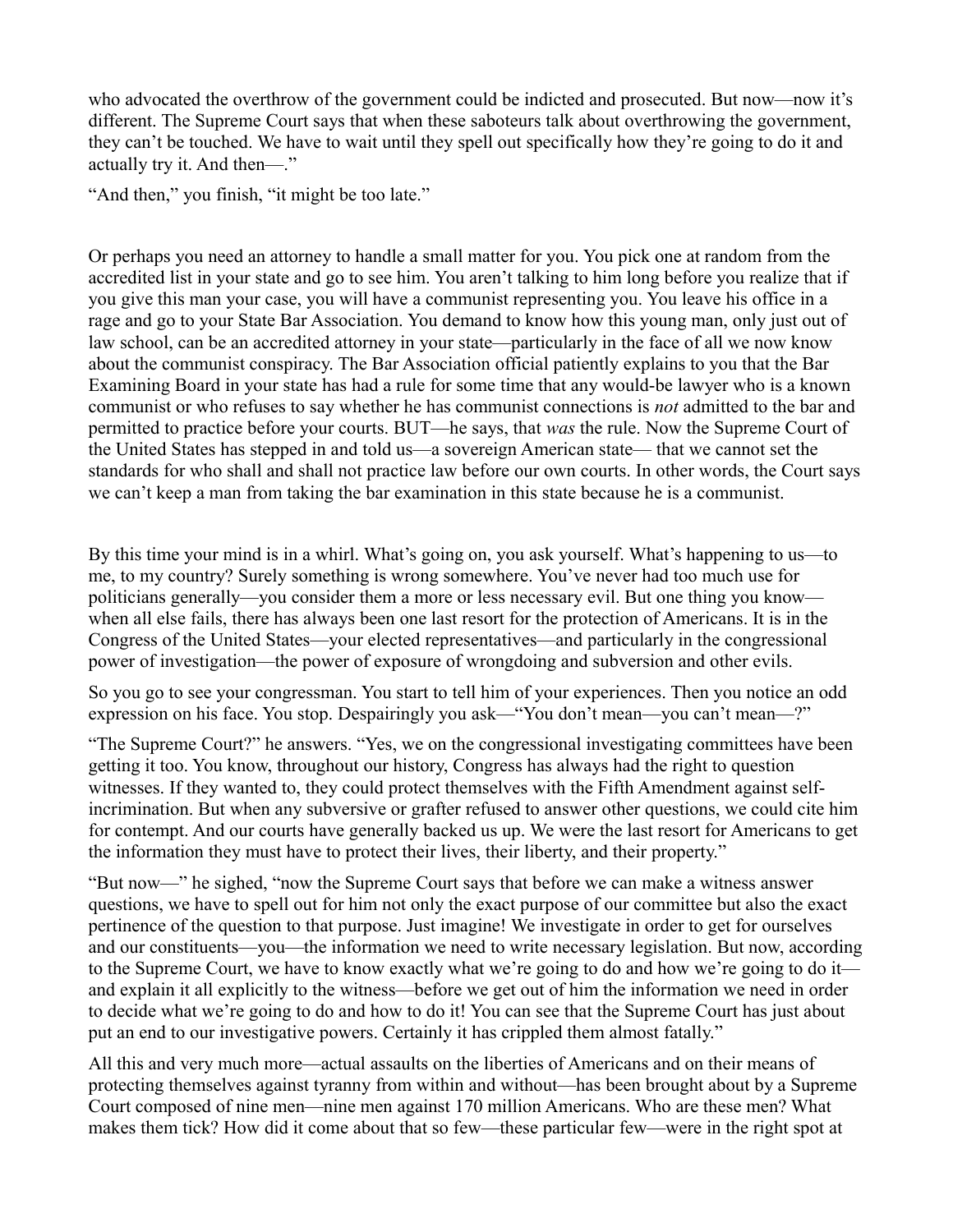who advocated the overthrow of the government could be indicted and prosecuted. But now—now it's different. The Supreme Court says that when these saboteurs talk about overthrowing the government, they can't be touched. We have to wait until they spell out specifically how they're going to do it and actually try it. And then—."

"And then," you finish, "it might be too late."

Or perhaps you need an attorney to handle a small matter for you. You pick one at random from the accredited list in your state and go to see him. You aren't talking to him long before you realize that if you give this man your case, you will have a communist representing you. You leave his office in a rage and go to your State Bar Association. You demand to know how this young man, only just out of law school, can be an accredited attorney in your state—particularly in the face of all we now know about the communist conspiracy. The Bar Association official patiently explains to you that the Bar Examining Board in your state has had a rule for some time that any would-be lawyer who is a known communist or who refuses to say whether he has communist connections is *not* admitted to the bar and permitted to practice before your courts. BUT—he says, that *was* the rule. Now the Supreme Court of the United States has stepped in and told us—a sovereign American state— that we cannot set the standards for who shall and shall not practice law before our own courts. In other words, the Court says we can't keep a man from taking the bar examination in this state because he is a communist.

By this time your mind is in a whirl. What's going on, you ask yourself. What's happening to us—to me, to my country? Surely something is wrong somewhere. You've never had too much use for politicians generally—you consider them a more or less necessary evil. But one thing you know when all else fails, there has always been one last resort for the protection of Americans. It is in the Congress of the United States—your elected representatives—and particularly in the congressional power of investigation—the power of exposure of wrongdoing and subversion and other evils.

So you go to see your congressman. You start to tell him of your experiences. Then you notice an odd expression on his face. You stop. Despairingly you ask—"You don't mean—you can't mean—?"

"The Supreme Court?" he answers. "Yes, we on the congressional investigating committees have been getting it too. You know, throughout our history, Congress has always had the right to question witnesses. If they wanted to, they could protect themselves with the Fifth Amendment against selfincrimination. But when any subversive or grafter refused to answer other questions, we could cite him for contempt. And our courts have generally backed us up. We were the last resort for Americans to get the information they must have to protect their lives, their liberty, and their property."

"But now—" he sighed, "now the Supreme Court says that before we can make a witness answer questions, we have to spell out for him not only the exact purpose of our committee but also the exact pertinence of the question to that purpose. Just imagine! We investigate in order to get for ourselves and our constituents—you—the information we need to write necessary legislation. But now, according to the Supreme Court, we have to know exactly what we're going to do and how we're going to do it and explain it all explicitly to the witness—before we get out of him the information we need in order to decide what we're going to do and how to do it! You can see that the Supreme Court has just about put an end to our investigative powers. Certainly it has crippled them almost fatally."

All this and very much more—actual assaults on the liberties of Americans and on their means of protecting themselves against tyranny from within and without—has been brought about by a Supreme Court composed of nine men—nine men against 170 million Americans. Who are these men? What makes them tick? How did it come about that so few—these particular few—were in the right spot at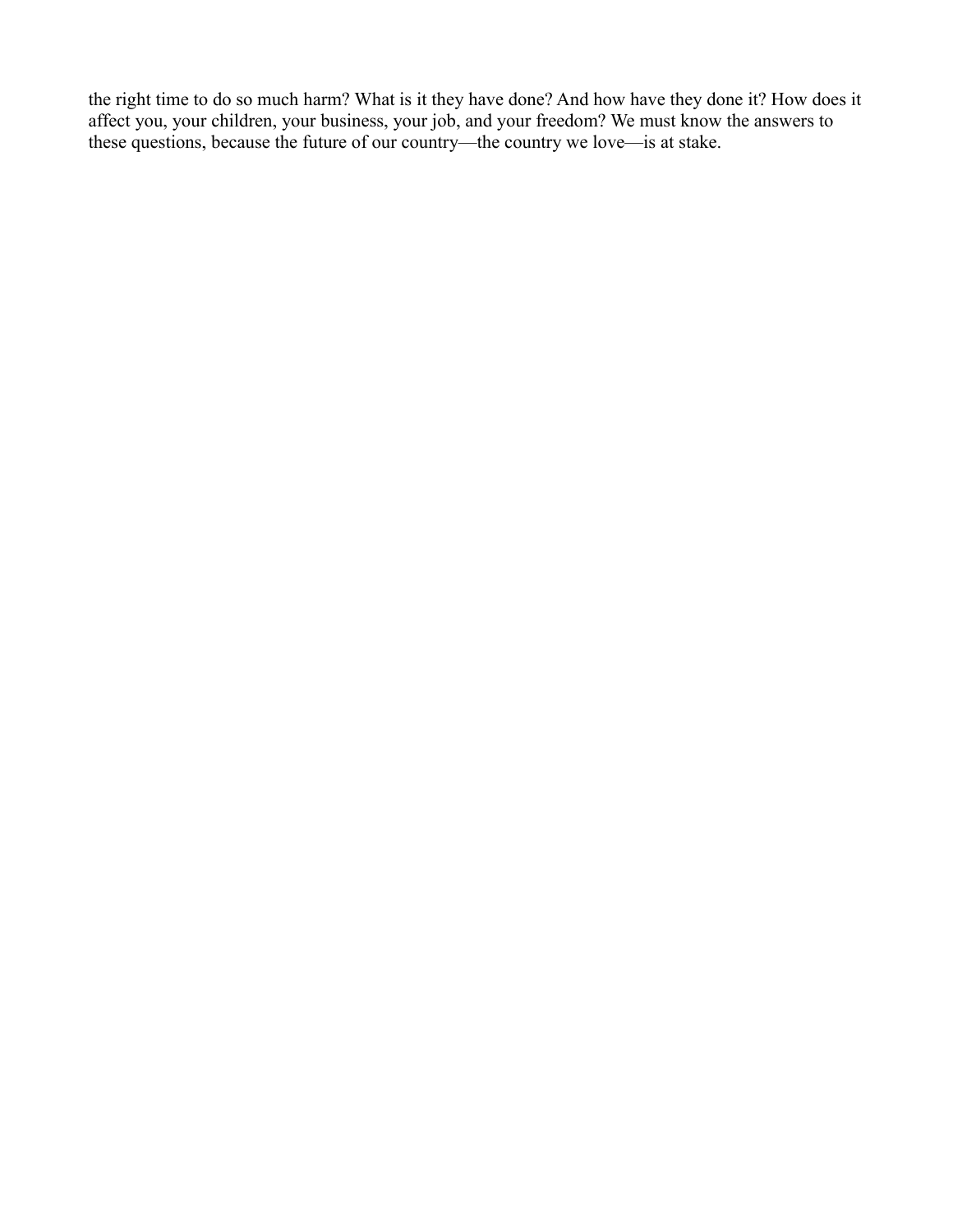the right time to do so much harm? What is it they have done? And how have they done it? How does it affect you, your children, your business, your job, and your freedom? We must know the answers to these questions, because the future of our country—the country we love—is at stake.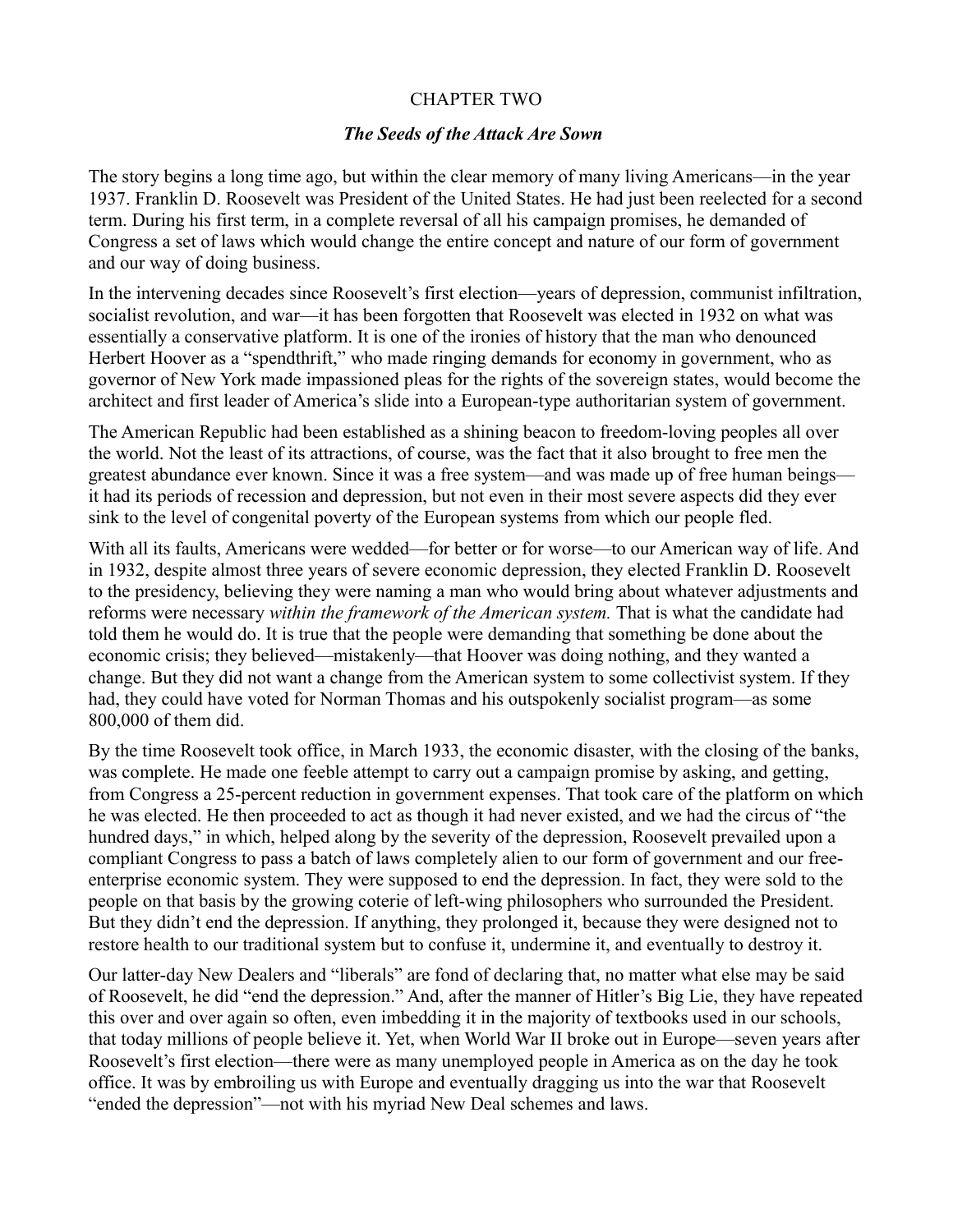# CHAPTER TWO

## *The Seeds of the Attack Are Sown*

The story begins a long time ago, but within the clear memory of many living Americans—in the year 1937. Franklin D. Roosevelt was President of the United States. He had just been reelected for a second term. During his first term, in a complete reversal of all his campaign promises, he demanded of Congress a set of laws which would change the entire concept and nature of our form of government and our way of doing business.

In the intervening decades since Roosevelt's first election—years of depression, communist infiltration, socialist revolution, and war—it has been forgotten that Roosevelt was elected in 1932 on what was essentially a conservative platform. It is one of the ironies of history that the man who denounced Herbert Hoover as a "spendthrift," who made ringing demands for economy in government, who as governor of New York made impassioned pleas for the rights of the sovereign states, would become the architect and first leader of America's slide into a European-type authoritarian system of government.

The American Republic had been established as a shining beacon to freedom-loving peoples all over the world. Not the least of its attractions, of course, was the fact that it also brought to free men the greatest abundance ever known. Since it was a free system—and was made up of free human beings it had its periods of recession and depression, but not even in their most severe aspects did they ever sink to the level of congenital poverty of the European systems from which our people fled.

With all its faults, Americans were wedded—for better or for worse—to our American way of life. And in 1932, despite almost three years of severe economic depression, they elected Franklin D. Roosevelt to the presidency, believing they were naming a man who would bring about whatever adjustments and reforms were necessary *within the framework of the American system.* That is what the candidate had told them he would do. It is true that the people were demanding that something be done about the economic crisis; they believed—mistakenly—that Hoover was doing nothing, and they wanted a change. But they did not want a change from the American system to some collectivist system. If they had, they could have voted for Norman Thomas and his outspokenly socialist program—as some 800,000 of them did.

By the time Roosevelt took office, in March 1933, the economic disaster, with the closing of the banks, was complete. He made one feeble attempt to carry out a campaign promise by asking, and getting, from Congress a 25-percent reduction in government expenses. That took care of the platform on which he was elected. He then proceeded to act as though it had never existed, and we had the circus of "the hundred days," in which, helped along by the severity of the depression, Roosevelt prevailed upon a compliant Congress to pass a batch of laws completely alien to our form of government and our freeenterprise economic system. They were supposed to end the depression. In fact, they were sold to the people on that basis by the growing coterie of left-wing philosophers who surrounded the President. But they didn't end the depression. If anything, they prolonged it, because they were designed not to restore health to our traditional system but to confuse it, undermine it, and eventually to destroy it.

Our latter-day New Dealers and "liberals" are fond of declaring that, no matter what else may be said of Roosevelt, he did "end the depression." And, after the manner of Hitler's Big Lie, they have repeated this over and over again so often, even imbedding it in the majority of textbooks used in our schools, that today millions of people believe it. Yet, when World War II broke out in Europe—seven years after Roosevelt's first election—there were as many unemployed people in America as on the day he took office. It was by embroiling us with Europe and eventually dragging us into the war that Roosevelt "ended the depression"—not with his myriad New Deal schemes and laws.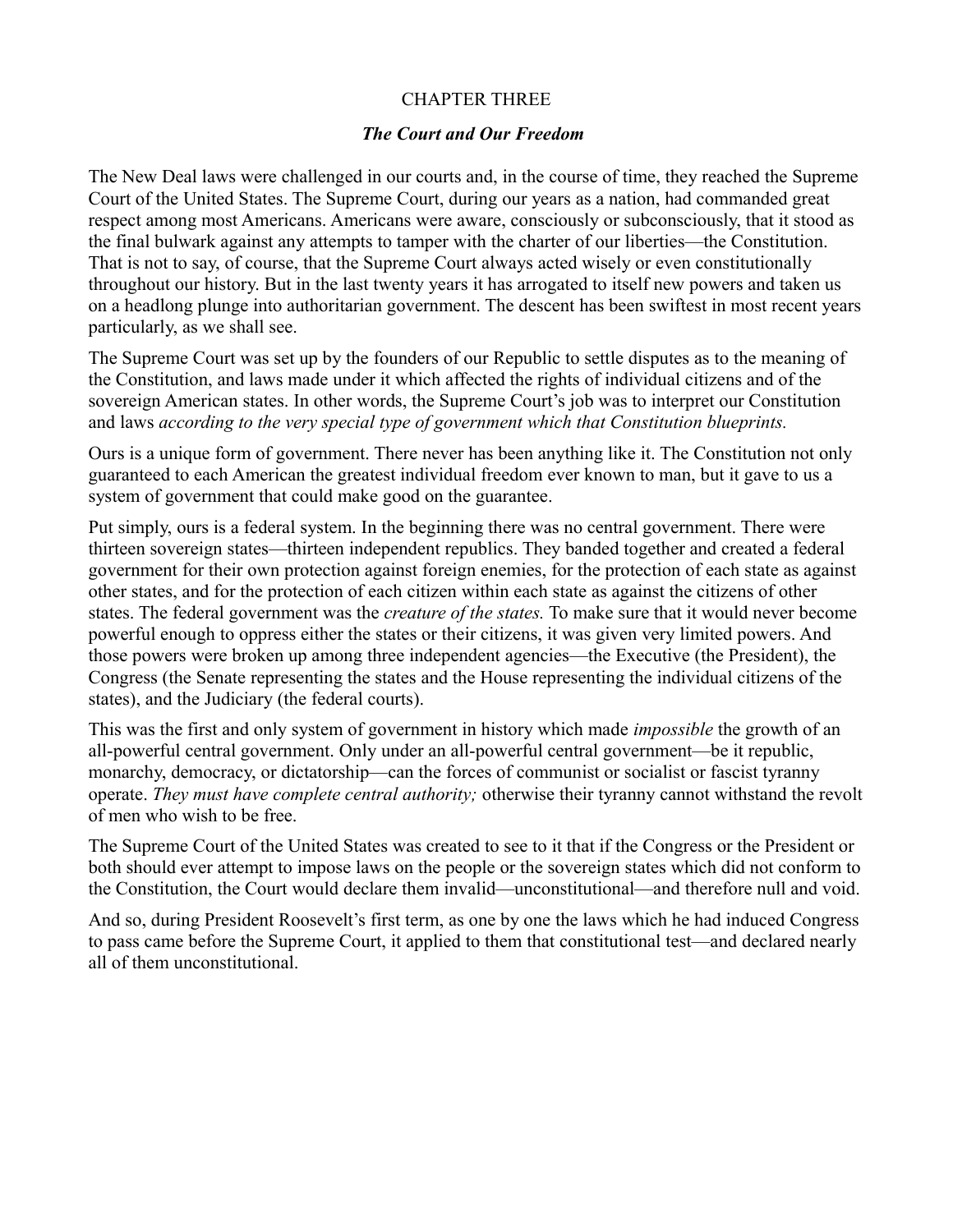# CHAPTER THREE

#### *The Court and Our Freedom*

The New Deal laws were challenged in our courts and, in the course of time, they reached the Supreme Court of the United States. The Supreme Court, during our years as a nation, had commanded great respect among most Americans. Americans were aware, consciously or subconsciously, that it stood as the final bulwark against any attempts to tamper with the charter of our liberties—the Constitution. That is not to say, of course, that the Supreme Court always acted wisely or even constitutionally throughout our history. But in the last twenty years it has arrogated to itself new powers and taken us on a headlong plunge into authoritarian government. The descent has been swiftest in most recent years particularly, as we shall see.

The Supreme Court was set up by the founders of our Republic to settle disputes as to the meaning of the Constitution, and laws made under it which affected the rights of individual citizens and of the sovereign American states. In other words, the Supreme Court's job was to interpret our Constitution and laws *according to the very special type of government which that Constitution blueprints.*

Ours is a unique form of government. There never has been anything like it. The Constitution not only guaranteed to each American the greatest individual freedom ever known to man, but it gave to us a system of government that could make good on the guarantee.

Put simply, ours is a federal system. In the beginning there was no central government. There were thirteen sovereign states—thirteen independent republics. They banded together and created a federal government for their own protection against foreign enemies, for the protection of each state as against other states, and for the protection of each citizen within each state as against the citizens of other states. The federal government was the *creature of the states.* To make sure that it would never become powerful enough to oppress either the states or their citizens, it was given very limited powers. And those powers were broken up among three independent agencies—the Executive (the President), the Congress (the Senate representing the states and the House representing the individual citizens of the states), and the Judiciary (the federal courts).

This was the first and only system of government in history which made *impossible* the growth of an all-powerful central government. Only under an all-powerful central government—be it republic, monarchy, democracy, or dictatorship—can the forces of communist or socialist or fascist tyranny operate. *They must have complete central authority;* otherwise their tyranny cannot withstand the revolt of men who wish to be free.

The Supreme Court of the United States was created to see to it that if the Congress or the President or both should ever attempt to impose laws on the people or the sovereign states which did not conform to the Constitution, the Court would declare them invalid—unconstitutional—and therefore null and void.

And so, during President Roosevelt's first term, as one by one the laws which he had induced Congress to pass came before the Supreme Court, it applied to them that constitutional test—and declared nearly all of them unconstitutional.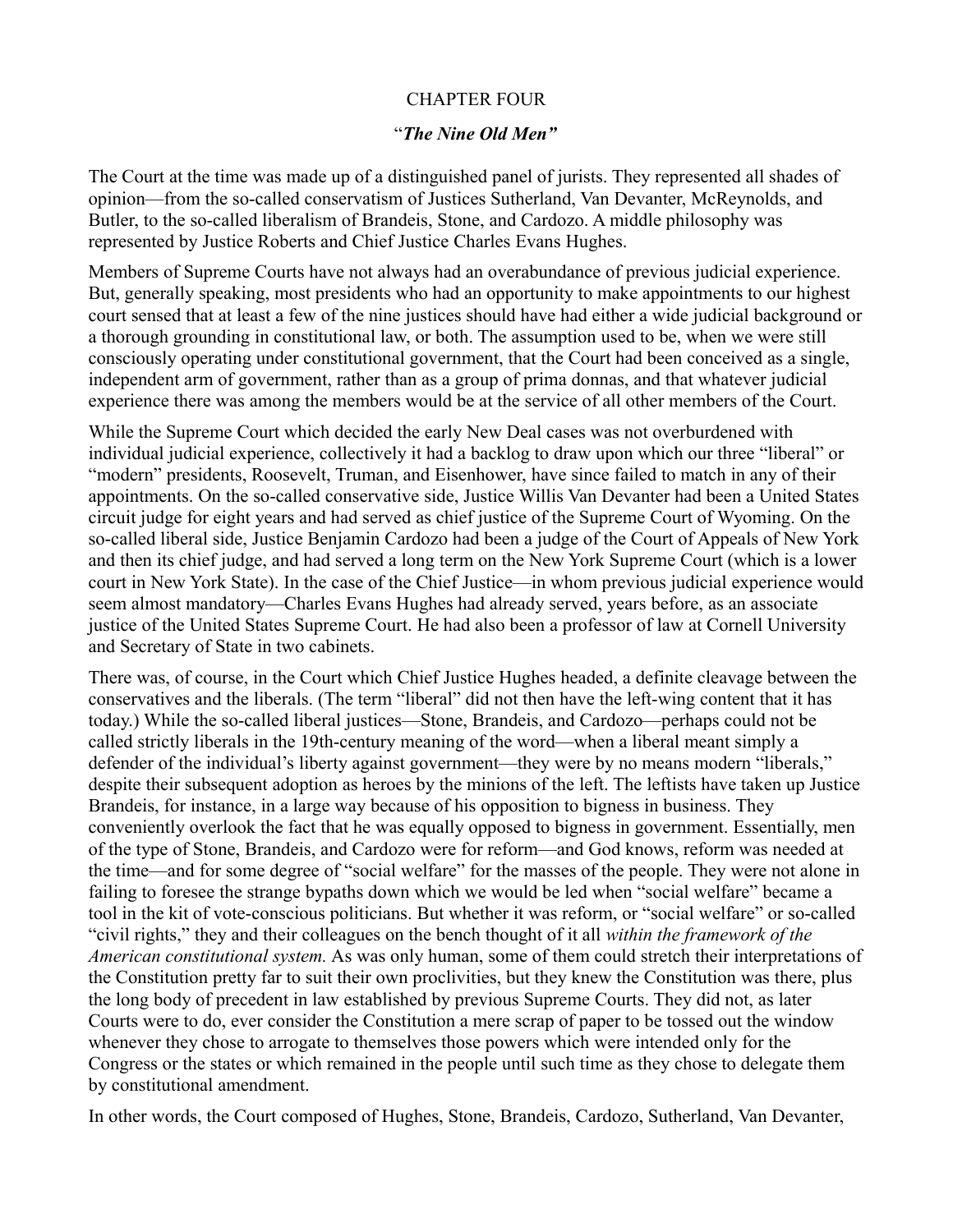# CHAPTER FOUR

# "*The Nine Old Men"*

The Court at the time was made up of a distinguished panel of jurists. They represented all shades of opinion—from the so-called conservatism of Justices Sutherland, Van Devanter, McReynolds, and Butler, to the so-called liberalism of Brandeis, Stone, and Cardozo. A middle philosophy was represented by Justice Roberts and Chief Justice Charles Evans Hughes.

Members of Supreme Courts have not always had an overabundance of previous judicial experience. But, generally speaking, most presidents who had an opportunity to make appointments to our highest court sensed that at least a few of the nine justices should have had either a wide judicial background or a thorough grounding in constitutional law, or both. The assumption used to be, when we were still consciously operating under constitutional government, that the Court had been conceived as a single, independent arm of government, rather than as a group of prima donnas, and that whatever judicial experience there was among the members would be at the service of all other members of the Court.

While the Supreme Court which decided the early New Deal cases was not overburdened with individual judicial experience, collectively it had a backlog to draw upon which our three "liberal" or "modern" presidents, Roosevelt, Truman, and Eisenhower, have since failed to match in any of their appointments. On the so-called conservative side, Justice Willis Van Devanter had been a United States circuit judge for eight years and had served as chief justice of the Supreme Court of Wyoming. On the so-called liberal side, Justice Benjamin Cardozo had been a judge of the Court of Appeals of New York and then its chief judge, and had served a long term on the New York Supreme Court (which is a lower court in New York State). In the case of the Chief Justice—in whom previous judicial experience would seem almost mandatory—Charles Evans Hughes had already served, years before, as an associate justice of the United States Supreme Court. He had also been a professor of law at Cornell University and Secretary of State in two cabinets.

There was, of course, in the Court which Chief Justice Hughes headed, a definite cleavage between the conservatives and the liberals. (The term "liberal" did not then have the left-wing content that it has today.) While the so-called liberal justices—Stone, Brandeis, and Cardozo—perhaps could not be called strictly liberals in the 19th-century meaning of the word—when a liberal meant simply a defender of the individual's liberty against government—they were by no means modern "liberals," despite their subsequent adoption as heroes by the minions of the left. The leftists have taken up Justice Brandeis, for instance, in a large way because of his opposition to bigness in business. They conveniently overlook the fact that he was equally opposed to bigness in government. Essentially, men of the type of Stone, Brandeis, and Cardozo were for reform—and God knows, reform was needed at the time—and for some degree of "social welfare" for the masses of the people. They were not alone in failing to foresee the strange bypaths down which we would be led when "social welfare" became a tool in the kit of vote-conscious politicians. But whether it was reform, or "social welfare" or so-called "civil rights," they and their colleagues on the bench thought of it all *within the framework of the American constitutional system.* As was only human, some of them could stretch their interpretations of the Constitution pretty far to suit their own proclivities, but they knew the Constitution was there, plus the long body of precedent in law established by previous Supreme Courts. They did not, as later Courts were to do, ever consider the Constitution a mere scrap of paper to be tossed out the window whenever they chose to arrogate to themselves those powers which were intended only for the Congress or the states or which remained in the people until such time as they chose to delegate them by constitutional amendment.

In other words, the Court composed of Hughes, Stone, Brandeis, Cardozo, Sutherland, Van Devanter,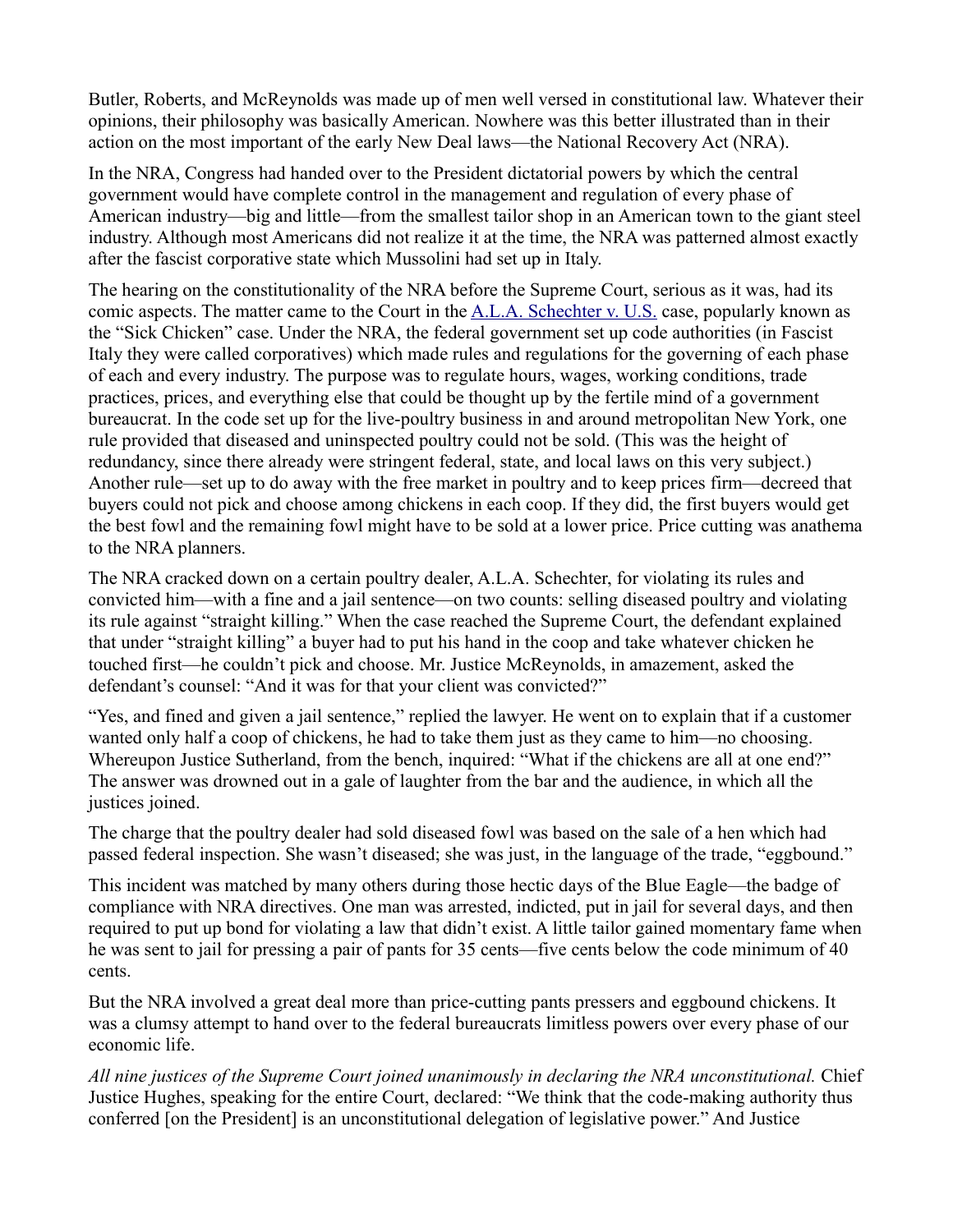Butler, Roberts, and McReynolds was made up of men well versed in constitutional law. Whatever their opinions, their philosophy was basically American. Nowhere was this better illustrated than in their action on the most important of the early New Deal laws—the National Recovery Act (NRA).

In the NRA, Congress had handed over to the President dictatorial powers by which the central government would have complete control in the management and regulation of every phase of American industry—big and little—from the smallest tailor shop in an American town to the giant steel industry. Although most Americans did not realize it at the time, the NRA was patterned almost exactly after the fascist corporative state which Mussolini had set up in Italy.

The hearing on the constitutionality of the NRA before the Supreme Court, serious as it was, had its comic aspects. The matter came to the Court in the [A.L.A. Schechter v. U.S.](http://laws.findlaw.com/us/295/495.html) case, popularly known as the "Sick Chicken" case. Under the NRA, the federal government set up code authorities (in Fascist Italy they were called corporatives) which made rules and regulations for the governing of each phase of each and every industry. The purpose was to regulate hours, wages, working conditions, trade practices, prices, and everything else that could be thought up by the fertile mind of a government bureaucrat. In the code set up for the live-poultry business in and around metropolitan New York, one rule provided that diseased and uninspected poultry could not be sold. (This was the height of redundancy, since there already were stringent federal, state, and local laws on this very subject.) Another rule—set up to do away with the free market in poultry and to keep prices firm—decreed that buyers could not pick and choose among chickens in each coop. If they did, the first buyers would get the best fowl and the remaining fowl might have to be sold at a lower price. Price cutting was anathema to the NRA planners.

The NRA cracked down on a certain poultry dealer, A.L.A. Schechter, for violating its rules and convicted him—with a fine and a jail sentence—on two counts: selling diseased poultry and violating its rule against "straight killing." When the case reached the Supreme Court, the defendant explained that under "straight killing" a buyer had to put his hand in the coop and take whatever chicken he touched first—he couldn't pick and choose. Mr. Justice McReynolds, in amazement, asked the defendant's counsel: "And it was for that your client was convicted?"

"Yes, and fined and given a jail sentence," replied the lawyer. He went on to explain that if a customer wanted only half a coop of chickens, he had to take them just as they came to him—no choosing. Whereupon Justice Sutherland, from the bench, inquired: "What if the chickens are all at one end?" The answer was drowned out in a gale of laughter from the bar and the audience, in which all the justices joined.

The charge that the poultry dealer had sold diseased fowl was based on the sale of a hen which had passed federal inspection. She wasn't diseased; she was just, in the language of the trade, "eggbound."

This incident was matched by many others during those hectic days of the Blue Eagle—the badge of compliance with NRA directives. One man was arrested, indicted, put in jail for several days, and then required to put up bond for violating a law that didn't exist. A little tailor gained momentary fame when he was sent to jail for pressing a pair of pants for 35 cents—five cents below the code minimum of 40 cents.

But the NRA involved a great deal more than price-cutting pants pressers and eggbound chickens. It was a clumsy attempt to hand over to the federal bureaucrats limitless powers over every phase of our economic life.

*All nine justices of the Supreme Court joined unanimously in declaring the NRA unconstitutional.* Chief Justice Hughes, speaking for the entire Court, declared: "We think that the code-making authority thus conferred [on the President] is an unconstitutional delegation of legislative power." And Justice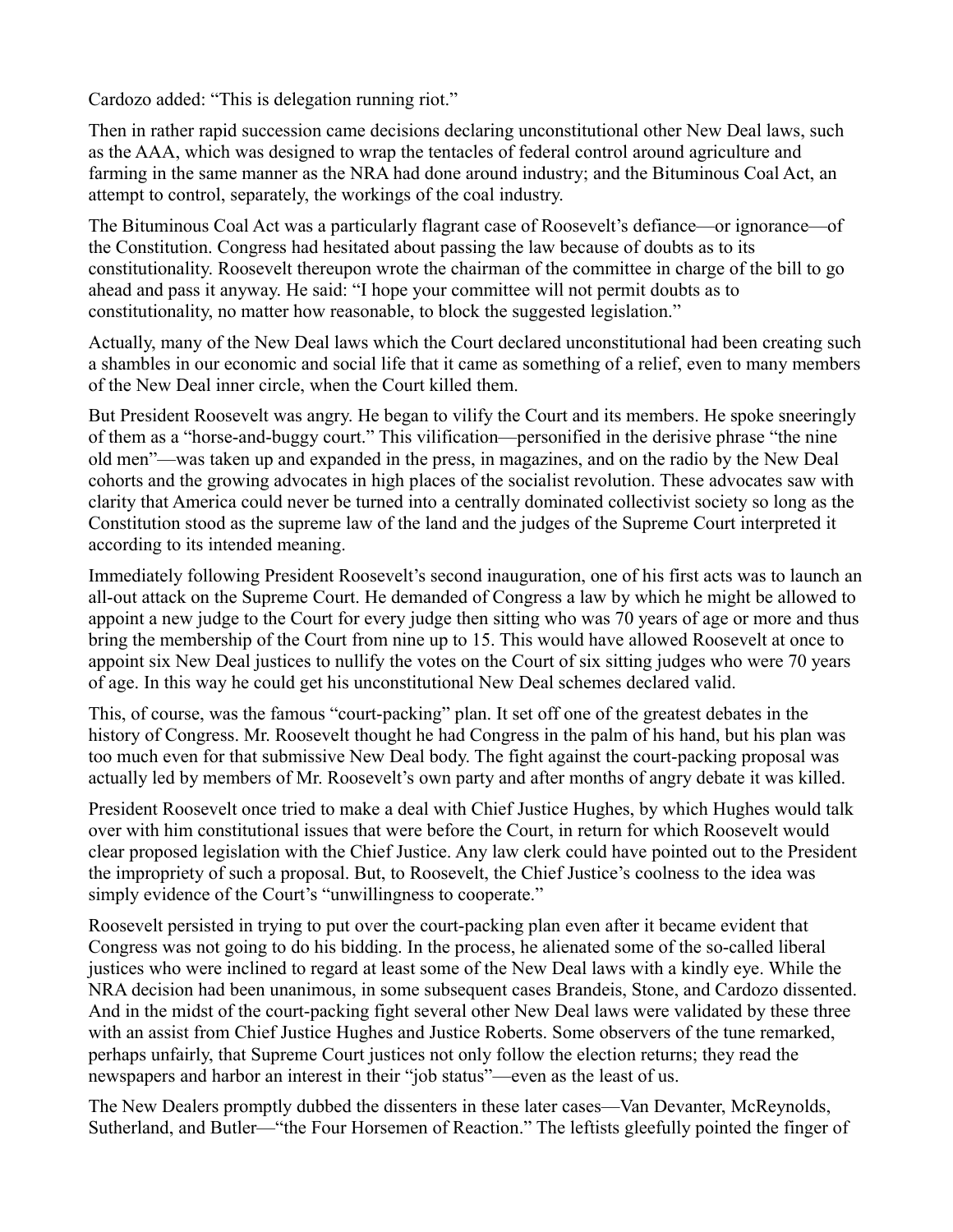Cardozo added: "This is delegation running riot."

Then in rather rapid succession came decisions declaring unconstitutional other New Deal laws, such as the AAA, which was designed to wrap the tentacles of federal control around agriculture and farming in the same manner as the NRA had done around industry; and the Bituminous Coal Act, an attempt to control, separately, the workings of the coal industry.

The Bituminous Coal Act was a particularly flagrant case of Roosevelt's defiance—or ignorance—of the Constitution. Congress had hesitated about passing the law because of doubts as to its constitutionality. Roosevelt thereupon wrote the chairman of the committee in charge of the bill to go ahead and pass it anyway. He said: "I hope your committee will not permit doubts as to constitutionality, no matter how reasonable, to block the suggested legislation."

Actually, many of the New Deal laws which the Court declared unconstitutional had been creating such a shambles in our economic and social life that it came as something of a relief, even to many members of the New Deal inner circle, when the Court killed them.

But President Roosevelt was angry. He began to vilify the Court and its members. He spoke sneeringly of them as a "horse-and-buggy court." This vilification—personified in the derisive phrase "the nine old men"—was taken up and expanded in the press, in magazines, and on the radio by the New Deal cohorts and the growing advocates in high places of the socialist revolution. These advocates saw with clarity that America could never be turned into a centrally dominated collectivist society so long as the Constitution stood as the supreme law of the land and the judges of the Supreme Court interpreted it according to its intended meaning.

Immediately following President Roosevelt's second inauguration, one of his first acts was to launch an all-out attack on the Supreme Court. He demanded of Congress a law by which he might be allowed to appoint a new judge to the Court for every judge then sitting who was 70 years of age or more and thus bring the membership of the Court from nine up to 15. This would have allowed Roosevelt at once to appoint six New Deal justices to nullify the votes on the Court of six sitting judges who were 70 years of age. In this way he could get his unconstitutional New Deal schemes declared valid.

This, of course, was the famous "court-packing" plan. It set off one of the greatest debates in the history of Congress. Mr. Roosevelt thought he had Congress in the palm of his hand, but his plan was too much even for that submissive New Deal body. The fight against the court-packing proposal was actually led by members of Mr. Roosevelt's own party and after months of angry debate it was killed.

President Roosevelt once tried to make a deal with Chief Justice Hughes, by which Hughes would talk over with him constitutional issues that were before the Court, in return for which Roosevelt would clear proposed legislation with the Chief Justice. Any law clerk could have pointed out to the President the impropriety of such a proposal. But, to Roosevelt, the Chief Justice's coolness to the idea was simply evidence of the Court's "unwillingness to cooperate."

Roosevelt persisted in trying to put over the court-packing plan even after it became evident that Congress was not going to do his bidding. In the process, he alienated some of the so-called liberal justices who were inclined to regard at least some of the New Deal laws with a kindly eye. While the NRA decision had been unanimous, in some subsequent cases Brandeis, Stone, and Cardozo dissented. And in the midst of the court-packing fight several other New Deal laws were validated by these three with an assist from Chief Justice Hughes and Justice Roberts. Some observers of the tune remarked, perhaps unfairly, that Supreme Court justices not only follow the election returns; they read the newspapers and harbor an interest in their "job status"—even as the least of us.

The New Dealers promptly dubbed the dissenters in these later cases—Van Devanter, McReynolds, Sutherland, and Butler—"the Four Horsemen of Reaction." The leftists gleefully pointed the finger of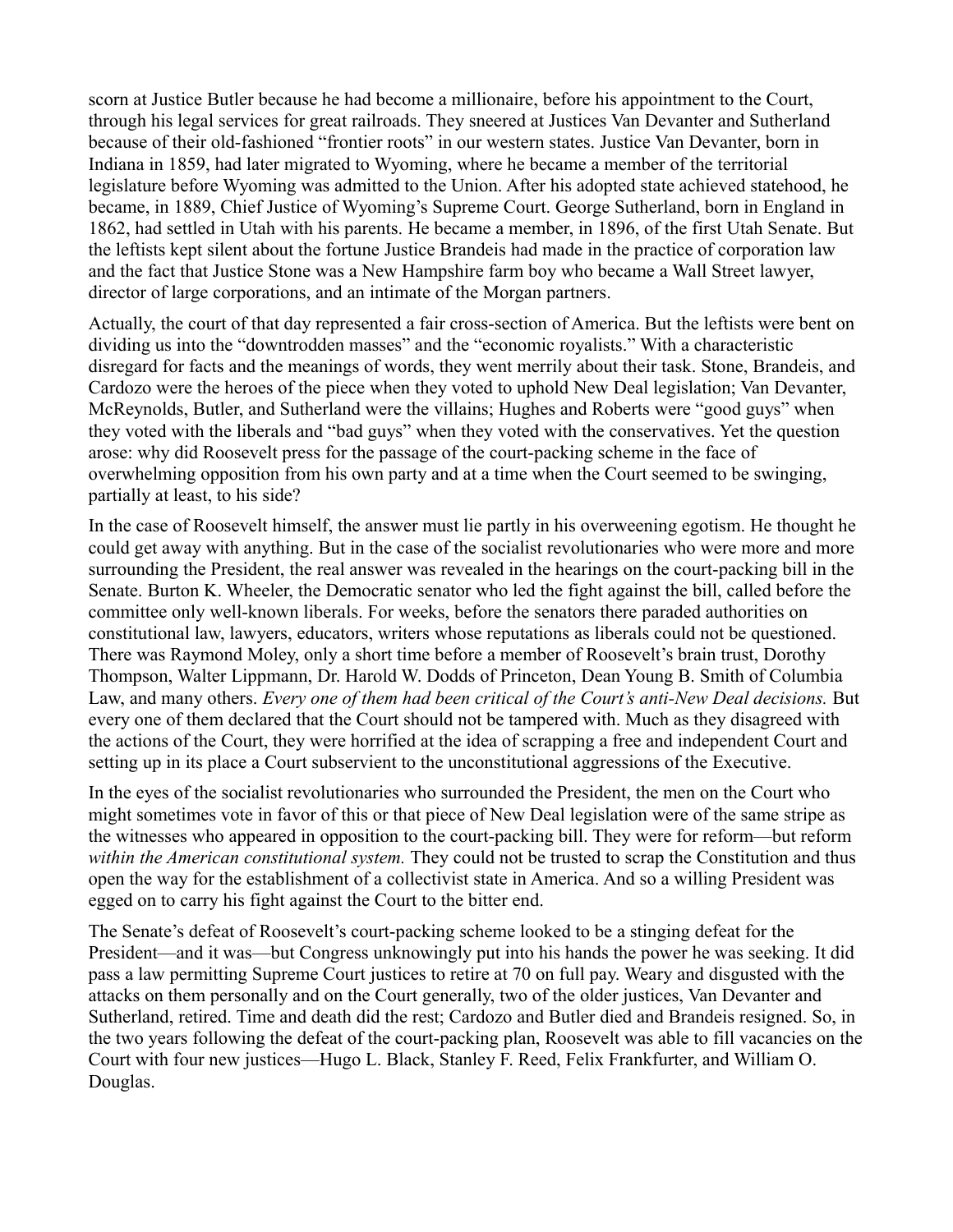scorn at Justice Butler because he had become a millionaire, before his appointment to the Court, through his legal services for great railroads. They sneered at Justices Van Devanter and Sutherland because of their old-fashioned "frontier roots" in our western states. Justice Van Devanter, born in Indiana in 1859, had later migrated to Wyoming, where he became a member of the territorial legislature before Wyoming was admitted to the Union. After his adopted state achieved statehood, he became, in 1889, Chief Justice of Wyoming's Supreme Court. George Sutherland, born in England in 1862, had settled in Utah with his parents. He became a member, in 1896, of the first Utah Senate. But the leftists kept silent about the fortune Justice Brandeis had made in the practice of corporation law and the fact that Justice Stone was a New Hampshire farm boy who became a Wall Street lawyer, director of large corporations, and an intimate of the Morgan partners.

Actually, the court of that day represented a fair cross-section of America. But the leftists were bent on dividing us into the "downtrodden masses" and the "economic royalists." With a characteristic disregard for facts and the meanings of words, they went merrily about their task. Stone, Brandeis, and Cardozo were the heroes of the piece when they voted to uphold New Deal legislation; Van Devanter, McReynolds, Butler, and Sutherland were the villains; Hughes and Roberts were "good guys" when they voted with the liberals and "bad guys" when they voted with the conservatives. Yet the question arose: why did Roosevelt press for the passage of the court-packing scheme in the face of overwhelming opposition from his own party and at a time when the Court seemed to be swinging, partially at least, to his side?

In the case of Roosevelt himself, the answer must lie partly in his overweening egotism. He thought he could get away with anything. But in the case of the socialist revolutionaries who were more and more surrounding the President, the real answer was revealed in the hearings on the court-packing bill in the Senate. Burton K. Wheeler, the Democratic senator who led the fight against the bill, called before the committee only well-known liberals. For weeks, before the senators there paraded authorities on constitutional law, lawyers, educators, writers whose reputations as liberals could not be questioned. There was Raymond Moley, only a short time before a member of Roosevelt's brain trust, Dorothy Thompson, Walter Lippmann, Dr. Harold W. Dodds of Princeton, Dean Young B. Smith of Columbia Law, and many others. *Every one of them had been critical of the Court's anti-New Deal decisions.* But every one of them declared that the Court should not be tampered with. Much as they disagreed with the actions of the Court, they were horrified at the idea of scrapping a free and independent Court and setting up in its place a Court subservient to the unconstitutional aggressions of the Executive.

In the eyes of the socialist revolutionaries who surrounded the President, the men on the Court who might sometimes vote in favor of this or that piece of New Deal legislation were of the same stripe as the witnesses who appeared in opposition to the court-packing bill. They were for reform—but reform *within the American constitutional system.* They could not be trusted to scrap the Constitution and thus open the way for the establishment of a collectivist state in America. And so a willing President was egged on to carry his fight against the Court to the bitter end.

The Senate's defeat of Roosevelt's court-packing scheme looked to be a stinging defeat for the President—and it was—but Congress unknowingly put into his hands the power he was seeking. It did pass a law permitting Supreme Court justices to retire at 70 on full pay. Weary and disgusted with the attacks on them personally and on the Court generally, two of the older justices, Van Devanter and Sutherland, retired. Time and death did the rest; Cardozo and Butler died and Brandeis resigned. So, in the two years following the defeat of the court-packing plan, Roosevelt was able to fill vacancies on the Court with four new justices—Hugo L. Black, Stanley F. Reed, Felix Frankfurter, and William O. Douglas.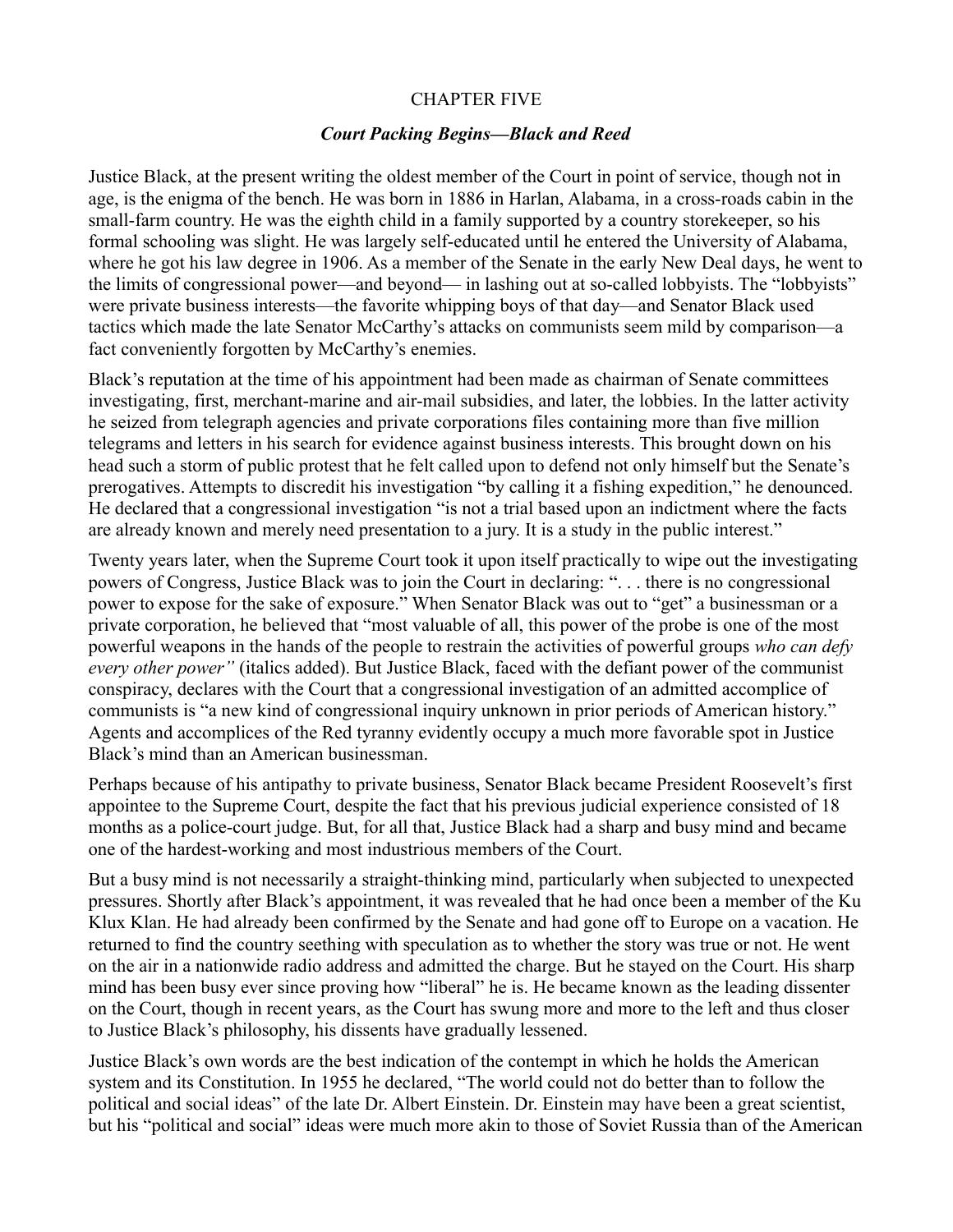## CHAPTER FIVE

#### *Court Packing Begins—Black and Reed*

Justice Black, at the present writing the oldest member of the Court in point of service, though not in age, is the enigma of the bench. He was born in 1886 in Harlan, Alabama, in a cross-roads cabin in the small-farm country. He was the eighth child in a family supported by a country storekeeper, so his formal schooling was slight. He was largely self-educated until he entered the University of Alabama, where he got his law degree in 1906. As a member of the Senate in the early New Deal days, he went to the limits of congressional power—and beyond— in lashing out at so-called lobbyists. The "lobbyists" were private business interests—the favorite whipping boys of that day—and Senator Black used tactics which made the late Senator McCarthy's attacks on communists seem mild by comparison—a fact conveniently forgotten by McCarthy's enemies.

Black's reputation at the time of his appointment had been made as chairman of Senate committees investigating, first, merchant-marine and air-mail subsidies, and later, the lobbies. In the latter activity he seized from telegraph agencies and private corporations files containing more than five million telegrams and letters in his search for evidence against business interests. This brought down on his head such a storm of public protest that he felt called upon to defend not only himself but the Senate's prerogatives. Attempts to discredit his investigation "by calling it a fishing expedition," he denounced. He declared that a congressional investigation "is not a trial based upon an indictment where the facts are already known and merely need presentation to a jury. It is a study in the public interest."

Twenty years later, when the Supreme Court took it upon itself practically to wipe out the investigating powers of Congress, Justice Black was to join the Court in declaring: ". . . there is no congressional power to expose for the sake of exposure." When Senator Black was out to "get" a businessman or a private corporation, he believed that "most valuable of all, this power of the probe is one of the most powerful weapons in the hands of the people to restrain the activities of powerful groups *who can defy every other power"* (italics added). But Justice Black, faced with the defiant power of the communist conspiracy, declares with the Court that a congressional investigation of an admitted accomplice of communists is "a new kind of congressional inquiry unknown in prior periods of American history." Agents and accomplices of the Red tyranny evidently occupy a much more favorable spot in Justice Black's mind than an American businessman.

Perhaps because of his antipathy to private business, Senator Black became President Roosevelt's first appointee to the Supreme Court, despite the fact that his previous judicial experience consisted of 18 months as a police-court judge. But, for all that, Justice Black had a sharp and busy mind and became one of the hardest-working and most industrious members of the Court.

But a busy mind is not necessarily a straight-thinking mind, particularly when subjected to unexpected pressures. Shortly after Black's appointment, it was revealed that he had once been a member of the Ku Klux Klan. He had already been confirmed by the Senate and had gone off to Europe on a vacation. He returned to find the country seething with speculation as to whether the story was true or not. He went on the air in a nationwide radio address and admitted the charge. But he stayed on the Court. His sharp mind has been busy ever since proving how "liberal" he is. He became known as the leading dissenter on the Court, though in recent years, as the Court has swung more and more to the left and thus closer to Justice Black's philosophy, his dissents have gradually lessened.

Justice Black's own words are the best indication of the contempt in which he holds the American system and its Constitution. In 1955 he declared, "The world could not do better than to follow the political and social ideas" of the late Dr. Albert Einstein. Dr. Einstein may have been a great scientist, but his "political and social" ideas were much more akin to those of Soviet Russia than of the American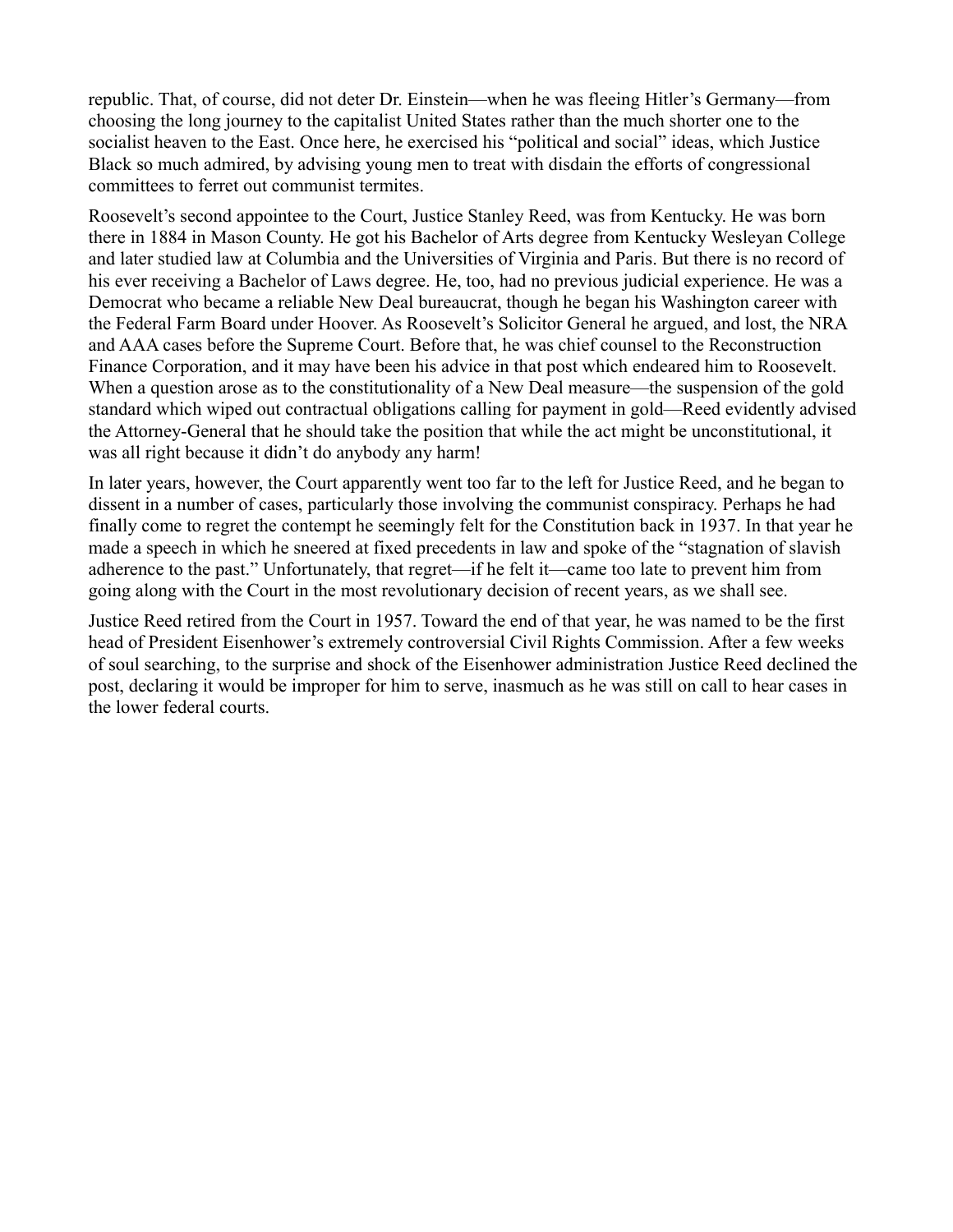republic. That, of course, did not deter Dr. Einstein—when he was fleeing Hitler's Germany—from choosing the long journey to the capitalist United States rather than the much shorter one to the socialist heaven to the East. Once here, he exercised his "political and social" ideas, which Justice Black so much admired, by advising young men to treat with disdain the efforts of congressional committees to ferret out communist termites.

Roosevelt's second appointee to the Court, Justice Stanley Reed, was from Kentucky. He was born there in 1884 in Mason County. He got his Bachelor of Arts degree from Kentucky Wesleyan College and later studied law at Columbia and the Universities of Virginia and Paris. But there is no record of his ever receiving a Bachelor of Laws degree. He, too, had no previous judicial experience. He was a Democrat who became a reliable New Deal bureaucrat, though he began his Washington career with the Federal Farm Board under Hoover. As Roosevelt's Solicitor General he argued, and lost, the NRA and AAA cases before the Supreme Court. Before that, he was chief counsel to the Reconstruction Finance Corporation, and it may have been his advice in that post which endeared him to Roosevelt. When a question arose as to the constitutionality of a New Deal measure—the suspension of the gold standard which wiped out contractual obligations calling for payment in gold—Reed evidently advised the Attorney-General that he should take the position that while the act might be unconstitutional, it was all right because it didn't do anybody any harm!

In later years, however, the Court apparently went too far to the left for Justice Reed, and he began to dissent in a number of cases, particularly those involving the communist conspiracy. Perhaps he had finally come to regret the contempt he seemingly felt for the Constitution back in 1937. In that year he made a speech in which he sneered at fixed precedents in law and spoke of the "stagnation of slavish adherence to the past." Unfortunately, that regret—if he felt it—came too late to prevent him from going along with the Court in the most revolutionary decision of recent years, as we shall see.

Justice Reed retired from the Court in 1957. Toward the end of that year, he was named to be the first head of President Eisenhower's extremely controversial Civil Rights Commission. After a few weeks of soul searching, to the surprise and shock of the Eisenhower administration Justice Reed declined the post, declaring it would be improper for him to serve, inasmuch as he was still on call to hear cases in the lower federal courts.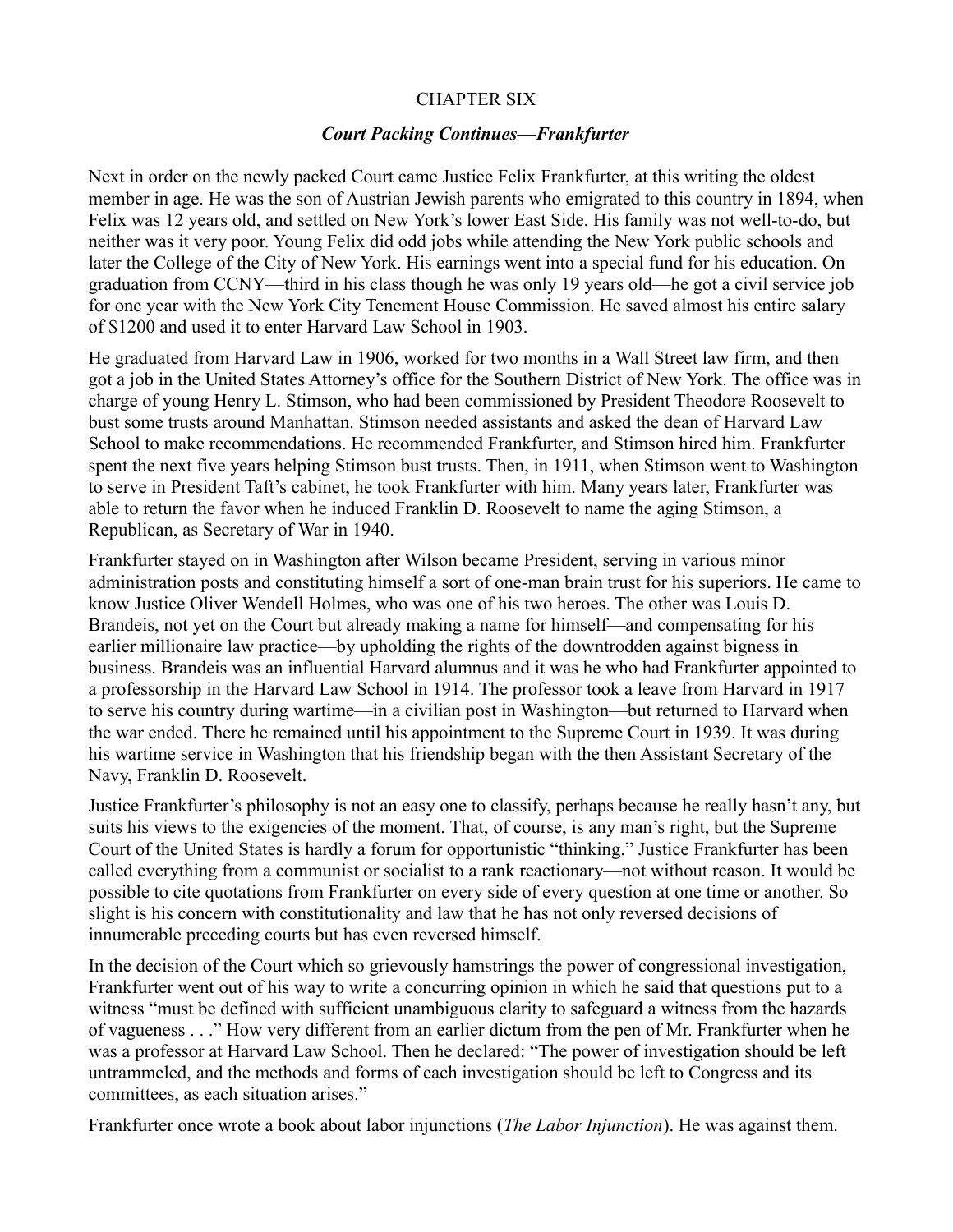## CHAPTER SIX

### *Court Packing Continues—Frankfurter*

Next in order on the newly packed Court came Justice Felix Frankfurter, at this writing the oldest member in age. He was the son of Austrian Jewish parents who emigrated to this country in 1894, when Felix was 12 years old, and settled on New York's lower East Side. His family was not well-to-do, but neither was it very poor. Young Felix did odd jobs while attending the New York public schools and later the College of the City of New York. His earnings went into a special fund for his education. On graduation from CCNY—third in his class though he was only 19 years old—he got a civil service job for one year with the New York City Tenement House Commission. He saved almost his entire salary of \$1200 and used it to enter Harvard Law School in 1903.

He graduated from Harvard Law in 1906, worked for two months in a Wall Street law firm, and then got a job in the United States Attorney's office for the Southern District of New York. The office was in charge of young Henry L. Stimson, who had been commissioned by President Theodore Roosevelt to bust some trusts around Manhattan. Stimson needed assistants and asked the dean of Harvard Law School to make recommendations. He recommended Frankfurter, and Stimson hired him. Frankfurter spent the next five years helping Stimson bust trusts. Then, in 1911, when Stimson went to Washington to serve in President Taft's cabinet, he took Frankfurter with him. Many years later, Frankfurter was able to return the favor when he induced Franklin D. Roosevelt to name the aging Stimson, a Republican, as Secretary of War in 1940.

Frankfurter stayed on in Washington after Wilson became President, serving in various minor administration posts and constituting himself a sort of one-man brain trust for his superiors. He came to know Justice Oliver Wendell Holmes, who was one of his two heroes. The other was Louis D. Brandeis, not yet on the Court but already making a name for himself—and compensating for his earlier millionaire law practice—by upholding the rights of the downtrodden against bigness in business. Brandeis was an influential Harvard alumnus and it was he who had Frankfurter appointed to a professorship in the Harvard Law School in 1914. The professor took a leave from Harvard in 1917 to serve his country during wartime—in a civilian post in Washington—but returned to Harvard when the war ended. There he remained until his appointment to the Supreme Court in 1939. It was during his wartime service in Washington that his friendship began with the then Assistant Secretary of the Navy, Franklin D. Roosevelt.

Justice Frankfurter's philosophy is not an easy one to classify, perhaps because he really hasn't any, but suits his views to the exigencies of the moment. That, of course, is any man's right, but the Supreme Court of the United States is hardly a forum for opportunistic "thinking." Justice Frankfurter has been called everything from a communist or socialist to a rank reactionary—not without reason. It would be possible to cite quotations from Frankfurter on every side of every question at one time or another. So slight is his concern with constitutionality and law that he has not only reversed decisions of innumerable preceding courts but has even reversed himself.

In the decision of the Court which so grievously hamstrings the power of congressional investigation, Frankfurter went out of his way to write a concurring opinion in which he said that questions put to a witness "must be defined with sufficient unambiguous clarity to safeguard a witness from the hazards of vagueness . . ." How very different from an earlier dictum from the pen of Mr. Frankfurter when he was a professor at Harvard Law School. Then he declared: "The power of investigation should be left untrammeled, and the methods and forms of each investigation should be left to Congress and its committees, as each situation arises."

Frankfurter once wrote a book about labor injunctions (*The Labor Injunction*). He was against them.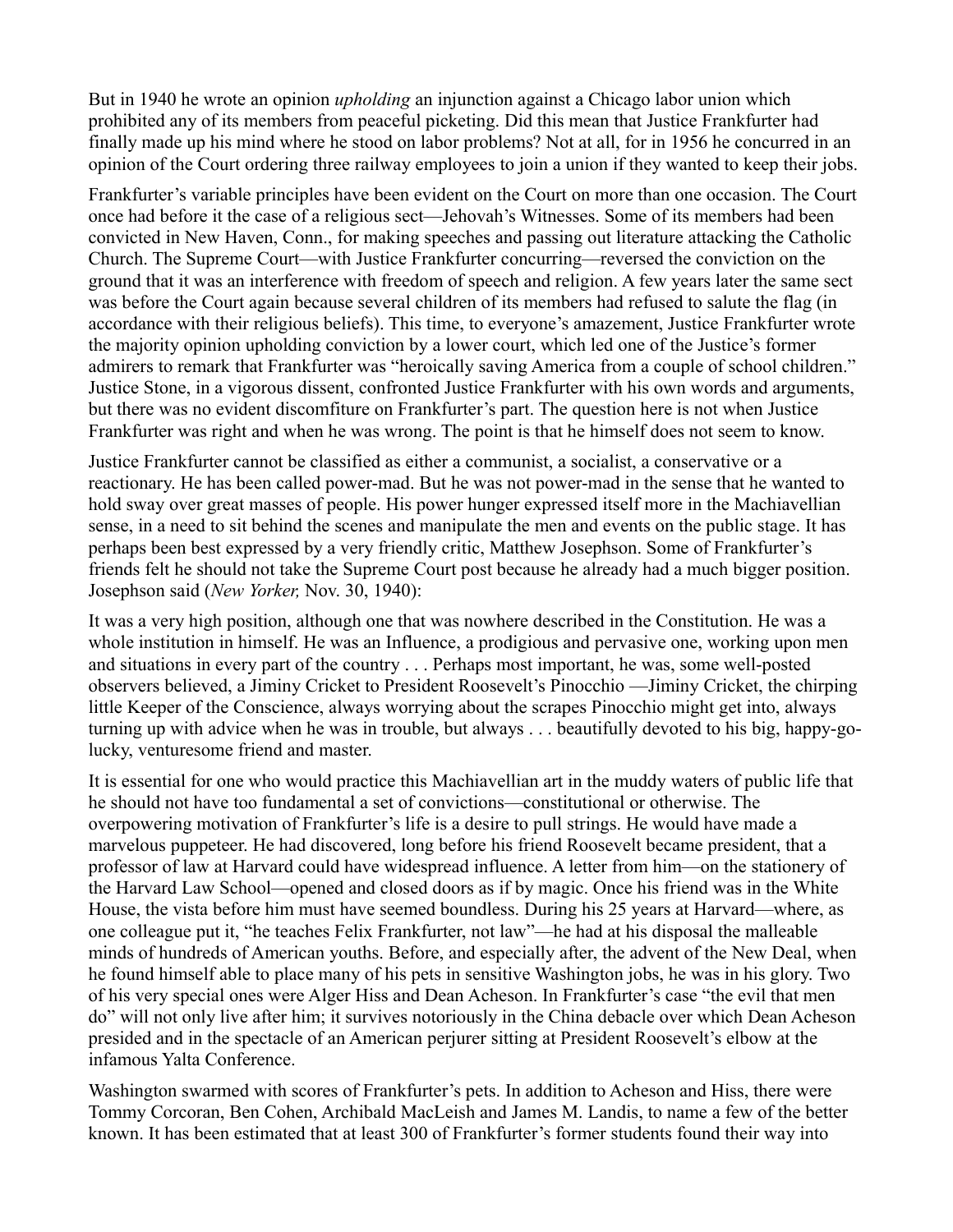But in 1940 he wrote an opinion *upholding* an injunction against a Chicago labor union which prohibited any of its members from peaceful picketing. Did this mean that Justice Frankfurter had finally made up his mind where he stood on labor problems? Not at all, for in 1956 he concurred in an opinion of the Court ordering three railway employees to join a union if they wanted to keep their jobs.

Frankfurter's variable principles have been evident on the Court on more than one occasion. The Court once had before it the case of a religious sect—Jehovah's Witnesses. Some of its members had been convicted in New Haven, Conn., for making speeches and passing out literature attacking the Catholic Church. The Supreme Court—with Justice Frankfurter concurring—reversed the conviction on the ground that it was an interference with freedom of speech and religion. A few years later the same sect was before the Court again because several children of its members had refused to salute the flag (in accordance with their religious beliefs). This time, to everyone's amazement, Justice Frankfurter wrote the majority opinion upholding conviction by a lower court, which led one of the Justice's former admirers to remark that Frankfurter was "heroically saving America from a couple of school children." Justice Stone, in a vigorous dissent, confronted Justice Frankfurter with his own words and arguments, but there was no evident discomfiture on Frankfurter's part. The question here is not when Justice Frankfurter was right and when he was wrong. The point is that he himself does not seem to know.

Justice Frankfurter cannot be classified as either a communist, a socialist, a conservative or a reactionary. He has been called power-mad. But he was not power-mad in the sense that he wanted to hold sway over great masses of people. His power hunger expressed itself more in the Machiavellian sense, in a need to sit behind the scenes and manipulate the men and events on the public stage. It has perhaps been best expressed by a very friendly critic, Matthew Josephson. Some of Frankfurter's friends felt he should not take the Supreme Court post because he already had a much bigger position. Josephson said (*New Yorker,* Nov. 30, 1940):

It was a very high position, although one that was nowhere described in the Constitution. He was a whole institution in himself. He was an Influence, a prodigious and pervasive one, working upon men and situations in every part of the country . . . Perhaps most important, he was, some well-posted observers believed, a Jiminy Cricket to President Roosevelt's Pinocchio —Jiminy Cricket, the chirping little Keeper of the Conscience, always worrying about the scrapes Pinocchio might get into, always turning up with advice when he was in trouble, but always . . . beautifully devoted to his big, happy-golucky, venturesome friend and master.

It is essential for one who would practice this Machiavellian art in the muddy waters of public life that he should not have too fundamental a set of convictions—constitutional or otherwise. The overpowering motivation of Frankfurter's life is a desire to pull strings. He would have made a marvelous puppeteer. He had discovered, long before his friend Roosevelt became president, that a professor of law at Harvard could have widespread influence. A letter from him—on the stationery of the Harvard Law School—opened and closed doors as if by magic. Once his friend was in the White House, the vista before him must have seemed boundless. During his 25 years at Harvard—where, as one colleague put it, "he teaches Felix Frankfurter, not law"—he had at his disposal the malleable minds of hundreds of American youths. Before, and especially after, the advent of the New Deal, when he found himself able to place many of his pets in sensitive Washington jobs, he was in his glory. Two of his very special ones were Alger Hiss and Dean Acheson. In Frankfurter's case "the evil that men do" will not only live after him; it survives notoriously in the China debacle over which Dean Acheson presided and in the spectacle of an American perjurer sitting at President Roosevelt's elbow at the infamous Yalta Conference.

Washington swarmed with scores of Frankfurter's pets. In addition to Acheson and Hiss, there were Tommy Corcoran, Ben Cohen, Archibald MacLeish and James M. Landis, to name a few of the better known. It has been estimated that at least 300 of Frankfurter's former students found their way into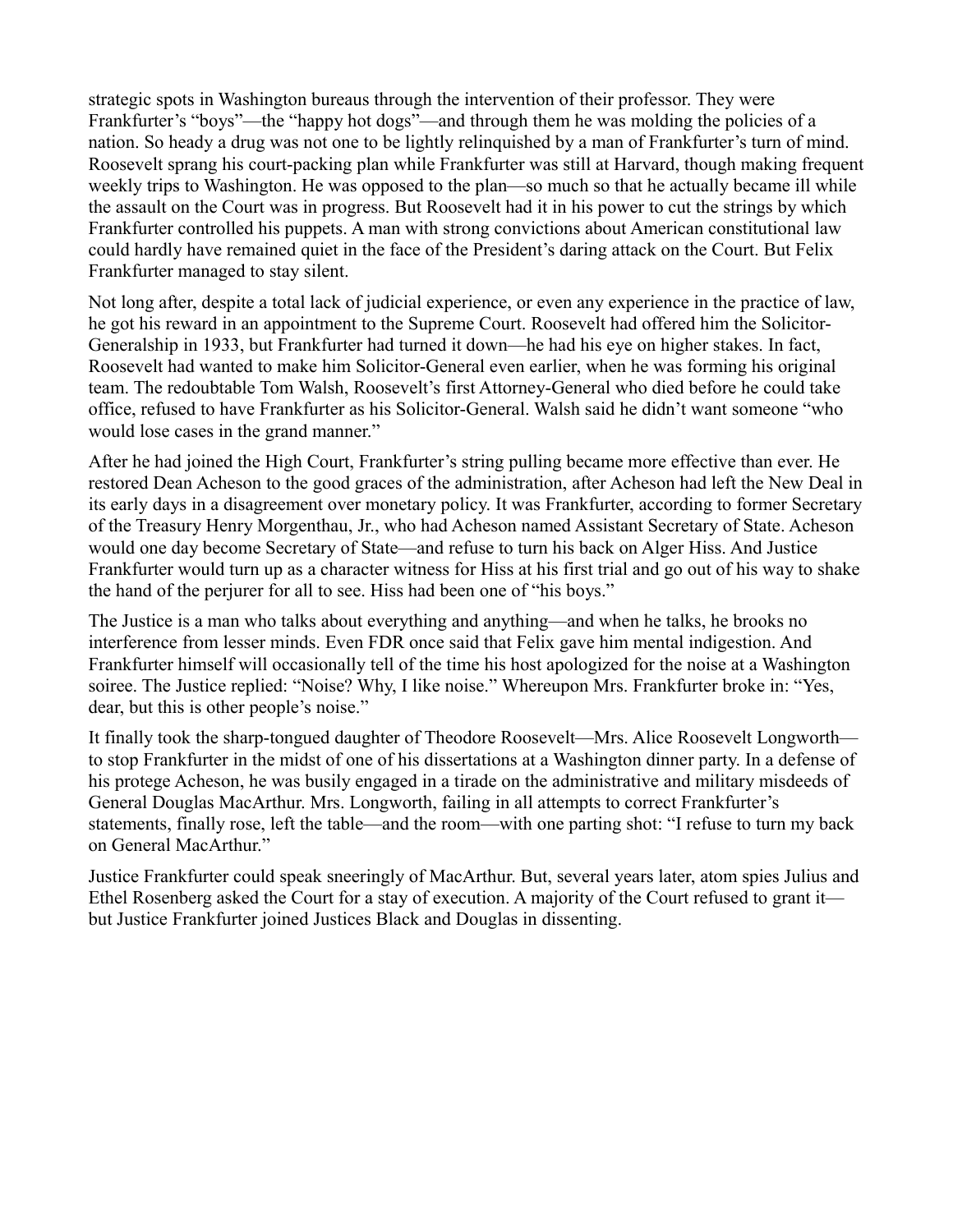strategic spots in Washington bureaus through the intervention of their professor. They were Frankfurter's "boys"—the "happy hot dogs"—and through them he was molding the policies of a nation. So heady a drug was not one to be lightly relinquished by a man of Frankfurter's turn of mind. Roosevelt sprang his court-packing plan while Frankfurter was still at Harvard, though making frequent weekly trips to Washington. He was opposed to the plan—so much so that he actually became ill while the assault on the Court was in progress. But Roosevelt had it in his power to cut the strings by which Frankfurter controlled his puppets. A man with strong convictions about American constitutional law could hardly have remained quiet in the face of the President's daring attack on the Court. But Felix Frankfurter managed to stay silent.

Not long after, despite a total lack of judicial experience, or even any experience in the practice of law, he got his reward in an appointment to the Supreme Court. Roosevelt had offered him the Solicitor-Generalship in 1933, but Frankfurter had turned it down—he had his eye on higher stakes. In fact, Roosevelt had wanted to make him Solicitor-General even earlier, when he was forming his original team. The redoubtable Tom Walsh, Roosevelt's first Attorney-General who died before he could take office, refused to have Frankfurter as his Solicitor-General. Walsh said he didn't want someone "who would lose cases in the grand manner."

After he had joined the High Court, Frankfurter's string pulling became more effective than ever. He restored Dean Acheson to the good graces of the administration, after Acheson had left the New Deal in its early days in a disagreement over monetary policy. It was Frankfurter, according to former Secretary of the Treasury Henry Morgenthau, Jr., who had Acheson named Assistant Secretary of State. Acheson would one day become Secretary of State—and refuse to turn his back on Alger Hiss. And Justice Frankfurter would turn up as a character witness for Hiss at his first trial and go out of his way to shake the hand of the perjurer for all to see. Hiss had been one of "his boys."

The Justice is a man who talks about everything and anything—and when he talks, he brooks no interference from lesser minds. Even FDR once said that Felix gave him mental indigestion. And Frankfurter himself will occasionally tell of the time his host apologized for the noise at a Washington soiree. The Justice replied: "Noise? Why, I like noise." Whereupon Mrs. Frankfurter broke in: "Yes, dear, but this is other people's noise."

It finally took the sharp-tongued daughter of Theodore Roosevelt—Mrs. Alice Roosevelt Longworth to stop Frankfurter in the midst of one of his dissertations at a Washington dinner party. In a defense of his protege Acheson, he was busily engaged in a tirade on the administrative and military misdeeds of General Douglas MacArthur. Mrs. Longworth, failing in all attempts to correct Frankfurter's statements, finally rose, left the table—and the room—with one parting shot: "I refuse to turn my back on General MacArthur."

Justice Frankfurter could speak sneeringly of MacArthur. But, several years later, atom spies Julius and Ethel Rosenberg asked the Court for a stay of execution. A majority of the Court refused to grant it but Justice Frankfurter joined Justices Black and Douglas in dissenting.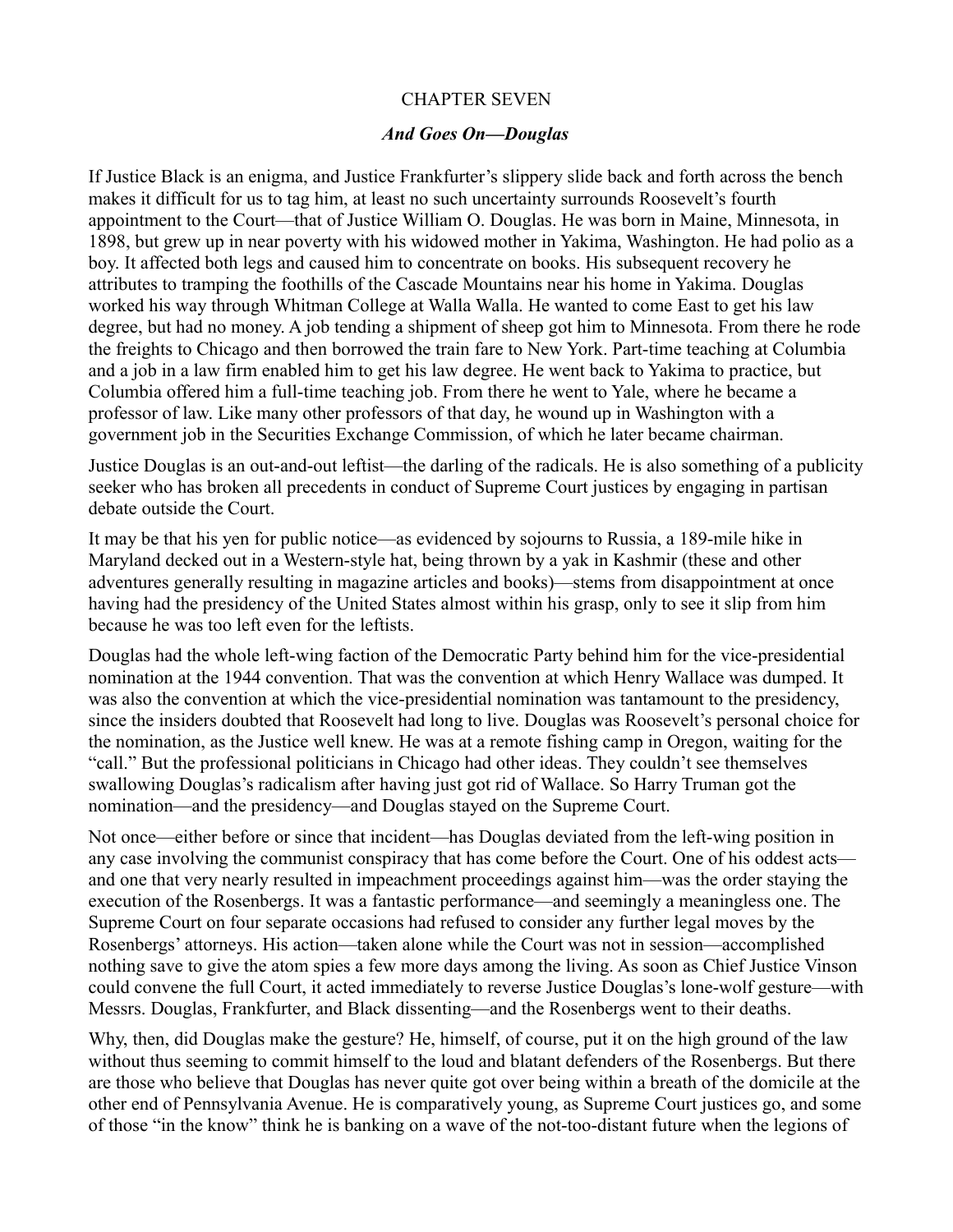# CHAPTER SEVEN

#### *And Goes On—Douglas*

If Justice Black is an enigma, and Justice Frankfurter's slippery slide back and forth across the bench makes it difficult for us to tag him, at least no such uncertainty surrounds Roosevelt's fourth appointment to the Court—that of Justice William O. Douglas. He was born in Maine, Minnesota, in 1898, but grew up in near poverty with his widowed mother in Yakima, Washington. He had polio as a boy. It affected both legs and caused him to concentrate on books. His subsequent recovery he attributes to tramping the foothills of the Cascade Mountains near his home in Yakima. Douglas worked his way through Whitman College at Walla Walla. He wanted to come East to get his law degree, but had no money. A job tending a shipment of sheep got him to Minnesota. From there he rode the freights to Chicago and then borrowed the train fare to New York. Part-time teaching at Columbia and a job in a law firm enabled him to get his law degree. He went back to Yakima to practice, but Columbia offered him a full-time teaching job. From there he went to Yale, where he became a professor of law. Like many other professors of that day, he wound up in Washington with a government job in the Securities Exchange Commission, of which he later became chairman.

Justice Douglas is an out-and-out leftist—the darling of the radicals. He is also something of a publicity seeker who has broken all precedents in conduct of Supreme Court justices by engaging in partisan debate outside the Court.

It may be that his yen for public notice—as evidenced by sojourns to Russia, a 189-mile hike in Maryland decked out in a Western-style hat, being thrown by a yak in Kashmir (these and other adventures generally resulting in magazine articles and books)—stems from disappointment at once having had the presidency of the United States almost within his grasp, only to see it slip from him because he was too left even for the leftists.

Douglas had the whole left-wing faction of the Democratic Party behind him for the vice-presidential nomination at the 1944 convention. That was the convention at which Henry Wallace was dumped. It was also the convention at which the vice-presidential nomination was tantamount to the presidency, since the insiders doubted that Roosevelt had long to live. Douglas was Roosevelt's personal choice for the nomination, as the Justice well knew. He was at a remote fishing camp in Oregon, waiting for the "call." But the professional politicians in Chicago had other ideas. They couldn't see themselves swallowing Douglas's radicalism after having just got rid of Wallace. So Harry Truman got the nomination—and the presidency—and Douglas stayed on the Supreme Court.

Not once—either before or since that incident—has Douglas deviated from the left-wing position in any case involving the communist conspiracy that has come before the Court. One of his oddest acts and one that very nearly resulted in impeachment proceedings against him—was the order staying the execution of the Rosenbergs. It was a fantastic performance—and seemingly a meaningless one. The Supreme Court on four separate occasions had refused to consider any further legal moves by the Rosenbergs' attorneys. His action—taken alone while the Court was not in session—accomplished nothing save to give the atom spies a few more days among the living. As soon as Chief Justice Vinson could convene the full Court, it acted immediately to reverse Justice Douglas's lone-wolf gesture—with Messrs. Douglas, Frankfurter, and Black dissenting—and the Rosenbergs went to their deaths.

Why, then, did Douglas make the gesture? He, himself, of course, put it on the high ground of the law without thus seeming to commit himself to the loud and blatant defenders of the Rosenbergs. But there are those who believe that Douglas has never quite got over being within a breath of the domicile at the other end of Pennsylvania Avenue. He is comparatively young, as Supreme Court justices go, and some of those "in the know" think he is banking on a wave of the not-too-distant future when the legions of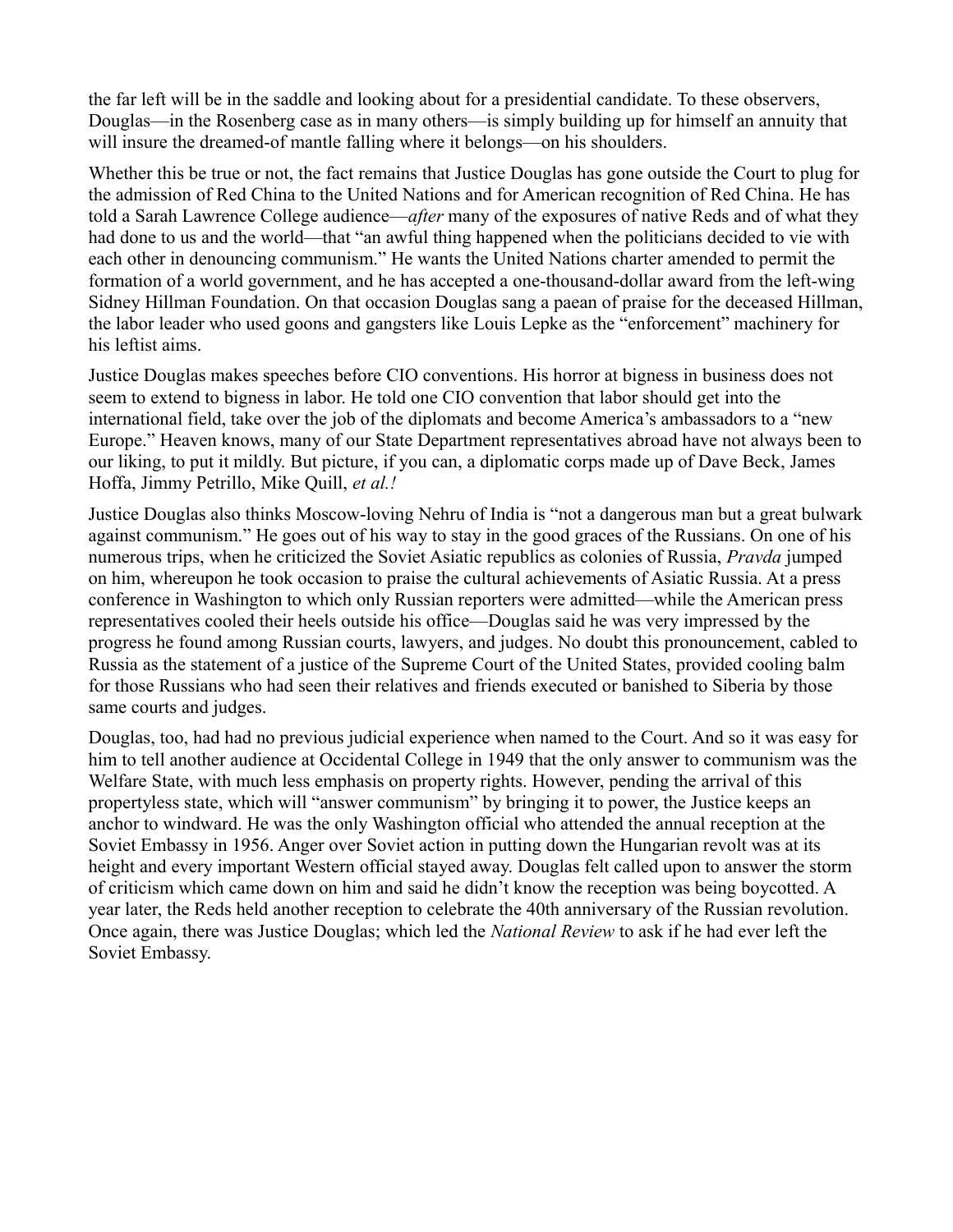the far left will be in the saddle and looking about for a presidential candidate. To these observers, Douglas—in the Rosenberg case as in many others—is simply building up for himself an annuity that will insure the dreamed-of mantle falling where it belongs—on his shoulders.

Whether this be true or not, the fact remains that Justice Douglas has gone outside the Court to plug for the admission of Red China to the United Nations and for American recognition of Red China. He has told a Sarah Lawrence College audience—*after* many of the exposures of native Reds and of what they had done to us and the world—that "an awful thing happened when the politicians decided to vie with each other in denouncing communism." He wants the United Nations charter amended to permit the formation of a world government, and he has accepted a one-thousand-dollar award from the left-wing Sidney Hillman Foundation. On that occasion Douglas sang a paean of praise for the deceased Hillman, the labor leader who used goons and gangsters like Louis Lepke as the "enforcement" machinery for his leftist aims.

Justice Douglas makes speeches before CIO conventions. His horror at bigness in business does not seem to extend to bigness in labor. He told one CIO convention that labor should get into the international field, take over the job of the diplomats and become America's ambassadors to a "new Europe." Heaven knows, many of our State Department representatives abroad have not always been to our liking, to put it mildly. But picture, if you can, a diplomatic corps made up of Dave Beck, James Hoffa, Jimmy Petrillo, Mike Quill, *et al.!*

Justice Douglas also thinks Moscow-loving Nehru of India is "not a dangerous man but a great bulwark against communism." He goes out of his way to stay in the good graces of the Russians. On one of his numerous trips, when he criticized the Soviet Asiatic republics as colonies of Russia, *Pravda* jumped on him, whereupon he took occasion to praise the cultural achievements of Asiatic Russia. At a press conference in Washington to which only Russian reporters were admitted—while the American press representatives cooled their heels outside his office—Douglas said he was very impressed by the progress he found among Russian courts, lawyers, and judges. No doubt this pronouncement, cabled to Russia as the statement of a justice of the Supreme Court of the United States, provided cooling balm for those Russians who had seen their relatives and friends executed or banished to Siberia by those same courts and judges.

Douglas, too, had had no previous judicial experience when named to the Court. And so it was easy for him to tell another audience at Occidental College in 1949 that the only answer to communism was the Welfare State, with much less emphasis on property rights. However, pending the arrival of this propertyless state, which will "answer communism" by bringing it to power, the Justice keeps an anchor to windward. He was the only Washington official who attended the annual reception at the Soviet Embassy in 1956. Anger over Soviet action in putting down the Hungarian revolt was at its height and every important Western official stayed away. Douglas felt called upon to answer the storm of criticism which came down on him and said he didn't know the reception was being boycotted. A year later, the Reds held another reception to celebrate the 40th anniversary of the Russian revolution. Once again, there was Justice Douglas; which led the *National Review* to ask if he had ever left the Soviet Embassy.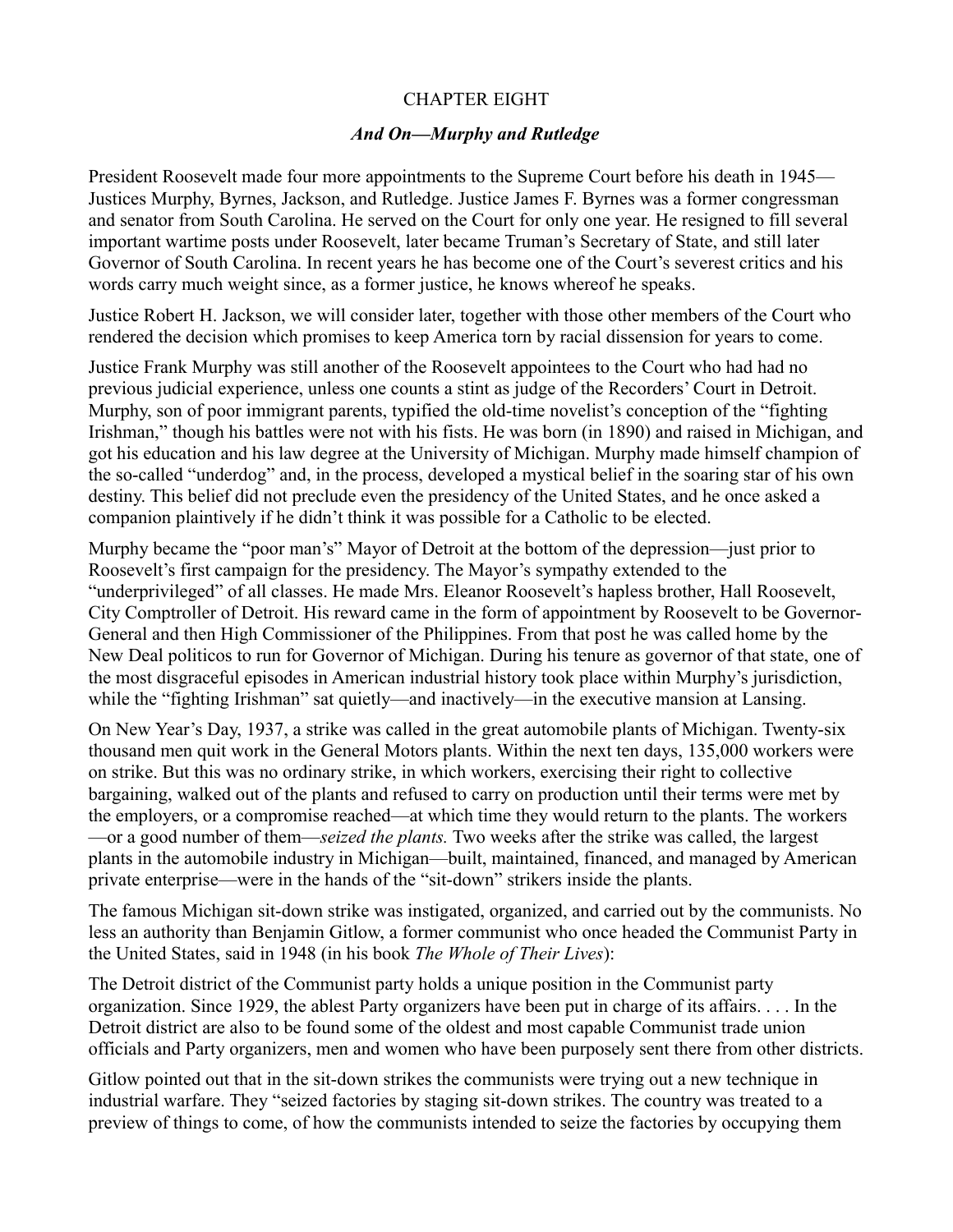## CHAPTER EIGHT

#### *And On—Murphy and Rutledge*

President Roosevelt made four more appointments to the Supreme Court before his death in 1945— Justices Murphy, Byrnes, Jackson, and Rutledge. Justice James F. Byrnes was a former congressman and senator from South Carolina. He served on the Court for only one year. He resigned to fill several important wartime posts under Roosevelt, later became Truman's Secretary of State, and still later Governor of South Carolina. In recent years he has become one of the Court's severest critics and his words carry much weight since, as a former justice, he knows whereof he speaks.

Justice Robert H. Jackson, we will consider later, together with those other members of the Court who rendered the decision which promises to keep America torn by racial dissension for years to come.

Justice Frank Murphy was still another of the Roosevelt appointees to the Court who had had no previous judicial experience, unless one counts a stint as judge of the Recorders' Court in Detroit. Murphy, son of poor immigrant parents, typified the old-time novelist's conception of the "fighting Irishman," though his battles were not with his fists. He was born (in 1890) and raised in Michigan, and got his education and his law degree at the University of Michigan. Murphy made himself champion of the so-called "underdog" and, in the process, developed a mystical belief in the soaring star of his own destiny. This belief did not preclude even the presidency of the United States, and he once asked a companion plaintively if he didn't think it was possible for a Catholic to be elected.

Murphy became the "poor man's" Mayor of Detroit at the bottom of the depression—just prior to Roosevelt's first campaign for the presidency. The Mayor's sympathy extended to the "underprivileged" of all classes. He made Mrs. Eleanor Roosevelt's hapless brother, Hall Roosevelt, City Comptroller of Detroit. His reward came in the form of appointment by Roosevelt to be Governor-General and then High Commissioner of the Philippines. From that post he was called home by the New Deal politicos to run for Governor of Michigan. During his tenure as governor of that state, one of the most disgraceful episodes in American industrial history took place within Murphy's jurisdiction, while the "fighting Irishman" sat quietly—and inactively—in the executive mansion at Lansing.

On New Year's Day, 1937, a strike was called in the great automobile plants of Michigan. Twenty-six thousand men quit work in the General Motors plants. Within the next ten days, 135,000 workers were on strike. But this was no ordinary strike, in which workers, exercising their right to collective bargaining, walked out of the plants and refused to carry on production until their terms were met by the employers, or a compromise reached—at which time they would return to the plants. The workers —or a good number of them—*seized the plants.* Two weeks after the strike was called, the largest plants in the automobile industry in Michigan—built, maintained, financed, and managed by American private enterprise—were in the hands of the "sit-down" strikers inside the plants.

The famous Michigan sit-down strike was instigated, organized, and carried out by the communists. No less an authority than Benjamin Gitlow, a former communist who once headed the Communist Party in the United States, said in 1948 (in his book *The Whole of Their Lives*):

The Detroit district of the Communist party holds a unique position in the Communist party organization. Since 1929, the ablest Party organizers have been put in charge of its affairs. . . . In the Detroit district are also to be found some of the oldest and most capable Communist trade union officials and Party organizers, men and women who have been purposely sent there from other districts.

Gitlow pointed out that in the sit-down strikes the communists were trying out a new technique in industrial warfare. They "seized factories by staging sit-down strikes. The country was treated to a preview of things to come, of how the communists intended to seize the factories by occupying them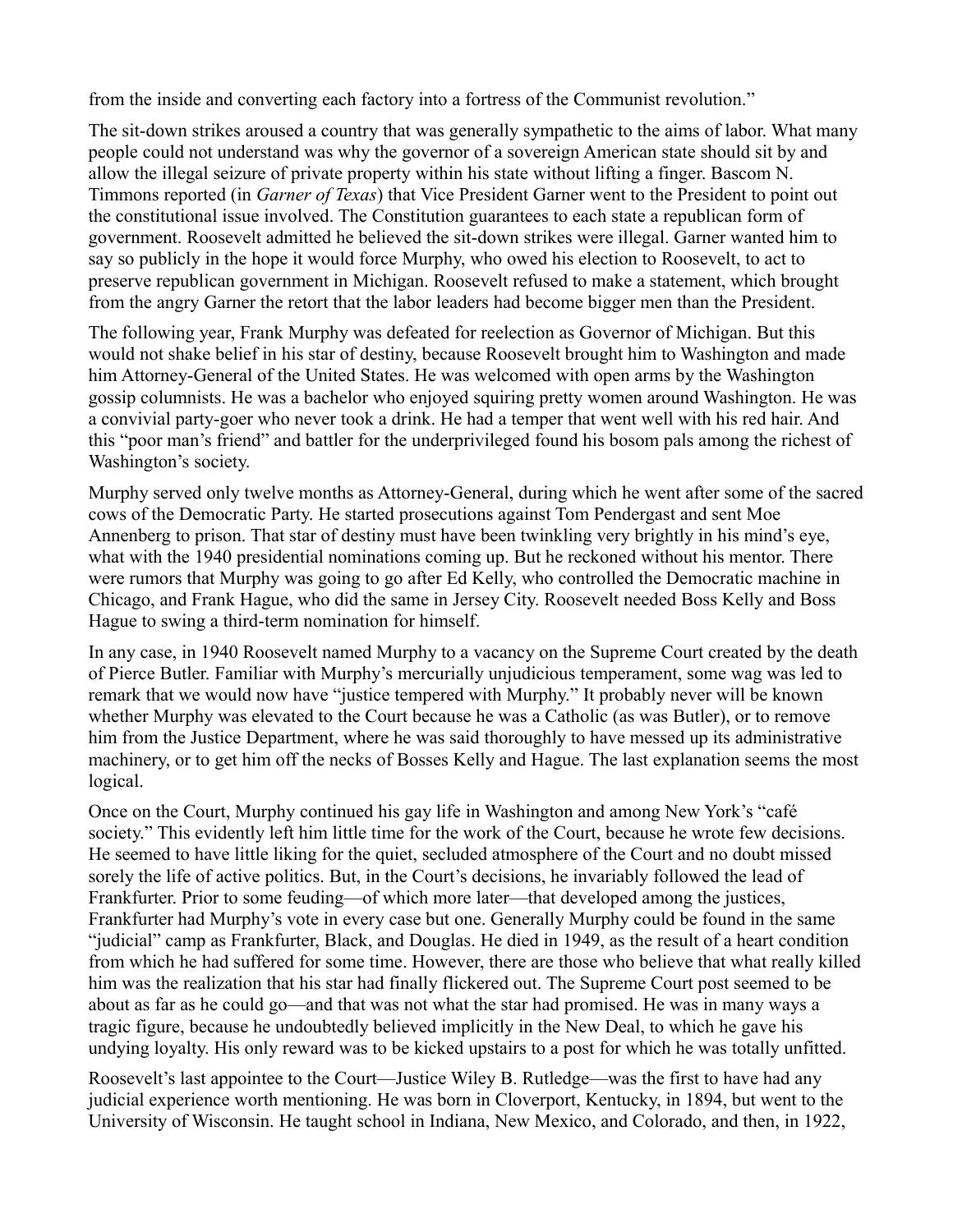from the inside and converting each factory into a fortress of the Communist revolution."

The sit-down strikes aroused a country that was generally sympathetic to the aims of labor. What many people could not understand was why the governor of a sovereign American state should sit by and allow the illegal seizure of private property within his state without lifting a finger. Bascom N. Timmons reported (in *Garner of Texas*) that Vice President Garner went to the President to point out the constitutional issue involved. The Constitution guarantees to each state a republican form of government. Roosevelt admitted he believed the sit-down strikes were illegal. Garner wanted him to say so publicly in the hope it would force Murphy, who owed his election to Roosevelt, to act to preserve republican government in Michigan. Roosevelt refused to make a statement, which brought from the angry Garner the retort that the labor leaders had become bigger men than the President.

The following year, Frank Murphy was defeated for reelection as Governor of Michigan. But this would not shake belief in his star of destiny, because Roosevelt brought him to Washington and made him Attorney-General of the United States. He was welcomed with open arms by the Washington gossip columnists. He was a bachelor who enjoyed squiring pretty women around Washington. He was a convivial party-goer who never took a drink. He had a temper that went well with his red hair. And this "poor man's friend" and battler for the underprivileged found his bosom pals among the richest of Washington's society.

Murphy served only twelve months as Attorney-General, during which he went after some of the sacred cows of the Democratic Party. He started prosecutions against Tom Pendergast and sent Moe Annenberg to prison. That star of destiny must have been twinkling very brightly in his mind's eye, what with the 1940 presidential nominations coming up. But he reckoned without his mentor. There were rumors that Murphy was going to go after Ed Kelly, who controlled the Democratic machine in Chicago, and Frank Hague, who did the same in Jersey City. Roosevelt needed Boss Kelly and Boss Hague to swing a third-term nomination for himself.

In any case, in 1940 Roosevelt named Murphy to a vacancy on the Supreme Court created by the death of Pierce Butler. Familiar with Murphy's mercurially unjudicious temperament, some wag was led to remark that we would now have "justice tempered with Murphy." It probably never will be known whether Murphy was elevated to the Court because he was a Catholic (as was Butler), or to remove him from the Justice Department, where he was said thoroughly to have messed up its administrative machinery, or to get him off the necks of Bosses Kelly and Hague. The last explanation seems the most logical.

Once on the Court, Murphy continued his gay life in Washington and among New York's "café society." This evidently left him little time for the work of the Court, because he wrote few decisions. He seemed to have little liking for the quiet, secluded atmosphere of the Court and no doubt missed sorely the life of active politics. But, in the Court's decisions, he invariably followed the lead of Frankfurter. Prior to some feuding—of which more later—that developed among the justices, Frankfurter had Murphy's vote in every case but one. Generally Murphy could be found in the same "judicial" camp as Frankfurter, Black, and Douglas. He died in 1949, as the result of a heart condition from which he had suffered for some time. However, there are those who believe that what really killed him was the realization that his star had finally flickered out. The Supreme Court post seemed to be about as far as he could go—and that was not what the star had promised. He was in many ways a tragic figure, because he undoubtedly believed implicitly in the New Deal, to which he gave his undying loyalty. His only reward was to be kicked upstairs to a post for which he was totally unfitted.

Roosevelt's last appointee to the Court—Justice Wiley B. Rutledge—was the first to have had any judicial experience worth mentioning. He was born in Cloverport, Kentucky, in 1894, but went to the University of Wisconsin. He taught school in Indiana, New Mexico, and Colorado, and then, in 1922,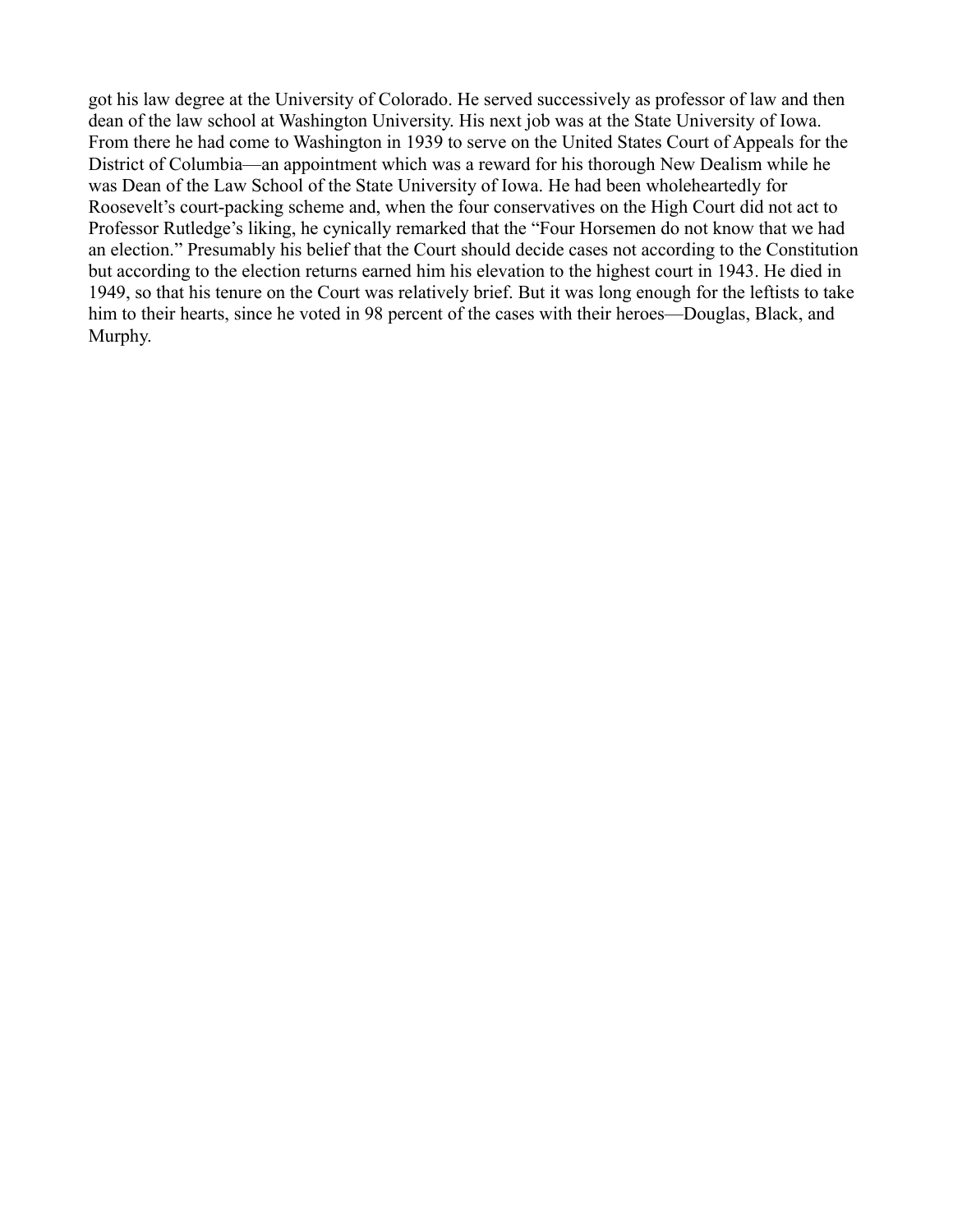got his law degree at the University of Colorado. He served successively as professor of law and then dean of the law school at Washington University. His next job was at the State University of Iowa. From there he had come to Washington in 1939 to serve on the United States Court of Appeals for the District of Columbia—an appointment which was a reward for his thorough New Dealism while he was Dean of the Law School of the State University of Iowa. He had been wholeheartedly for Roosevelt's court-packing scheme and, when the four conservatives on the High Court did not act to Professor Rutledge's liking, he cynically remarked that the "Four Horsemen do not know that we had an election." Presumably his belief that the Court should decide cases not according to the Constitution but according to the election returns earned him his elevation to the highest court in 1943. He died in 1949, so that his tenure on the Court was relatively brief. But it was long enough for the leftists to take him to their hearts, since he voted in 98 percent of the cases with their heroes—Douglas, Black, and Murphy.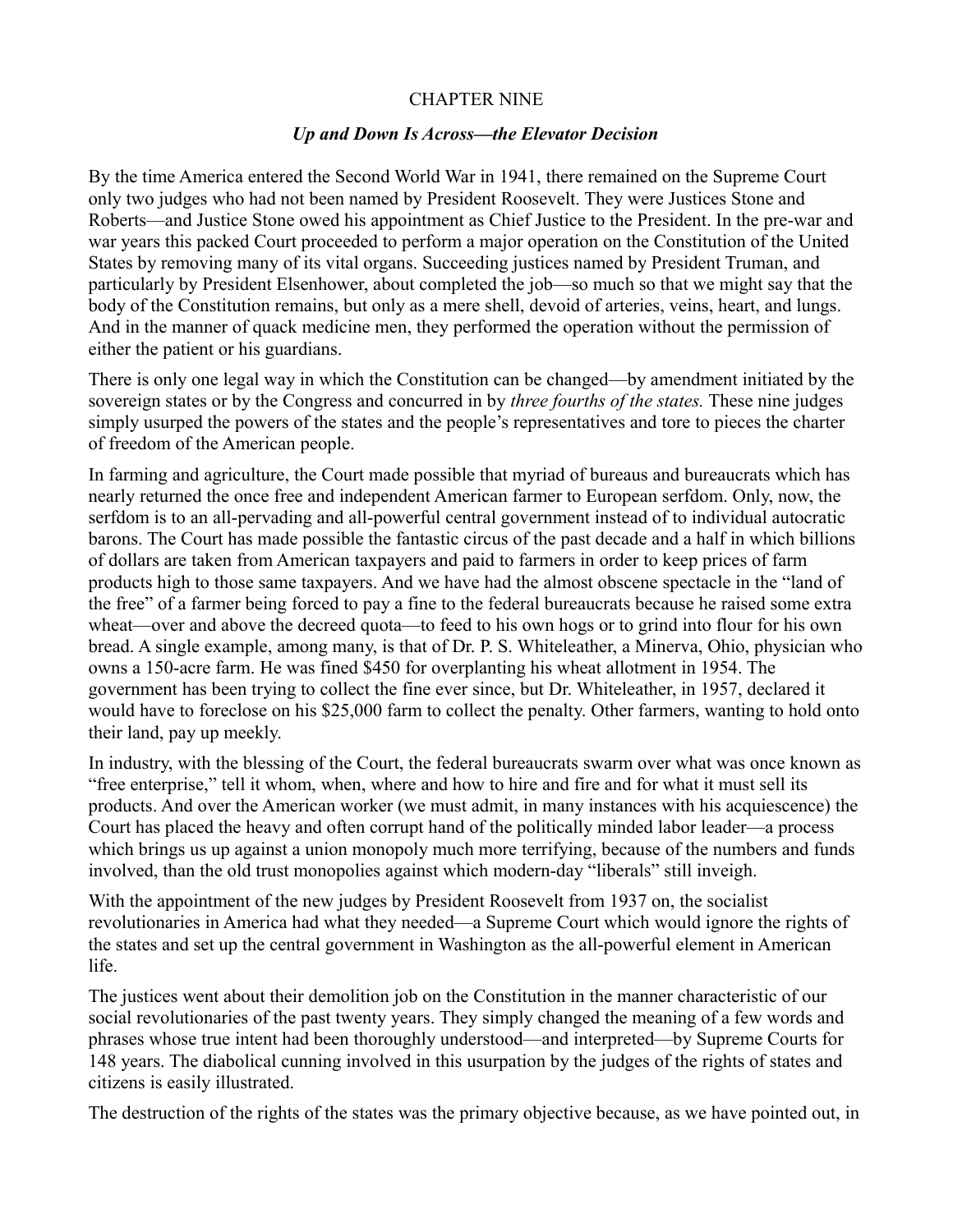### CHAPTER NINE

### *Up and Down Is Across—the Elevator Decision*

By the time America entered the Second World War in 1941, there remained on the Supreme Court only two judges who had not been named by President Roosevelt. They were Justices Stone and Roberts—and Justice Stone owed his appointment as Chief Justice to the President. In the pre-war and war years this packed Court proceeded to perform a major operation on the Constitution of the United States by removing many of its vital organs. Succeeding justices named by President Truman, and particularly by President Elsenhower, about completed the job—so much so that we might say that the body of the Constitution remains, but only as a mere shell, devoid of arteries, veins, heart, and lungs. And in the manner of quack medicine men, they performed the operation without the permission of either the patient or his guardians.

There is only one legal way in which the Constitution can be changed—by amendment initiated by the sovereign states or by the Congress and concurred in by *three fourths of the states.* These nine judges simply usurped the powers of the states and the people's representatives and tore to pieces the charter of freedom of the American people.

In farming and agriculture, the Court made possible that myriad of bureaus and bureaucrats which has nearly returned the once free and independent American farmer to European serfdom. Only, now, the serfdom is to an all-pervading and all-powerful central government instead of to individual autocratic barons. The Court has made possible the fantastic circus of the past decade and a half in which billions of dollars are taken from American taxpayers and paid to farmers in order to keep prices of farm products high to those same taxpayers. And we have had the almost obscene spectacle in the "land of the free" of a farmer being forced to pay a fine to the federal bureaucrats because he raised some extra wheat—over and above the decreed quota—to feed to his own hogs or to grind into flour for his own bread. A single example, among many, is that of Dr. P. S. Whiteleather, a Minerva, Ohio, physician who owns a 150-acre farm. He was fined \$450 for overplanting his wheat allotment in 1954. The government has been trying to collect the fine ever since, but Dr. Whiteleather, in 1957, declared it would have to foreclose on his \$25,000 farm to collect the penalty. Other farmers, wanting to hold onto their land, pay up meekly.

In industry, with the blessing of the Court, the federal bureaucrats swarm over what was once known as "free enterprise," tell it whom, when, where and how to hire and fire and for what it must sell its products. And over the American worker (we must admit, in many instances with his acquiescence) the Court has placed the heavy and often corrupt hand of the politically minded labor leader—a process which brings us up against a union monopoly much more terrifying, because of the numbers and funds involved, than the old trust monopolies against which modern-day "liberals" still inveigh.

With the appointment of the new judges by President Roosevelt from 1937 on, the socialist revolutionaries in America had what they needed—a Supreme Court which would ignore the rights of the states and set up the central government in Washington as the all-powerful element in American life.

The justices went about their demolition job on the Constitution in the manner characteristic of our social revolutionaries of the past twenty years. They simply changed the meaning of a few words and phrases whose true intent had been thoroughly understood—and interpreted—by Supreme Courts for 148 years. The diabolical cunning involved in this usurpation by the judges of the rights of states and citizens is easily illustrated.

The destruction of the rights of the states was the primary objective because, as we have pointed out, in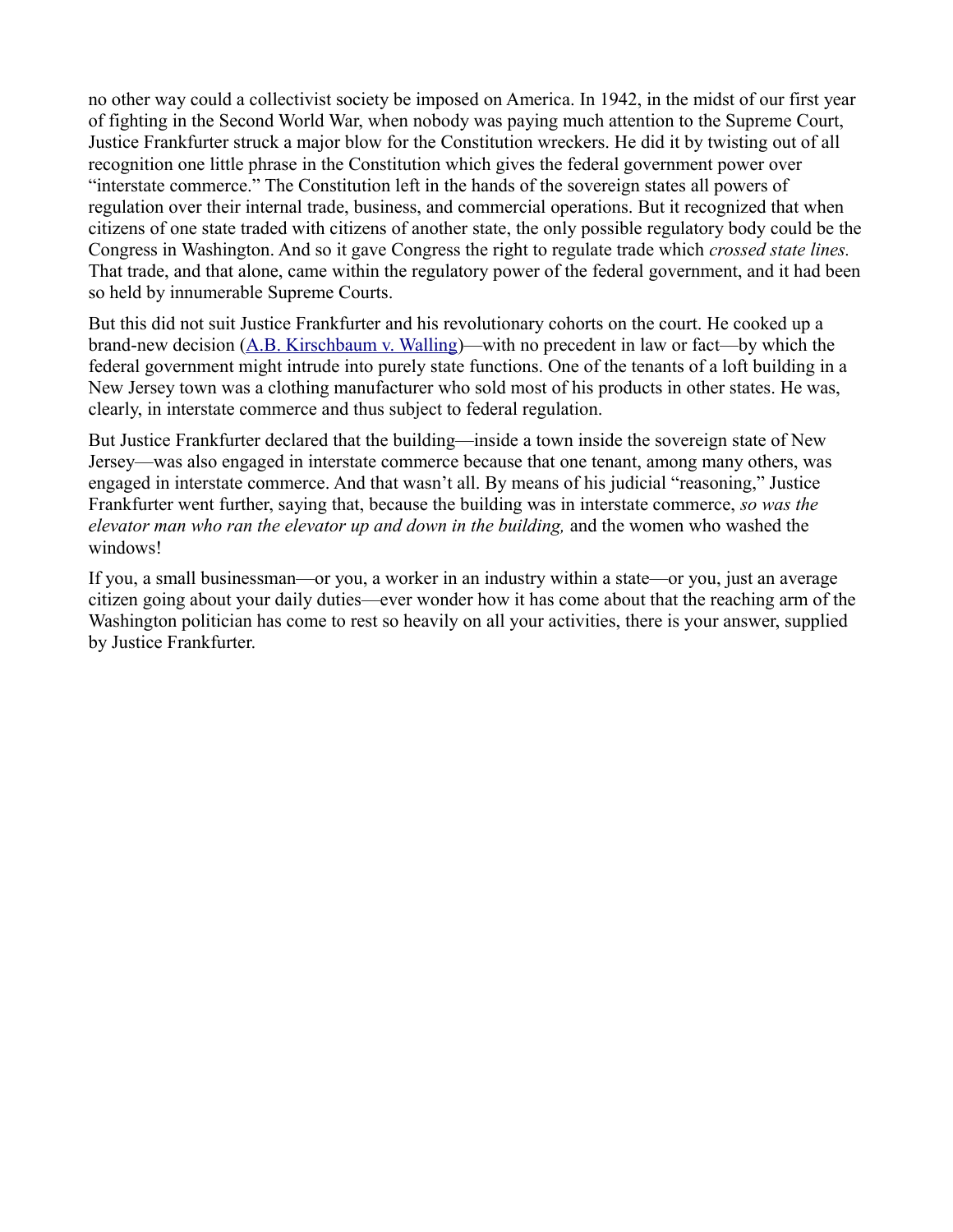no other way could a collectivist society be imposed on America. In 1942, in the midst of our first year of fighting in the Second World War, when nobody was paying much attention to the Supreme Court, Justice Frankfurter struck a major blow for the Constitution wreckers. He did it by twisting out of all recognition one little phrase in the Constitution which gives the federal government power over "interstate commerce." The Constitution left in the hands of the sovereign states all powers of regulation over their internal trade, business, and commercial operations. But it recognized that when citizens of one state traded with citizens of another state, the only possible regulatory body could be the Congress in Washington. And so it gave Congress the right to regulate trade which *crossed state lines.* That trade, and that alone, came within the regulatory power of the federal government, and it had been so held by innumerable Supreme Courts.

But this did not suit Justice Frankfurter and his revolutionary cohorts on the court. He cooked up a brand-new decision [\(A.B. Kirschbaum v. Walling\)](http://laws.findlaw.com/us/316/517.html)—with no precedent in law or fact—by which the federal government might intrude into purely state functions. One of the tenants of a loft building in a New Jersey town was a clothing manufacturer who sold most of his products in other states. He was, clearly, in interstate commerce and thus subject to federal regulation.

But Justice Frankfurter declared that the building—inside a town inside the sovereign state of New Jersey—was also engaged in interstate commerce because that one tenant, among many others, was engaged in interstate commerce. And that wasn't all. By means of his judicial "reasoning," Justice Frankfurter went further, saying that, because the building was in interstate commerce, *so was the elevator man who ran the elevator up and down in the building,* and the women who washed the windows!

If you, a small businessman—or you, a worker in an industry within a state—or you, just an average citizen going about your daily duties—ever wonder how it has come about that the reaching arm of the Washington politician has come to rest so heavily on all your activities, there is your answer, supplied by Justice Frankfurter.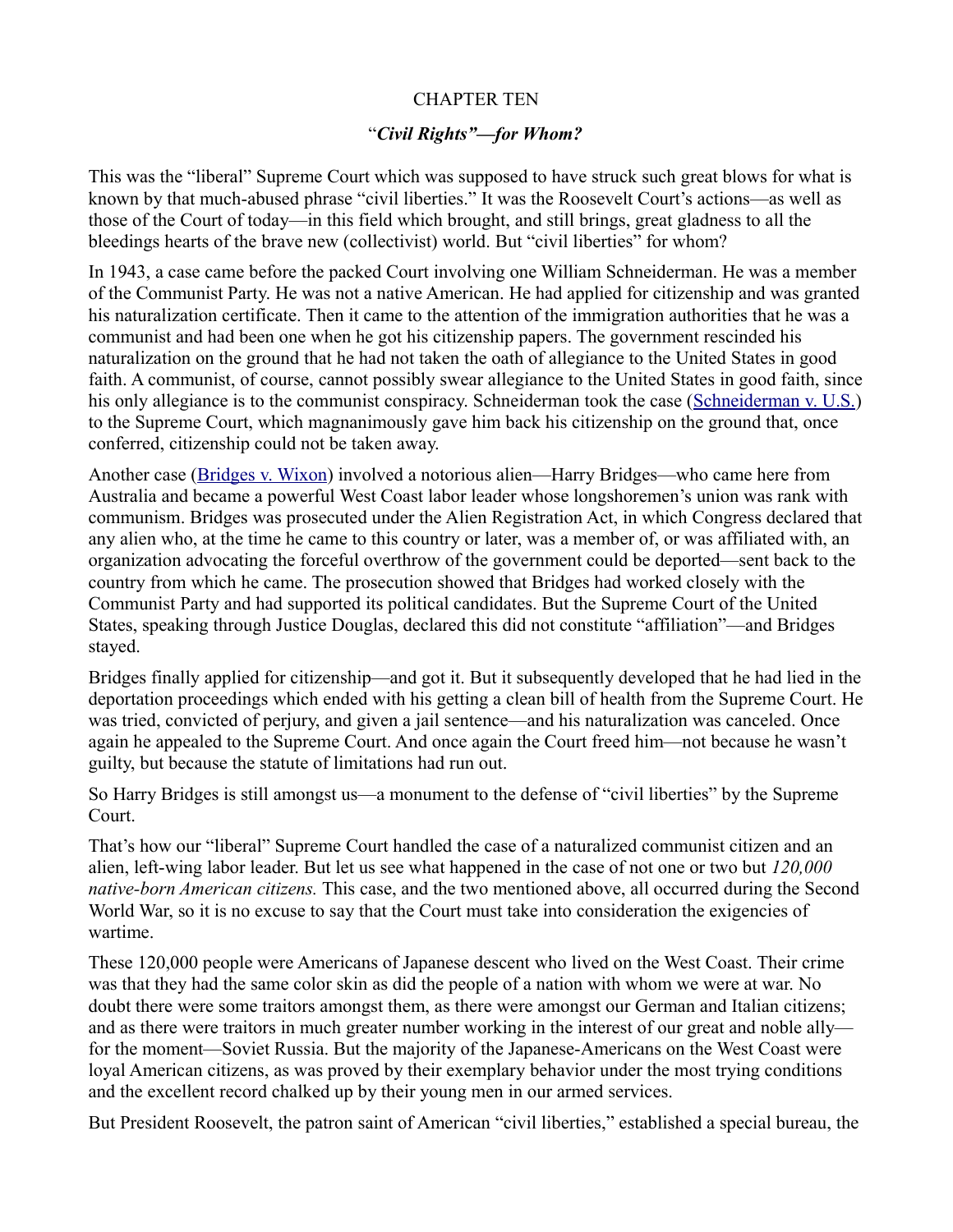# CHAPTER TEN

# "*Civil Rights"—for Whom?*

This was the "liberal" Supreme Court which was supposed to have struck such great blows for what is known by that much-abused phrase "civil liberties." It was the Roosevelt Court's actions—as well as those of the Court of today—in this field which brought, and still brings, great gladness to all the bleedings hearts of the brave new (collectivist) world. But "civil liberties" for whom?

In 1943, a case came before the packed Court involving one William Schneiderman. He was a member of the Communist Party. He was not a native American. He had applied for citizenship and was granted his naturalization certificate. Then it came to the attention of the immigration authorities that he was a communist and had been one when he got his citizenship papers. The government rescinded his naturalization on the ground that he had not taken the oath of allegiance to the United States in good faith. A communist, of course, cannot possibly swear allegiance to the United States in good faith, since his only allegiance is to the communist conspiracy. Schneiderman took the case [\(Schneiderman v. U.S.\)](http://laws.findlaw.com/us/320/118.html) to the Supreme Court, which magnanimously gave him back his citizenship on the ground that, once conferred, citizenship could not be taken away.

Another case [\(Bridges v. Wixon\)](http://laws.findlaw.com/us/326/135.html) involved a notorious alien—Harry Bridges—who came here from Australia and became a powerful West Coast labor leader whose longshoremen's union was rank with communism. Bridges was prosecuted under the Alien Registration Act, in which Congress declared that any alien who, at the time he came to this country or later, was a member of, or was affiliated with, an organization advocating the forceful overthrow of the government could be deported—sent back to the country from which he came. The prosecution showed that Bridges had worked closely with the Communist Party and had supported its political candidates. But the Supreme Court of the United States, speaking through Justice Douglas, declared this did not constitute "affiliation"—and Bridges stayed.

Bridges finally applied for citizenship—and got it. But it subsequently developed that he had lied in the deportation proceedings which ended with his getting a clean bill of health from the Supreme Court. He was tried, convicted of perjury, and given a jail sentence—and his naturalization was canceled. Once again he appealed to the Supreme Court. And once again the Court freed him—not because he wasn't guilty, but because the statute of limitations had run out.

So Harry Bridges is still amongst us—a monument to the defense of "civil liberties" by the Supreme Court.

That's how our "liberal" Supreme Court handled the case of a naturalized communist citizen and an alien, left-wing labor leader. But let us see what happened in the case of not one or two but *120,000 native-born American citizens.* This case, and the two mentioned above, all occurred during the Second World War, so it is no excuse to say that the Court must take into consideration the exigencies of wartime.

These 120,000 people were Americans of Japanese descent who lived on the West Coast. Their crime was that they had the same color skin as did the people of a nation with whom we were at war. No doubt there were some traitors amongst them, as there were amongst our German and Italian citizens; and as there were traitors in much greater number working in the interest of our great and noble ally for the moment—Soviet Russia. But the majority of the Japanese-Americans on the West Coast were loyal American citizens, as was proved by their exemplary behavior under the most trying conditions and the excellent record chalked up by their young men in our armed services.

But President Roosevelt, the patron saint of American "civil liberties," established a special bureau, the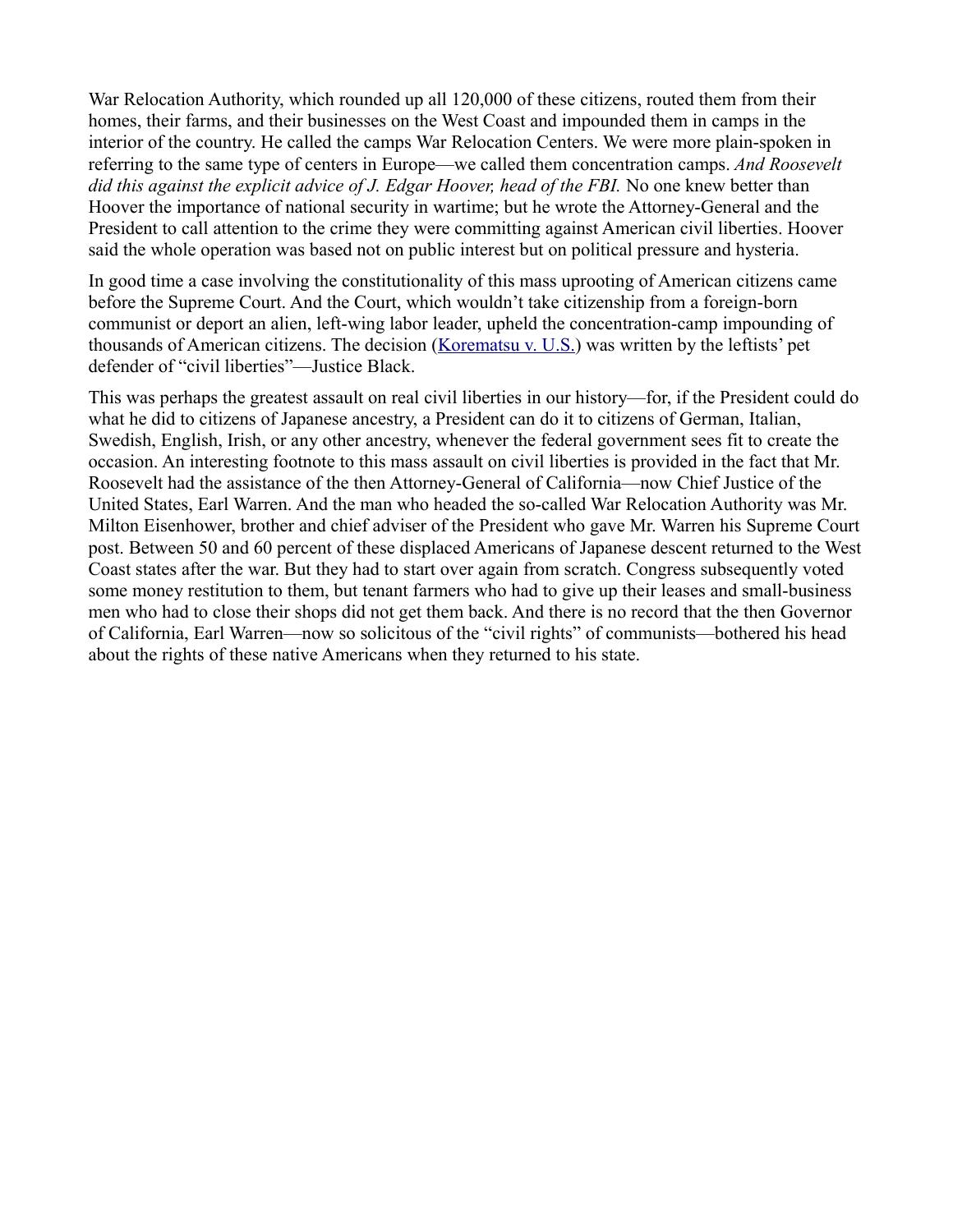War Relocation Authority, which rounded up all 120,000 of these citizens, routed them from their homes, their farms, and their businesses on the West Coast and impounded them in camps in the interior of the country. He called the camps War Relocation Centers. We were more plain-spoken in referring to the same type of centers in Europe—we called them concentration camps. *And Roosevelt did this against the explicit advice of J. Edgar Hoover, head of the FBI.* No one knew better than Hoover the importance of national security in wartime; but he wrote the Attorney-General and the President to call attention to the crime they were committing against American civil liberties. Hoover said the whole operation was based not on public interest but on political pressure and hysteria.

In good time a case involving the constitutionality of this mass uprooting of American citizens came before the Supreme Court. And the Court, which wouldn't take citizenship from a foreign-born communist or deport an alien, left-wing labor leader, upheld the concentration-camp impounding of thousands of American citizens. The decision [\(Korematsu v. U.S.\)](http://laws.findlaw.com/us/323/214.html) was written by the leftists' pet defender of "civil liberties"—Justice Black.

This was perhaps the greatest assault on real civil liberties in our history—for, if the President could do what he did to citizens of Japanese ancestry, a President can do it to citizens of German, Italian, Swedish, English, Irish, or any other ancestry, whenever the federal government sees fit to create the occasion. An interesting footnote to this mass assault on civil liberties is provided in the fact that Mr. Roosevelt had the assistance of the then Attorney-General of California—now Chief Justice of the United States, Earl Warren. And the man who headed the so-called War Relocation Authority was Mr. Milton Eisenhower, brother and chief adviser of the President who gave Mr. Warren his Supreme Court post. Between 50 and 60 percent of these displaced Americans of Japanese descent returned to the West Coast states after the war. But they had to start over again from scratch. Congress subsequently voted some money restitution to them, but tenant farmers who had to give up their leases and small-business men who had to close their shops did not get them back. And there is no record that the then Governor of California, Earl Warren—now so solicitous of the "civil rights" of communists—bothered his head about the rights of these native Americans when they returned to his state.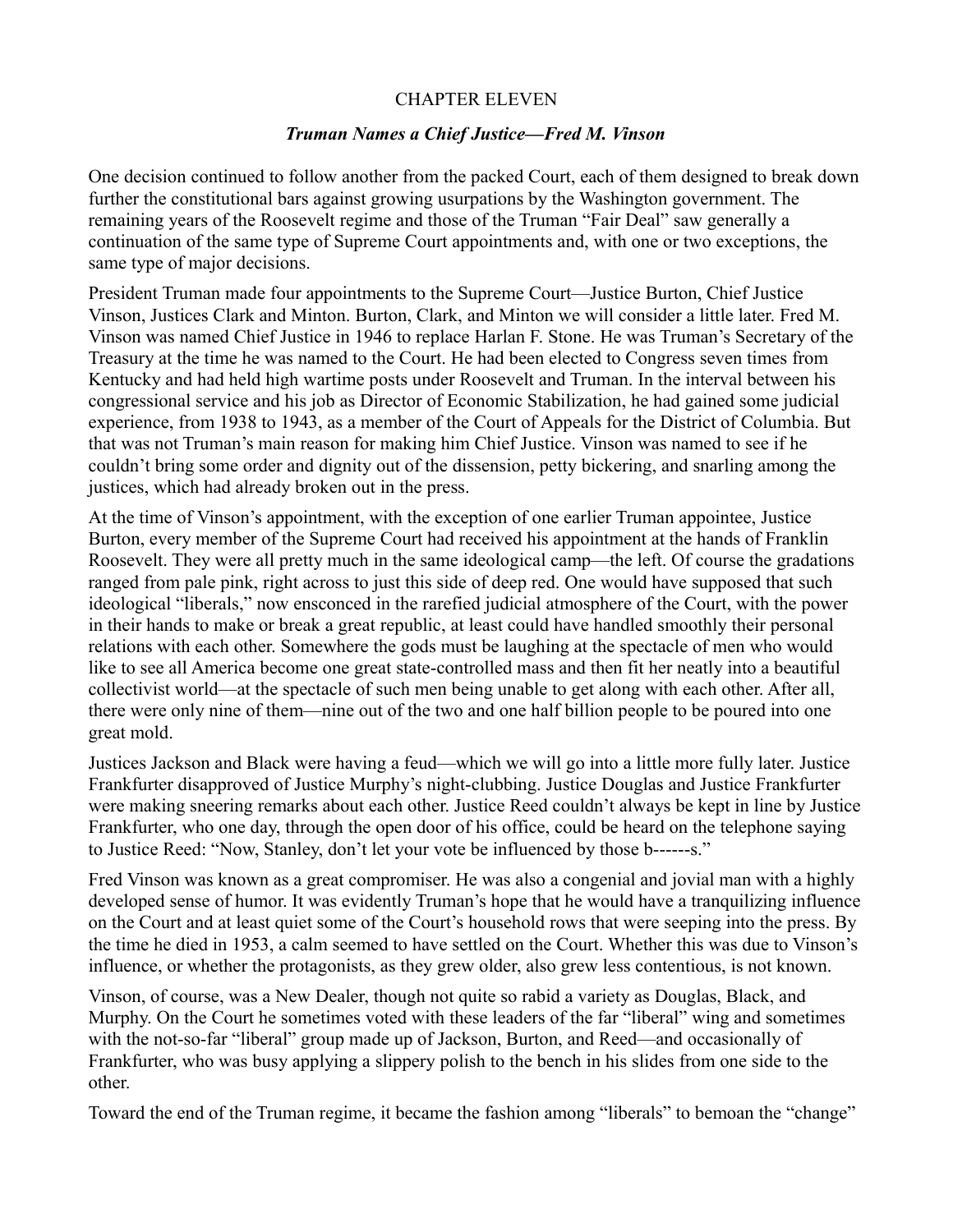# CHAPTER ELEVEN

### *Truman Names a Chief Justice—Fred M. Vinson*

One decision continued to follow another from the packed Court, each of them designed to break down further the constitutional bars against growing usurpations by the Washington government. The remaining years of the Roosevelt regime and those of the Truman "Fair Deal" saw generally a continuation of the same type of Supreme Court appointments and, with one or two exceptions, the same type of major decisions.

President Truman made four appointments to the Supreme Court—Justice Burton, Chief Justice Vinson, Justices Clark and Minton. Burton, Clark, and Minton we will consider a little later. Fred M. Vinson was named Chief Justice in 1946 to replace Harlan F. Stone. He was Truman's Secretary of the Treasury at the time he was named to the Court. He had been elected to Congress seven times from Kentucky and had held high wartime posts under Roosevelt and Truman. In the interval between his congressional service and his job as Director of Economic Stabilization, he had gained some judicial experience, from 1938 to 1943, as a member of the Court of Appeals for the District of Columbia. But that was not Truman's main reason for making him Chief Justice. Vinson was named to see if he couldn't bring some order and dignity out of the dissension, petty bickering, and snarling among the justices, which had already broken out in the press.

At the time of Vinson's appointment, with the exception of one earlier Truman appointee, Justice Burton, every member of the Supreme Court had received his appointment at the hands of Franklin Roosevelt. They were all pretty much in the same ideological camp—the left. Of course the gradations ranged from pale pink, right across to just this side of deep red. One would have supposed that such ideological "liberals," now ensconced in the rarefied judicial atmosphere of the Court, with the power in their hands to make or break a great republic, at least could have handled smoothly their personal relations with each other. Somewhere the gods must be laughing at the spectacle of men who would like to see all America become one great state-controlled mass and then fit her neatly into a beautiful collectivist world—at the spectacle of such men being unable to get along with each other. After all, there were only nine of them—nine out of the two and one half billion people to be poured into one great mold.

Justices Jackson and Black were having a feud—which we will go into a little more fully later. Justice Frankfurter disapproved of Justice Murphy's night-clubbing. Justice Douglas and Justice Frankfurter were making sneering remarks about each other. Justice Reed couldn't always be kept in line by Justice Frankfurter, who one day, through the open door of his office, could be heard on the telephone saying to Justice Reed: "Now, Stanley, don't let your vote be influenced by those b------s."

Fred Vinson was known as a great compromiser. He was also a congenial and jovial man with a highly developed sense of humor. It was evidently Truman's hope that he would have a tranquilizing influence on the Court and at least quiet some of the Court's household rows that were seeping into the press. By the time he died in 1953, a calm seemed to have settled on the Court. Whether this was due to Vinson's influence, or whether the protagonists, as they grew older, also grew less contentious, is not known.

Vinson, of course, was a New Dealer, though not quite so rabid a variety as Douglas, Black, and Murphy. On the Court he sometimes voted with these leaders of the far "liberal" wing and sometimes with the not-so-far "liberal" group made up of Jackson, Burton, and Reed—and occasionally of Frankfurter, who was busy applying a slippery polish to the bench in his slides from one side to the other.

Toward the end of the Truman regime, it became the fashion among "liberals" to bemoan the "change"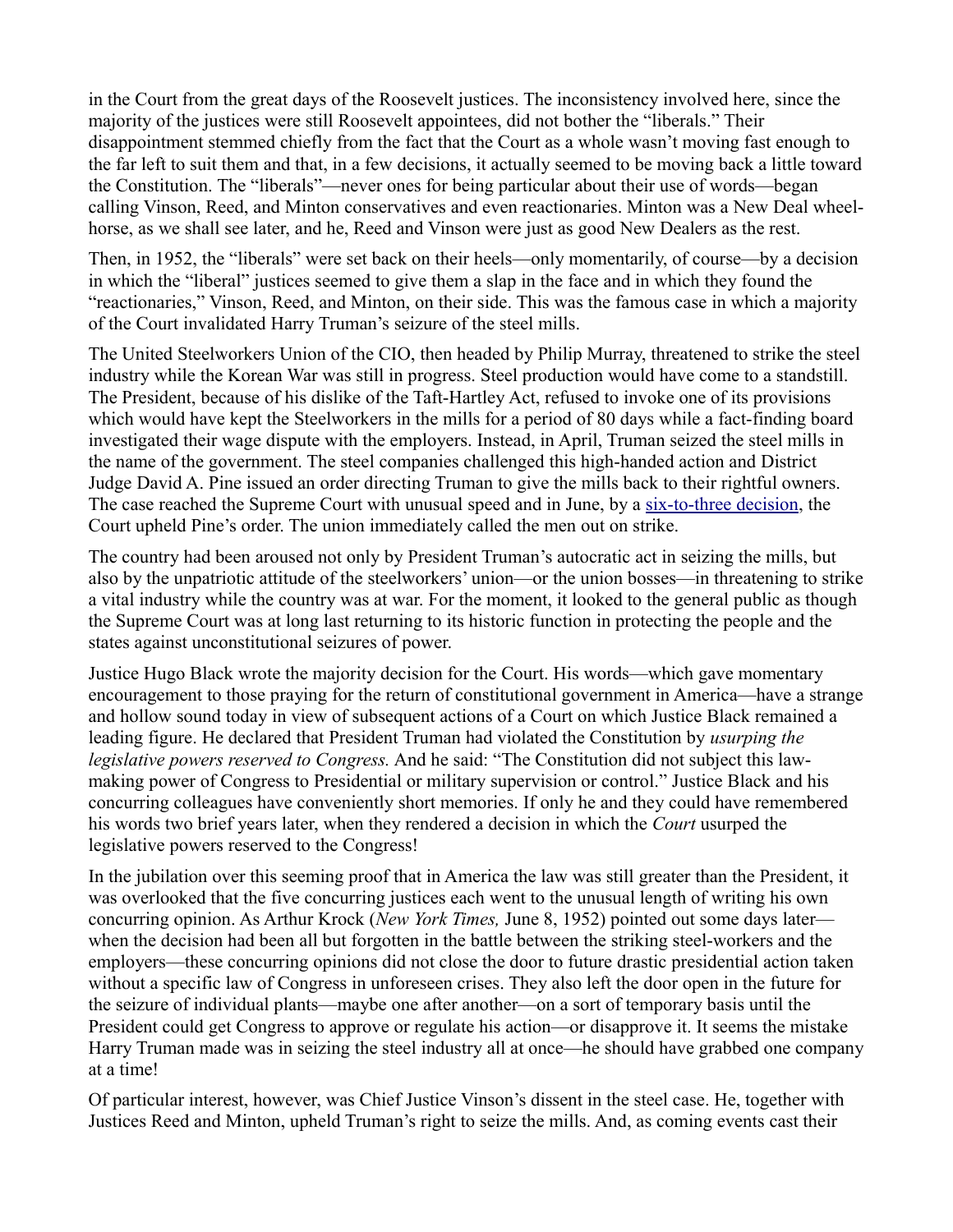in the Court from the great days of the Roosevelt justices. The inconsistency involved here, since the majority of the justices were still Roosevelt appointees, did not bother the "liberals." Their disappointment stemmed chiefly from the fact that the Court as a whole wasn't moving fast enough to the far left to suit them and that, in a few decisions, it actually seemed to be moving back a little toward the Constitution. The "liberals"—never ones for being particular about their use of words—began calling Vinson, Reed, and Minton conservatives and even reactionaries. Minton was a New Deal wheelhorse, as we shall see later, and he, Reed and Vinson were just as good New Dealers as the rest.

Then, in 1952, the "liberals" were set back on their heels—only momentarily, of course—by a decision in which the "liberal" justices seemed to give them a slap in the face and in which they found the "reactionaries," Vinson, Reed, and Minton, on their side. This was the famous case in which a majority of the Court invalidated Harry Truman's seizure of the steel mills.

The United Steelworkers Union of the CIO, then headed by Philip Murray, threatened to strike the steel industry while the Korean War was still in progress. Steel production would have come to a standstill. The President, because of his dislike of the Taft-Hartley Act, refused to invoke one of its provisions which would have kept the Steelworkers in the mills for a period of 80 days while a fact-finding board investigated their wage dispute with the employers. Instead, in April, Truman seized the steel mills in the name of the government. The steel companies challenged this high-handed action and District Judge David A. Pine issued an order directing Truman to give the mills back to their rightful owners. The case reached the Supreme Court with unusual speed and in June, by a [six-to-three decision,](http://laws.findlaw.com/us/343/579.html) the Court upheld Pine's order. The union immediately called the men out on strike.

The country had been aroused not only by President Truman's autocratic act in seizing the mills, but also by the unpatriotic attitude of the steelworkers' union—or the union bosses—in threatening to strike a vital industry while the country was at war. For the moment, it looked to the general public as though the Supreme Court was at long last returning to its historic function in protecting the people and the states against unconstitutional seizures of power.

Justice Hugo Black wrote the majority decision for the Court. His words—which gave momentary encouragement to those praying for the return of constitutional government in America—have a strange and hollow sound today in view of subsequent actions of a Court on which Justice Black remained a leading figure. He declared that President Truman had violated the Constitution by *usurping the legislative powers reserved to Congress.* And he said: "The Constitution did not subject this lawmaking power of Congress to Presidential or military supervision or control." Justice Black and his concurring colleagues have conveniently short memories. If only he and they could have remembered his words two brief years later, when they rendered a decision in which the *Court* usurped the legislative powers reserved to the Congress!

In the jubilation over this seeming proof that in America the law was still greater than the President, it was overlooked that the five concurring justices each went to the unusual length of writing his own concurring opinion. As Arthur Krock (*New York Times,* June 8, 1952) pointed out some days later when the decision had been all but forgotten in the battle between the striking steel-workers and the employers—these concurring opinions did not close the door to future drastic presidential action taken without a specific law of Congress in unforeseen crises. They also left the door open in the future for the seizure of individual plants—maybe one after another—on a sort of temporary basis until the President could get Congress to approve or regulate his action—or disapprove it. It seems the mistake Harry Truman made was in seizing the steel industry all at once—he should have grabbed one company at a time!

Of particular interest, however, was Chief Justice Vinson's dissent in the steel case. He, together with Justices Reed and Minton, upheld Truman's right to seize the mills. And, as coming events cast their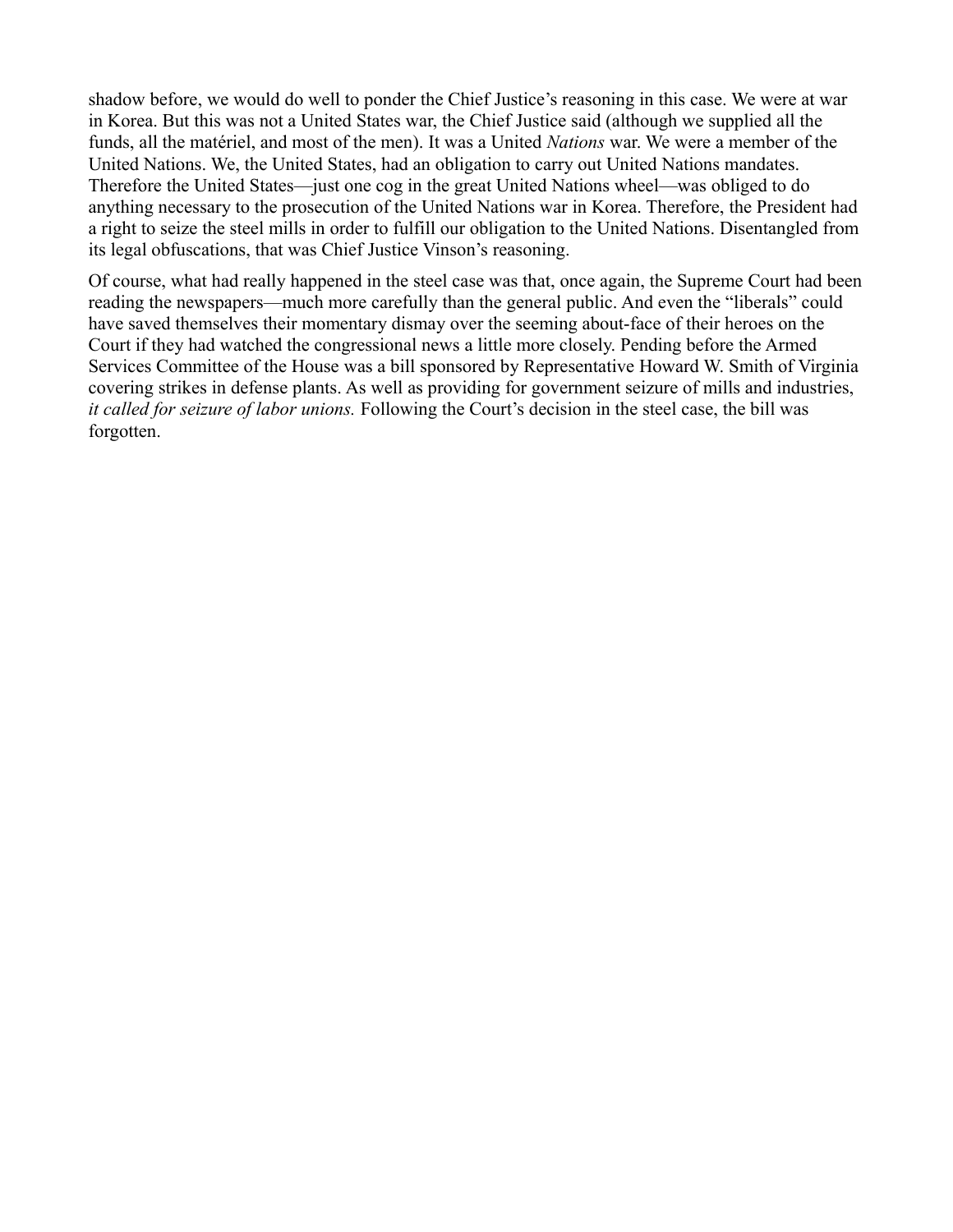shadow before, we would do well to ponder the Chief Justice's reasoning in this case. We were at war in Korea. But this was not a United States war, the Chief Justice said (although we supplied all the funds, all the matériel, and most of the men). It was a United *Nations* war. We were a member of the United Nations. We, the United States, had an obligation to carry out United Nations mandates. Therefore the United States—just one cog in the great United Nations wheel—was obliged to do anything necessary to the prosecution of the United Nations war in Korea. Therefore, the President had a right to seize the steel mills in order to fulfill our obligation to the United Nations. Disentangled from its legal obfuscations, that was Chief Justice Vinson's reasoning.

Of course, what had really happened in the steel case was that, once again, the Supreme Court had been reading the newspapers—much more carefully than the general public. And even the "liberals" could have saved themselves their momentary dismay over the seeming about-face of their heroes on the Court if they had watched the congressional news a little more closely. Pending before the Armed Services Committee of the House was a bill sponsored by Representative Howard W. Smith of Virginia covering strikes in defense plants. As well as providing for government seizure of mills and industries, *it called for seizure of labor unions.* Following the Court's decision in the steel case, the bill was forgotten.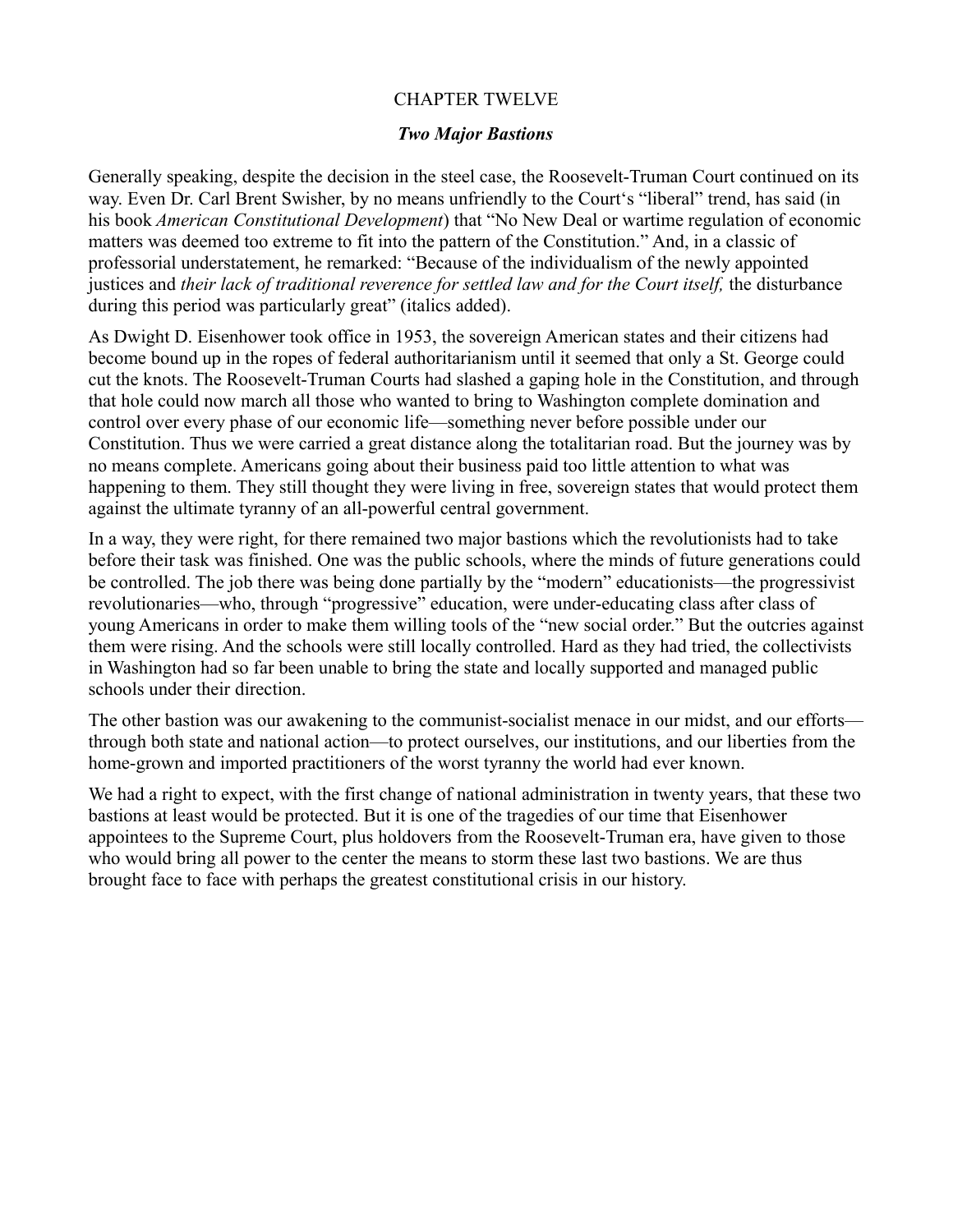# CHAPTER TWELVE

#### *Two Major Bastions*

Generally speaking, despite the decision in the steel case, the Roosevelt-Truman Court continued on its way. Even Dr. Carl Brent Swisher, by no means unfriendly to the Court's "liberal" trend, has said (in his book *American Constitutional Development*) that "No New Deal or wartime regulation of economic matters was deemed too extreme to fit into the pattern of the Constitution." And, in a classic of professorial understatement, he remarked: "Because of the individualism of the newly appointed justices and *their lack of traditional reverence for settled law and for the Court itself,* the disturbance during this period was particularly great" (italics added).

As Dwight D. Eisenhower took office in 1953, the sovereign American states and their citizens had become bound up in the ropes of federal authoritarianism until it seemed that only a St. George could cut the knots. The Roosevelt-Truman Courts had slashed a gaping hole in the Constitution, and through that hole could now march all those who wanted to bring to Washington complete domination and control over every phase of our economic life—something never before possible under our Constitution. Thus we were carried a great distance along the totalitarian road. But the journey was by no means complete. Americans going about their business paid too little attention to what was happening to them. They still thought they were living in free, sovereign states that would protect them against the ultimate tyranny of an all-powerful central government.

In a way, they were right, for there remained two major bastions which the revolutionists had to take before their task was finished. One was the public schools, where the minds of future generations could be controlled. The job there was being done partially by the "modern" educationists—the progressivist revolutionaries—who, through "progressive" education, were under-educating class after class of young Americans in order to make them willing tools of the "new social order." But the outcries against them were rising. And the schools were still locally controlled. Hard as they had tried, the collectivists in Washington had so far been unable to bring the state and locally supported and managed public schools under their direction.

The other bastion was our awakening to the communist-socialist menace in our midst, and our efforts through both state and national action—to protect ourselves, our institutions, and our liberties from the home-grown and imported practitioners of the worst tyranny the world had ever known.

We had a right to expect, with the first change of national administration in twenty years, that these two bastions at least would be protected. But it is one of the tragedies of our time that Eisenhower appointees to the Supreme Court, plus holdovers from the Roosevelt-Truman era, have given to those who would bring all power to the center the means to storm these last two bastions. We are thus brought face to face with perhaps the greatest constitutional crisis in our history.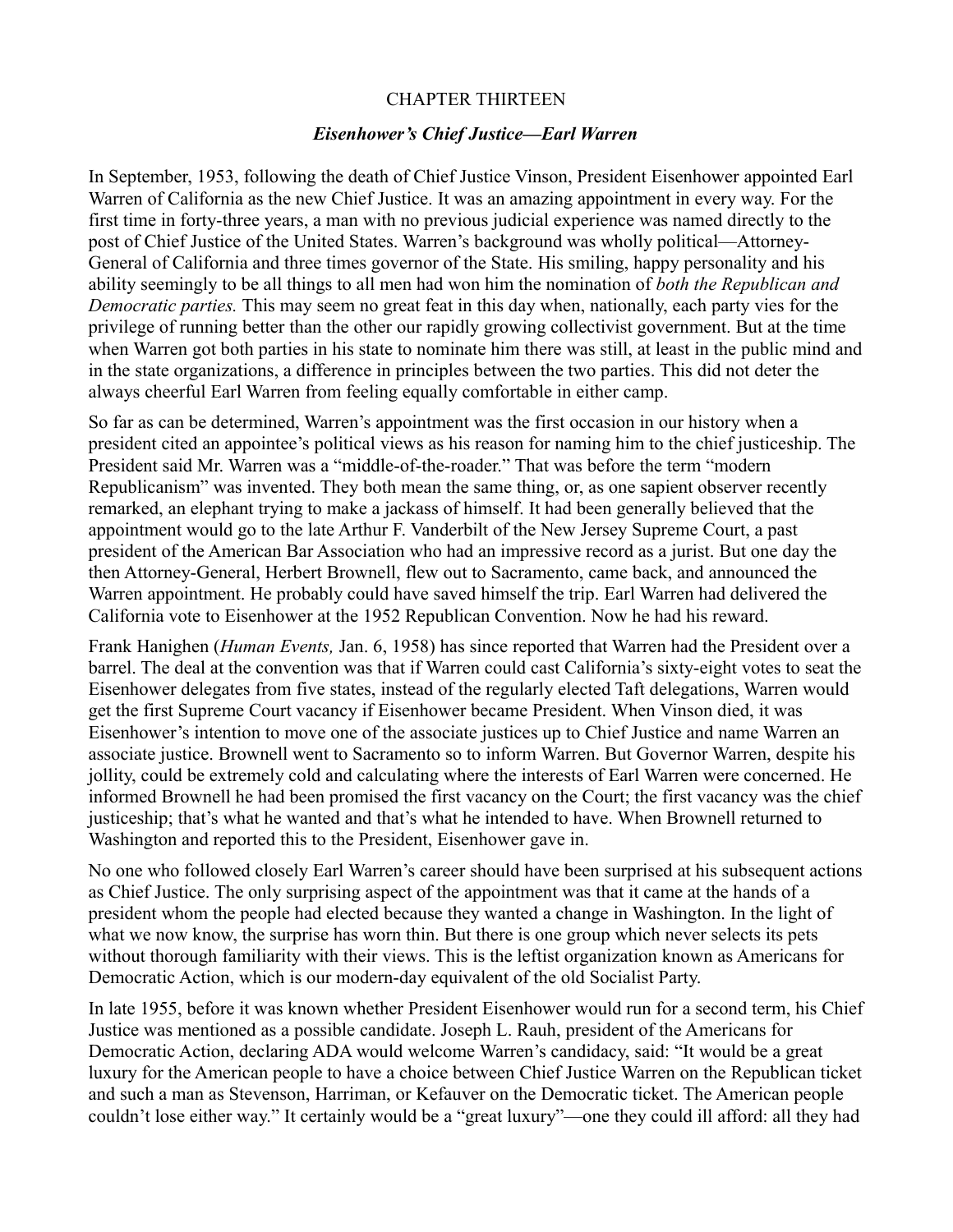# CHAPTER THIRTEEN

#### *Eisenhower's Chief Justice—Earl Warren*

In September, 1953, following the death of Chief Justice Vinson, President Eisenhower appointed Earl Warren of California as the new Chief Justice. It was an amazing appointment in every way. For the first time in forty-three years, a man with no previous judicial experience was named directly to the post of Chief Justice of the United States. Warren's background was wholly political—Attorney-General of California and three times governor of the State. His smiling, happy personality and his ability seemingly to be all things to all men had won him the nomination of *both the Republican and Democratic parties.* This may seem no great feat in this day when, nationally, each party vies for the privilege of running better than the other our rapidly growing collectivist government. But at the time when Warren got both parties in his state to nominate him there was still, at least in the public mind and in the state organizations, a difference in principles between the two parties. This did not deter the always cheerful Earl Warren from feeling equally comfortable in either camp.

So far as can be determined, Warren's appointment was the first occasion in our history when a president cited an appointee's political views as his reason for naming him to the chief justiceship. The President said Mr. Warren was a "middle-of-the-roader." That was before the term "modern Republicanism" was invented. They both mean the same thing, or, as one sapient observer recently remarked, an elephant trying to make a jackass of himself. It had been generally believed that the appointment would go to the late Arthur F. Vanderbilt of the New Jersey Supreme Court, a past president of the American Bar Association who had an impressive record as a jurist. But one day the then Attorney-General, Herbert Brownell, flew out to Sacramento, came back, and announced the Warren appointment. He probably could have saved himself the trip. Earl Warren had delivered the California vote to Eisenhower at the 1952 Republican Convention. Now he had his reward.

Frank Hanighen (*Human Events,* Jan. 6, 1958) has since reported that Warren had the President over a barrel. The deal at the convention was that if Warren could cast California's sixty-eight votes to seat the Eisenhower delegates from five states, instead of the regularly elected Taft delegations, Warren would get the first Supreme Court vacancy if Eisenhower became President. When Vinson died, it was Eisenhower's intention to move one of the associate justices up to Chief Justice and name Warren an associate justice. Brownell went to Sacramento so to inform Warren. But Governor Warren, despite his jollity, could be extremely cold and calculating where the interests of Earl Warren were concerned. He informed Brownell he had been promised the first vacancy on the Court; the first vacancy was the chief justiceship; that's what he wanted and that's what he intended to have. When Brownell returned to Washington and reported this to the President, Eisenhower gave in.

No one who followed closely Earl Warren's career should have been surprised at his subsequent actions as Chief Justice. The only surprising aspect of the appointment was that it came at the hands of a president whom the people had elected because they wanted a change in Washington. In the light of what we now know, the surprise has worn thin. But there is one group which never selects its pets without thorough familiarity with their views. This is the leftist organization known as Americans for Democratic Action, which is our modern-day equivalent of the old Socialist Party.

In late 1955, before it was known whether President Eisenhower would run for a second term, his Chief Justice was mentioned as a possible candidate. Joseph L. Rauh, president of the Americans for Democratic Action, declaring ADA would welcome Warren's candidacy, said: "It would be a great luxury for the American people to have a choice between Chief Justice Warren on the Republican ticket and such a man as Stevenson, Harriman, or Kefauver on the Democratic ticket. The American people couldn't lose either way." It certainly would be a "great luxury"—one they could ill afford: all they had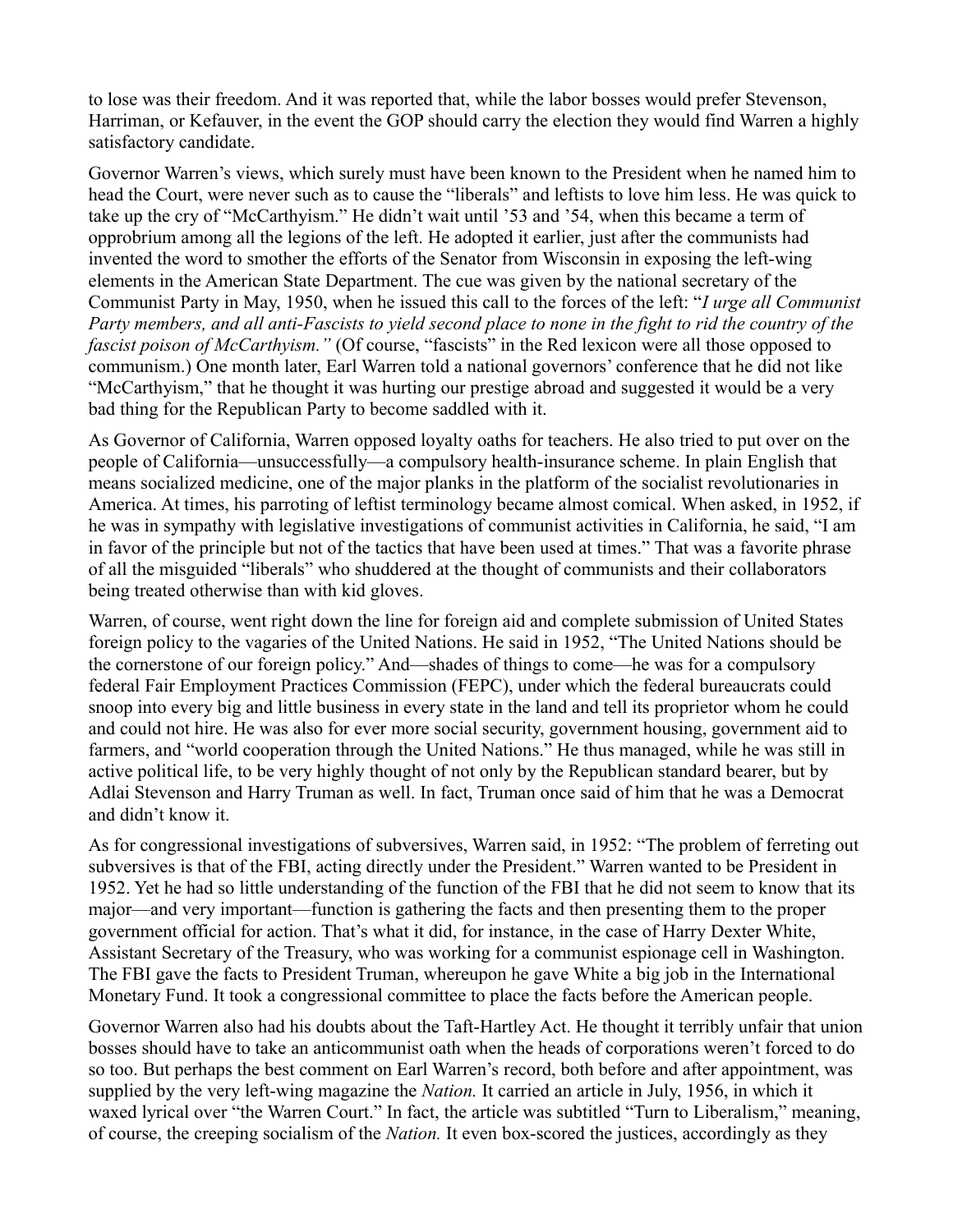to lose was their freedom. And it was reported that, while the labor bosses would prefer Stevenson, Harriman, or Kefauver, in the event the GOP should carry the election they would find Warren a highly satisfactory candidate.

Governor Warren's views, which surely must have been known to the President when he named him to head the Court, were never such as to cause the "liberals" and leftists to love him less. He was quick to take up the cry of "McCarthyism." He didn't wait until '53 and '54, when this became a term of opprobrium among all the legions of the left. He adopted it earlier, just after the communists had invented the word to smother the efforts of the Senator from Wisconsin in exposing the left-wing elements in the American State Department. The cue was given by the national secretary of the Communist Party in May, 1950, when he issued this call to the forces of the left: "*I urge all Communist Party members, and all anti-Fascists to yield second place to none in the fight to rid the country of the fascist poison of McCarthyism."* (Of course, "fascists" in the Red lexicon were all those opposed to communism.) One month later, Earl Warren told a national governors' conference that he did not like "McCarthyism," that he thought it was hurting our prestige abroad and suggested it would be a very bad thing for the Republican Party to become saddled with it.

As Governor of California, Warren opposed loyalty oaths for teachers. He also tried to put over on the people of California—unsuccessfully—a compulsory health-insurance scheme. In plain English that means socialized medicine, one of the major planks in the platform of the socialist revolutionaries in America. At times, his parroting of leftist terminology became almost comical. When asked, in 1952, if he was in sympathy with legislative investigations of communist activities in California, he said, "I am in favor of the principle but not of the tactics that have been used at times." That was a favorite phrase of all the misguided "liberals" who shuddered at the thought of communists and their collaborators being treated otherwise than with kid gloves.

Warren, of course, went right down the line for foreign aid and complete submission of United States foreign policy to the vagaries of the United Nations. He said in 1952, "The United Nations should be the cornerstone of our foreign policy." And—shades of things to come—he was for a compulsory federal Fair Employment Practices Commission (FEPC), under which the federal bureaucrats could snoop into every big and little business in every state in the land and tell its proprietor whom he could and could not hire. He was also for ever more social security, government housing, government aid to farmers, and "world cooperation through the United Nations." He thus managed, while he was still in active political life, to be very highly thought of not only by the Republican standard bearer, but by Adlai Stevenson and Harry Truman as well. In fact, Truman once said of him that he was a Democrat and didn't know it.

As for congressional investigations of subversives, Warren said, in 1952: "The problem of ferreting out subversives is that of the FBI, acting directly under the President." Warren wanted to be President in 1952. Yet he had so little understanding of the function of the FBI that he did not seem to know that its major—and very important—function is gathering the facts and then presenting them to the proper government official for action. That's what it did, for instance, in the case of Harry Dexter White, Assistant Secretary of the Treasury, who was working for a communist espionage cell in Washington. The FBI gave the facts to President Truman, whereupon he gave White a big job in the International Monetary Fund. It took a congressional committee to place the facts before the American people.

Governor Warren also had his doubts about the Taft-Hartley Act. He thought it terribly unfair that union bosses should have to take an anticommunist oath when the heads of corporations weren't forced to do so too. But perhaps the best comment on Earl Warren's record, both before and after appointment, was supplied by the very left-wing magazine the *Nation.* It carried an article in July, 1956, in which it waxed lyrical over "the Warren Court." In fact, the article was subtitled "Turn to Liberalism," meaning, of course, the creeping socialism of the *Nation.* It even box-scored the justices, accordingly as they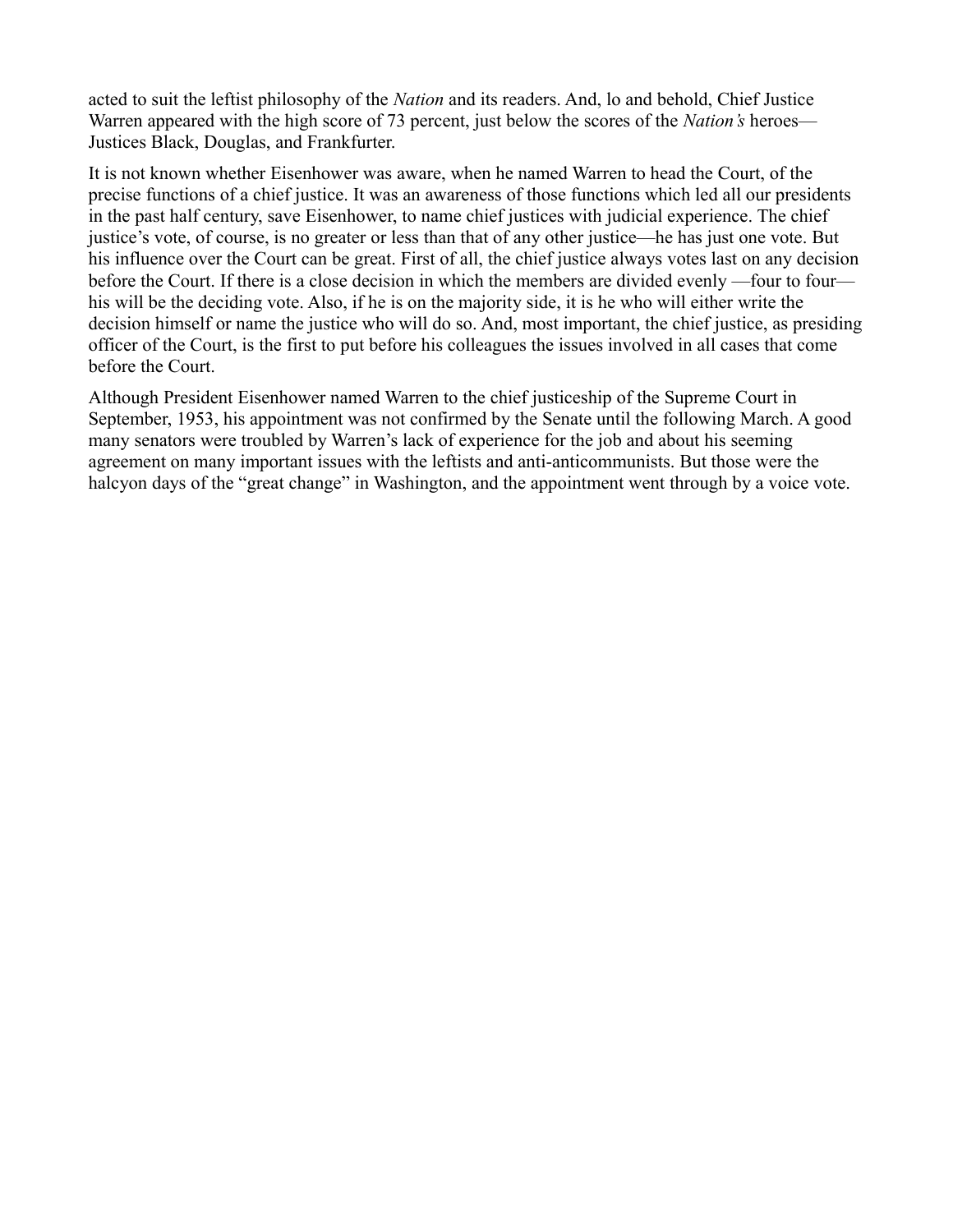acted to suit the leftist philosophy of the *Nation* and its readers. And, lo and behold, Chief Justice Warren appeared with the high score of 73 percent, just below the scores of the *Nation's* heroes— Justices Black, Douglas, and Frankfurter.

It is not known whether Eisenhower was aware, when he named Warren to head the Court, of the precise functions of a chief justice. It was an awareness of those functions which led all our presidents in the past half century, save Eisenhower, to name chief justices with judicial experience. The chief justice's vote, of course, is no greater or less than that of any other justice—he has just one vote. But his influence over the Court can be great. First of all, the chief justice always votes last on any decision before the Court. If there is a close decision in which the members are divided evenly —four to four his will be the deciding vote. Also, if he is on the majority side, it is he who will either write the decision himself or name the justice who will do so. And, most important, the chief justice, as presiding officer of the Court, is the first to put before his colleagues the issues involved in all cases that come before the Court.

Although President Eisenhower named Warren to the chief justiceship of the Supreme Court in September, 1953, his appointment was not confirmed by the Senate until the following March. A good many senators were troubled by Warren's lack of experience for the job and about his seeming agreement on many important issues with the leftists and anti-anticommunists. But those were the halcyon days of the "great change" in Washington, and the appointment went through by a voice vote.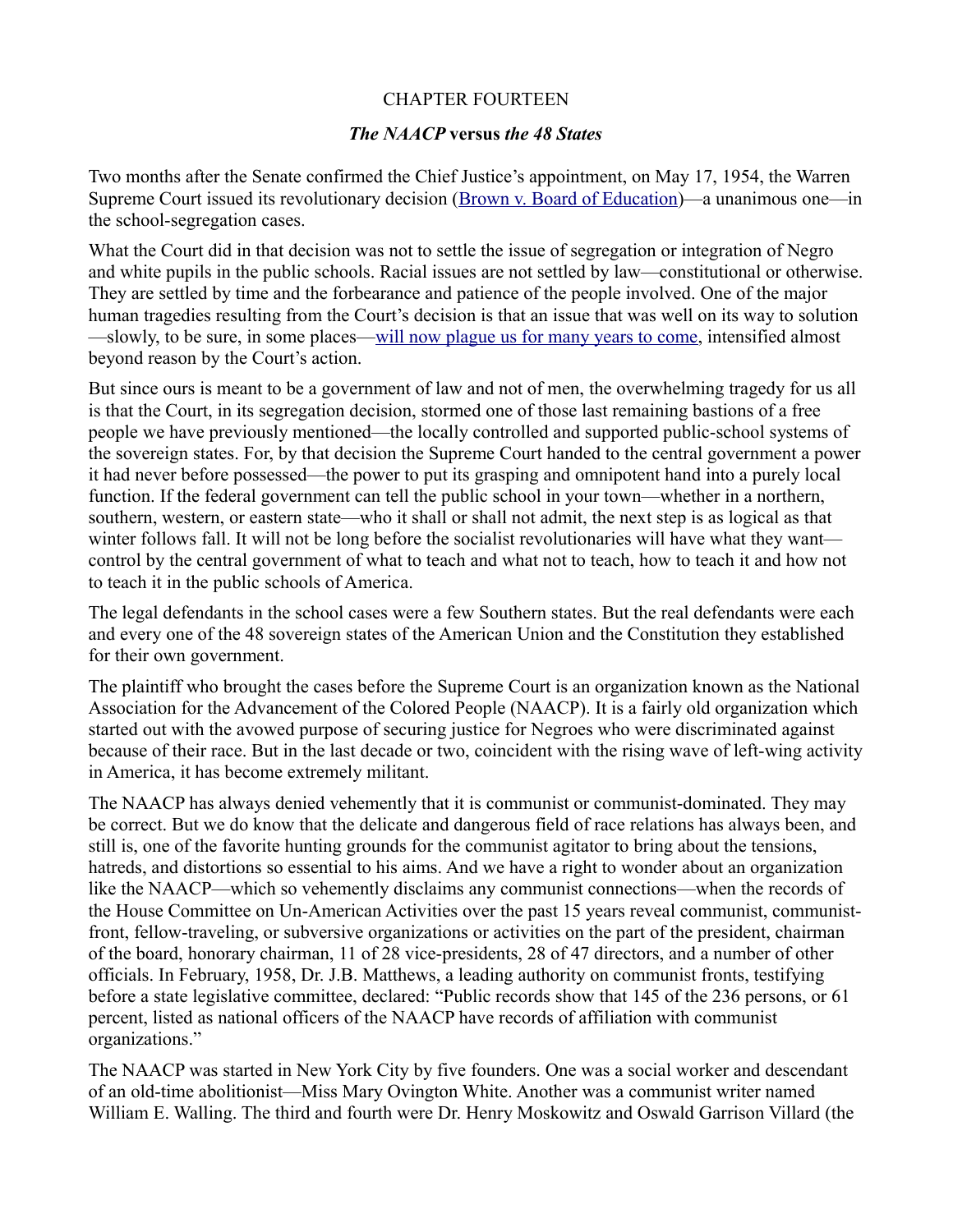# CHAPTER FOURTEEN

# *The NAACP* **versus** *the 48 States*

Two months after the Senate confirmed the Chief Justice's appointment, on May 17, 1954, the Warren Supreme Court issued its revolutionary decision [\(Brown v. Board of Education\)](http://laws.findlaw.com/us/347/483.html)—a unanimous one—in the school-segregation cases.

What the Court did in that decision was not to settle the issue of segregation or integration of Negro and white pupils in the public schools. Racial issues are not settled by law—constitutional or otherwise. They are settled by time and the forbearance and patience of the people involved. One of the major human tragedies resulting from the Court's decision is that an issue that was well on its way to solution —slowly, to be sure, in some places[—will now plague us for many years to come,](http://www.amren.com/0407issue/0407issue.html) intensified almost beyond reason by the Court's action.

But since ours is meant to be a government of law and not of men, the overwhelming tragedy for us all is that the Court, in its segregation decision, stormed one of those last remaining bastions of a free people we have previously mentioned—the locally controlled and supported public-school systems of the sovereign states. For, by that decision the Supreme Court handed to the central government a power it had never before possessed—the power to put its grasping and omnipotent hand into a purely local function. If the federal government can tell the public school in your town—whether in a northern, southern, western, or eastern state—who it shall or shall not admit, the next step is as logical as that winter follows fall. It will not be long before the socialist revolutionaries will have what they want control by the central government of what to teach and what not to teach, how to teach it and how not to teach it in the public schools of America.

The legal defendants in the school cases were a few Southern states. But the real defendants were each and every one of the 48 sovereign states of the American Union and the Constitution they established for their own government.

The plaintiff who brought the cases before the Supreme Court is an organization known as the National Association for the Advancement of the Colored People (NAACP). It is a fairly old organization which started out with the avowed purpose of securing justice for Negroes who were discriminated against because of their race. But in the last decade or two, coincident with the rising wave of left-wing activity in America, it has become extremely militant.

The NAACP has always denied vehemently that it is communist or communist-dominated. They may be correct. But we do know that the delicate and dangerous field of race relations has always been, and still is, one of the favorite hunting grounds for the communist agitator to bring about the tensions, hatreds, and distortions so essential to his aims. And we have a right to wonder about an organization like the NAACP—which so vehemently disclaims any communist connections—when the records of the House Committee on Un-American Activities over the past 15 years reveal communist, communistfront, fellow-traveling, or subversive organizations or activities on the part of the president, chairman of the board, honorary chairman, 11 of 28 vice-presidents, 28 of 47 directors, and a number of other officials. In February, 1958, Dr. J.B. Matthews, a leading authority on communist fronts, testifying before a state legislative committee, declared: "Public records show that 145 of the 236 persons, or 61 percent, listed as national officers of the NAACP have records of affiliation with communist organizations."

The NAACP was started in New York City by five founders. One was a social worker and descendant of an old-time abolitionist—Miss Mary Ovington White. Another was a communist writer named William E. Walling. The third and fourth were Dr. Henry Moskowitz and Oswald Garrison Villard (the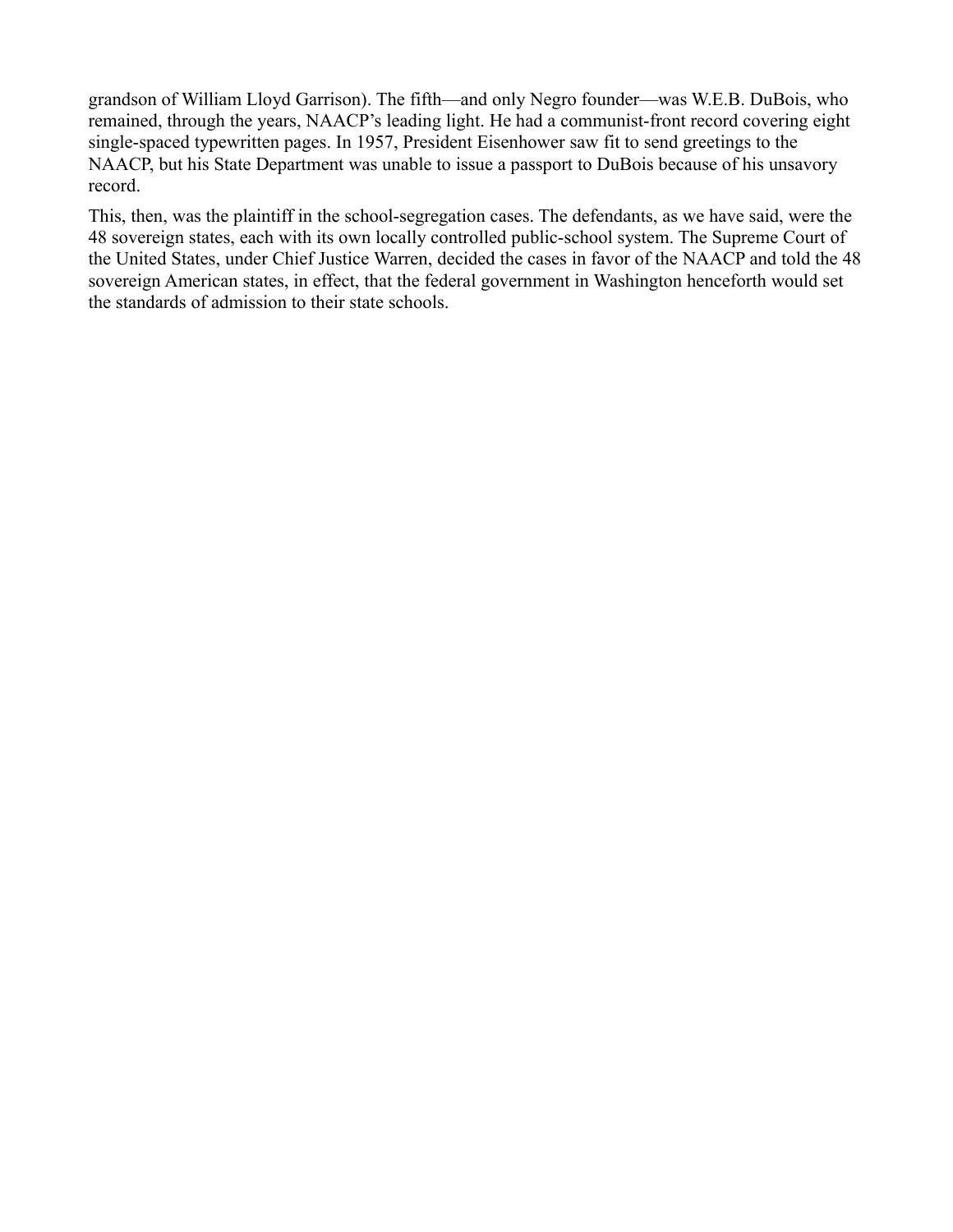grandson of William Lloyd Garrison). The fifth—and only Negro founder—was W.E.B. DuBois, who remained, through the years, NAACP's leading light. He had a communist-front record covering eight single-spaced typewritten pages. In 1957, President Eisenhower saw fit to send greetings to the NAACP, but his State Department was unable to issue a passport to DuBois because of his unsavory record.

This, then, was the plaintiff in the school-segregation cases. The defendants, as we have said, were the 48 sovereign states, each with its own locally controlled public-school system. The Supreme Court of the United States, under Chief Justice Warren, decided the cases in favor of the NAACP and told the 48 sovereign American states, in effect, that the federal government in Washington henceforth would set the standards of admission to their state schools.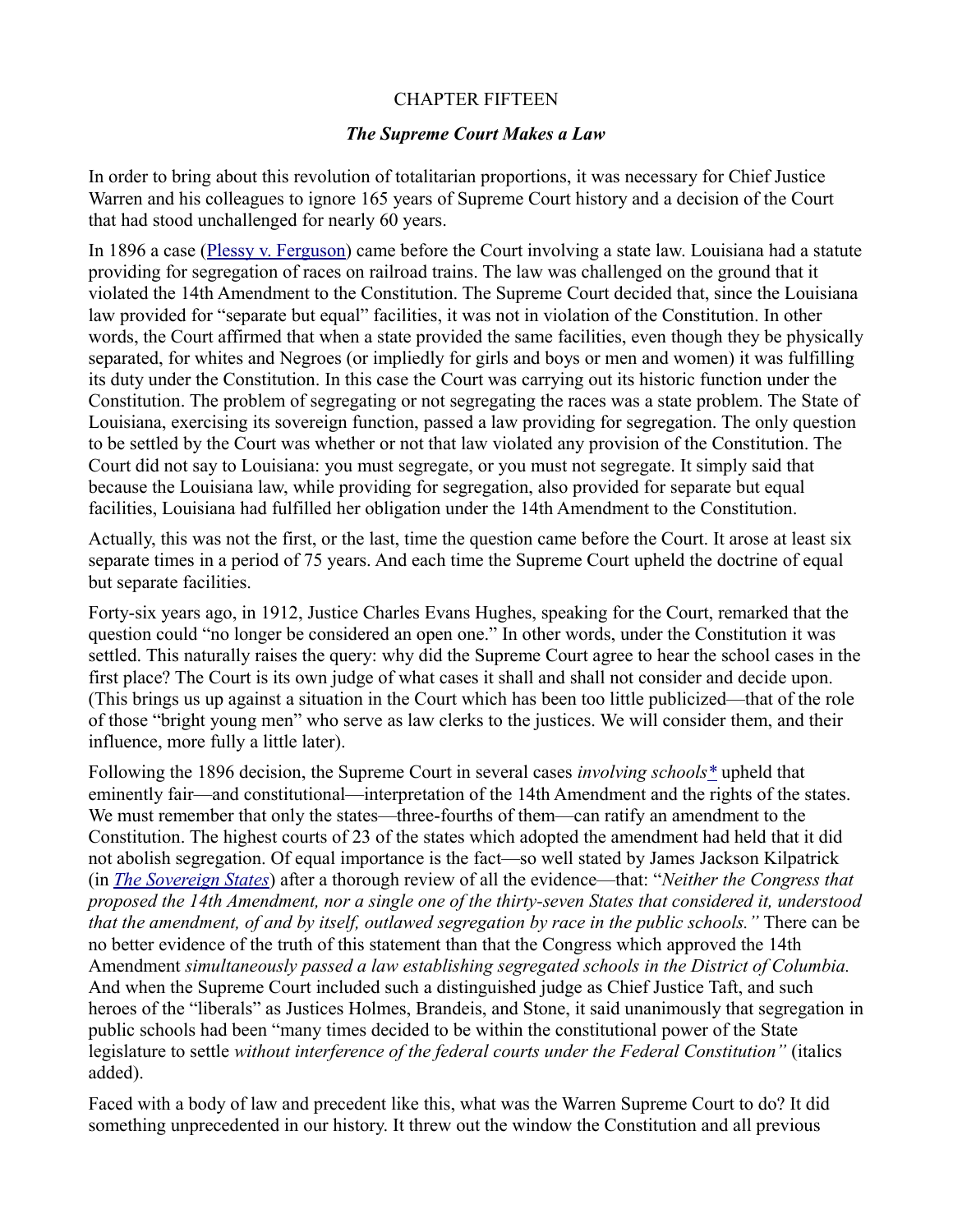# CHAPTER FIFTEEN

# *The Supreme Court Makes a Law*

In order to bring about this revolution of totalitarian proportions, it was necessary for Chief Justice Warren and his colleagues to ignore 165 years of Supreme Court history and a decision of the Court that had stood unchallenged for nearly 60 years.

In 1896 a case [\(Plessy v. Ferguson\)](http://laws.findlaw.com/us/163/537.html) came before the Court involving a state law. Louisiana had a statute providing for segregation of races on railroad trains. The law was challenged on the ground that it violated the 14th Amendment to the Constitution. The Supreme Court decided that, since the Louisiana law provided for "separate but equal" facilities, it was not in violation of the Constitution. In other words, the Court affirmed that when a state provided the same facilities, even though they be physically separated, for whites and Negroes (or impliedly for girls and boys or men and women) it was fulfilling its duty under the Constitution. In this case the Court was carrying out its historic function under the Constitution. The problem of segregating or not segregating the races was a state problem. The State of Louisiana, exercising its sovereign function, passed a law providing for segregation. The only question to be settled by the Court was whether or not that law violated any provision of the Constitution. The Court did not say to Louisiana: you must segregate, or you must not segregate. It simply said that because the Louisiana law, while providing for segregation, also provided for separate but equal facilities, Louisiana had fulfilled her obligation under the 14th Amendment to the Constitution.

Actually, this was not the first, or the last, time the question came before the Court. It arose at least six separate times in a period of 75 years. And each time the Supreme Court upheld the doctrine of equal but separate facilities.

Forty-six years ago, in 1912, Justice Charles Evans Hughes, speaking for the Court, remarked that the question could "no longer be considered an open one." In other words, under the Constitution it was settled. This naturally raises the query: why did the Supreme Court agree to hear the school cases in the first place? The Court is its own judge of what cases it shall and shall not consider and decide upon. (This brings us up against a situation in the Court which has been too little publicized—that of the role of those "bright young men" who serve as law clerks to the justices. We will consider them, and their influence, more fully a little later).

Following the 1896 decision, the Supreme Court in several cases *involving school[s\\*](http://sovereignstates.org/books/NMAA/NineMen_15.html#note-ast1)* upheld that eminently fair—and constitutional—interpretation of the 14th Amendment and the rights of the states. We must remember that only the states—three-fourths of them—can ratify an amendment to the Constitution. The highest courts of 23 of the states which adopted the amendment had held that it did not abolish segregation. Of equal importance is the fact—so well stated by James Jackson Kilpatrick (in *[The Sovereign States](http://sovereignstates.org/books/The_Sovereign_States/SovereignStates.html)*) after a thorough review of all the evidence—that: "*Neither the Congress that proposed the 14th Amendment, nor a single one of the thirty-seven States that considered it, understood that the amendment, of and by itself, outlawed segregation by race in the public schools."* There can be no better evidence of the truth of this statement than that the Congress which approved the 14th Amendment *simultaneously passed a law establishing segregated schools in the District of Columbia.* And when the Supreme Court included such a distinguished judge as Chief Justice Taft, and such heroes of the "liberals" as Justices Holmes, Brandeis, and Stone, it said unanimously that segregation in public schools had been "many times decided to be within the constitutional power of the State legislature to settle *without interference of the federal courts under the Federal Constitution"* (italics added).

Faced with a body of law and precedent like this, what was the Warren Supreme Court to do? It did something unprecedented in our history. It threw out the window the Constitution and all previous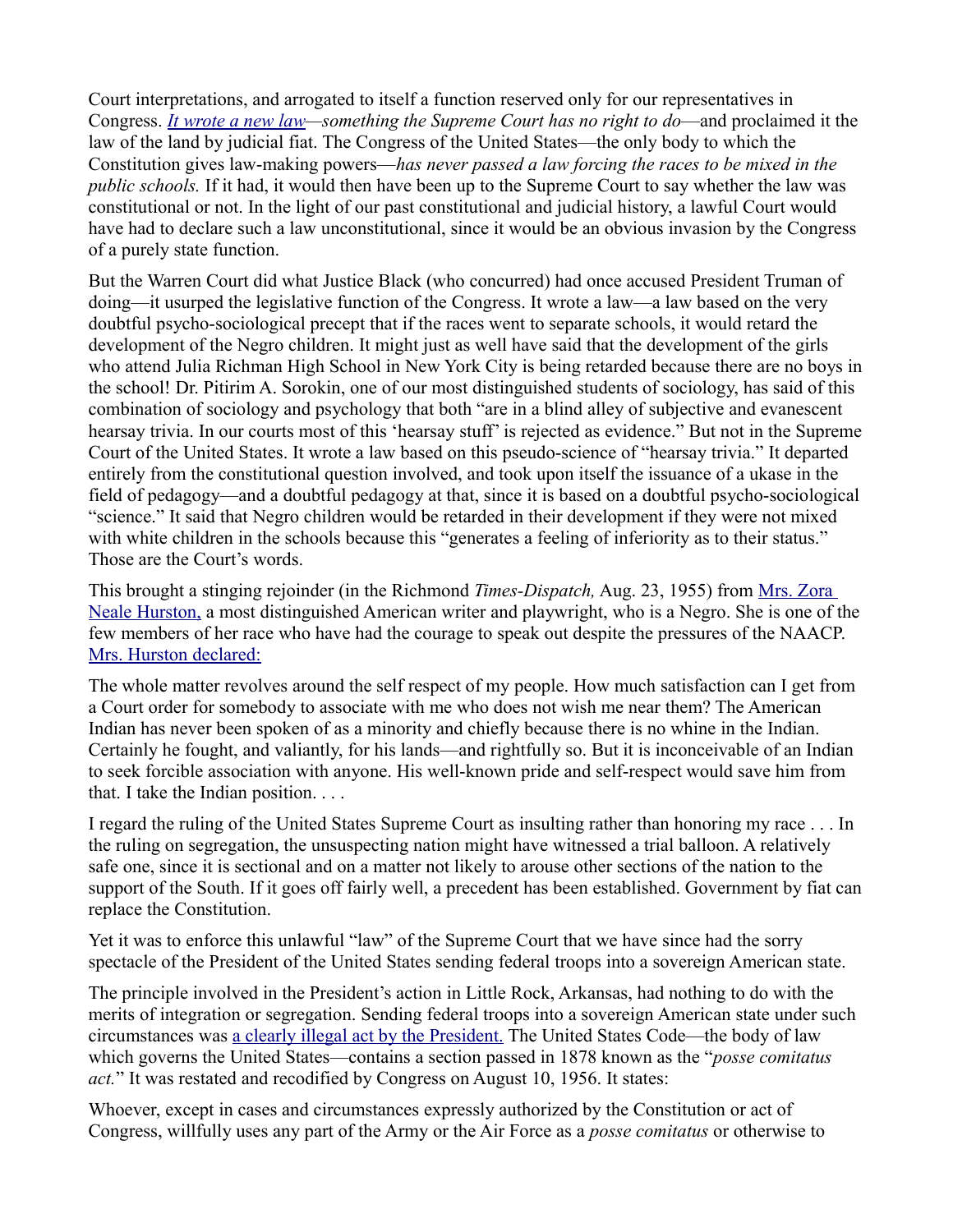Court interpretations, and arrogated to itself a function reserved only for our representatives in Congress. *[It wrote a new law—](http://www.amren.com/0407issue/0407issue.html#article1)something the Supreme Court has no right to do*—and proclaimed it the law of the land by judicial fiat. The Congress of the United States—the only body to which the Constitution gives law-making powers—*has never passed a law forcing the races to be mixed in the public schools.* If it had, it would then have been up to the Supreme Court to say whether the law was constitutional or not. In the light of our past constitutional and judicial history, a lawful Court would have had to declare such a law unconstitutional, since it would be an obvious invasion by the Congress of a purely state function.

But the Warren Court did what Justice Black (who concurred) had once accused President Truman of doing—it usurped the legislative function of the Congress. It wrote a law—a law based on the very doubtful psycho-sociological precept that if the races went to separate schools, it would retard the development of the Negro children. It might just as well have said that the development of the girls who attend Julia Richman High School in New York City is being retarded because there are no boys in the school! Dr. Pitirim A. Sorokin, one of our most distinguished students of sociology, has said of this combination of sociology and psychology that both "are in a blind alley of subjective and evanescent hearsay trivia. In our courts most of this 'hearsay stuff' is rejected as evidence." But not in the Supreme Court of the United States. It wrote a law based on this pseudo-science of "hearsay trivia." It departed entirely from the constitutional question involved, and took upon itself the issuance of a ukase in the field of pedagogy—and a doubtful pedagogy at that, since it is based on a doubtful psycho-sociological "science." It said that Negro children would be retarded in their development if they were not mixed with white children in the schools because this "generates a feeling of inferiority as to their status." Those are the Court's words.

This brought a stinging rejoinder (in the Richmond *Times-Dispatch,* Aug. 23, 1955) from [Mrs. Zora](http://www.vdare.com/epstein/hurston_on_blacks.htm)  [Neale Hurston,](http://www.vdare.com/epstein/hurston_on_blacks.htm) a most distinguished American writer and playwright, who is a Negro. She is one of the few members of her race who have had the courage to speak out despite the pressures of the NAACP. [Mrs. Hurston declared:](http://www.lewrockwell.com/epstein/epstein15.html)

The whole matter revolves around the self respect of my people. How much satisfaction can I get from a Court order for somebody to associate with me who does not wish me near them? The American Indian has never been spoken of as a minority and chiefly because there is no whine in the Indian. Certainly he fought, and valiantly, for his lands—and rightfully so. But it is inconceivable of an Indian to seek forcible association with anyone. His well-known pride and self-respect would save him from that. I take the Indian position. . . .

I regard the ruling of the United States Supreme Court as insulting rather than honoring my race . . . In the ruling on segregation, the unsuspecting nation might have witnessed a trial balloon. A relatively safe one, since it is sectional and on a matter not likely to arouse other sections of the nation to the support of the South. If it goes off fairly well, a precedent has been established. Government by fiat can replace the Constitution.

Yet it was to enforce this unlawful "law" of the Supreme Court that we have since had the sorry spectacle of the President of the United States sending federal troops into a sovereign American state.

The principle involved in the President's action in Little Rock, Arkansas, had nothing to do with the merits of integration or segregation. Sending federal troops into a sovereign American state under such circumstances was [a clearly illegal act by the President.](http://rcarterpittman.org/essays/misc/Federal_Invasion_of_Arkansas.html) The United States Code—the body of law which governs the United States—contains a section passed in 1878 known as the "*posse comitatus act.*" It was restated and recodified by Congress on August 10, 1956. It states:

Whoever, except in cases and circumstances expressly authorized by the Constitution or act of Congress, willfully uses any part of the Army or the Air Force as a *posse comitatus* or otherwise to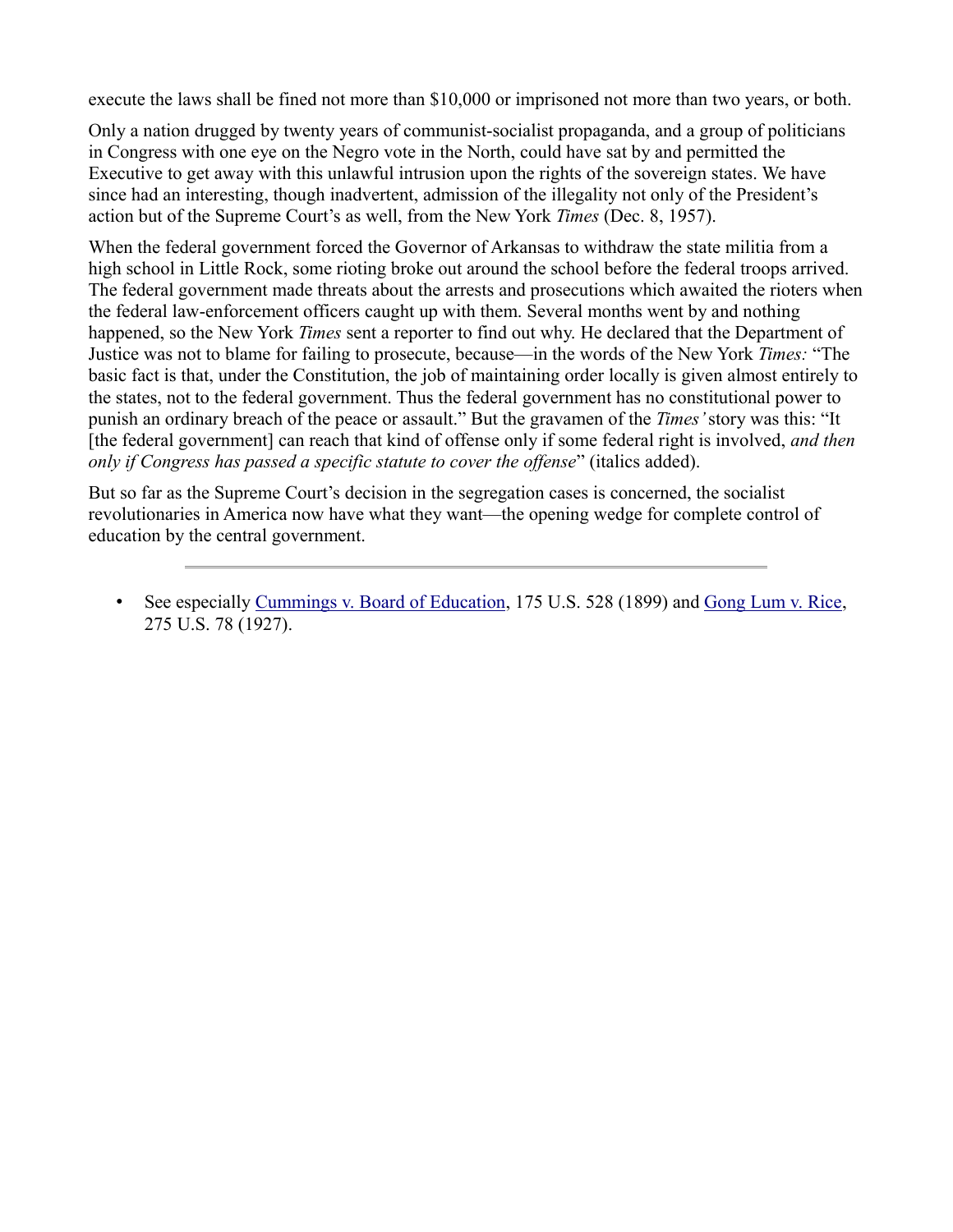execute the laws shall be fined not more than \$10,000 or imprisoned not more than two years, or both.

Only a nation drugged by twenty years of communist-socialist propaganda, and a group of politicians in Congress with one eye on the Negro vote in the North, could have sat by and permitted the Executive to get away with this unlawful intrusion upon the rights of the sovereign states. We have since had an interesting, though inadvertent, admission of the illegality not only of the President's action but of the Supreme Court's as well, from the New York *Times* (Dec. 8, 1957).

When the federal government forced the Governor of Arkansas to withdraw the state militia from a high school in Little Rock, some rioting broke out around the school before the federal troops arrived. The federal government made threats about the arrests and prosecutions which awaited the rioters when the federal law-enforcement officers caught up with them. Several months went by and nothing happened, so the New York *Times* sent a reporter to find out why. He declared that the Department of Justice was not to blame for failing to prosecute, because—in the words of the New York *Times:* "The basic fact is that, under the Constitution, the job of maintaining order locally is given almost entirely to the states, not to the federal government. Thus the federal government has no constitutional power to punish an ordinary breach of the peace or assault." But the gravamen of the *Times'* story was this: "It [the federal government] can reach that kind of offense only if some federal right is involved, *and then only if Congress has passed a specific statute to cover the offense*" (italics added).

But so far as the Supreme Court's decision in the segregation cases is concerned, the socialist revolutionaries in America now have what they want—the opening wedge for complete control of education by the central government.

• See especially [Cummings v. Board of Education,](http://laws.findlaw.com/us/175/528.html) 175 U.S. 528 (1899) and [Gong Lum v. Rice,](http://laws.findlaw.com/us/275/78.html) 275 U.S. 78 (1927).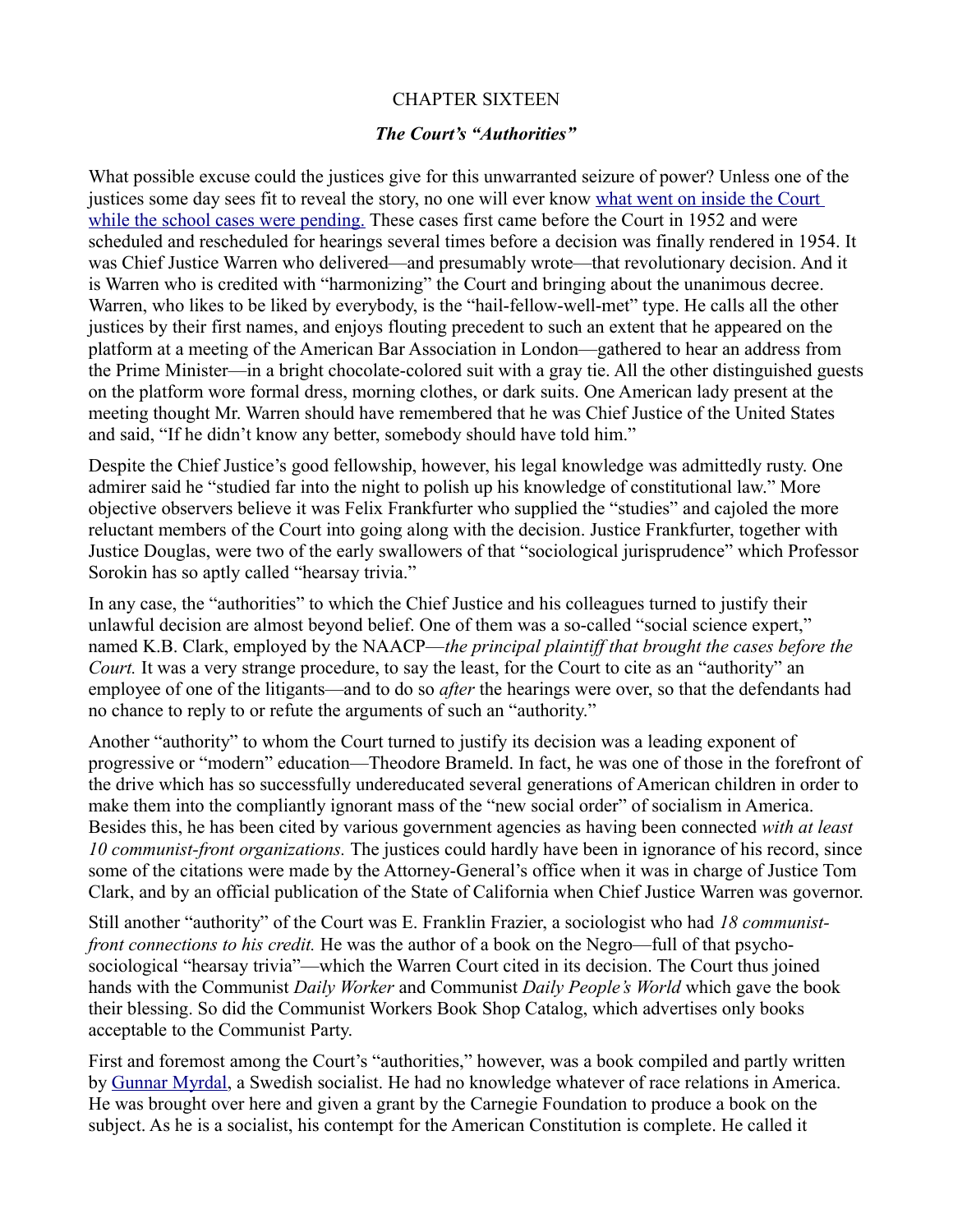# CHAPTER SIXTEEN

### *The Court's "Authorities"*

What possible excuse could the justices give for this unwarranted seizure of power? Unless one of the justices some day sees fit to reveal the story, no one will ever know [what went on inside the Court](http://www.lewrockwell.com/orig/brown.html)  [while the school cases were pending.](http://www.lewrockwell.com/orig/brown.html) These cases first came before the Court in 1952 and were scheduled and rescheduled for hearings several times before a decision was finally rendered in 1954. It was Chief Justice Warren who delivered—and presumably wrote—that revolutionary decision. And it is Warren who is credited with "harmonizing" the Court and bringing about the unanimous decree. Warren, who likes to be liked by everybody, is the "hail-fellow-well-met" type. He calls all the other justices by their first names, and enjoys flouting precedent to such an extent that he appeared on the platform at a meeting of the American Bar Association in London—gathered to hear an address from the Prime Minister—in a bright chocolate-colored suit with a gray tie. All the other distinguished guests on the platform wore formal dress, morning clothes, or dark suits. One American lady present at the meeting thought Mr. Warren should have remembered that he was Chief Justice of the United States and said, "If he didn't know any better, somebody should have told him."

Despite the Chief Justice's good fellowship, however, his legal knowledge was admittedly rusty. One admirer said he "studied far into the night to polish up his knowledge of constitutional law." More objective observers believe it was Felix Frankfurter who supplied the "studies" and cajoled the more reluctant members of the Court into going along with the decision. Justice Frankfurter, together with Justice Douglas, were two of the early swallowers of that "sociological jurisprudence" which Professor Sorokin has so aptly called "hearsay trivia."

In any case, the "authorities" to which the Chief Justice and his colleagues turned to justify their unlawful decision are almost beyond belief. One of them was a so-called "social science expert," named K.B. Clark, employed by the NAACP—*the principal plaintiff that brought the cases before the Court.* It was a very strange procedure, to say the least, for the Court to cite as an "authority" an employee of one of the litigants—and to do so *after* the hearings were over, so that the defendants had no chance to reply to or refute the arguments of such an "authority."

Another "authority" to whom the Court turned to justify its decision was a leading exponent of progressive or "modern" education—Theodore Brameld. In fact, he was one of those in the forefront of the drive which has so successfully undereducated several generations of American children in order to make them into the compliantly ignorant mass of the "new social order" of socialism in America. Besides this, he has been cited by various government agencies as having been connected *with at least 10 communist-front organizations.* The justices could hardly have been in ignorance of his record, since some of the citations were made by the Attorney-General's office when it was in charge of Justice Tom Clark, and by an official publication of the State of California when Chief Justice Warren was governor.

Still another "authority" of the Court was E. Franklin Frazier, a sociologist who had *18 communistfront connections to his credit.* He was the author of a book on the Negro—full of that psychosociological "hearsay trivia"—which the Warren Court cited in its decision. The Court thus joined hands with the Communist *Daily Worker* and Communist *Daily People's World* which gave the book their blessing. So did the Communist Workers Book Shop Catalog, which advertises only books acceptable to the Communist Party.

First and foremost among the Court's "authorities," however, was a book compiled and partly written by [Gunnar Myrdal,](http://www.amren.com/964issue/964issue.html#cover) a Swedish socialist. He had no knowledge whatever of race relations in America. He was brought over here and given a grant by the Carnegie Foundation to produce a book on the subject. As he is a socialist, his contempt for the American Constitution is complete. He called it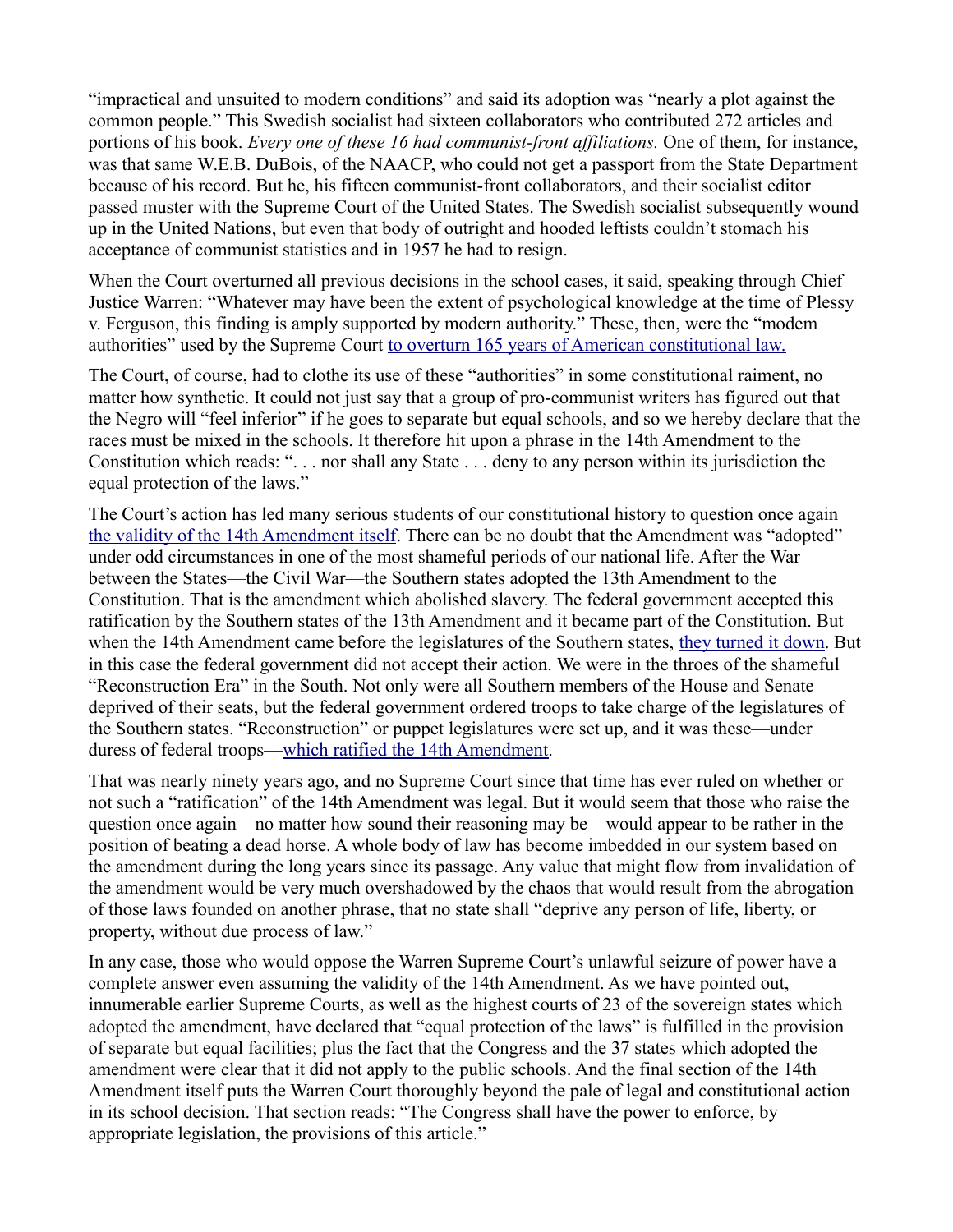"impractical and unsuited to modern conditions" and said its adoption was "nearly a plot against the common people." This Swedish socialist had sixteen collaborators who contributed 272 articles and portions of his book. *Every one of these 16 had communist-front affiliations.* One of them, for instance, was that same W.E.B. DuBois, of the NAACP, who could not get a passport from the State Department because of his record. But he, his fifteen communist-front collaborators, and their socialist editor passed muster with the Supreme Court of the United States. The Swedish socialist subsequently wound up in the United Nations, but even that body of outright and hooded leftists couldn't stomach his acceptance of communist statistics and in 1957 he had to resign.

When the Court overturned all previous decisions in the school cases, it said, speaking through Chief Justice Warren: "Whatever may have been the extent of psychological knowledge at the time of Plessy v. Ferguson, this finding is amply supported by modern authority." These, then, were the "modem authorities" used by the Supreme Court [to overturn 165 years of American constitutional law.](http://rcarterpittman.org/essays/misc/Which_Shall_It_Be.html#sociology)

The Court, of course, had to clothe its use of these "authorities" in some constitutional raiment, no matter how synthetic. It could not just say that a group of pro-communist writers has figured out that the Negro will "feel inferior" if he goes to separate but equal schools, and so we hereby declare that the races must be mixed in the schools. It therefore hit upon a phrase in the 14th Amendment to the Constitution which reads: ". . . nor shall any State . . . deny to any person within its jurisdiction the equal protection of the laws."

The Court's action has led many serious students of our constitutional history to question once again [the validity of the 14th Amendment itself.](http://constitution.org/14ll/no14th.htm) There can be no doubt that the Amendment was "adopted" under odd circumstances in one of the most shameful periods of our national life. After the War between the States—the Civil War—the Southern states adopted the 13th Amendment to the Constitution. That is the amendment which abolished slavery. The federal government accepted this ratification by the Southern states of the 13th Amendment and it became part of the Constitution. But when the 14th Amendment came before the legislatures of the Southern states, [they turned it down.](http://constitution.org/14ll/14th_amendment_dyett.htm) But in this case the federal government did not accept their action. We were in the throes of the shameful "Reconstruction Era" in the South. Not only were all Southern members of the House and Senate deprived of their seats, but the federal government ordered troops to take charge of the legislatures of the Southern states. "Reconstruction" or puppet legislatures were set up, and it was these—under duress of federal troops[—which ratified the 14th Amendment.](http://www.supremelaw.org/ref/14amrec/14amrec.htm)

That was nearly ninety years ago, and no Supreme Court since that time has ever ruled on whether or not such a "ratification" of the 14th Amendment was legal. But it would seem that those who raise the question once again—no matter how sound their reasoning may be—would appear to be rather in the position of beating a dead horse. A whole body of law has become imbedded in our system based on the amendment during the long years since its passage. Any value that might flow from invalidation of the amendment would be very much overshadowed by the chaos that would result from the abrogation of those laws founded on another phrase, that no state shall "deprive any person of life, liberty, or property, without due process of law."

In any case, those who would oppose the Warren Supreme Court's unlawful seizure of power have a complete answer even assuming the validity of the 14th Amendment. As we have pointed out, innumerable earlier Supreme Courts, as well as the highest courts of 23 of the sovereign states which adopted the amendment, have declared that "equal protection of the laws" is fulfilled in the provision of separate but equal facilities; plus the fact that the Congress and the 37 states which adopted the amendment were clear that it did not apply to the public schools. And the final section of the 14th Amendment itself puts the Warren Court thoroughly beyond the pale of legal and constitutional action in its school decision. That section reads: "The Congress shall have the power to enforce, by appropriate legislation, the provisions of this article."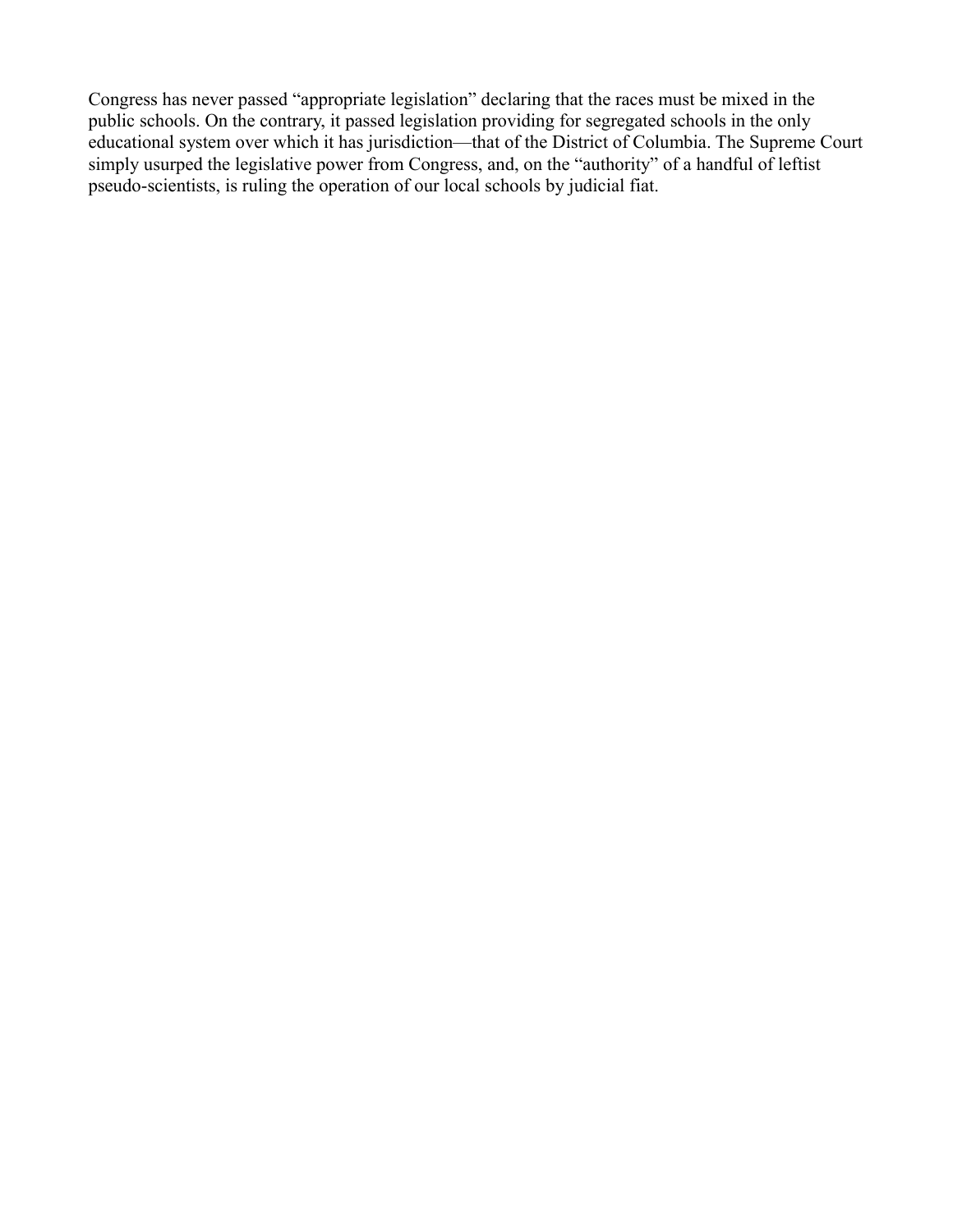Congress has never passed "appropriate legislation" declaring that the races must be mixed in the public schools. On the contrary, it passed legislation providing for segregated schools in the only educational system over which it has jurisdiction—that of the District of Columbia. The Supreme Court simply usurped the legislative power from Congress, and, on the "authority" of a handful of leftist pseudo-scientists, is ruling the operation of our local schools by judicial fiat.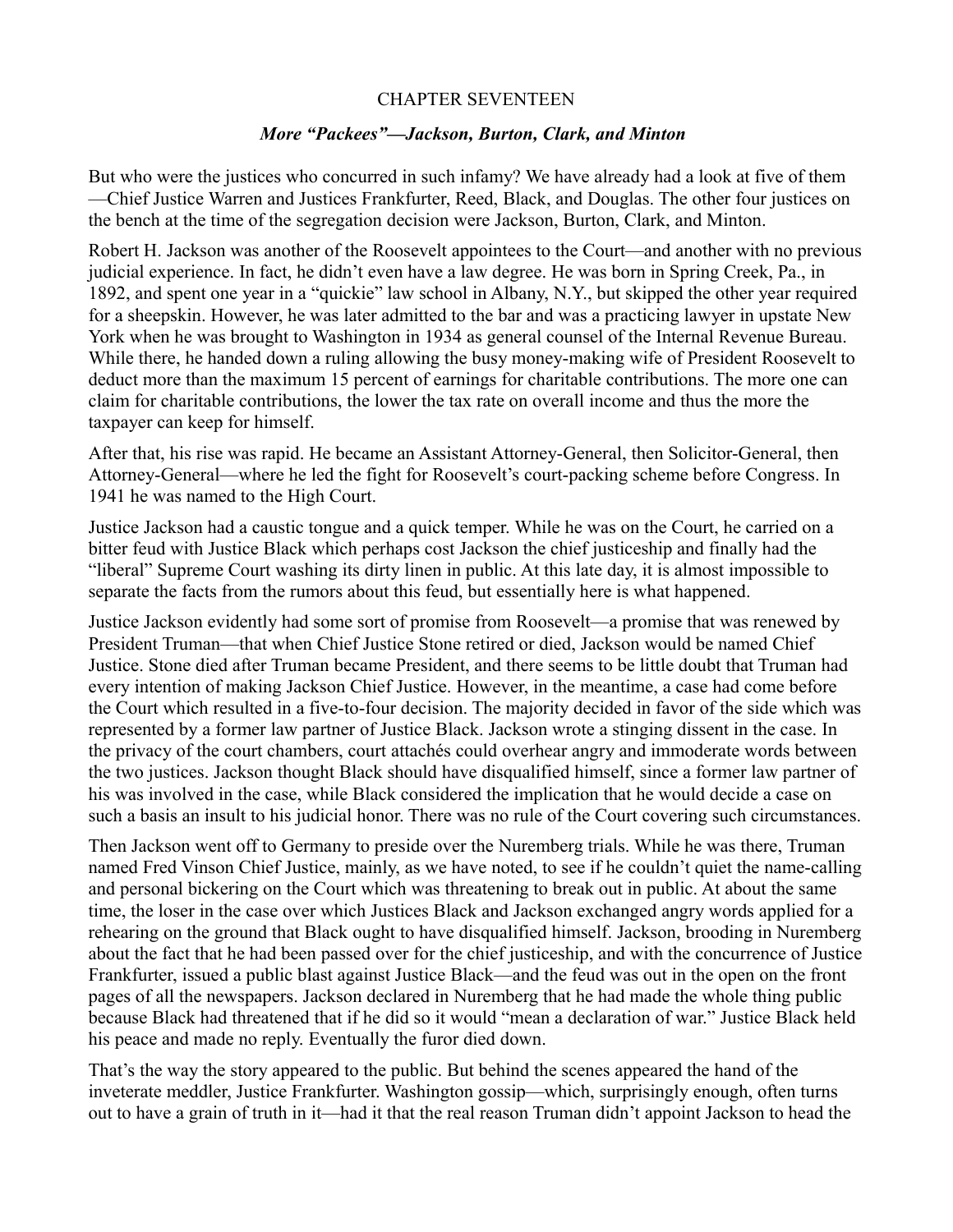## CHAPTER SEVENTEEN

### *More "Packees"—Jackson, Burton, Clark, and Minton*

But who were the justices who concurred in such infamy? We have already had a look at five of them —Chief Justice Warren and Justices Frankfurter, Reed, Black, and Douglas. The other four justices on the bench at the time of the segregation decision were Jackson, Burton, Clark, and Minton.

Robert H. Jackson was another of the Roosevelt appointees to the Court—and another with no previous judicial experience. In fact, he didn't even have a law degree. He was born in Spring Creek, Pa., in 1892, and spent one year in a "quickie" law school in Albany, N.Y., but skipped the other year required for a sheepskin. However, he was later admitted to the bar and was a practicing lawyer in upstate New York when he was brought to Washington in 1934 as general counsel of the Internal Revenue Bureau. While there, he handed down a ruling allowing the busy money-making wife of President Roosevelt to deduct more than the maximum 15 percent of earnings for charitable contributions. The more one can claim for charitable contributions, the lower the tax rate on overall income and thus the more the taxpayer can keep for himself.

After that, his rise was rapid. He became an Assistant Attorney-General, then Solicitor-General, then Attorney-General—where he led the fight for Roosevelt's court-packing scheme before Congress. In 1941 he was named to the High Court.

Justice Jackson had a caustic tongue and a quick temper. While he was on the Court, he carried on a bitter feud with Justice Black which perhaps cost Jackson the chief justiceship and finally had the "liberal" Supreme Court washing its dirty linen in public. At this late day, it is almost impossible to separate the facts from the rumors about this feud, but essentially here is what happened.

Justice Jackson evidently had some sort of promise from Roosevelt—a promise that was renewed by President Truman—that when Chief Justice Stone retired or died, Jackson would be named Chief Justice. Stone died after Truman became President, and there seems to be little doubt that Truman had every intention of making Jackson Chief Justice. However, in the meantime, a case had come before the Court which resulted in a five-to-four decision. The majority decided in favor of the side which was represented by a former law partner of Justice Black. Jackson wrote a stinging dissent in the case. In the privacy of the court chambers, court attachés could overhear angry and immoderate words between the two justices. Jackson thought Black should have disqualified himself, since a former law partner of his was involved in the case, while Black considered the implication that he would decide a case on such a basis an insult to his judicial honor. There was no rule of the Court covering such circumstances.

Then Jackson went off to Germany to preside over the Nuremberg trials. While he was there, Truman named Fred Vinson Chief Justice, mainly, as we have noted, to see if he couldn't quiet the name-calling and personal bickering on the Court which was threatening to break out in public. At about the same time, the loser in the case over which Justices Black and Jackson exchanged angry words applied for a rehearing on the ground that Black ought to have disqualified himself. Jackson, brooding in Nuremberg about the fact that he had been passed over for the chief justiceship, and with the concurrence of Justice Frankfurter, issued a public blast against Justice Black—and the feud was out in the open on the front pages of all the newspapers. Jackson declared in Nuremberg that he had made the whole thing public because Black had threatened that if he did so it would "mean a declaration of war." Justice Black held his peace and made no reply. Eventually the furor died down.

That's the way the story appeared to the public. But behind the scenes appeared the hand of the inveterate meddler, Justice Frankfurter. Washington gossip—which, surprisingly enough, often turns out to have a grain of truth in it—had it that the real reason Truman didn't appoint Jackson to head the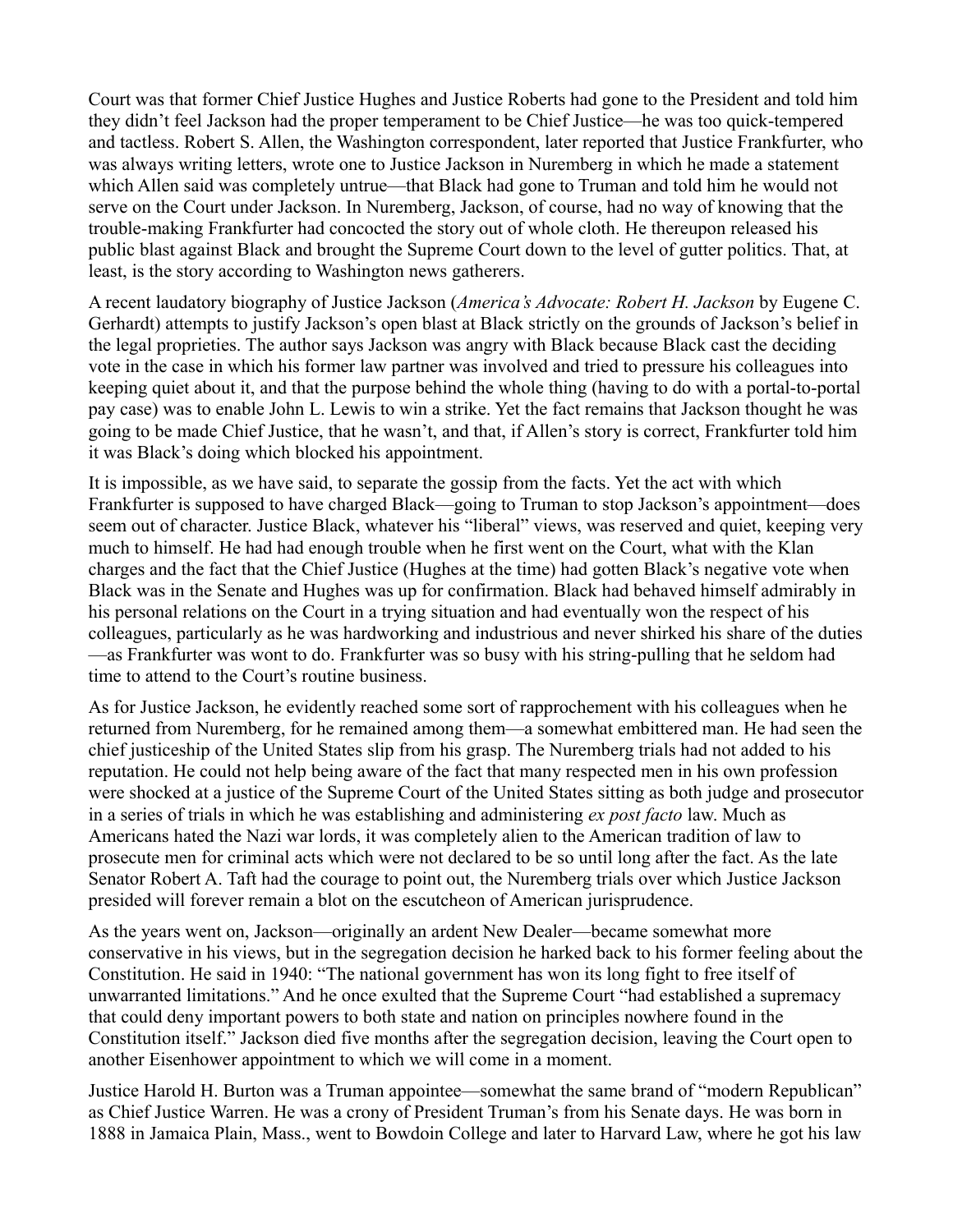Court was that former Chief Justice Hughes and Justice Roberts had gone to the President and told him they didn't feel Jackson had the proper temperament to be Chief Justice—he was too quick-tempered and tactless. Robert S. Allen, the Washington correspondent, later reported that Justice Frankfurter, who was always writing letters, wrote one to Justice Jackson in Nuremberg in which he made a statement which Allen said was completely untrue—that Black had gone to Truman and told him he would not serve on the Court under Jackson. In Nuremberg, Jackson, of course, had no way of knowing that the trouble-making Frankfurter had concocted the story out of whole cloth. He thereupon released his public blast against Black and brought the Supreme Court down to the level of gutter politics. That, at least, is the story according to Washington news gatherers.

A recent laudatory biography of Justice Jackson (*America's Advocate: Robert H. Jackson* by Eugene C. Gerhardt) attempts to justify Jackson's open blast at Black strictly on the grounds of Jackson's belief in the legal proprieties. The author says Jackson was angry with Black because Black cast the deciding vote in the case in which his former law partner was involved and tried to pressure his colleagues into keeping quiet about it, and that the purpose behind the whole thing (having to do with a portal-to-portal pay case) was to enable John L. Lewis to win a strike. Yet the fact remains that Jackson thought he was going to be made Chief Justice, that he wasn't, and that, if Allen's story is correct, Frankfurter told him it was Black's doing which blocked his appointment.

It is impossible, as we have said, to separate the gossip from the facts. Yet the act with which Frankfurter is supposed to have charged Black—going to Truman to stop Jackson's appointment—does seem out of character. Justice Black, whatever his "liberal" views, was reserved and quiet, keeping very much to himself. He had had enough trouble when he first went on the Court, what with the Klan charges and the fact that the Chief Justice (Hughes at the time) had gotten Black's negative vote when Black was in the Senate and Hughes was up for confirmation. Black had behaved himself admirably in his personal relations on the Court in a trying situation and had eventually won the respect of his colleagues, particularly as he was hardworking and industrious and never shirked his share of the duties —as Frankfurter was wont to do. Frankfurter was so busy with his string-pulling that he seldom had time to attend to the Court's routine business.

As for Justice Jackson, he evidently reached some sort of rapprochement with his colleagues when he returned from Nuremberg, for he remained among them—a somewhat embittered man. He had seen the chief justiceship of the United States slip from his grasp. The Nuremberg trials had not added to his reputation. He could not help being aware of the fact that many respected men in his own profession were shocked at a justice of the Supreme Court of the United States sitting as both judge and prosecutor in a series of trials in which he was establishing and administering *ex post facto* law. Much as Americans hated the Nazi war lords, it was completely alien to the American tradition of law to prosecute men for criminal acts which were not declared to be so until long after the fact. As the late Senator Robert A. Taft had the courage to point out, the Nuremberg trials over which Justice Jackson presided will forever remain a blot on the escutcheon of American jurisprudence.

As the years went on, Jackson—originally an ardent New Dealer—became somewhat more conservative in his views, but in the segregation decision he harked back to his former feeling about the Constitution. He said in 1940: "The national government has won its long fight to free itself of unwarranted limitations." And he once exulted that the Supreme Court "had established a supremacy that could deny important powers to both state and nation on principles nowhere found in the Constitution itself." Jackson died five months after the segregation decision, leaving the Court open to another Eisenhower appointment to which we will come in a moment.

Justice Harold H. Burton was a Truman appointee—somewhat the same brand of "modern Republican" as Chief Justice Warren. He was a crony of President Truman's from his Senate days. He was born in 1888 in Jamaica Plain, Mass., went to Bowdoin College and later to Harvard Law, where he got his law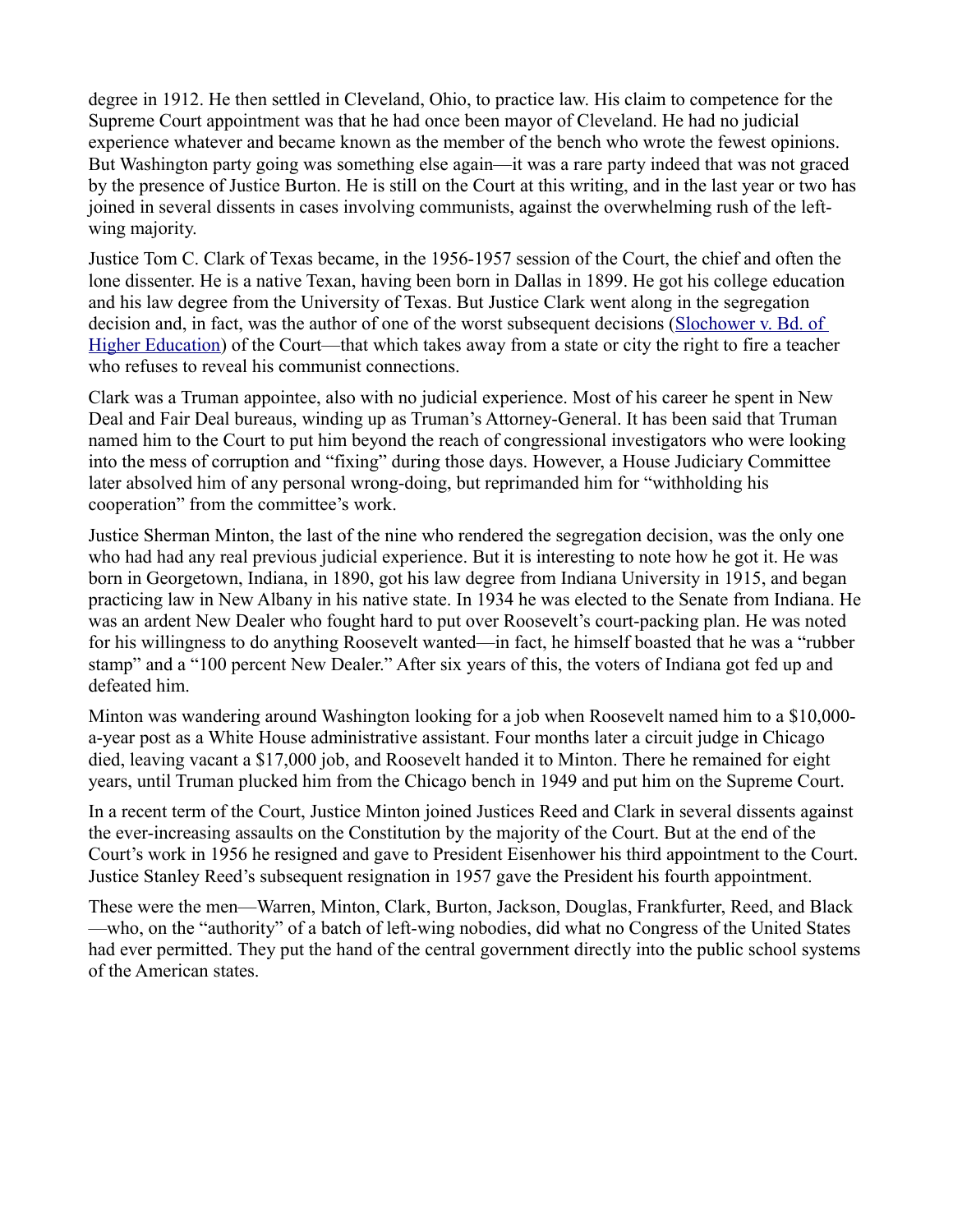degree in 1912. He then settled in Cleveland, Ohio, to practice law. His claim to competence for the Supreme Court appointment was that he had once been mayor of Cleveland. He had no judicial experience whatever and became known as the member of the bench who wrote the fewest opinions. But Washington party going was something else again—it was a rare party indeed that was not graced by the presence of Justice Burton. He is still on the Court at this writing, and in the last year or two has joined in several dissents in cases involving communists, against the overwhelming rush of the leftwing majority.

Justice Tom C. Clark of Texas became, in the 1956-1957 session of the Court, the chief and often the lone dissenter. He is a native Texan, having been born in Dallas in 1899. He got his college education and his law degree from the University of Texas. But Justice Clark went along in the segregation decision and, in fact, was the author of one of the worst subsequent decisions (Slochower v. Bd. of [Higher Education\)](http://laws.findlaw.com/us/350/551.html) of the Court—that which takes away from a state or city the right to fire a teacher who refuses to reveal his communist connections.

Clark was a Truman appointee, also with no judicial experience. Most of his career he spent in New Deal and Fair Deal bureaus, winding up as Truman's Attorney-General. It has been said that Truman named him to the Court to put him beyond the reach of congressional investigators who were looking into the mess of corruption and "fixing" during those days. However, a House Judiciary Committee later absolved him of any personal wrong-doing, but reprimanded him for "withholding his cooperation" from the committee's work.

Justice Sherman Minton, the last of the nine who rendered the segregation decision, was the only one who had had any real previous judicial experience. But it is interesting to note how he got it. He was born in Georgetown, Indiana, in 1890, got his law degree from Indiana University in 1915, and began practicing law in New Albany in his native state. In 1934 he was elected to the Senate from Indiana. He was an ardent New Dealer who fought hard to put over Roosevelt's court-packing plan. He was noted for his willingness to do anything Roosevelt wanted—in fact, he himself boasted that he was a "rubber stamp" and a "100 percent New Dealer." After six years of this, the voters of Indiana got fed up and defeated him.

Minton was wandering around Washington looking for a job when Roosevelt named him to a \$10,000 a-year post as a White House administrative assistant. Four months later a circuit judge in Chicago died, leaving vacant a \$17,000 job, and Roosevelt handed it to Minton. There he remained for eight years, until Truman plucked him from the Chicago bench in 1949 and put him on the Supreme Court.

In a recent term of the Court, Justice Minton joined Justices Reed and Clark in several dissents against the ever-increasing assaults on the Constitution by the majority of the Court. But at the end of the Court's work in 1956 he resigned and gave to President Eisenhower his third appointment to the Court. Justice Stanley Reed's subsequent resignation in 1957 gave the President his fourth appointment.

These were the men—Warren, Minton, Clark, Burton, Jackson, Douglas, Frankfurter, Reed, and Black —who, on the "authority" of a batch of left-wing nobodies, did what no Congress of the United States had ever permitted. They put the hand of the central government directly into the public school systems of the American states.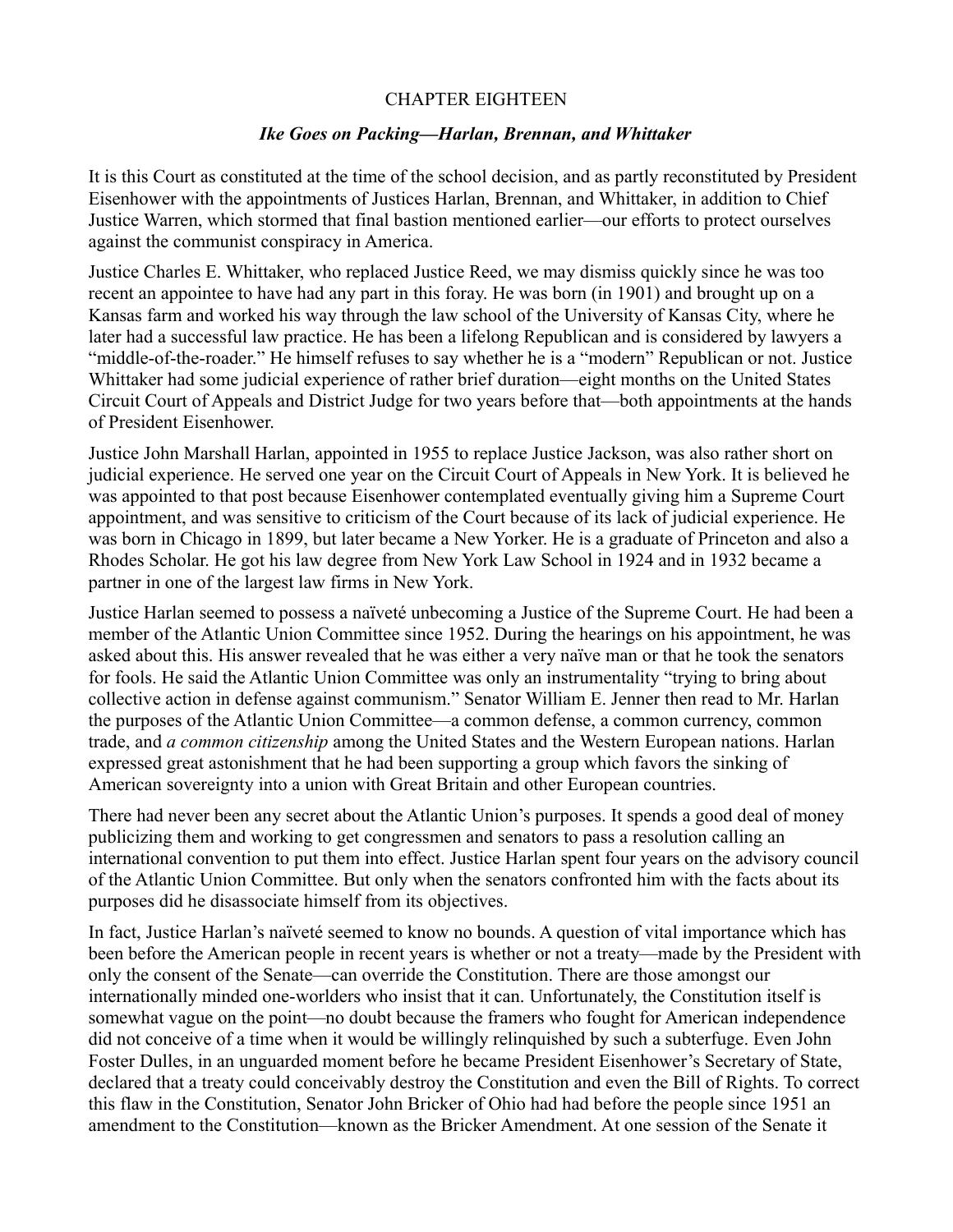#### CHAPTER EIGHTEEN

# *Ike Goes on Packing—Harlan, Brennan, and Whittaker*

It is this Court as constituted at the time of the school decision, and as partly reconstituted by President Eisenhower with the appointments of Justices Harlan, Brennan, and Whittaker, in addition to Chief Justice Warren, which stormed that final bastion mentioned earlier—our efforts to protect ourselves against the communist conspiracy in America.

Justice Charles E. Whittaker, who replaced Justice Reed, we may dismiss quickly since he was too recent an appointee to have had any part in this foray. He was born (in 1901) and brought up on a Kansas farm and worked his way through the law school of the University of Kansas City, where he later had a successful law practice. He has been a lifelong Republican and is considered by lawyers a "middle-of-the-roader." He himself refuses to say whether he is a "modern" Republican or not. Justice Whittaker had some judicial experience of rather brief duration—eight months on the United States Circuit Court of Appeals and District Judge for two years before that—both appointments at the hands of President Eisenhower.

Justice John Marshall Harlan, appointed in 1955 to replace Justice Jackson, was also rather short on judicial experience. He served one year on the Circuit Court of Appeals in New York. It is believed he was appointed to that post because Eisenhower contemplated eventually giving him a Supreme Court appointment, and was sensitive to criticism of the Court because of its lack of judicial experience. He was born in Chicago in 1899, but later became a New Yorker. He is a graduate of Princeton and also a Rhodes Scholar. He got his law degree from New York Law School in 1924 and in 1932 became a partner in one of the largest law firms in New York.

Justice Harlan seemed to possess a naïveté unbecoming a Justice of the Supreme Court. He had been a member of the Atlantic Union Committee since 1952. During the hearings on his appointment, he was asked about this. His answer revealed that he was either a very naïve man or that he took the senators for fools. He said the Atlantic Union Committee was only an instrumentality "trying to bring about collective action in defense against communism." Senator William E. Jenner then read to Mr. Harlan the purposes of the Atlantic Union Committee—a common defense, a common currency, common trade, and *a common citizenship* among the United States and the Western European nations. Harlan expressed great astonishment that he had been supporting a group which favors the sinking of American sovereignty into a union with Great Britain and other European countries.

There had never been any secret about the Atlantic Union's purposes. It spends a good deal of money publicizing them and working to get congressmen and senators to pass a resolution calling an international convention to put them into effect. Justice Harlan spent four years on the advisory council of the Atlantic Union Committee. But only when the senators confronted him with the facts about its purposes did he disassociate himself from its objectives.

In fact, Justice Harlan's naïveté seemed to know no bounds. A question of vital importance which has been before the American people in recent years is whether or not a treaty—made by the President with only the consent of the Senate—can override the Constitution. There are those amongst our internationally minded one-worlders who insist that it can. Unfortunately, the Constitution itself is somewhat vague on the point—no doubt because the framers who fought for American independence did not conceive of a time when it would be willingly relinquished by such a subterfuge. Even John Foster Dulles, in an unguarded moment before he became President Eisenhower's Secretary of State, declared that a treaty could conceivably destroy the Constitution and even the Bill of Rights. To correct this flaw in the Constitution, Senator John Bricker of Ohio had had before the people since 1951 an amendment to the Constitution—known as the Bricker Amendment. At one session of the Senate it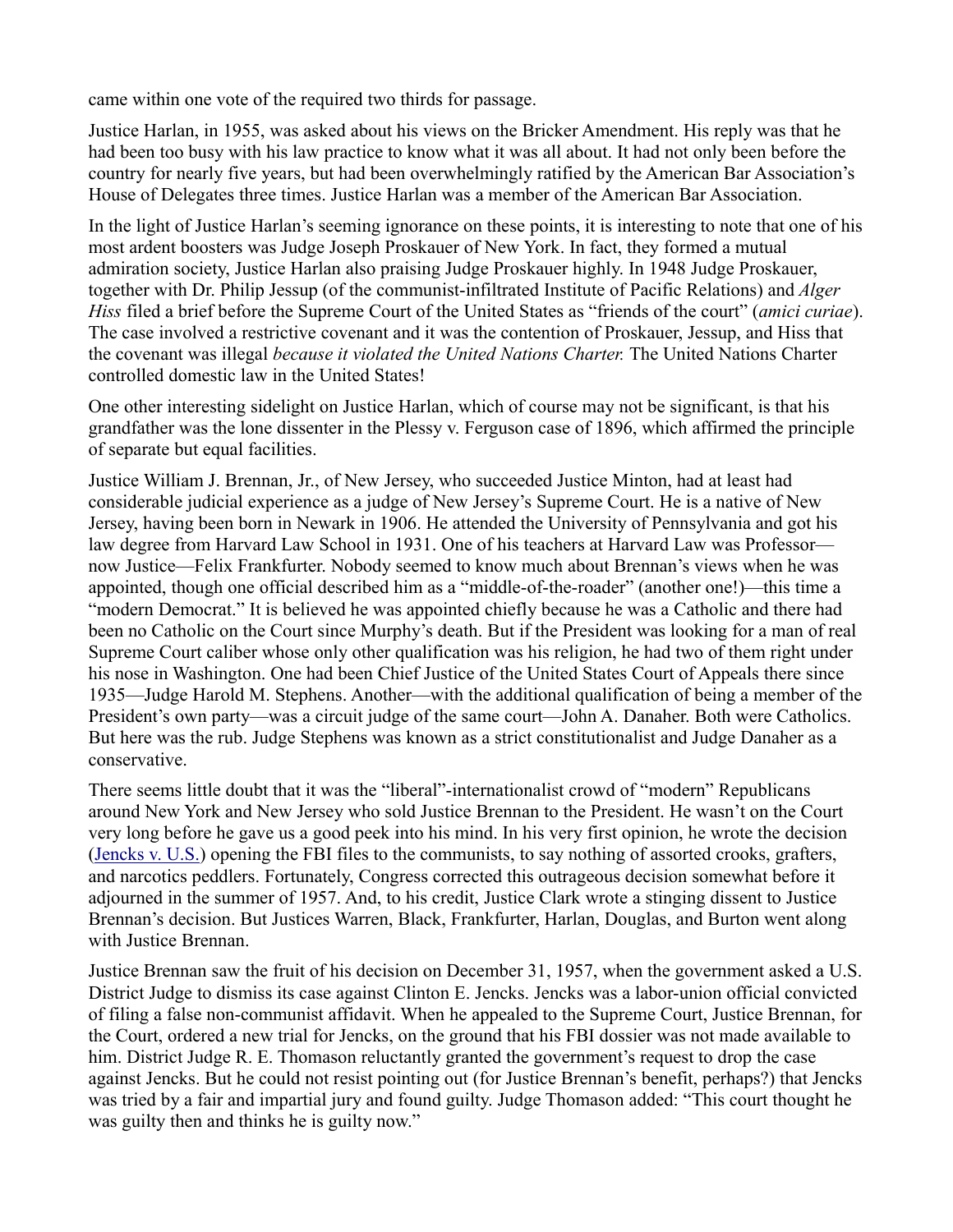came within one vote of the required two thirds for passage.

Justice Harlan, in 1955, was asked about his views on the Bricker Amendment. His reply was that he had been too busy with his law practice to know what it was all about. It had not only been before the country for nearly five years, but had been overwhelmingly ratified by the American Bar Association's House of Delegates three times. Justice Harlan was a member of the American Bar Association.

In the light of Justice Harlan's seeming ignorance on these points, it is interesting to note that one of his most ardent boosters was Judge Joseph Proskauer of New York. In fact, they formed a mutual admiration society, Justice Harlan also praising Judge Proskauer highly. In 1948 Judge Proskauer, together with Dr. Philip Jessup (of the communist-infiltrated Institute of Pacific Relations) and *Alger Hiss* filed a brief before the Supreme Court of the United States as "friends of the court" (*amici curiae*). The case involved a restrictive covenant and it was the contention of Proskauer, Jessup, and Hiss that the covenant was illegal *because it violated the United Nations Charter.* The United Nations Charter controlled domestic law in the United States!

One other interesting sidelight on Justice Harlan, which of course may not be significant, is that his grandfather was the lone dissenter in the Plessy v. Ferguson case of 1896, which affirmed the principle of separate but equal facilities.

Justice William J. Brennan, Jr., of New Jersey, who succeeded Justice Minton, had at least had considerable judicial experience as a judge of New Jersey's Supreme Court. He is a native of New Jersey, having been born in Newark in 1906. He attended the University of Pennsylvania and got his law degree from Harvard Law School in 1931. One of his teachers at Harvard Law was Professor now Justice—Felix Frankfurter. Nobody seemed to know much about Brennan's views when he was appointed, though one official described him as a "middle-of-the-roader" (another one!)—this time a "modern Democrat." It is believed he was appointed chiefly because he was a Catholic and there had been no Catholic on the Court since Murphy's death. But if the President was looking for a man of real Supreme Court caliber whose only other qualification was his religion, he had two of them right under his nose in Washington. One had been Chief Justice of the United States Court of Appeals there since 1935—Judge Harold M. Stephens. Another—with the additional qualification of being a member of the President's own party—was a circuit judge of the same court—John A. Danaher. Both were Catholics. But here was the rub. Judge Stephens was known as a strict constitutionalist and Judge Danaher as a conservative.

There seems little doubt that it was the "liberal"-internationalist crowd of "modern" Republicans around New York and New Jersey who sold Justice Brennan to the President. He wasn't on the Court very long before he gave us a good peek into his mind. In his very first opinion, he wrote the decision [\(Jencks v. U.S.\)](http://laws.findlaw.com/us/353/657.html) opening the FBI files to the communists, to say nothing of assorted crooks, grafters, and narcotics peddlers. Fortunately, Congress corrected this outrageous decision somewhat before it adjourned in the summer of 1957. And, to his credit, Justice Clark wrote a stinging dissent to Justice Brennan's decision. But Justices Warren, Black, Frankfurter, Harlan, Douglas, and Burton went along with Justice Brennan.

Justice Brennan saw the fruit of his decision on December 31, 1957, when the government asked a U.S. District Judge to dismiss its case against Clinton E. Jencks. Jencks was a labor-union official convicted of filing a false non-communist affidavit. When he appealed to the Supreme Court, Justice Brennan, for the Court, ordered a new trial for Jencks, on the ground that his FBI dossier was not made available to him. District Judge R. E. Thomason reluctantly granted the government's request to drop the case against Jencks. But he could not resist pointing out (for Justice Brennan's benefit, perhaps?) that Jencks was tried by a fair and impartial jury and found guilty. Judge Thomason added: "This court thought he was guilty then and thinks he is guilty now."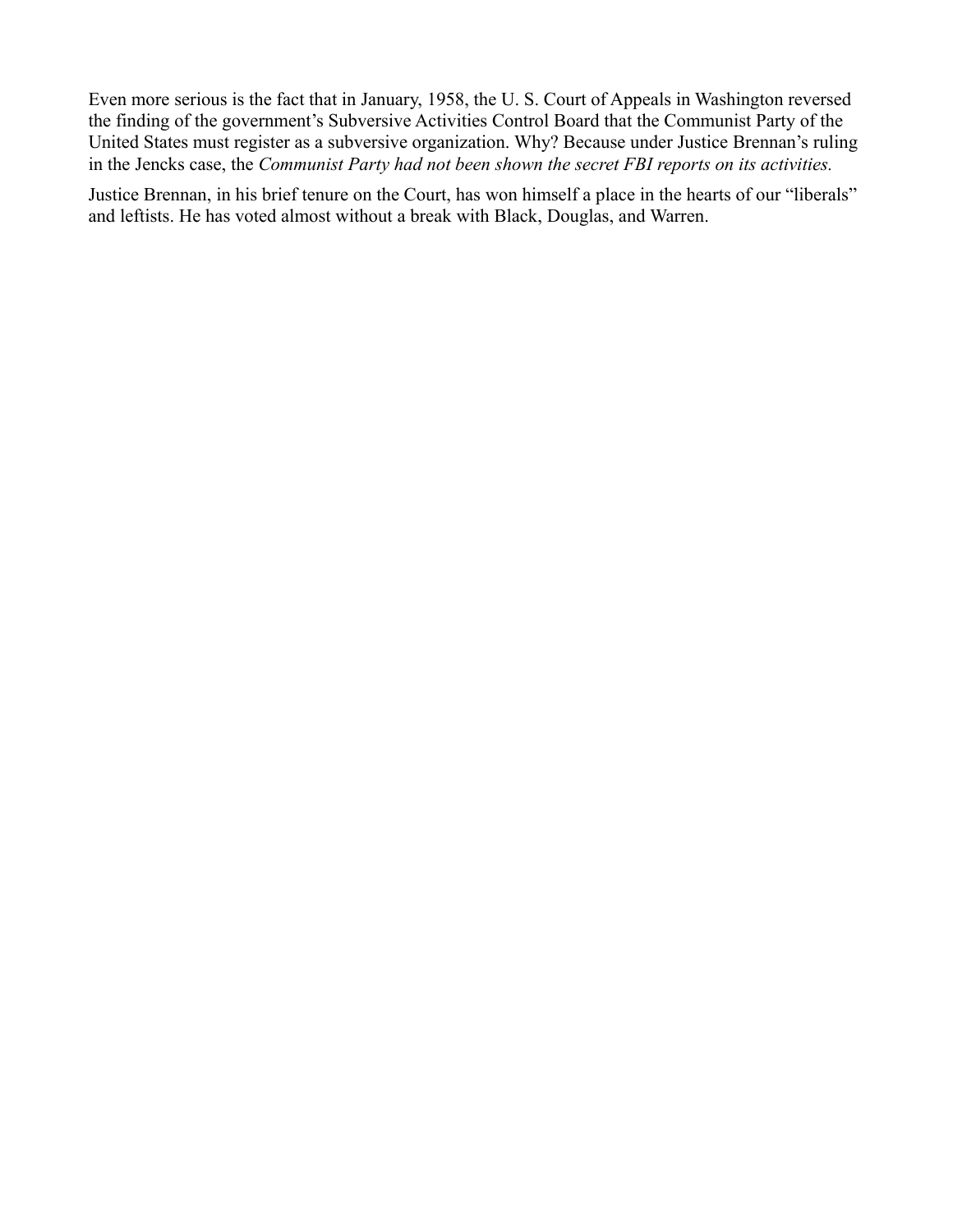Even more serious is the fact that in January, 1958, the U. S. Court of Appeals in Washington reversed the finding of the government's Subversive Activities Control Board that the Communist Party of the United States must register as a subversive organization. Why? Because under Justice Brennan's ruling in the Jencks case, the *Communist Party had not been shown the secret FBI reports on its activities.*

Justice Brennan, in his brief tenure on the Court, has won himself a place in the hearts of our "liberals" and leftists. He has voted almost without a break with Black, Douglas, and Warren.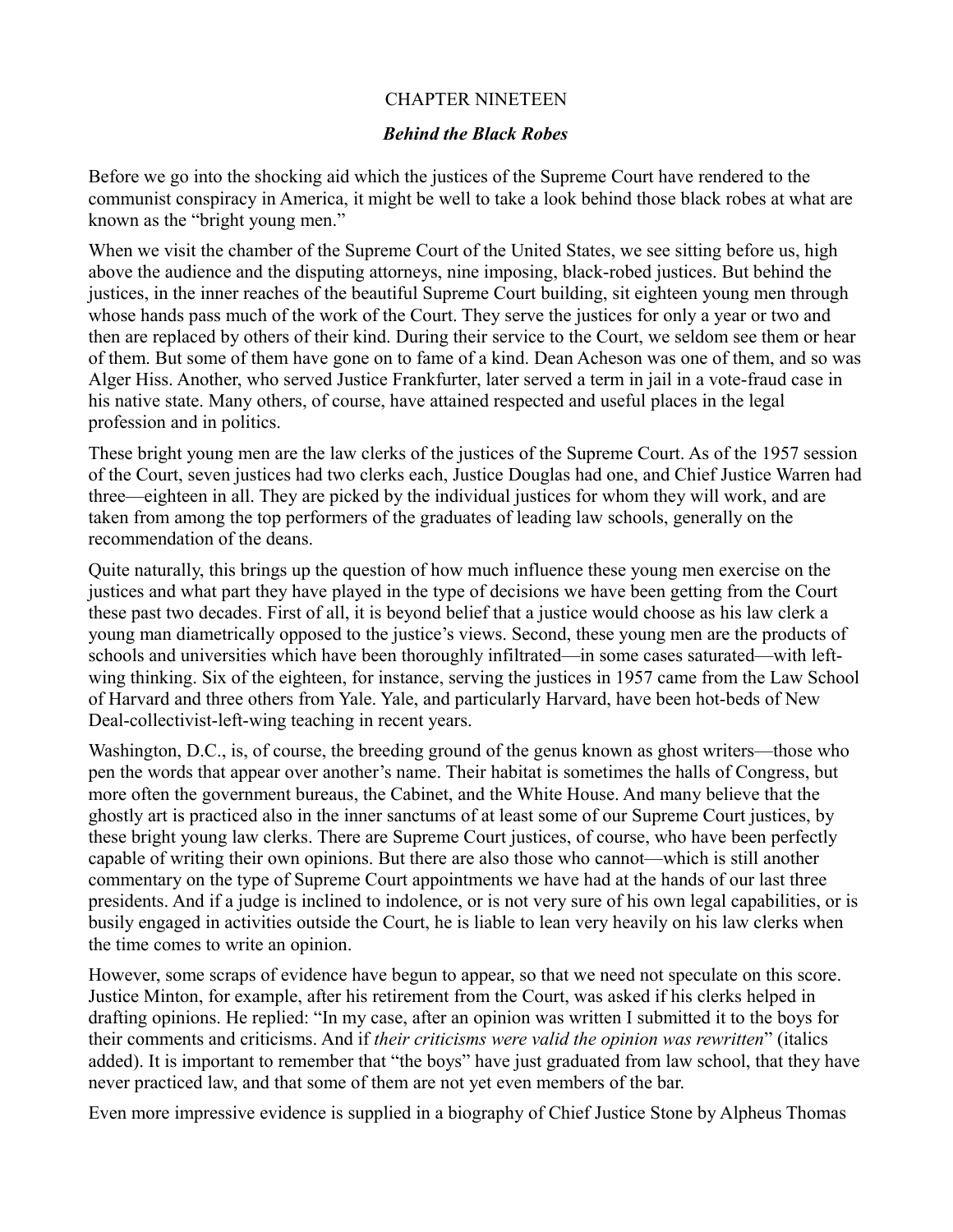# CHAPTER NINETEEN

### *Behind the Black Robes*

Before we go into the shocking aid which the justices of the Supreme Court have rendered to the communist conspiracy in America, it might be well to take a look behind those black robes at what are known as the "bright young men."

When we visit the chamber of the Supreme Court of the United States, we see sitting before us, high above the audience and the disputing attorneys, nine imposing, black-robed justices. But behind the justices, in the inner reaches of the beautiful Supreme Court building, sit eighteen young men through whose hands pass much of the work of the Court. They serve the justices for only a year or two and then are replaced by others of their kind. During their service to the Court, we seldom see them or hear of them. But some of them have gone on to fame of a kind. Dean Acheson was one of them, and so was Alger Hiss. Another, who served Justice Frankfurter, later served a term in jail in a vote-fraud case in his native state. Many others, of course, have attained respected and useful places in the legal profession and in politics.

These bright young men are the law clerks of the justices of the Supreme Court. As of the 1957 session of the Court, seven justices had two clerks each, Justice Douglas had one, and Chief Justice Warren had three—eighteen in all. They are picked by the individual justices for whom they will work, and are taken from among the top performers of the graduates of leading law schools, generally on the recommendation of the deans.

Quite naturally, this brings up the question of how much influence these young men exercise on the justices and what part they have played in the type of decisions we have been getting from the Court these past two decades. First of all, it is beyond belief that a justice would choose as his law clerk a young man diametrically opposed to the justice's views. Second, these young men are the products of schools and universities which have been thoroughly infiltrated—in some cases saturated—with leftwing thinking. Six of the eighteen, for instance, serving the justices in 1957 came from the Law School of Harvard and three others from Yale. Yale, and particularly Harvard, have been hot-beds of New Deal-collectivist-left-wing teaching in recent years.

Washington, D.C., is, of course, the breeding ground of the genus known as ghost writers—those who pen the words that appear over another's name. Their habitat is sometimes the halls of Congress, but more often the government bureaus, the Cabinet, and the White House. And many believe that the ghostly art is practiced also in the inner sanctums of at least some of our Supreme Court justices, by these bright young law clerks. There are Supreme Court justices, of course, who have been perfectly capable of writing their own opinions. But there are also those who cannot—which is still another commentary on the type of Supreme Court appointments we have had at the hands of our last three presidents. And if a judge is inclined to indolence, or is not very sure of his own legal capabilities, or is busily engaged in activities outside the Court, he is liable to lean very heavily on his law clerks when the time comes to write an opinion.

However, some scraps of evidence have begun to appear, so that we need not speculate on this score. Justice Minton, for example, after his retirement from the Court, was asked if his clerks helped in drafting opinions. He replied: "In my case, after an opinion was written I submitted it to the boys for their comments and criticisms. And if *their criticisms were valid the opinion was rewritten*" (italics added). It is important to remember that "the boys" have just graduated from law school, that they have never practiced law, and that some of them are not yet even members of the bar.

Even more impressive evidence is supplied in a biography of Chief Justice Stone by Alpheus Thomas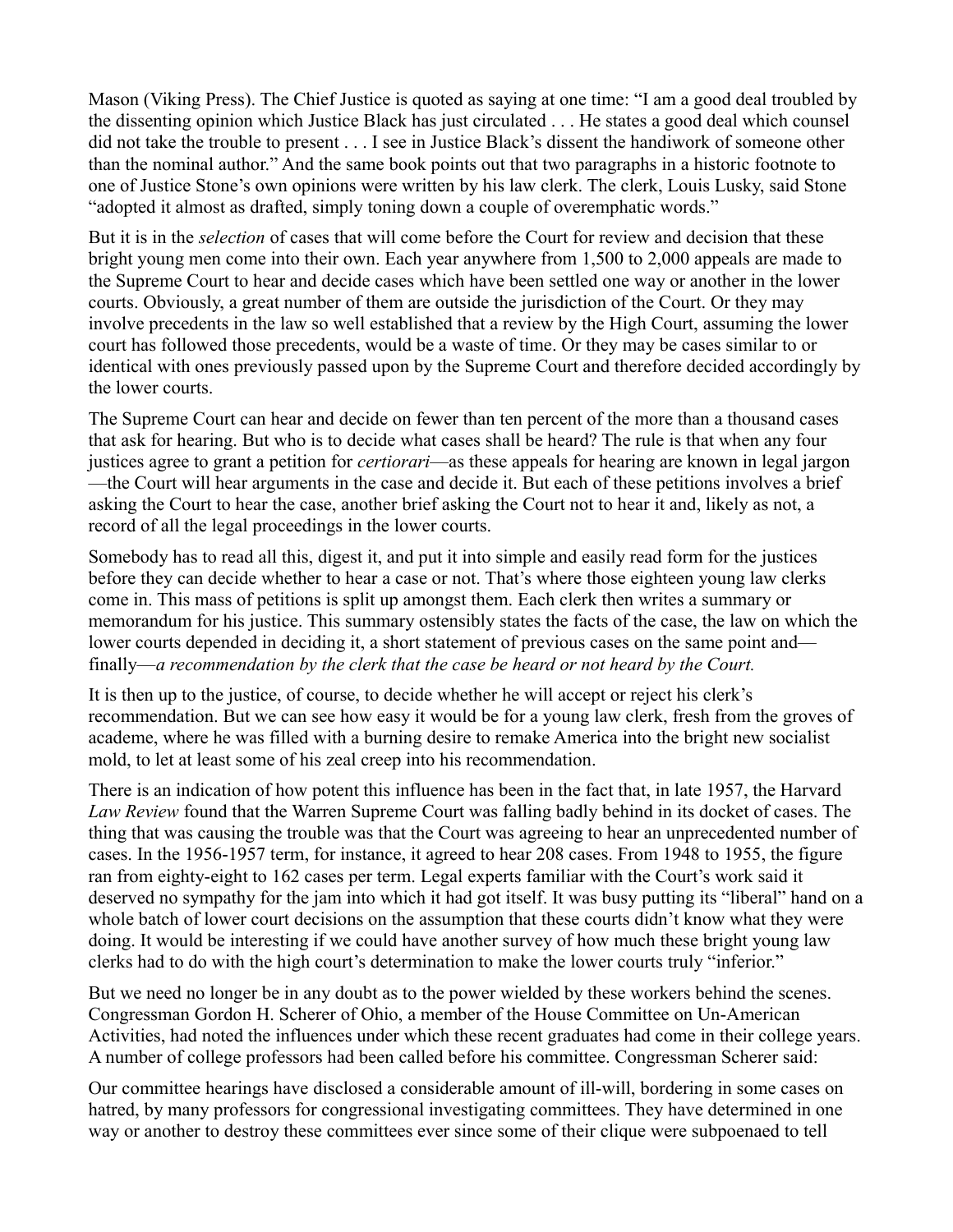Mason (Viking Press). The Chief Justice is quoted as saying at one time: "I am a good deal troubled by the dissenting opinion which Justice Black has just circulated . . . He states a good deal which counsel did not take the trouble to present . . . I see in Justice Black's dissent the handiwork of someone other than the nominal author." And the same book points out that two paragraphs in a historic footnote to one of Justice Stone's own opinions were written by his law clerk. The clerk, Louis Lusky, said Stone "adopted it almost as drafted, simply toning down a couple of overemphatic words."

But it is in the *selection* of cases that will come before the Court for review and decision that these bright young men come into their own. Each year anywhere from 1,500 to 2,000 appeals are made to the Supreme Court to hear and decide cases which have been settled one way or another in the lower courts. Obviously, a great number of them are outside the jurisdiction of the Court. Or they may involve precedents in the law so well established that a review by the High Court, assuming the lower court has followed those precedents, would be a waste of time. Or they may be cases similar to or identical with ones previously passed upon by the Supreme Court and therefore decided accordingly by the lower courts.

The Supreme Court can hear and decide on fewer than ten percent of the more than a thousand cases that ask for hearing. But who is to decide what cases shall be heard? The rule is that when any four justices agree to grant a petition for *certiorari*—as these appeals for hearing are known in legal jargon —the Court will hear arguments in the case and decide it. But each of these petitions involves a brief asking the Court to hear the case, another brief asking the Court not to hear it and, likely as not, a record of all the legal proceedings in the lower courts.

Somebody has to read all this, digest it, and put it into simple and easily read form for the justices before they can decide whether to hear a case or not. That's where those eighteen young law clerks come in. This mass of petitions is split up amongst them. Each clerk then writes a summary or memorandum for his justice. This summary ostensibly states the facts of the case, the law on which the lower courts depended in deciding it, a short statement of previous cases on the same point and finally—*a recommendation by the clerk that the case be heard or not heard by the Court.*

It is then up to the justice, of course, to decide whether he will accept or reject his clerk's recommendation. But we can see how easy it would be for a young law clerk, fresh from the groves of academe, where he was filled with a burning desire to remake America into the bright new socialist mold, to let at least some of his zeal creep into his recommendation.

There is an indication of how potent this influence has been in the fact that, in late 1957, the Harvard *Law Review* found that the Warren Supreme Court was falling badly behind in its docket of cases. The thing that was causing the trouble was that the Court was agreeing to hear an unprecedented number of cases. In the 1956-1957 term, for instance, it agreed to hear 208 cases. From 1948 to 1955, the figure ran from eighty-eight to 162 cases per term. Legal experts familiar with the Court's work said it deserved no sympathy for the jam into which it had got itself. It was busy putting its "liberal" hand on a whole batch of lower court decisions on the assumption that these courts didn't know what they were doing. It would be interesting if we could have another survey of how much these bright young law clerks had to do with the high court's determination to make the lower courts truly "inferior."

But we need no longer be in any doubt as to the power wielded by these workers behind the scenes. Congressman Gordon H. Scherer of Ohio, a member of the House Committee on Un-American Activities, had noted the influences under which these recent graduates had come in their college years. A number of college professors had been called before his committee. Congressman Scherer said:

Our committee hearings have disclosed a considerable amount of ill-will, bordering in some cases on hatred, by many professors for congressional investigating committees. They have determined in one way or another to destroy these committees ever since some of their clique were subpoenaed to tell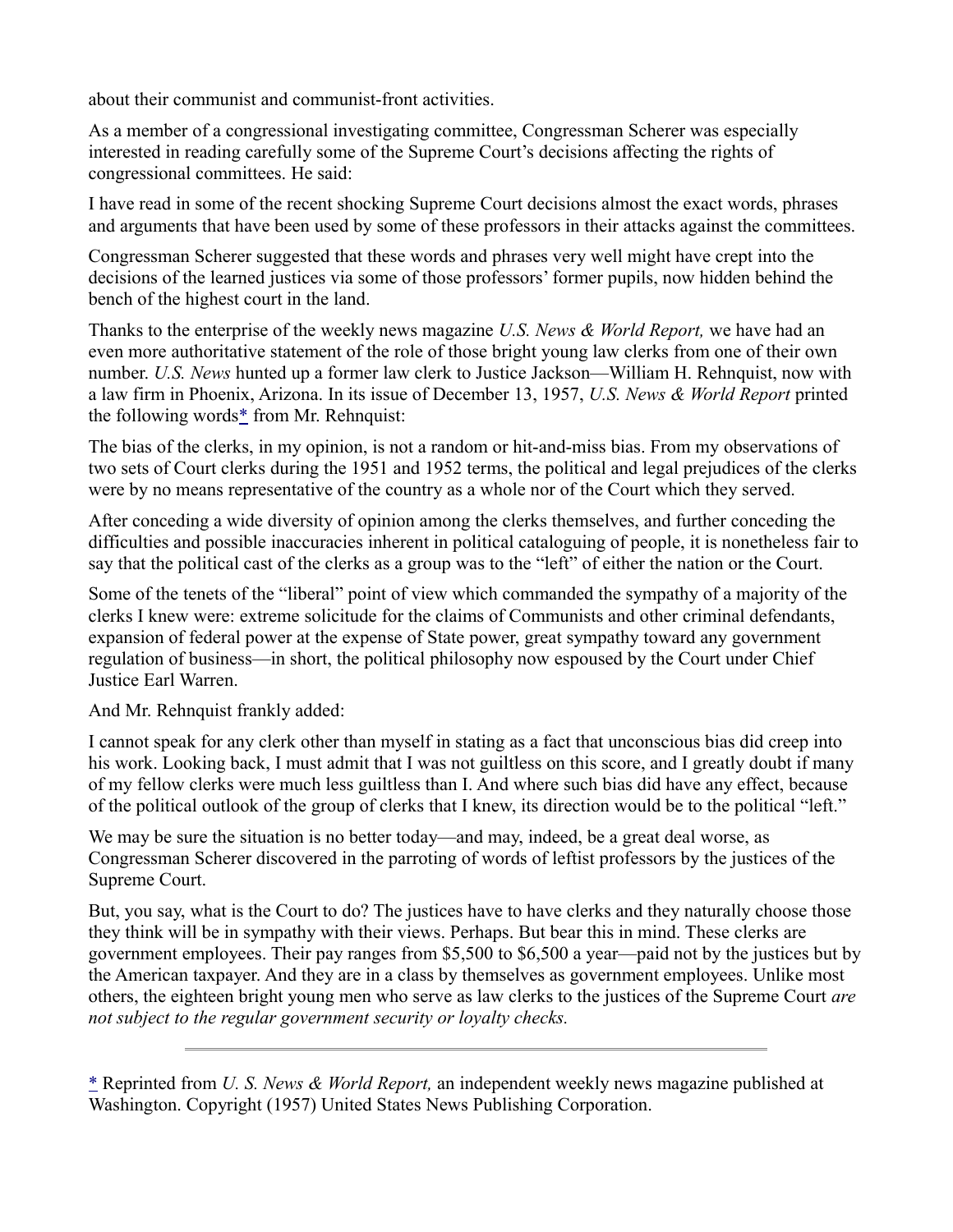about their communist and communist-front activities.

As a member of a congressional investigating committee, Congressman Scherer was especially interested in reading carefully some of the Supreme Court's decisions affecting the rights of congressional committees. He said:

I have read in some of the recent shocking Supreme Court decisions almost the exact words, phrases and arguments that have been used by some of these professors in their attacks against the committees.

Congressman Scherer suggested that these words and phrases very well might have crept into the decisions of the learned justices via some of those professors' former pupils, now hidden behind the bench of the highest court in the land.

Thanks to the enterprise of the weekly news magazine *U.S. News & World Report,* we have had an even more authoritative statement of the role of those bright young law clerks from one of their own number. *U.S. News* hunted up a former law clerk to Justice Jackson—William H. Rehnquist, now with a law firm in Phoenix, Arizona. In its issue of December 13, 1957, *U.S. News & World Report* printed the following word[s\\*](http://sovereignstates.org/books/NMAA/NineMen_19.html#note-ast1) from Mr. Rehnquist:

The bias of the clerks, in my opinion, is not a random or hit-and-miss bias. From my observations of two sets of Court clerks during the 1951 and 1952 terms, the political and legal prejudices of the clerks were by no means representative of the country as a whole nor of the Court which they served.

After conceding a wide diversity of opinion among the clerks themselves, and further conceding the difficulties and possible inaccuracies inherent in political cataloguing of people, it is nonetheless fair to say that the political cast of the clerks as a group was to the "left" of either the nation or the Court.

Some of the tenets of the "liberal" point of view which commanded the sympathy of a majority of the clerks I knew were: extreme solicitude for the claims of Communists and other criminal defendants, expansion of federal power at the expense of State power, great sympathy toward any government regulation of business—in short, the political philosophy now espoused by the Court under Chief Justice Earl Warren.

And Mr. Rehnquist frankly added:

I cannot speak for any clerk other than myself in stating as a fact that unconscious bias did creep into his work. Looking back, I must admit that I was not guiltless on this score, and I greatly doubt if many of my fellow clerks were much less guiltless than I. And where such bias did have any effect, because of the political outlook of the group of clerks that I knew, its direction would be to the political "left."

We may be sure the situation is no better today—and may, indeed, be a great deal worse, as Congressman Scherer discovered in the parroting of words of leftist professors by the justices of the Supreme Court.

But, you say, what is the Court to do? The justices have to have clerks and they naturally choose those they think will be in sympathy with their views. Perhaps. But bear this in mind. These clerks are government employees. Their pay ranges from \$5,500 to \$6,500 a year—paid not by the justices but by the American taxpayer. And they are in a class by themselves as government employees. Unlike most others, the eighteen bright young men who serve as law clerks to the justices of the Supreme Court *are not subject to the regular government security or loyalty checks.*

[<sup>\\*</sup>](http://sovereignstates.org/books/NMAA/NineMen_19.html#fnote-ast1) Reprinted from *U. S. News & World Report,* an independent weekly news magazine published at Washington. Copyright (1957) United States News Publishing Corporation.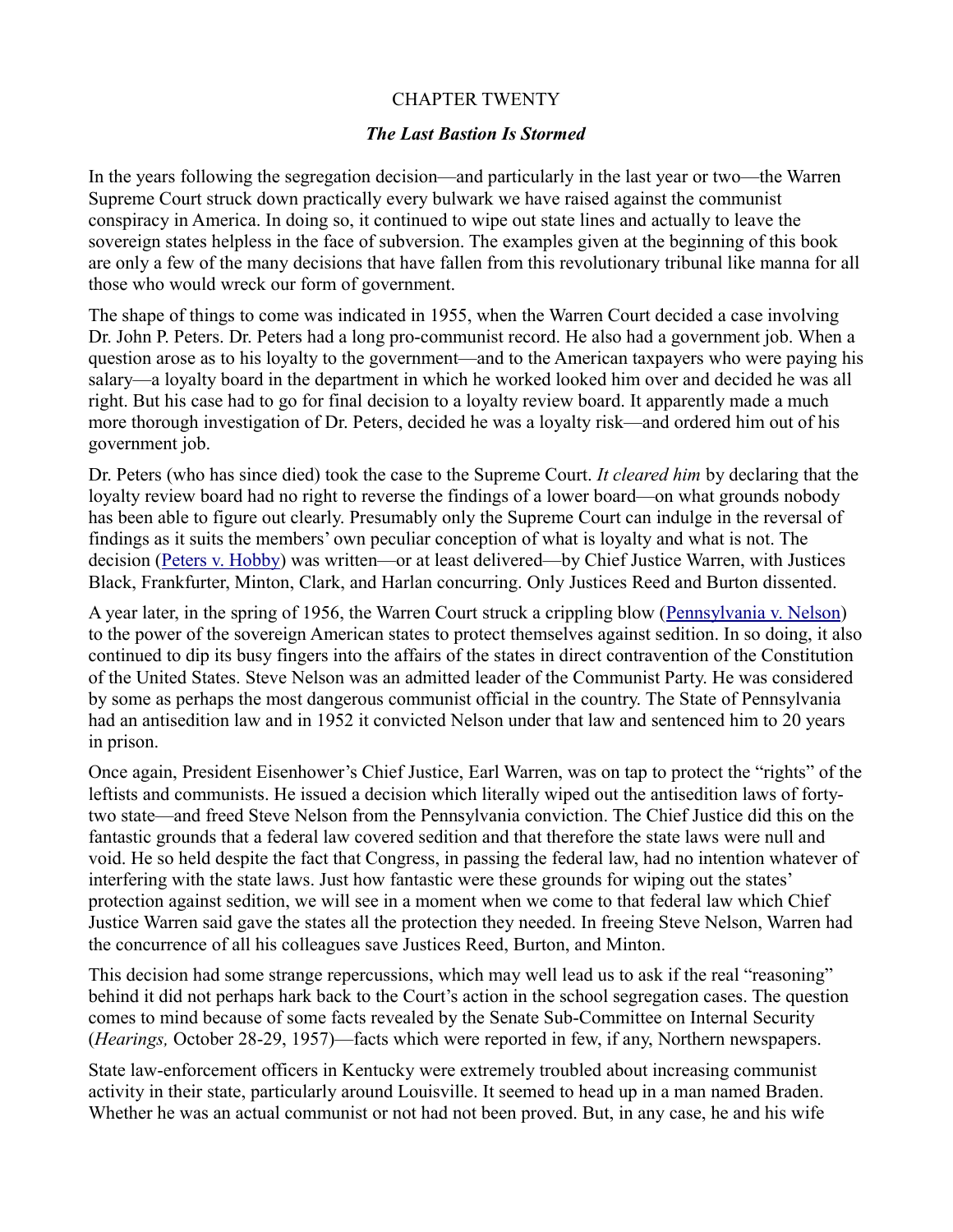# CHAPTER TWENTY

# *The Last Bastion Is Stormed*

In the years following the segregation decision—and particularly in the last year or two—the Warren Supreme Court struck down practically every bulwark we have raised against the communist conspiracy in America. In doing so, it continued to wipe out state lines and actually to leave the sovereign states helpless in the face of subversion. The examples given at the beginning of this book are only a few of the many decisions that have fallen from this revolutionary tribunal like manna for all those who would wreck our form of government.

The shape of things to come was indicated in 1955, when the Warren Court decided a case involving Dr. John P. Peters. Dr. Peters had a long pro-communist record. He also had a government job. When a question arose as to his loyalty to the government—and to the American taxpayers who were paying his salary—a loyalty board in the department in which he worked looked him over and decided he was all right. But his case had to go for final decision to a loyalty review board. It apparently made a much more thorough investigation of Dr. Peters, decided he was a loyalty risk—and ordered him out of his government job.

Dr. Peters (who has since died) took the case to the Supreme Court. *It cleared him* by declaring that the loyalty review board had no right to reverse the findings of a lower board—on what grounds nobody has been able to figure out clearly. Presumably only the Supreme Court can indulge in the reversal of findings as it suits the members' own peculiar conception of what is loyalty and what is not. The decision [\(Peters v. Hobby\)](http://laws.findlaw.com/us/349/331.html) was written—or at least delivered—by Chief Justice Warren, with Justices Black, Frankfurter, Minton, Clark, and Harlan concurring. Only Justices Reed and Burton dissented.

A year later, in the spring of 1956, the Warren Court struck a crippling blow [\(Pennsylvania v. Nelson\)](http://laws.findlaw.com/us/350/497.html) to the power of the sovereign American states to protect themselves against sedition. In so doing, it also continued to dip its busy fingers into the affairs of the states in direct contravention of the Constitution of the United States. Steve Nelson was an admitted leader of the Communist Party. He was considered by some as perhaps the most dangerous communist official in the country. The State of Pennsylvania had an antisedition law and in 1952 it convicted Nelson under that law and sentenced him to 20 years in prison.

Once again, President Eisenhower's Chief Justice, Earl Warren, was on tap to protect the "rights" of the leftists and communists. He issued a decision which literally wiped out the antisedition laws of fortytwo state—and freed Steve Nelson from the Pennsylvania conviction. The Chief Justice did this on the fantastic grounds that a federal law covered sedition and that therefore the state laws were null and void. He so held despite the fact that Congress, in passing the federal law, had no intention whatever of interfering with the state laws. Just how fantastic were these grounds for wiping out the states' protection against sedition, we will see in a moment when we come to that federal law which Chief Justice Warren said gave the states all the protection they needed. In freeing Steve Nelson, Warren had the concurrence of all his colleagues save Justices Reed, Burton, and Minton.

This decision had some strange repercussions, which may well lead us to ask if the real "reasoning" behind it did not perhaps hark back to the Court's action in the school segregation cases. The question comes to mind because of some facts revealed by the Senate Sub-Committee on Internal Security (*Hearings,* October 28-29, 1957)—facts which were reported in few, if any, Northern newspapers.

State law-enforcement officers in Kentucky were extremely troubled about increasing communist activity in their state, particularly around Louisville. It seemed to head up in a man named Braden. Whether he was an actual communist or not had not been proved. But, in any case, he and his wife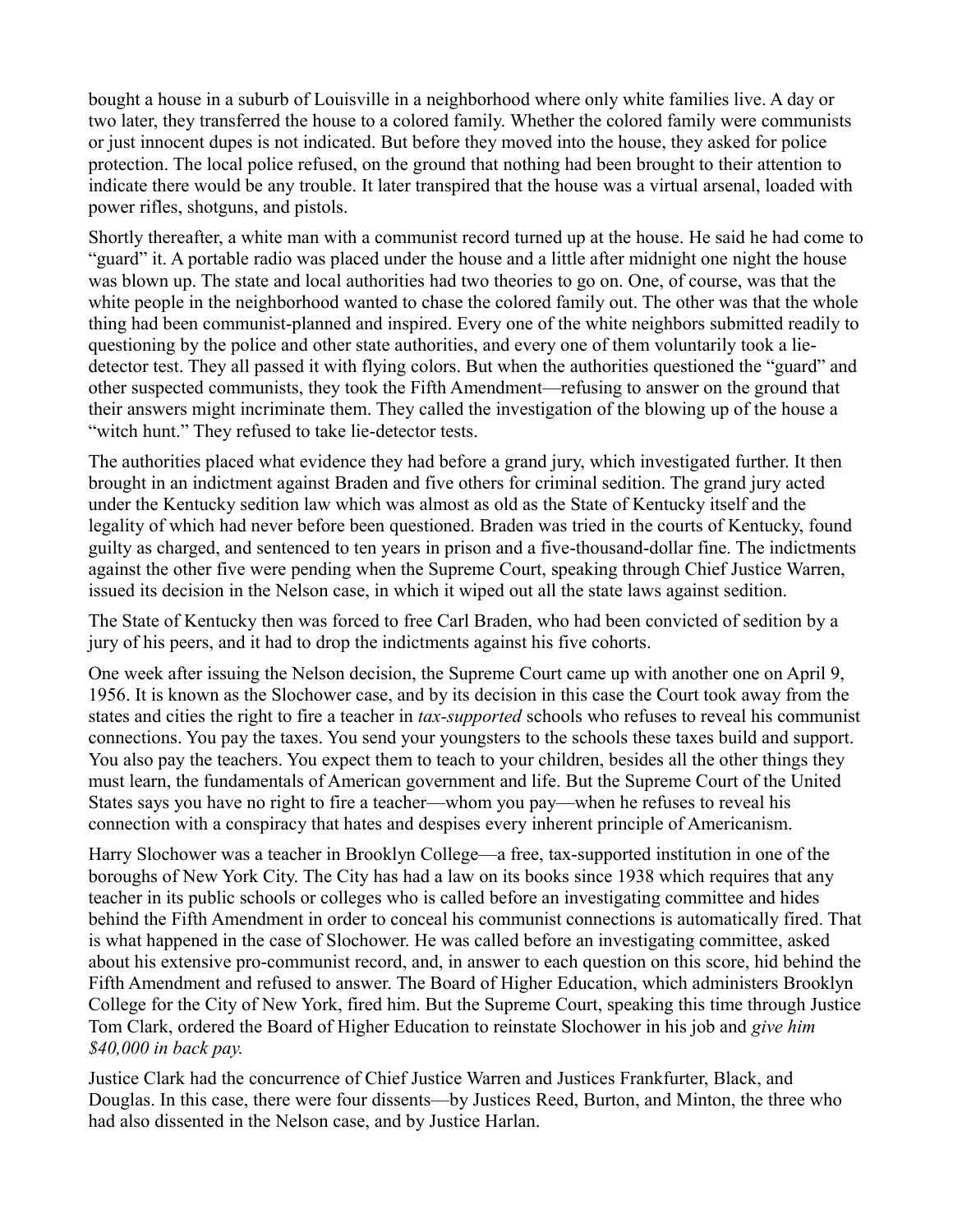bought a house in a suburb of Louisville in a neighborhood where only white families live. A day or two later, they transferred the house to a colored family. Whether the colored family were communists or just innocent dupes is not indicated. But before they moved into the house, they asked for police protection. The local police refused, on the ground that nothing had been brought to their attention to indicate there would be any trouble. It later transpired that the house was a virtual arsenal, loaded with power rifles, shotguns, and pistols.

Shortly thereafter, a white man with a communist record turned up at the house. He said he had come to "guard" it. A portable radio was placed under the house and a little after midnight one night the house was blown up. The state and local authorities had two theories to go on. One, of course, was that the white people in the neighborhood wanted to chase the colored family out. The other was that the whole thing had been communist-planned and inspired. Every one of the white neighbors submitted readily to questioning by the police and other state authorities, and every one of them voluntarily took a liedetector test. They all passed it with flying colors. But when the authorities questioned the "guard" and other suspected communists, they took the Fifth Amendment—refusing to answer on the ground that their answers might incriminate them. They called the investigation of the blowing up of the house a "witch hunt." They refused to take lie-detector tests.

The authorities placed what evidence they had before a grand jury, which investigated further. It then brought in an indictment against Braden and five others for criminal sedition. The grand jury acted under the Kentucky sedition law which was almost as old as the State of Kentucky itself and the legality of which had never before been questioned. Braden was tried in the courts of Kentucky, found guilty as charged, and sentenced to ten years in prison and a five-thousand-dollar fine. The indictments against the other five were pending when the Supreme Court, speaking through Chief Justice Warren, issued its decision in the Nelson case, in which it wiped out all the state laws against sedition.

The State of Kentucky then was forced to free Carl Braden, who had been convicted of sedition by a jury of his peers, and it had to drop the indictments against his five cohorts.

One week after issuing the Nelson decision, the Supreme Court came up with another one on April 9, 1956. It is known as the Slochower case, and by its decision in this case the Court took away from the states and cities the right to fire a teacher in *tax-supported* schools who refuses to reveal his communist connections. You pay the taxes. You send your youngsters to the schools these taxes build and support. You also pay the teachers. You expect them to teach to your children, besides all the other things they must learn, the fundamentals of American government and life. But the Supreme Court of the United States says you have no right to fire a teacher—whom you pay—when he refuses to reveal his connection with a conspiracy that hates and despises every inherent principle of Americanism.

Harry Slochower was a teacher in Brooklyn College—a free, tax-supported institution in one of the boroughs of New York City. The City has had a law on its books since 1938 which requires that any teacher in its public schools or colleges who is called before an investigating committee and hides behind the Fifth Amendment in order to conceal his communist connections is automatically fired. That is what happened in the case of Slochower. He was called before an investigating committee, asked about his extensive pro-communist record, and, in answer to each question on this score, hid behind the Fifth Amendment and refused to answer. The Board of Higher Education, which administers Brooklyn College for the City of New York, fired him. But the Supreme Court, speaking this time through Justice Tom Clark, ordered the Board of Higher Education to reinstate Slochower in his job and *give him \$40,000 in back pay.*

Justice Clark had the concurrence of Chief Justice Warren and Justices Frankfurter, Black, and Douglas. In this case, there were four dissents—by Justices Reed, Burton, and Minton, the three who had also dissented in the Nelson case, and by Justice Harlan.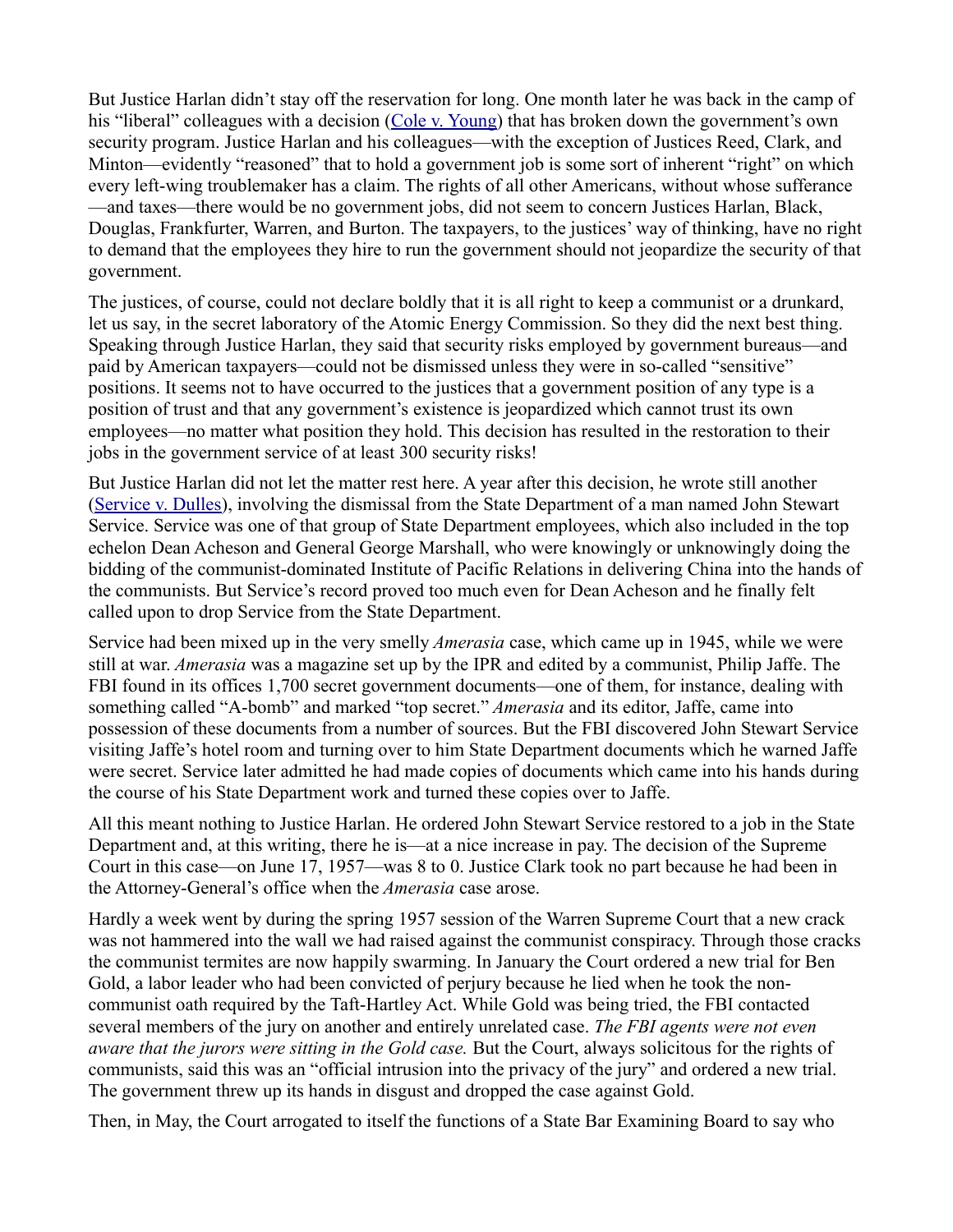But Justice Harlan didn't stay off the reservation for long. One month later he was back in the camp of his "liberal" colleagues with a decision [\(Cole v. Young\)](http://laws.findlaw.com/us/351/536.html) that has broken down the government's own security program. Justice Harlan and his colleagues—with the exception of Justices Reed, Clark, and Minton—evidently "reasoned" that to hold a government job is some sort of inherent "right" on which every left-wing troublemaker has a claim. The rights of all other Americans, without whose sufferance —and taxes—there would be no government jobs, did not seem to concern Justices Harlan, Black, Douglas, Frankfurter, Warren, and Burton. The taxpayers, to the justices' way of thinking, have no right to demand that the employees they hire to run the government should not jeopardize the security of that government.

The justices, of course, could not declare boldly that it is all right to keep a communist or a drunkard, let us say, in the secret laboratory of the Atomic Energy Commission. So they did the next best thing. Speaking through Justice Harlan, they said that security risks employed by government bureaus—and paid by American taxpayers—could not be dismissed unless they were in so-called "sensitive" positions. It seems not to have occurred to the justices that a government position of any type is a position of trust and that any government's existence is jeopardized which cannot trust its own employees—no matter what position they hold. This decision has resulted in the restoration to their jobs in the government service of at least 300 security risks!

But Justice Harlan did not let the matter rest here. A year after this decision, he wrote still another [\(Service v. Dulles\)](http://laws.findlaw.com/us/354/363.html), involving the dismissal from the State Department of a man named John Stewart Service. Service was one of that group of State Department employees, which also included in the top echelon Dean Acheson and General George Marshall, who were knowingly or unknowingly doing the bidding of the communist-dominated Institute of Pacific Relations in delivering China into the hands of the communists. But Service's record proved too much even for Dean Acheson and he finally felt called upon to drop Service from the State Department.

Service had been mixed up in the very smelly *Amerasia* case, which came up in 1945, while we were still at war. *Amerasia* was a magazine set up by the IPR and edited by a communist, Philip Jaffe. The FBI found in its offices 1,700 secret government documents—one of them, for instance, dealing with something called "A-bomb" and marked "top secret." *Amerasia* and its editor, Jaffe, came into possession of these documents from a number of sources. But the FBI discovered John Stewart Service visiting Jaffe's hotel room and turning over to him State Department documents which he warned Jaffe were secret. Service later admitted he had made copies of documents which came into his hands during the course of his State Department work and turned these copies over to Jaffe.

All this meant nothing to Justice Harlan. He ordered John Stewart Service restored to a job in the State Department and, at this writing, there he is—at a nice increase in pay. The decision of the Supreme Court in this case—on June 17, 1957—was 8 to 0. Justice Clark took no part because he had been in the Attorney-General's office when the *Amerasia* case arose.

Hardly a week went by during the spring 1957 session of the Warren Supreme Court that a new crack was not hammered into the wall we had raised against the communist conspiracy. Through those cracks the communist termites are now happily swarming. In January the Court ordered a new trial for Ben Gold, a labor leader who had been convicted of perjury because he lied when he took the noncommunist oath required by the Taft-Hartley Act. While Gold was being tried, the FBI contacted several members of the jury on another and entirely unrelated case. *The FBI agents were not even aware that the jurors were sitting in the Gold case.* But the Court, always solicitous for the rights of communists, said this was an "official intrusion into the privacy of the jury" and ordered a new trial. The government threw up its hands in disgust and dropped the case against Gold.

Then, in May, the Court arrogated to itself the functions of a State Bar Examining Board to say who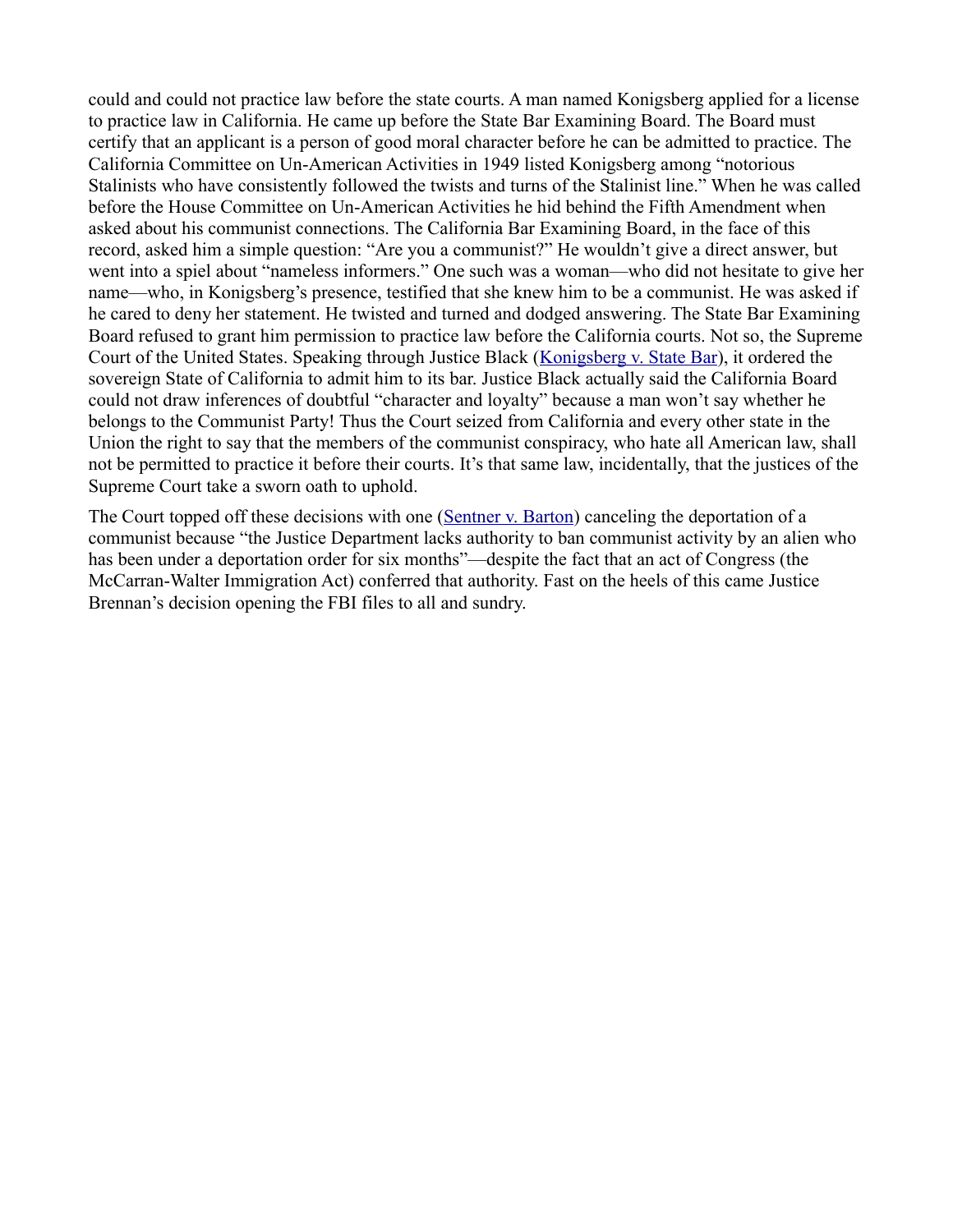could and could not practice law before the state courts. A man named Konigsberg applied for a license to practice law in California. He came up before the State Bar Examining Board. The Board must certify that an applicant is a person of good moral character before he can be admitted to practice. The California Committee on Un-American Activities in 1949 listed Konigsberg among "notorious Stalinists who have consistently followed the twists and turns of the Stalinist line." When he was called before the House Committee on Un-American Activities he hid behind the Fifth Amendment when asked about his communist connections. The California Bar Examining Board, in the face of this record, asked him a simple question: "Are you a communist?" He wouldn't give a direct answer, but went into a spiel about "nameless informers." One such was a woman—who did not hesitate to give her name—who, in Konigsberg's presence, testified that she knew him to be a communist. He was asked if he cared to deny her statement. He twisted and turned and dodged answering. The State Bar Examining Board refused to grant him permission to practice law before the California courts. Not so, the Supreme Court of the United States. Speaking through Justice Black [\(Konigsberg v. State Bar\)](http://laws.findlaw.com/us/353/252.html), it ordered the sovereign State of California to admit him to its bar. Justice Black actually said the California Board could not draw inferences of doubtful "character and loyalty" because a man won't say whether he belongs to the Communist Party! Thus the Court seized from California and every other state in the Union the right to say that the members of the communist conspiracy, who hate all American law, shall not be permitted to practice it before their courts. It's that same law, incidentally, that the justices of the Supreme Court take a sworn oath to uphold.

The Court topped off these decisions with one [\(Sentner v. Barton\)](http://laws.findlaw.com/us/353/963.html) canceling the deportation of a communist because "the Justice Department lacks authority to ban communist activity by an alien who has been under a deportation order for six months"—despite the fact that an act of Congress (the McCarran-Walter Immigration Act) conferred that authority. Fast on the heels of this came Justice Brennan's decision opening the FBI files to all and sundry.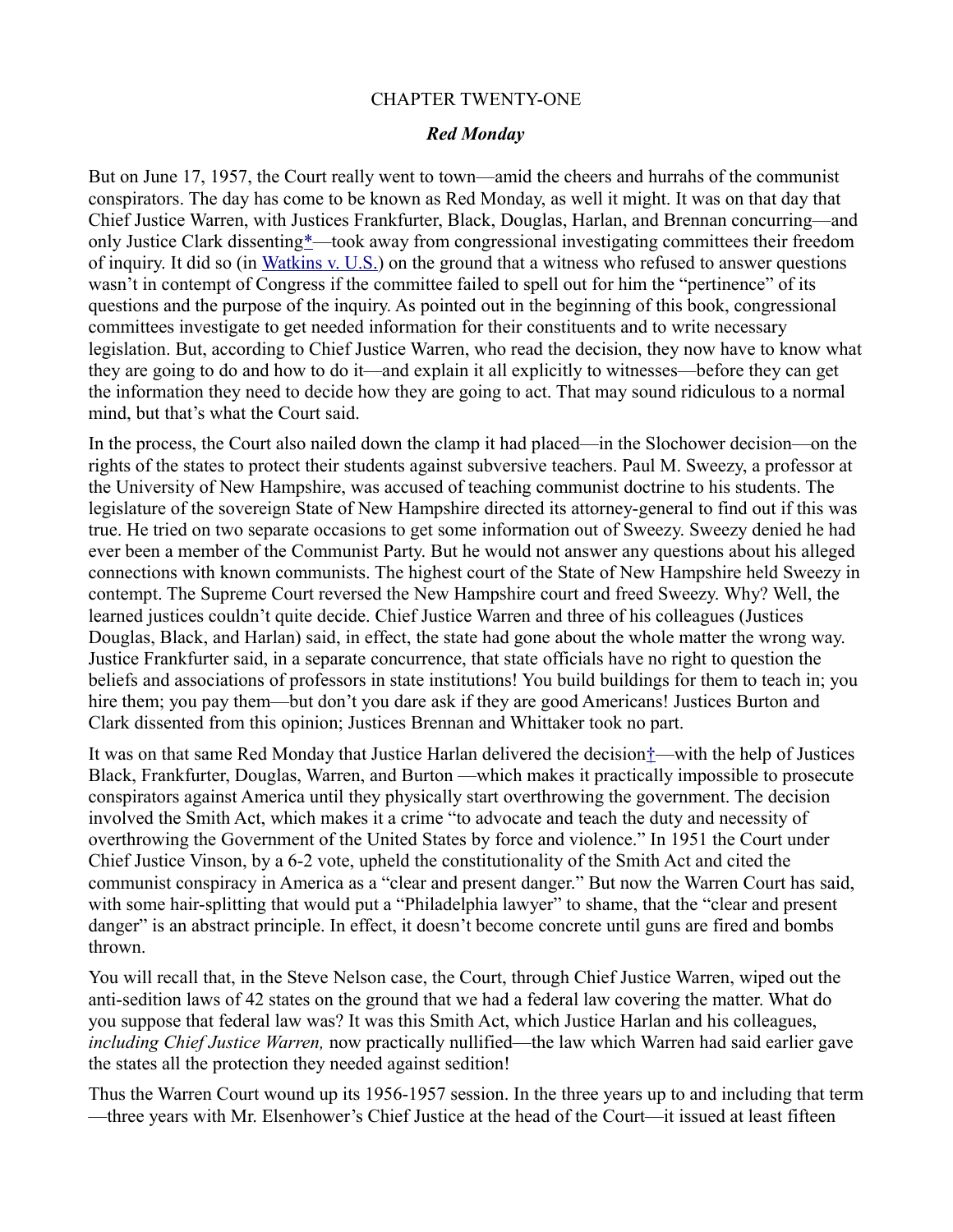#### CHAPTER TWENTY-ONE

#### *Red Monday*

But on June 17, 1957, the Court really went to town—amid the cheers and hurrahs of the communist conspirators. The day has come to be known as Red Monday, as well it might. It was on that day that Chief Justice Warren, with Justices Frankfurter, Black, Douglas, Harlan, and Brennan concurring—and only Justice Clark dissentin[g\\*—](http://sovereignstates.org/books/NMAA/NineMen_21.html#note-ast1)took away from congressional investigating committees their freedom of inquiry. It did so (in [Watkins v. U.S.\)](http://laws.findlaw.com/us/354/178.html) on the ground that a witness who refused to answer questions wasn't in contempt of Congress if the committee failed to spell out for him the "pertinence" of its questions and the purpose of the inquiry. As pointed out in the beginning of this book, congressional committees investigate to get needed information for their constituents and to write necessary legislation. But, according to Chief Justice Warren, who read the decision, they now have to know what they are going to do and how to do it—and explain it all explicitly to witnesses—before they can get the information they need to decide how they are going to act. That may sound ridiculous to a normal mind, but that's what the Court said.

In the process, the Court also nailed down the clamp it had placed—in the Slochower decision—on the rights of the states to protect their students against subversive teachers. Paul M. Sweezy, a professor at the University of New Hampshire, was accused of teaching communist doctrine to his students. The legislature of the sovereign State of New Hampshire directed its attorney-general to find out if this was true. He tried on two separate occasions to get some information out of Sweezy. Sweezy denied he had ever been a member of the Communist Party. But he would not answer any questions about his alleged connections with known communists. The highest court of the State of New Hampshire held Sweezy in contempt. The Supreme Court reversed the New Hampshire court and freed Sweezy. Why? Well, the learned justices couldn't quite decide. Chief Justice Warren and three of his colleagues (Justices Douglas, Black, and Harlan) said, in effect, the state had gone about the whole matter the wrong way. Justice Frankfurter said, in a separate concurrence, that state officials have no right to question the beliefs and associations of professors in state institutions! You build buildings for them to teach in; you hire them; you pay them—but don't you dare ask if they are good Americans! Justices Burton and Clark dissented from this opinion; Justices Brennan and Whittaker took no part.

It was on that same Red Monday that Justice Harlan delivered the decisio[n†—](http://sovereignstates.org/books/NMAA/NineMen_21.html#note-ast2)with the help of Justices Black, Frankfurter, Douglas, Warren, and Burton —which makes it practically impossible to prosecute conspirators against America until they physically start overthrowing the government. The decision involved the Smith Act, which makes it a crime "to advocate and teach the duty and necessity of overthrowing the Government of the United States by force and violence." In 1951 the Court under Chief Justice Vinson, by a 6-2 vote, upheld the constitutionality of the Smith Act and cited the communist conspiracy in America as a "clear and present danger." But now the Warren Court has said, with some hair-splitting that would put a "Philadelphia lawyer" to shame, that the "clear and present danger" is an abstract principle. In effect, it doesn't become concrete until guns are fired and bombs thrown.

You will recall that, in the Steve Nelson case, the Court, through Chief Justice Warren, wiped out the anti-sedition laws of 42 states on the ground that we had a federal law covering the matter. What do you suppose that federal law was? It was this Smith Act, which Justice Harlan and his colleagues, *including Chief Justice Warren,* now practically nullified—the law which Warren had said earlier gave the states all the protection they needed against sedition!

Thus the Warren Court wound up its 1956-1957 session. In the three years up to and including that term —three years with Mr. Elsenhower's Chief Justice at the head of the Court—it issued at least fifteen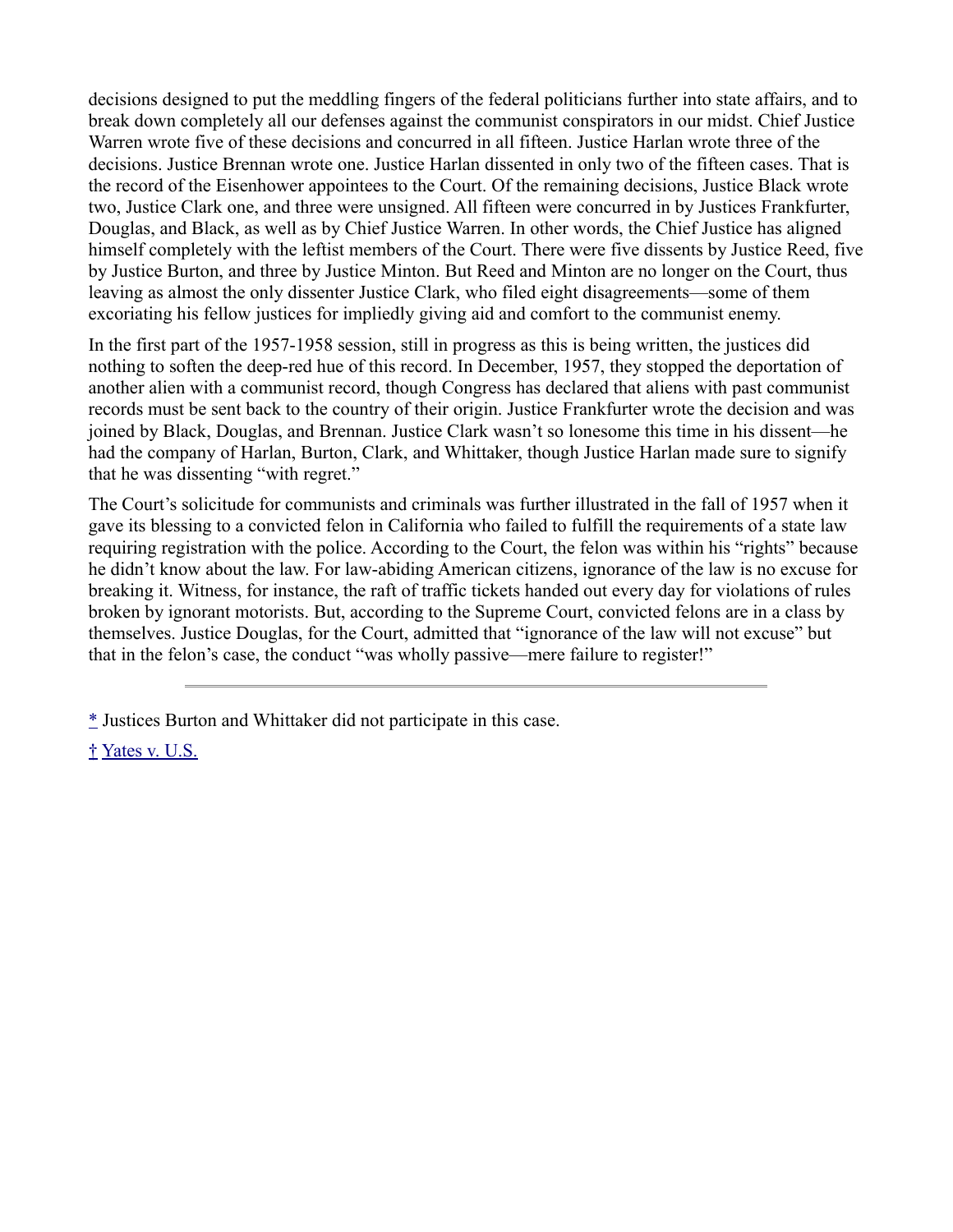decisions designed to put the meddling fingers of the federal politicians further into state affairs, and to break down completely all our defenses against the communist conspirators in our midst. Chief Justice Warren wrote five of these decisions and concurred in all fifteen. Justice Harlan wrote three of the decisions. Justice Brennan wrote one. Justice Harlan dissented in only two of the fifteen cases. That is the record of the Eisenhower appointees to the Court. Of the remaining decisions, Justice Black wrote two, Justice Clark one, and three were unsigned. All fifteen were concurred in by Justices Frankfurter, Douglas, and Black, as well as by Chief Justice Warren. In other words, the Chief Justice has aligned himself completely with the leftist members of the Court. There were five dissents by Justice Reed, five by Justice Burton, and three by Justice Minton. But Reed and Minton are no longer on the Court, thus leaving as almost the only dissenter Justice Clark, who filed eight disagreements—some of them excoriating his fellow justices for impliedly giving aid and comfort to the communist enemy.

In the first part of the 1957-1958 session, still in progress as this is being written, the justices did nothing to soften the deep-red hue of this record. In December, 1957, they stopped the deportation of another alien with a communist record, though Congress has declared that aliens with past communist records must be sent back to the country of their origin. Justice Frankfurter wrote the decision and was joined by Black, Douglas, and Brennan. Justice Clark wasn't so lonesome this time in his dissent—he had the company of Harlan, Burton, Clark, and Whittaker, though Justice Harlan made sure to signify that he was dissenting "with regret."

The Court's solicitude for communists and criminals was further illustrated in the fall of 1957 when it gave its blessing to a convicted felon in California who failed to fulfill the requirements of a state law requiring registration with the police. According to the Court, the felon was within his "rights" because he didn't know about the law. For law-abiding American citizens, ignorance of the law is no excuse for breaking it. Witness, for instance, the raft of traffic tickets handed out every day for violations of rules broken by ignorant motorists. But, according to the Supreme Court, convicted felons are in a class by themselves. Justice Douglas, for the Court, admitted that "ignorance of the law will not excuse" but that in the felon's case, the conduct "was wholly passive—mere failure to register!"

[\\*](http://sovereignstates.org/books/NMAA/NineMen_21.html#fnote-ast1) Justices Burton and Whittaker did not participate in this case.

[†](http://sovereignstates.org/books/NMAA/NineMen_21.html#fnote-ast2) [Yates v. U.S.](http://laws.findlaw.com/us/354/298.html)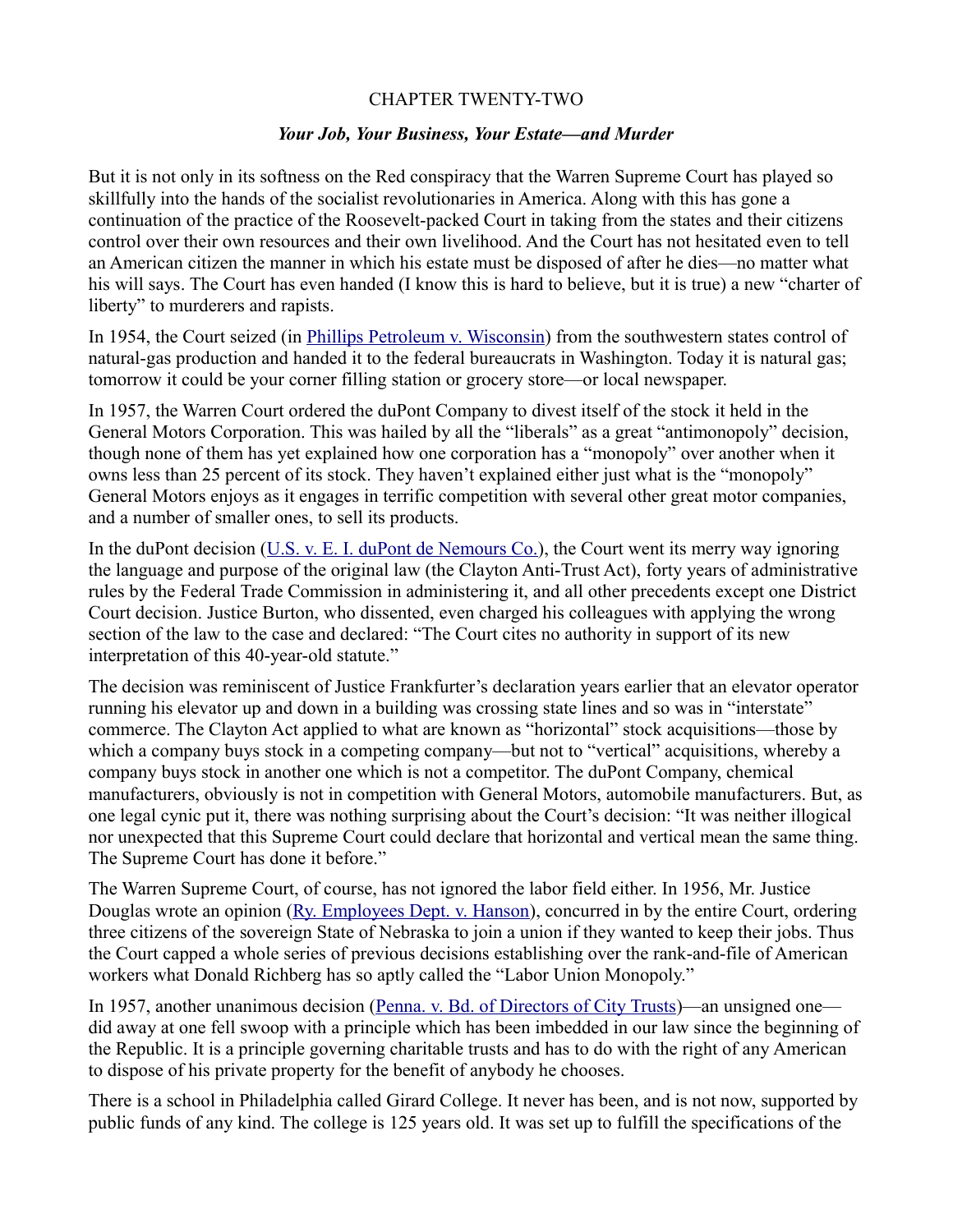# CHAPTER TWENTY-TWO

### *Your Job, Your Business, Your Estate—and Murder*

But it is not only in its softness on the Red conspiracy that the Warren Supreme Court has played so skillfully into the hands of the socialist revolutionaries in America. Along with this has gone a continuation of the practice of the Roosevelt-packed Court in taking from the states and their citizens control over their own resources and their own livelihood. And the Court has not hesitated even to tell an American citizen the manner in which his estate must be disposed of after he dies—no matter what his will says. The Court has even handed (I know this is hard to believe, but it is true) a new "charter of liberty" to murderers and rapists.

In 1954, the Court seized (in [Phillips Petroleum v. Wisconsin\)](http://laws.findlaw.com/us/347/672.html) from the southwestern states control of natural-gas production and handed it to the federal bureaucrats in Washington. Today it is natural gas; tomorrow it could be your corner filling station or grocery store—or local newspaper.

In 1957, the Warren Court ordered the duPont Company to divest itself of the stock it held in the General Motors Corporation. This was hailed by all the "liberals" as a great "antimonopoly" decision, though none of them has yet explained how one corporation has a "monopoly" over another when it owns less than 25 percent of its stock. They haven't explained either just what is the "monopoly" General Motors enjoys as it engages in terrific competition with several other great motor companies, and a number of smaller ones, to sell its products.

In the duPont decision [\(U.S. v. E. I. duPont de Nemours Co.\)](http://laws.findlaw.com/us/353/586.html), the Court went its merry way ignoring the language and purpose of the original law (the Clayton Anti-Trust Act), forty years of administrative rules by the Federal Trade Commission in administering it, and all other precedents except one District Court decision. Justice Burton, who dissented, even charged his colleagues with applying the wrong section of the law to the case and declared: "The Court cites no authority in support of its new interpretation of this 40-year-old statute."

The decision was reminiscent of Justice Frankfurter's declaration years earlier that an elevator operator running his elevator up and down in a building was crossing state lines and so was in "interstate" commerce. The Clayton Act applied to what are known as "horizontal" stock acquisitions—those by which a company buys stock in a competing company—but not to "vertical" acquisitions, whereby a company buys stock in another one which is not a competitor. The duPont Company, chemical manufacturers, obviously is not in competition with General Motors, automobile manufacturers. But, as one legal cynic put it, there was nothing surprising about the Court's decision: "It was neither illogical nor unexpected that this Supreme Court could declare that horizontal and vertical mean the same thing. The Supreme Court has done it before."

The Warren Supreme Court, of course, has not ignored the labor field either. In 1956, Mr. Justice Douglas wrote an opinion [\(Ry. Employees Dept. v. Hanson\)](http://laws.findlaw.com/us/351/225.html), concurred in by the entire Court, ordering three citizens of the sovereign State of Nebraska to join a union if they wanted to keep their jobs. Thus the Court capped a whole series of previous decisions establishing over the rank-and-file of American workers what Donald Richberg has so aptly called the "Labor Union Monopoly."

In 1957, another unanimous decision [\(Penna. v. Bd. of Directors of City Trusts\)](http://laws.findlaw.com/us/353/230.html)—an unsigned one did away at one fell swoop with a principle which has been imbedded in our law since the beginning of the Republic. It is a principle governing charitable trusts and has to do with the right of any American to dispose of his private property for the benefit of anybody he chooses.

There is a school in Philadelphia called Girard College. It never has been, and is not now, supported by public funds of any kind. The college is 125 years old. It was set up to fulfill the specifications of the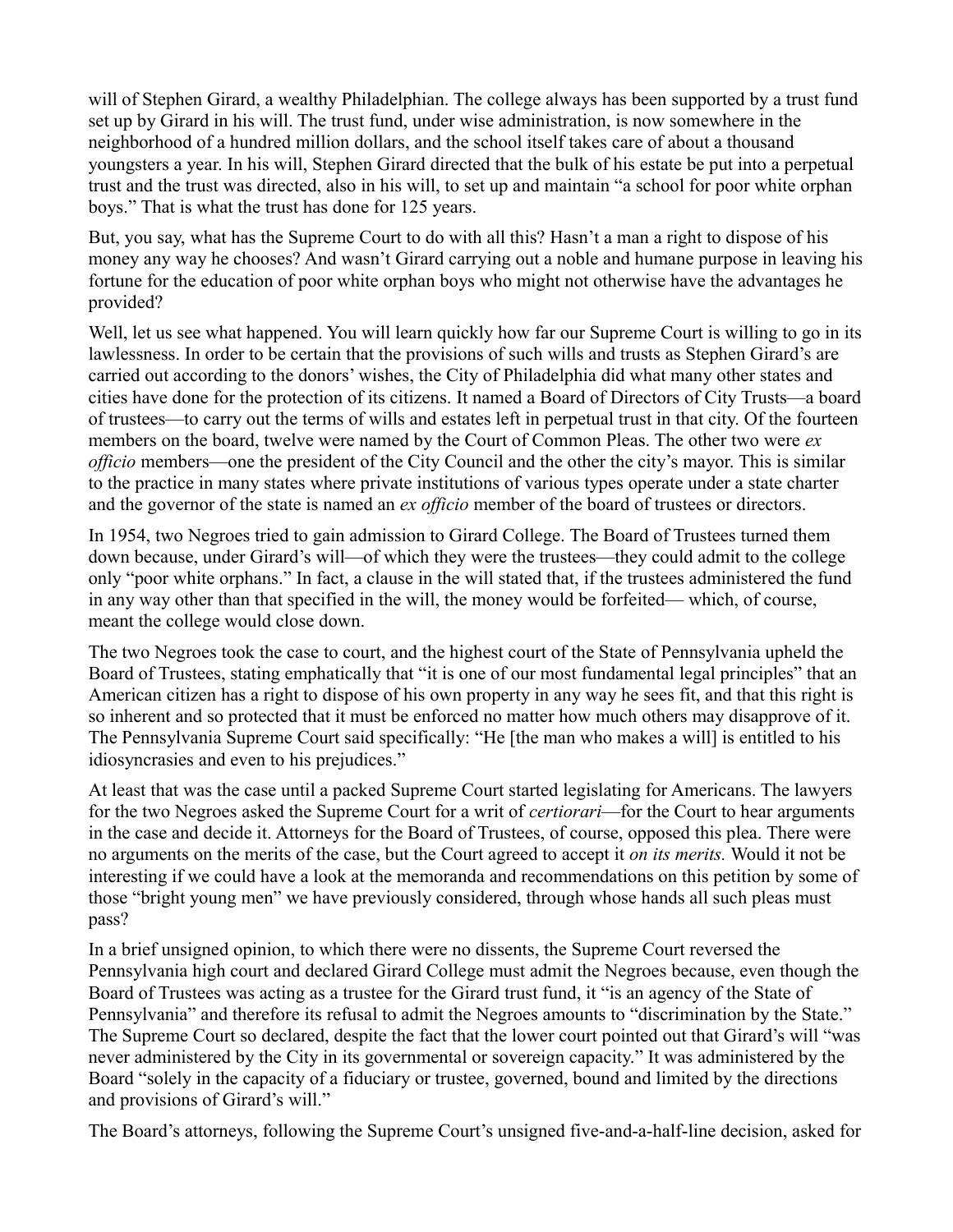will of Stephen Girard, a wealthy Philadelphian. The college always has been supported by a trust fund set up by Girard in his will. The trust fund, under wise administration, is now somewhere in the neighborhood of a hundred million dollars, and the school itself takes care of about a thousand youngsters a year. In his will, Stephen Girard directed that the bulk of his estate be put into a perpetual trust and the trust was directed, also in his will, to set up and maintain "a school for poor white orphan boys." That is what the trust has done for 125 years.

But, you say, what has the Supreme Court to do with all this? Hasn't a man a right to dispose of his money any way he chooses? And wasn't Girard carrying out a noble and humane purpose in leaving his fortune for the education of poor white orphan boys who might not otherwise have the advantages he provided?

Well, let us see what happened. You will learn quickly how far our Supreme Court is willing to go in its lawlessness. In order to be certain that the provisions of such wills and trusts as Stephen Girard's are carried out according to the donors' wishes, the City of Philadelphia did what many other states and cities have done for the protection of its citizens. It named a Board of Directors of City Trusts—a board of trustees—to carry out the terms of wills and estates left in perpetual trust in that city. Of the fourteen members on the board, twelve were named by the Court of Common Pleas. The other two were *ex officio* members—one the president of the City Council and the other the city's mayor. This is similar to the practice in many states where private institutions of various types operate under a state charter and the governor of the state is named an *ex officio* member of the board of trustees or directors.

In 1954, two Negroes tried to gain admission to Girard College. The Board of Trustees turned them down because, under Girard's will—of which they were the trustees—they could admit to the college only "poor white orphans." In fact, a clause in the will stated that, if the trustees administered the fund in any way other than that specified in the will, the money would be forfeited— which, of course, meant the college would close down.

The two Negroes took the case to court, and the highest court of the State of Pennsylvania upheld the Board of Trustees, stating emphatically that "it is one of our most fundamental legal principles" that an American citizen has a right to dispose of his own property in any way he sees fit, and that this right is so inherent and so protected that it must be enforced no matter how much others may disapprove of it. The Pennsylvania Supreme Court said specifically: "He [the man who makes a will] is entitled to his idiosyncrasies and even to his prejudices."

At least that was the case until a packed Supreme Court started legislating for Americans. The lawyers for the two Negroes asked the Supreme Court for a writ of *certiorari*—for the Court to hear arguments in the case and decide it. Attorneys for the Board of Trustees, of course, opposed this plea. There were no arguments on the merits of the case, but the Court agreed to accept it *on its merits.* Would it not be interesting if we could have a look at the memoranda and recommendations on this petition by some of those "bright young men" we have previously considered, through whose hands all such pleas must pass?

In a brief unsigned opinion, to which there were no dissents, the Supreme Court reversed the Pennsylvania high court and declared Girard College must admit the Negroes because, even though the Board of Trustees was acting as a trustee for the Girard trust fund, it "is an agency of the State of Pennsylvania" and therefore its refusal to admit the Negroes amounts to "discrimination by the State." The Supreme Court so declared, despite the fact that the lower court pointed out that Girard's will "was never administered by the City in its governmental or sovereign capacity." It was administered by the Board "solely in the capacity of a fiduciary or trustee, governed, bound and limited by the directions and provisions of Girard's will."

The Board's attorneys, following the Supreme Court's unsigned five-and-a-half-line decision, asked for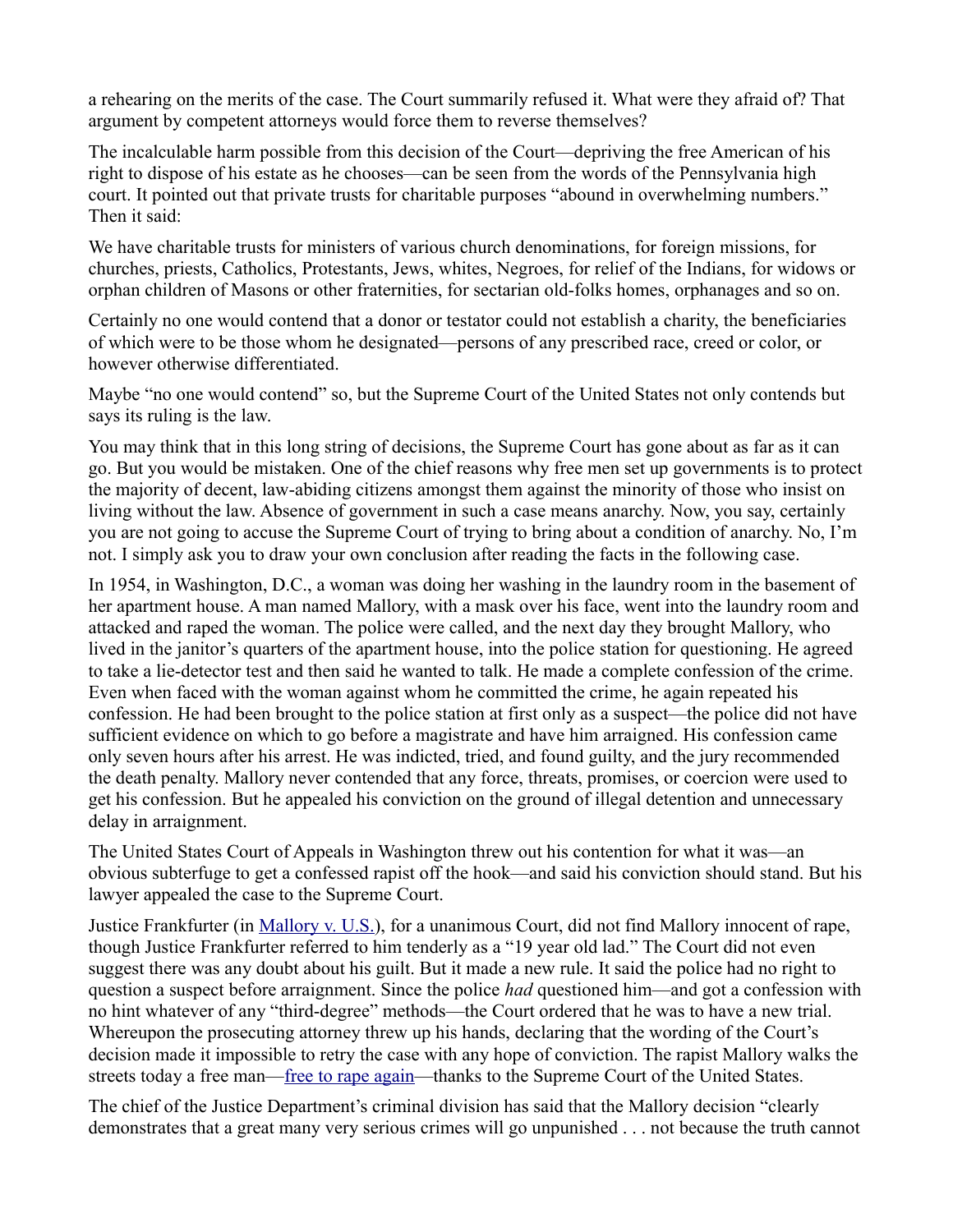a rehearing on the merits of the case. The Court summarily refused it. What were they afraid of? That argument by competent attorneys would force them to reverse themselves?

The incalculable harm possible from this decision of the Court—depriving the free American of his right to dispose of his estate as he chooses—can be seen from the words of the Pennsylvania high court. It pointed out that private trusts for charitable purposes "abound in overwhelming numbers." Then it said:

We have charitable trusts for ministers of various church denominations, for foreign missions, for churches, priests, Catholics, Protestants, Jews, whites, Negroes, for relief of the Indians, for widows or orphan children of Masons or other fraternities, for sectarian old-folks homes, orphanages and so on.

Certainly no one would contend that a donor or testator could not establish a charity, the beneficiaries of which were to be those whom he designated—persons of any prescribed race, creed or color, or however otherwise differentiated.

Maybe "no one would contend" so, but the Supreme Court of the United States not only contends but says its ruling is the law.

You may think that in this long string of decisions, the Supreme Court has gone about as far as it can go. But you would be mistaken. One of the chief reasons why free men set up governments is to protect the majority of decent, law-abiding citizens amongst them against the minority of those who insist on living without the law. Absence of government in such a case means anarchy. Now, you say, certainly you are not going to accuse the Supreme Court of trying to bring about a condition of anarchy. No, I'm not. I simply ask you to draw your own conclusion after reading the facts in the following case.

In 1954, in Washington, D.C., a woman was doing her washing in the laundry room in the basement of her apartment house. A man named Mallory, with a mask over his face, went into the laundry room and attacked and raped the woman. The police were called, and the next day they brought Mallory, who lived in the janitor's quarters of the apartment house, into the police station for questioning. He agreed to take a lie-detector test and then said he wanted to talk. He made a complete confession of the crime. Even when faced with the woman against whom he committed the crime, he again repeated his confession. He had been brought to the police station at first only as a suspect—the police did not have sufficient evidence on which to go before a magistrate and have him arraigned. His confession came only seven hours after his arrest. He was indicted, tried, and found guilty, and the jury recommended the death penalty. Mallory never contended that any force, threats, promises, or coercion were used to get his confession. But he appealed his conviction on the ground of illegal detention and unnecessary delay in arraignment.

The United States Court of Appeals in Washington threw out his contention for what it was—an obvious subterfuge to get a confessed rapist off the hook—and said his conviction should stand. But his lawyer appealed the case to the Supreme Court.

Justice Frankfurter (in [Mallory v. U.S.\)](http://laws.findlaw.com/us/354/449.html), for a unanimous Court, did not find Mallory innocent of rape, though Justice Frankfurter referred to him tenderly as a "19 year old lad." The Court did not even suggest there was any doubt about his guilt. But it made a new rule. It said the police had no right to question a suspect before arraignment. Since the police *had* questioned him—and got a confession with no hint whatever of any "third-degree" methods—the Court ordered that he was to have a new trial. Whereupon the prosecuting attorney threw up his hands, declaring that the wording of the Court's decision made it impossible to retry the case with any hope of conviction. The rapist Mallory walks the streets today a free man[—free to rape again—](http://sovereignstates.org/books/NMAA/NineMen_Preface.html#mallory)thanks to the Supreme Court of the United States.

The chief of the Justice Department's criminal division has said that the Mallory decision "clearly demonstrates that a great many very serious crimes will go unpunished . . . not because the truth cannot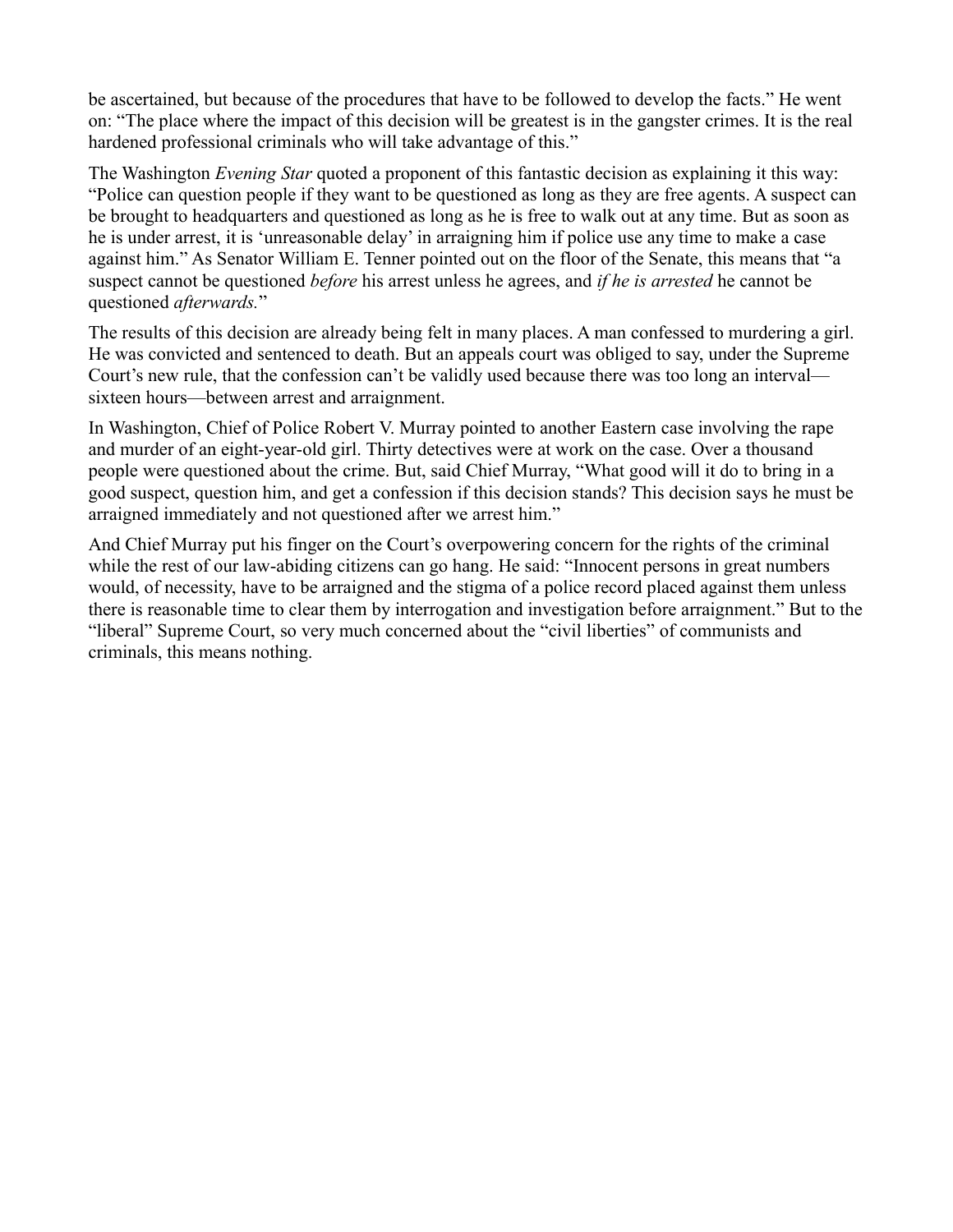be ascertained, but because of the procedures that have to be followed to develop the facts." He went on: "The place where the impact of this decision will be greatest is in the gangster crimes. It is the real hardened professional criminals who will take advantage of this."

The Washington *Evening Star* quoted a proponent of this fantastic decision as explaining it this way: "Police can question people if they want to be questioned as long as they are free agents. A suspect can be brought to headquarters and questioned as long as he is free to walk out at any time. But as soon as he is under arrest, it is 'unreasonable delay' in arraigning him if police use any time to make a case against him." As Senator William E. Tenner pointed out on the floor of the Senate, this means that "a suspect cannot be questioned *before* his arrest unless he agrees, and *if he is arrested* he cannot be questioned *afterwards.*"

The results of this decision are already being felt in many places. A man confessed to murdering a girl. He was convicted and sentenced to death. But an appeals court was obliged to say, under the Supreme Court's new rule, that the confession can't be validly used because there was too long an interval sixteen hours—between arrest and arraignment.

In Washington, Chief of Police Robert V. Murray pointed to another Eastern case involving the rape and murder of an eight-year-old girl. Thirty detectives were at work on the case. Over a thousand people were questioned about the crime. But, said Chief Murray, "What good will it do to bring in a good suspect, question him, and get a confession if this decision stands? This decision says he must be arraigned immediately and not questioned after we arrest him."

And Chief Murray put his finger on the Court's overpowering concern for the rights of the criminal while the rest of our law-abiding citizens can go hang. He said: "Innocent persons in great numbers would, of necessity, have to be arraigned and the stigma of a police record placed against them unless there is reasonable time to clear them by interrogation and investigation before arraignment." But to the "liberal" Supreme Court, so very much concerned about the "civil liberties" of communists and criminals, this means nothing.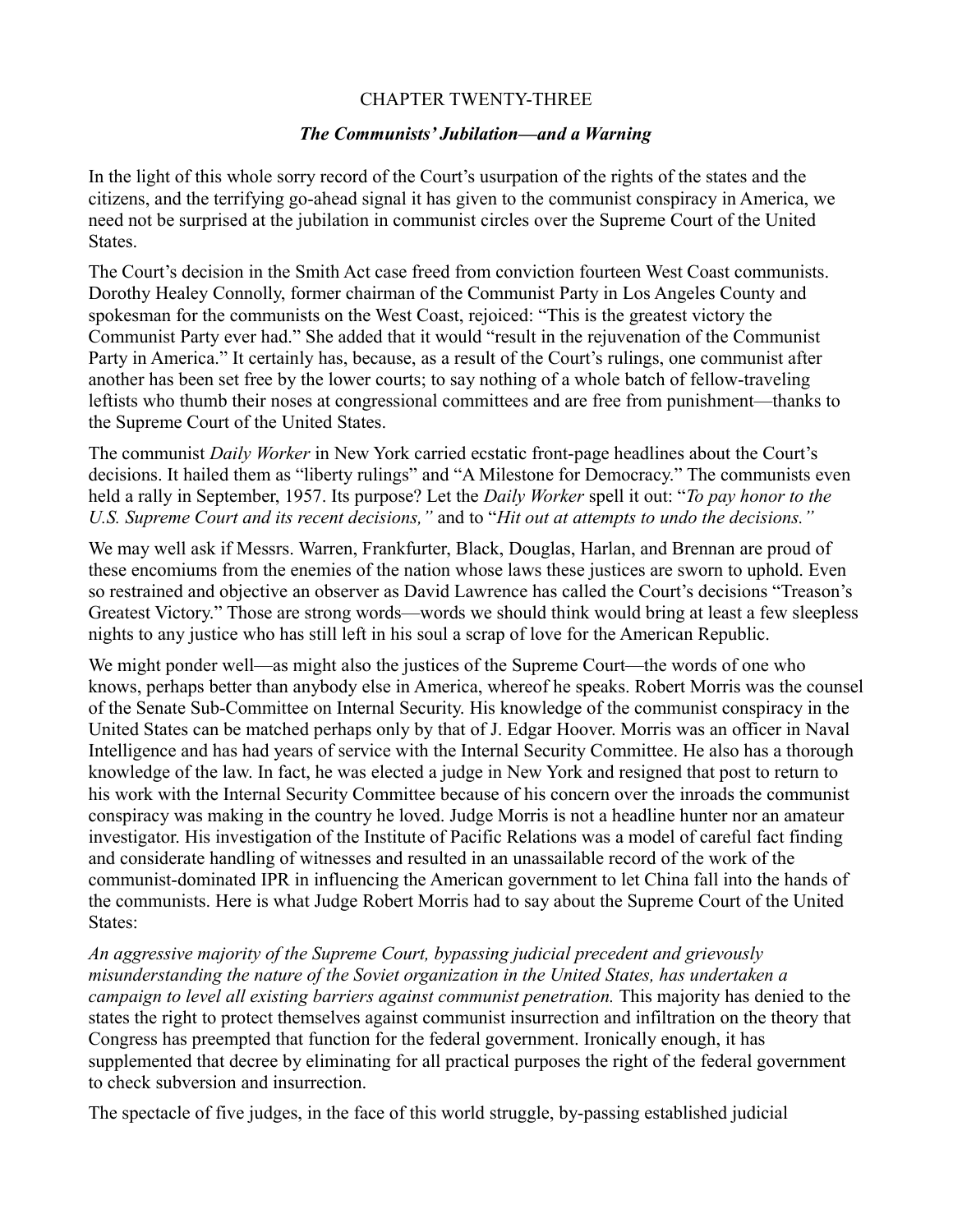# CHAPTER TWENTY-THREE

# *The Communists' Jubilation—and a Warning*

In the light of this whole sorry record of the Court's usurpation of the rights of the states and the citizens, and the terrifying go-ahead signal it has given to the communist conspiracy in America, we need not be surprised at the jubilation in communist circles over the Supreme Court of the United States.

The Court's decision in the Smith Act case freed from conviction fourteen West Coast communists. Dorothy Healey Connolly, former chairman of the Communist Party in Los Angeles County and spokesman for the communists on the West Coast, rejoiced: "This is the greatest victory the Communist Party ever had." She added that it would "result in the rejuvenation of the Communist Party in America." It certainly has, because, as a result of the Court's rulings, one communist after another has been set free by the lower courts; to say nothing of a whole batch of fellow-traveling leftists who thumb their noses at congressional committees and are free from punishment—thanks to the Supreme Court of the United States.

The communist *Daily Worker* in New York carried ecstatic front-page headlines about the Court's decisions. It hailed them as "liberty rulings" and "A Milestone for Democracy." The communists even held a rally in September, 1957. Its purpose? Let the *Daily Worker* spell it out: "*To pay honor to the U.S. Supreme Court and its recent decisions,"* and to "*Hit out at attempts to undo the decisions."*

We may well ask if Messrs. Warren, Frankfurter, Black, Douglas, Harlan, and Brennan are proud of these encomiums from the enemies of the nation whose laws these justices are sworn to uphold. Even so restrained and objective an observer as David Lawrence has called the Court's decisions "Treason's Greatest Victory." Those are strong words—words we should think would bring at least a few sleepless nights to any justice who has still left in his soul a scrap of love for the American Republic.

We might ponder well—as might also the justices of the Supreme Court—the words of one who knows, perhaps better than anybody else in America, whereof he speaks. Robert Morris was the counsel of the Senate Sub-Committee on Internal Security. His knowledge of the communist conspiracy in the United States can be matched perhaps only by that of J. Edgar Hoover. Morris was an officer in Naval Intelligence and has had years of service with the Internal Security Committee. He also has a thorough knowledge of the law. In fact, he was elected a judge in New York and resigned that post to return to his work with the Internal Security Committee because of his concern over the inroads the communist conspiracy was making in the country he loved. Judge Morris is not a headline hunter nor an amateur investigator. His investigation of the Institute of Pacific Relations was a model of careful fact finding and considerate handling of witnesses and resulted in an unassailable record of the work of the communist-dominated IPR in influencing the American government to let China fall into the hands of the communists. Here is what Judge Robert Morris had to say about the Supreme Court of the United States:

*An aggressive majority of the Supreme Court, bypassing judicial precedent and grievously misunderstanding the nature of the Soviet organization in the United States, has undertaken a campaign to level all existing barriers against communist penetration.* This majority has denied to the states the right to protect themselves against communist insurrection and infiltration on the theory that Congress has preempted that function for the federal government. Ironically enough, it has supplemented that decree by eliminating for all practical purposes the right of the federal government to check subversion and insurrection.

The spectacle of five judges, in the face of this world struggle, by-passing established judicial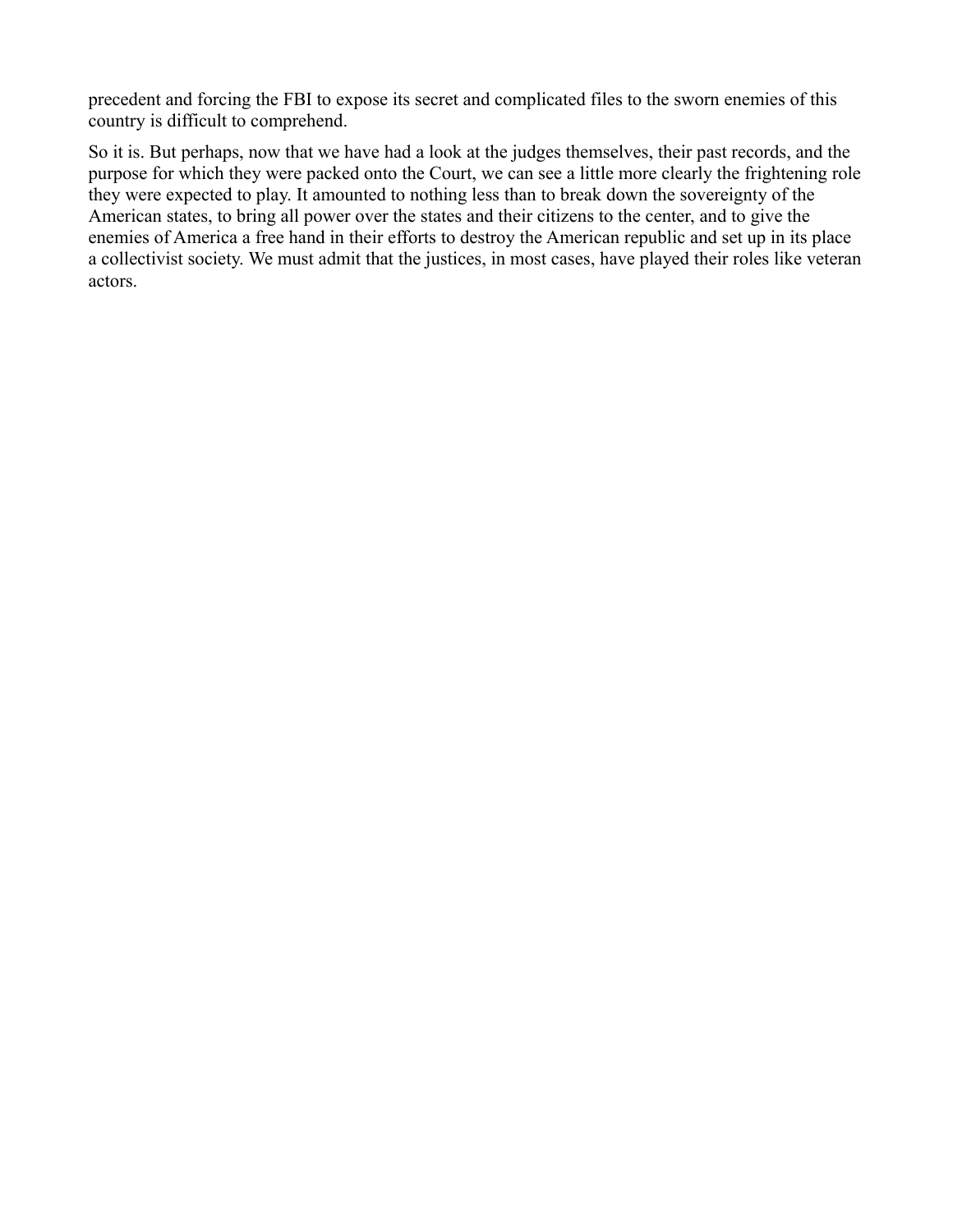precedent and forcing the FBI to expose its secret and complicated files to the sworn enemies of this country is difficult to comprehend.

So it is. But perhaps, now that we have had a look at the judges themselves, their past records, and the purpose for which they were packed onto the Court, we can see a little more clearly the frightening role they were expected to play. It amounted to nothing less than to break down the sovereignty of the American states, to bring all power over the states and their citizens to the center, and to give the enemies of America a free hand in their efforts to destroy the American republic and set up in its place a collectivist society. We must admit that the justices, in most cases, have played their roles like veteran actors.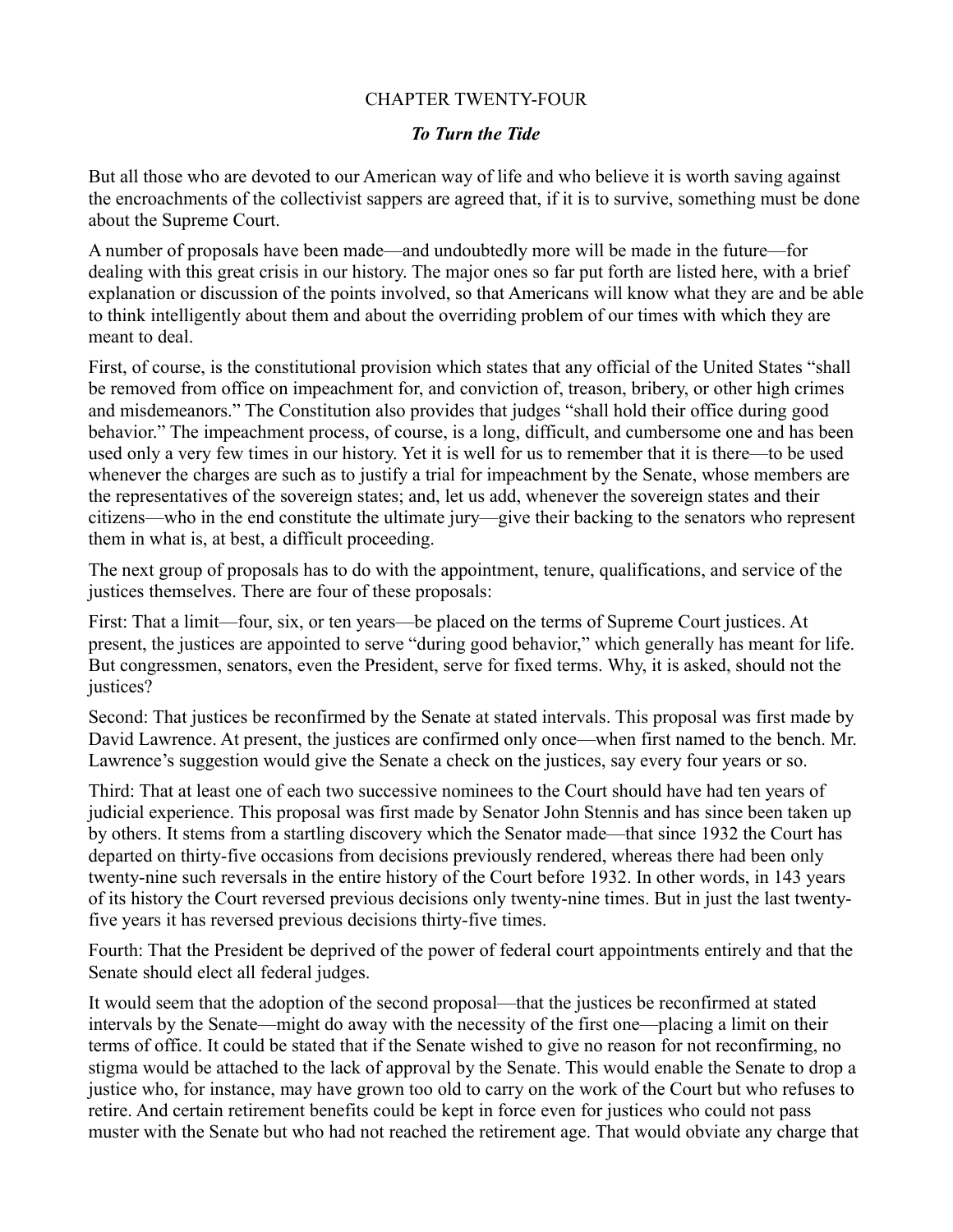# CHAPTER TWENTY-FOUR

### *To Turn the Tide*

But all those who are devoted to our American way of life and who believe it is worth saving against the encroachments of the collectivist sappers are agreed that, if it is to survive, something must be done about the Supreme Court.

A number of proposals have been made—and undoubtedly more will be made in the future—for dealing with this great crisis in our history. The major ones so far put forth are listed here, with a brief explanation or discussion of the points involved, so that Americans will know what they are and be able to think intelligently about them and about the overriding problem of our times with which they are meant to deal.

First, of course, is the constitutional provision which states that any official of the United States "shall be removed from office on impeachment for, and conviction of, treason, bribery, or other high crimes and misdemeanors." The Constitution also provides that judges "shall hold their office during good behavior." The impeachment process, of course, is a long, difficult, and cumbersome one and has been used only a very few times in our history. Yet it is well for us to remember that it is there—to be used whenever the charges are such as to justify a trial for impeachment by the Senate, whose members are the representatives of the sovereign states; and, let us add, whenever the sovereign states and their citizens—who in the end constitute the ultimate jury—give their backing to the senators who represent them in what is, at best, a difficult proceeding.

The next group of proposals has to do with the appointment, tenure, qualifications, and service of the justices themselves. There are four of these proposals:

First: That a limit—four, six, or ten years—be placed on the terms of Supreme Court justices. At present, the justices are appointed to serve "during good behavior," which generally has meant for life. But congressmen, senators, even the President, serve for fixed terms. Why, it is asked, should not the justices?

Second: That justices be reconfirmed by the Senate at stated intervals. This proposal was first made by David Lawrence. At present, the justices are confirmed only once—when first named to the bench. Mr. Lawrence's suggestion would give the Senate a check on the justices, say every four years or so.

Third: That at least one of each two successive nominees to the Court should have had ten years of judicial experience. This proposal was first made by Senator John Stennis and has since been taken up by others. It stems from a startling discovery which the Senator made—that since 1932 the Court has departed on thirty-five occasions from decisions previously rendered, whereas there had been only twenty-nine such reversals in the entire history of the Court before 1932. In other words, in 143 years of its history the Court reversed previous decisions only twenty-nine times. But in just the last twentyfive years it has reversed previous decisions thirty-five times.

Fourth: That the President be deprived of the power of federal court appointments entirely and that the Senate should elect all federal judges.

It would seem that the adoption of the second proposal—that the justices be reconfirmed at stated intervals by the Senate—might do away with the necessity of the first one—placing a limit on their terms of office. It could be stated that if the Senate wished to give no reason for not reconfirming, no stigma would be attached to the lack of approval by the Senate. This would enable the Senate to drop a justice who, for instance, may have grown too old to carry on the work of the Court but who refuses to retire. And certain retirement benefits could be kept in force even for justices who could not pass muster with the Senate but who had not reached the retirement age. That would obviate any charge that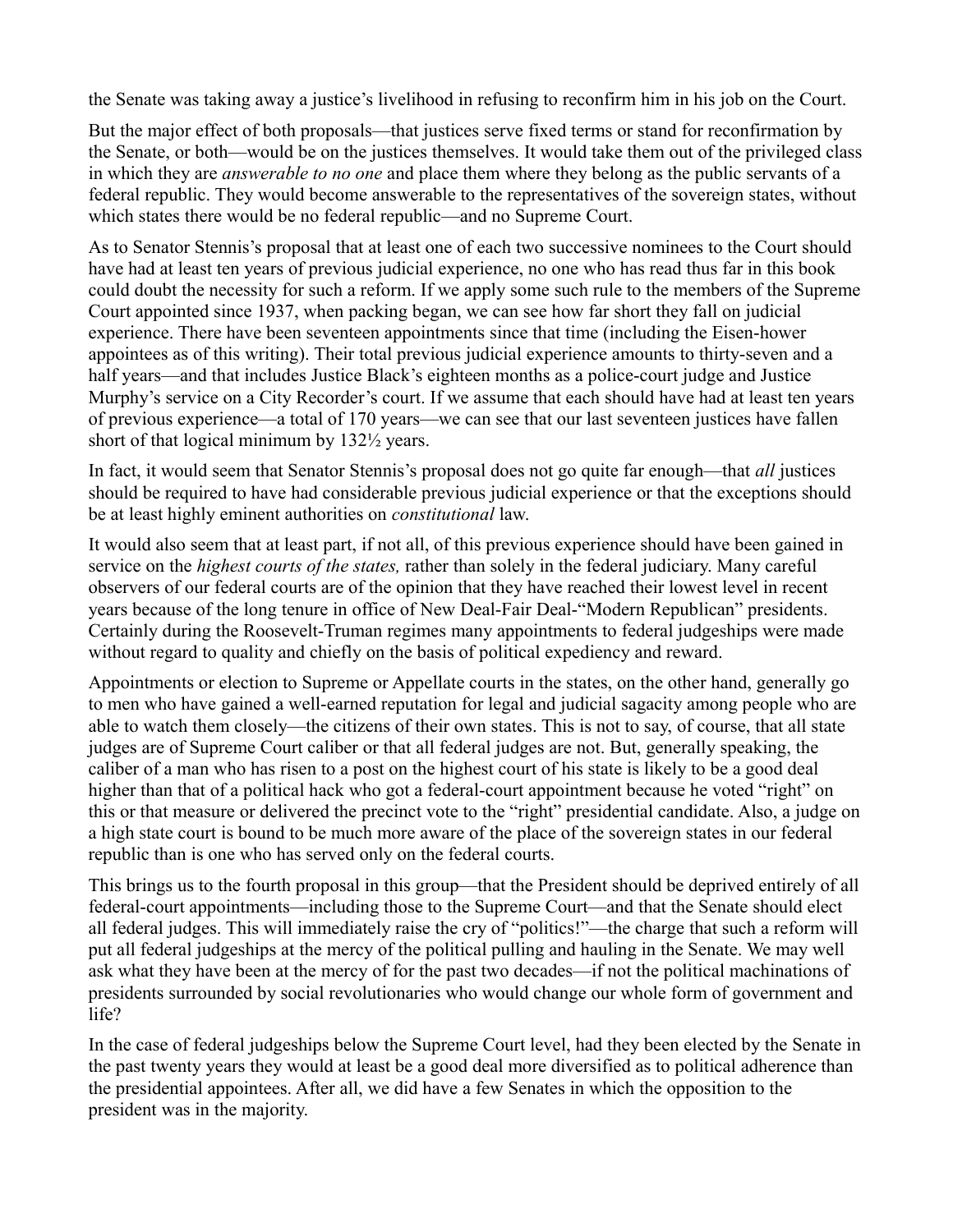the Senate was taking away a justice's livelihood in refusing to reconfirm him in his job on the Court.

But the major effect of both proposals—that justices serve fixed terms or stand for reconfirmation by the Senate, or both—would be on the justices themselves. It would take them out of the privileged class in which they are *answerable to no one* and place them where they belong as the public servants of a federal republic. They would become answerable to the representatives of the sovereign states, without which states there would be no federal republic—and no Supreme Court.

As to Senator Stennis's proposal that at least one of each two successive nominees to the Court should have had at least ten years of previous judicial experience, no one who has read thus far in this book could doubt the necessity for such a reform. If we apply some such rule to the members of the Supreme Court appointed since 1937, when packing began, we can see how far short they fall on judicial experience. There have been seventeen appointments since that time (including the Eisen-hower appointees as of this writing). Their total previous judicial experience amounts to thirty-seven and a half years—and that includes Justice Black's eighteen months as a police-court judge and Justice Murphy's service on a City Recorder's court. If we assume that each should have had at least ten years of previous experience—a total of 170 years—we can see that our last seventeen justices have fallen short of that logical minimum by 132½ years.

In fact, it would seem that Senator Stennis's proposal does not go quite far enough—that *all* justices should be required to have had considerable previous judicial experience or that the exceptions should be at least highly eminent authorities on *constitutional* law.

It would also seem that at least part, if not all, of this previous experience should have been gained in service on the *highest courts of the states,* rather than solely in the federal judiciary. Many careful observers of our federal courts are of the opinion that they have reached their lowest level in recent years because of the long tenure in office of New Deal-Fair Deal-"Modern Republican" presidents. Certainly during the Roosevelt-Truman regimes many appointments to federal judgeships were made without regard to quality and chiefly on the basis of political expediency and reward.

Appointments or election to Supreme or Appellate courts in the states, on the other hand, generally go to men who have gained a well-earned reputation for legal and judicial sagacity among people who are able to watch them closely—the citizens of their own states. This is not to say, of course, that all state judges are of Supreme Court caliber or that all federal judges are not. But, generally speaking, the caliber of a man who has risen to a post on the highest court of his state is likely to be a good deal higher than that of a political hack who got a federal-court appointment because he voted "right" on this or that measure or delivered the precinct vote to the "right" presidential candidate. Also, a judge on a high state court is bound to be much more aware of the place of the sovereign states in our federal republic than is one who has served only on the federal courts.

This brings us to the fourth proposal in this group—that the President should be deprived entirely of all federal-court appointments—including those to the Supreme Court—and that the Senate should elect all federal judges. This will immediately raise the cry of "politics!"—the charge that such a reform will put all federal judgeships at the mercy of the political pulling and hauling in the Senate. We may well ask what they have been at the mercy of for the past two decades—if not the political machinations of presidents surrounded by social revolutionaries who would change our whole form of government and life?

In the case of federal judgeships below the Supreme Court level, had they been elected by the Senate in the past twenty years they would at least be a good deal more diversified as to political adherence than the presidential appointees. After all, we did have a few Senates in which the opposition to the president was in the majority.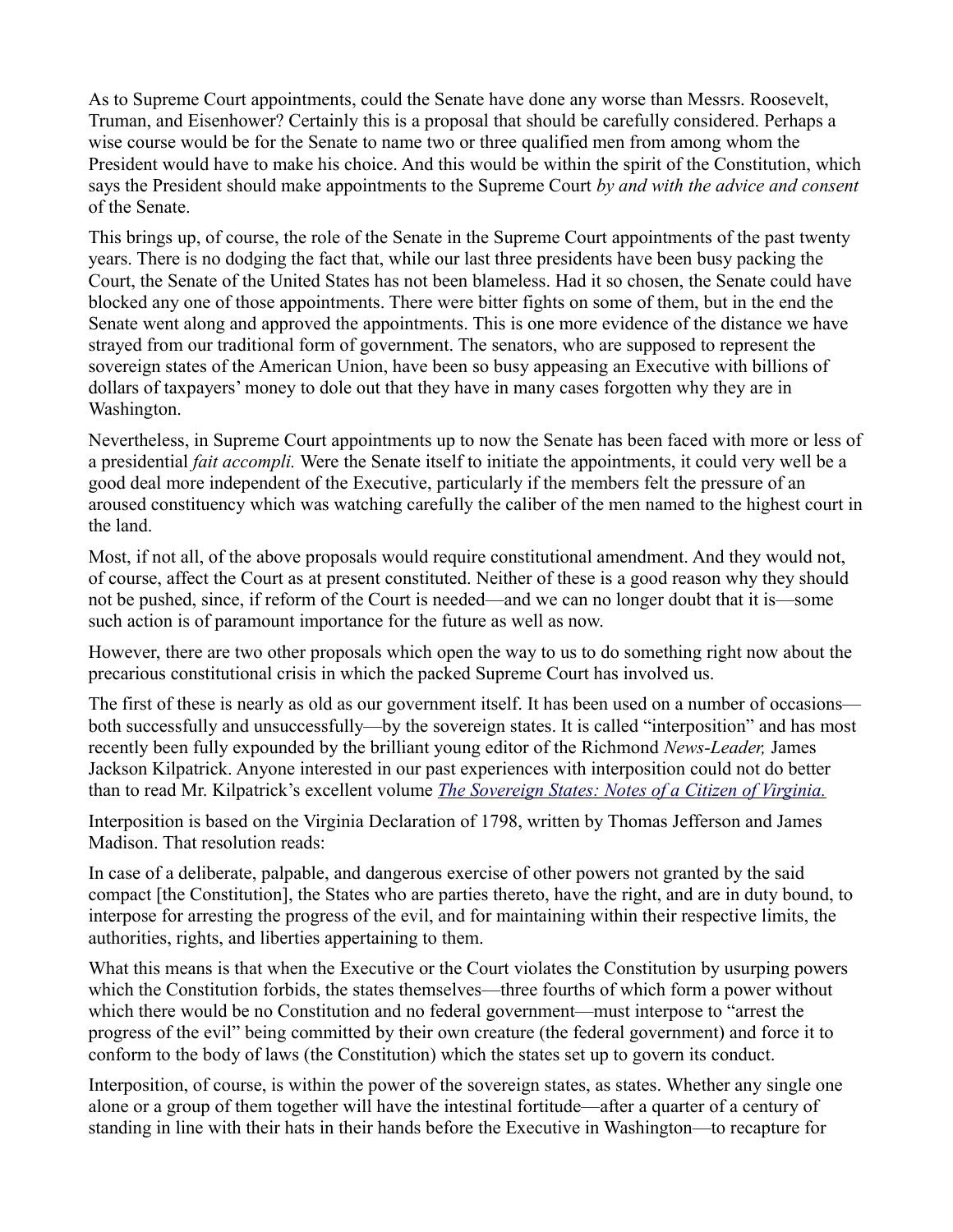As to Supreme Court appointments, could the Senate have done any worse than Messrs. Roosevelt, Truman, and Eisenhower? Certainly this is a proposal that should be carefully considered. Perhaps a wise course would be for the Senate to name two or three qualified men from among whom the President would have to make his choice. And this would be within the spirit of the Constitution, which says the President should make appointments to the Supreme Court *by and with the advice and consent* of the Senate.

This brings up, of course, the role of the Senate in the Supreme Court appointments of the past twenty years. There is no dodging the fact that, while our last three presidents have been busy packing the Court, the Senate of the United States has not been blameless. Had it so chosen, the Senate could have blocked any one of those appointments. There were bitter fights on some of them, but in the end the Senate went along and approved the appointments. This is one more evidence of the distance we have strayed from our traditional form of government. The senators, who are supposed to represent the sovereign states of the American Union, have been so busy appeasing an Executive with billions of dollars of taxpayers' money to dole out that they have in many cases forgotten why they are in Washington.

Nevertheless, in Supreme Court appointments up to now the Senate has been faced with more or less of a presidential *fait accompli.* Were the Senate itself to initiate the appointments, it could very well be a good deal more independent of the Executive, particularly if the members felt the pressure of an aroused constituency which was watching carefully the caliber of the men named to the highest court in the land.

Most, if not all, of the above proposals would require constitutional amendment. And they would not, of course, affect the Court as at present constituted. Neither of these is a good reason why they should not be pushed, since, if reform of the Court is needed—and we can no longer doubt that it is—some such action is of paramount importance for the future as well as now.

However, there are two other proposals which open the way to us to do something right now about the precarious constitutional crisis in which the packed Supreme Court has involved us.

The first of these is nearly as old as our government itself. It has been used on a number of occasions both successfully and unsuccessfully—by the sovereign states. It is called "interposition" and has most recently been fully expounded by the brilliant young editor of the Richmond *News-Leader,* James Jackson Kilpatrick. Anyone interested in our past experiences with interposition could not do better than to read Mr. Kilpatrick's excellent volume *[The Sovereign States: Notes of a Citizen of Virginia.](http://sovereignstates.org/books/The_Sovereign_States/SovStates_Contents.html)*

Interposition is based on the Virginia Declaration of 1798, written by Thomas Jefferson and James Madison. That resolution reads:

In case of a deliberate, palpable, and dangerous exercise of other powers not granted by the said compact [the Constitution], the States who are parties thereto, have the right, and are in duty bound, to interpose for arresting the progress of the evil, and for maintaining within their respective limits, the authorities, rights, and liberties appertaining to them.

What this means is that when the Executive or the Court violates the Constitution by usurping powers which the Constitution forbids, the states themselves—three fourths of which form a power without which there would be no Constitution and no federal government—must interpose to "arrest the progress of the evil" being committed by their own creature (the federal government) and force it to conform to the body of laws (the Constitution) which the states set up to govern its conduct.

Interposition, of course, is within the power of the sovereign states, as states. Whether any single one alone or a group of them together will have the intestinal fortitude—after a quarter of a century of standing in line with their hats in their hands before the Executive in Washington—to recapture for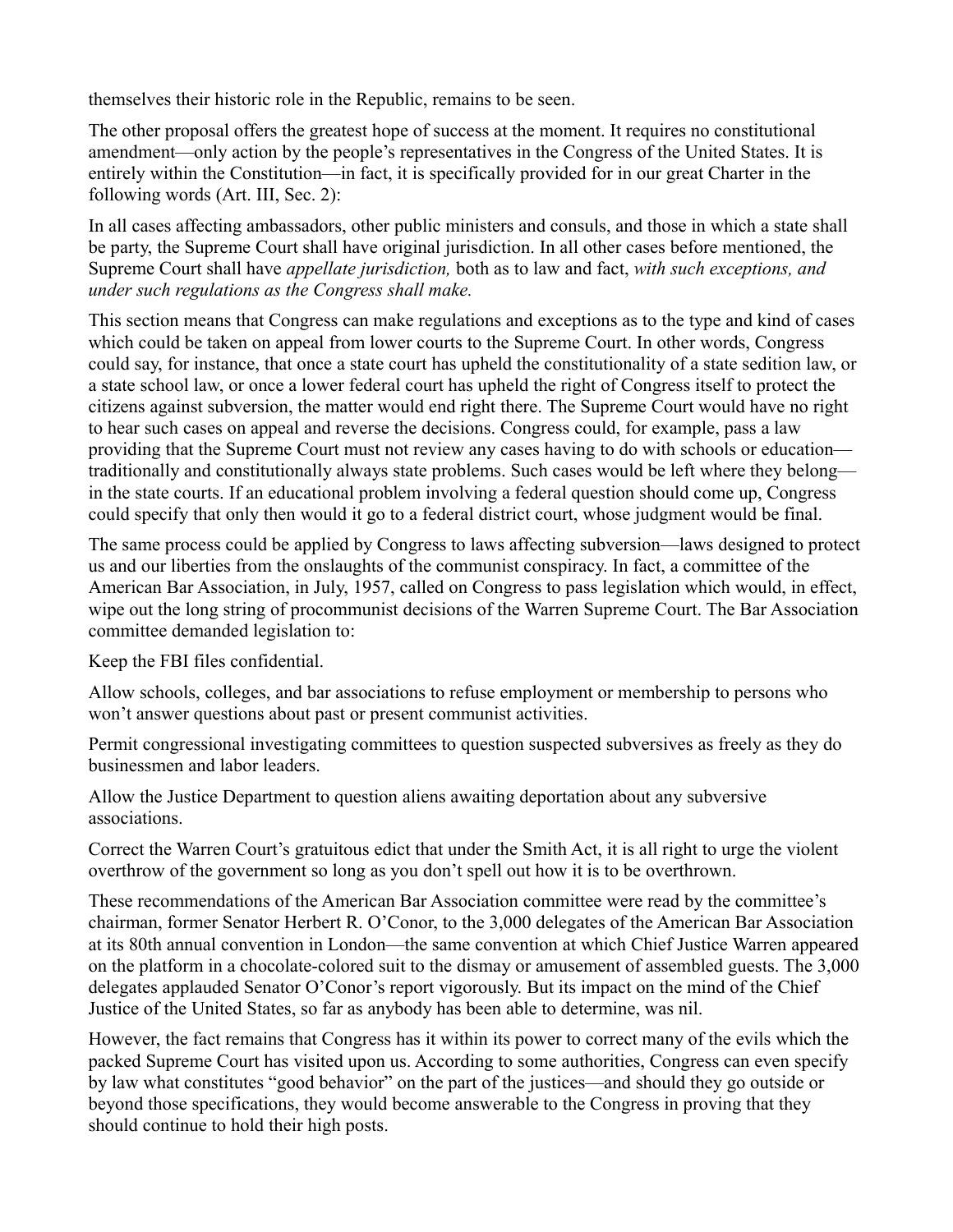themselves their historic role in the Republic, remains to be seen.

The other proposal offers the greatest hope of success at the moment. It requires no constitutional amendment—only action by the people's representatives in the Congress of the United States. It is entirely within the Constitution—in fact, it is specifically provided for in our great Charter in the following words (Art. III, Sec. 2):

In all cases affecting ambassadors, other public ministers and consuls, and those in which a state shall be party, the Supreme Court shall have original jurisdiction. In all other cases before mentioned, the Supreme Court shall have *appellate jurisdiction,* both as to law and fact, *with such exceptions, and under such regulations as the Congress shall make.*

This section means that Congress can make regulations and exceptions as to the type and kind of cases which could be taken on appeal from lower courts to the Supreme Court. In other words, Congress could say, for instance, that once a state court has upheld the constitutionality of a state sedition law, or a state school law, or once a lower federal court has upheld the right of Congress itself to protect the citizens against subversion, the matter would end right there. The Supreme Court would have no right to hear such cases on appeal and reverse the decisions. Congress could, for example, pass a law providing that the Supreme Court must not review any cases having to do with schools or education traditionally and constitutionally always state problems. Such cases would be left where they belong in the state courts. If an educational problem involving a federal question should come up, Congress could specify that only then would it go to a federal district court, whose judgment would be final.

The same process could be applied by Congress to laws affecting subversion—laws designed to protect us and our liberties from the onslaughts of the communist conspiracy. In fact, a committee of the American Bar Association, in July, 1957, called on Congress to pass legislation which would, in effect, wipe out the long string of procommunist decisions of the Warren Supreme Court. The Bar Association committee demanded legislation to:

Keep the FBI files confidential.

Allow schools, colleges, and bar associations to refuse employment or membership to persons who won't answer questions about past or present communist activities.

Permit congressional investigating committees to question suspected subversives as freely as they do businessmen and labor leaders.

Allow the Justice Department to question aliens awaiting deportation about any subversive associations.

Correct the Warren Court's gratuitous edict that under the Smith Act, it is all right to urge the violent overthrow of the government so long as you don't spell out how it is to be overthrown.

These recommendations of the American Bar Association committee were read by the committee's chairman, former Senator Herbert R. O'Conor, to the 3,000 delegates of the American Bar Association at its 80th annual convention in London—the same convention at which Chief Justice Warren appeared on the platform in a chocolate-colored suit to the dismay or amusement of assembled guests. The 3,000 delegates applauded Senator O'Conor's report vigorously. But its impact on the mind of the Chief Justice of the United States, so far as anybody has been able to determine, was nil.

However, the fact remains that Congress has it within its power to correct many of the evils which the packed Supreme Court has visited upon us. According to some authorities, Congress can even specify by law what constitutes "good behavior" on the part of the justices—and should they go outside or beyond those specifications, they would become answerable to the Congress in proving that they should continue to hold their high posts.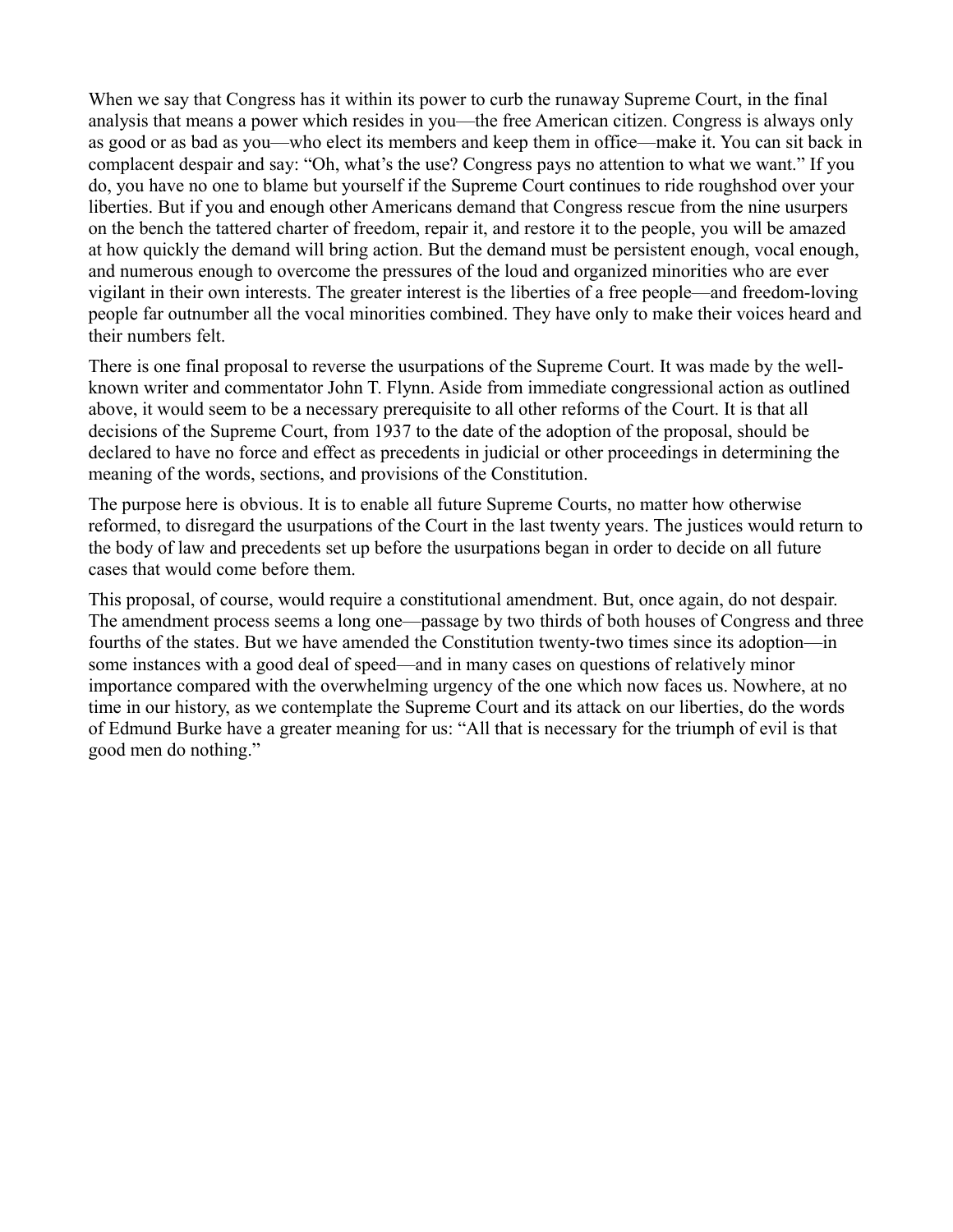When we say that Congress has it within its power to curb the runaway Supreme Court, in the final analysis that means a power which resides in you—the free American citizen. Congress is always only as good or as bad as you—who elect its members and keep them in office—make it. You can sit back in complacent despair and say: "Oh, what's the use? Congress pays no attention to what we want." If you do, you have no one to blame but yourself if the Supreme Court continues to ride roughshod over your liberties. But if you and enough other Americans demand that Congress rescue from the nine usurpers on the bench the tattered charter of freedom, repair it, and restore it to the people, you will be amazed at how quickly the demand will bring action. But the demand must be persistent enough, vocal enough, and numerous enough to overcome the pressures of the loud and organized minorities who are ever vigilant in their own interests. The greater interest is the liberties of a free people—and freedom-loving people far outnumber all the vocal minorities combined. They have only to make their voices heard and their numbers felt.

There is one final proposal to reverse the usurpations of the Supreme Court. It was made by the wellknown writer and commentator John T. Flynn. Aside from immediate congressional action as outlined above, it would seem to be a necessary prerequisite to all other reforms of the Court. It is that all decisions of the Supreme Court, from 1937 to the date of the adoption of the proposal, should be declared to have no force and effect as precedents in judicial or other proceedings in determining the meaning of the words, sections, and provisions of the Constitution.

The purpose here is obvious. It is to enable all future Supreme Courts, no matter how otherwise reformed, to disregard the usurpations of the Court in the last twenty years. The justices would return to the body of law and precedents set up before the usurpations began in order to decide on all future cases that would come before them.

This proposal, of course, would require a constitutional amendment. But, once again, do not despair. The amendment process seems a long one—passage by two thirds of both houses of Congress and three fourths of the states. But we have amended the Constitution twenty-two times since its adoption—in some instances with a good deal of speed—and in many cases on questions of relatively minor importance compared with the overwhelming urgency of the one which now faces us. Nowhere, at no time in our history, as we contemplate the Supreme Court and its attack on our liberties, do the words of Edmund Burke have a greater meaning for us: "All that is necessary for the triumph of evil is that good men do nothing."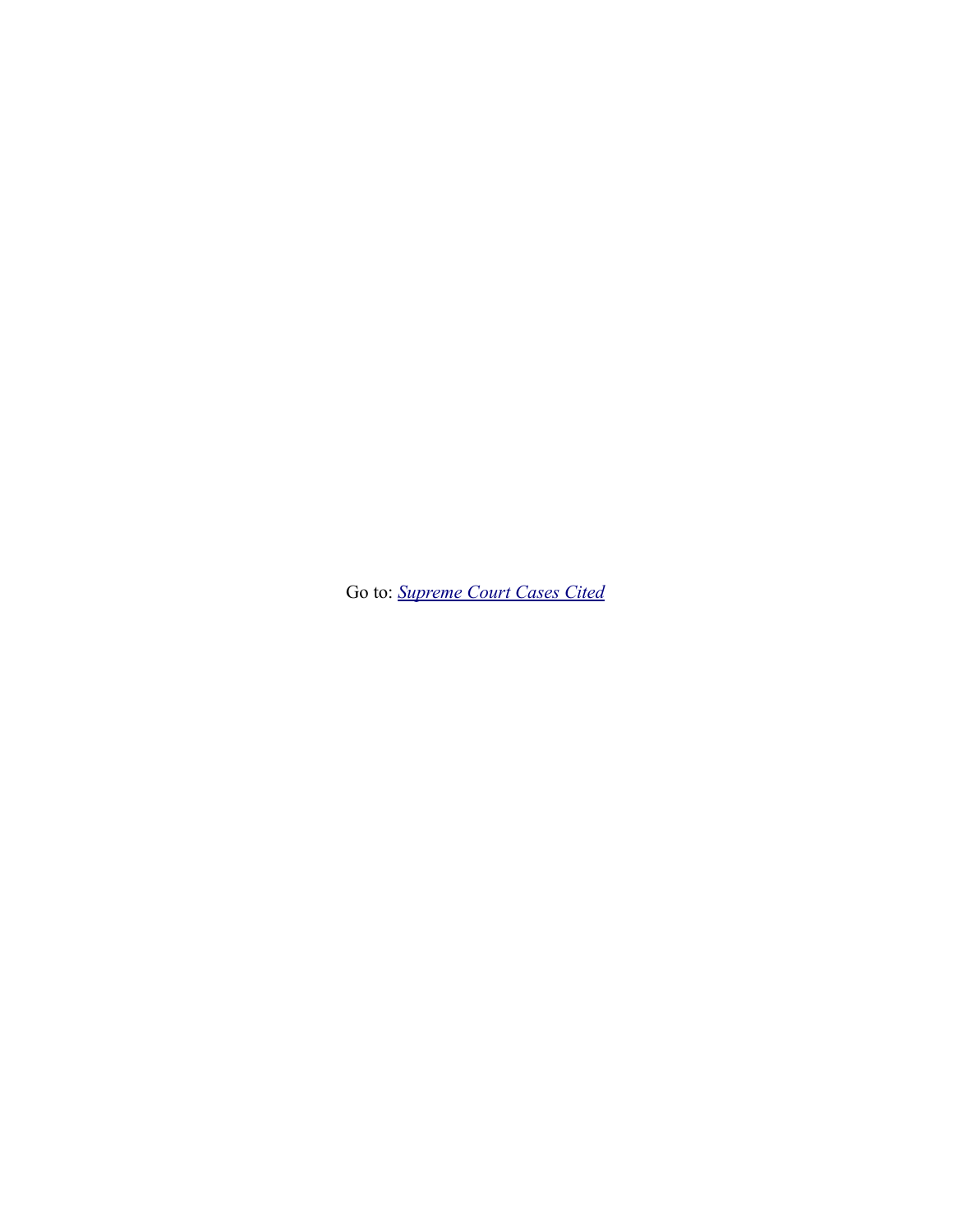Go to: *[Supreme Court Cases Cited](http://sovereignstates.org/books/NMAA/NineMen_Cases.html)*